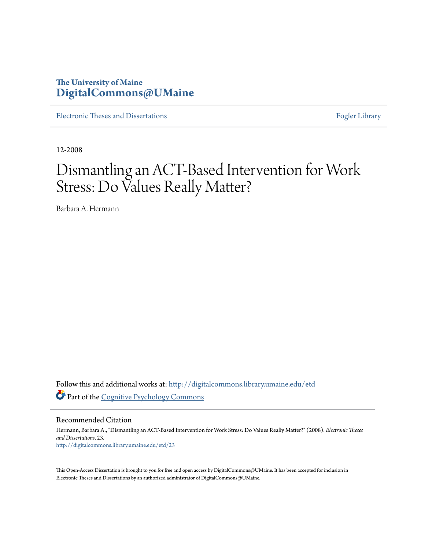## **The University of Maine [DigitalCommons@UMaine](http://digitalcommons.library.umaine.edu?utm_source=digitalcommons.library.umaine.edu%2Fetd%2F23&utm_medium=PDF&utm_campaign=PDFCoverPages)**

[Electronic Theses and Dissertations](http://digitalcommons.library.umaine.edu/etd?utm_source=digitalcommons.library.umaine.edu%2Fetd%2F23&utm_medium=PDF&utm_campaign=PDFCoverPages) [Fogler Library](http://digitalcommons.library.umaine.edu/fogler?utm_source=digitalcommons.library.umaine.edu%2Fetd%2F23&utm_medium=PDF&utm_campaign=PDFCoverPages)

12-2008

# Dismantling an ACT-Based Intervention for Work Stress: Do Values Really Matter?

Barbara A. Hermann

Follow this and additional works at: [http://digitalcommons.library.umaine.edu/etd](http://digitalcommons.library.umaine.edu/etd?utm_source=digitalcommons.library.umaine.edu%2Fetd%2F23&utm_medium=PDF&utm_campaign=PDFCoverPages) Part of the [Cognitive Psychology Commons](http://network.bepress.com/hgg/discipline/408?utm_source=digitalcommons.library.umaine.edu%2Fetd%2F23&utm_medium=PDF&utm_campaign=PDFCoverPages)

Recommended Citation

Hermann, Barbara A., "Dismantling an ACT-Based Intervention for Work Stress: Do Values Really Matter?" (2008). *Electronic Theses and Dissertations*. 23. [http://digitalcommons.library.umaine.edu/etd/23](http://digitalcommons.library.umaine.edu/etd/23?utm_source=digitalcommons.library.umaine.edu%2Fetd%2F23&utm_medium=PDF&utm_campaign=PDFCoverPages)

This Open-Access Dissertation is brought to you for free and open access by DigitalCommons@UMaine. It has been accepted for inclusion in Electronic Theses and Dissertations by an authorized administrator of DigitalCommons@UMaine.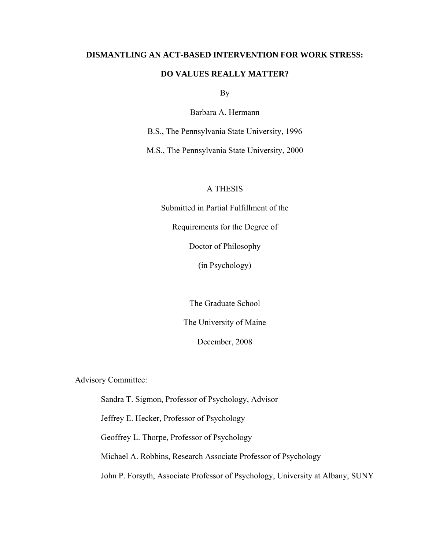## **DISMANTLING AN ACT-BASED INTERVENTION FOR WORK STRESS:**

## **DO VALUES REALLY MATTER?**

By

Barbara A. Hermann

B.S., The Pennsylvania State University, 1996

M.S., The Pennsylvania State University, 2000

## A THESIS

Submitted in Partial Fulfillment of the

Requirements for the Degree of

Doctor of Philosophy

(in Psychology)

The Graduate School

The University of Maine

December, 2008

Advisory Committee:

Sandra T. Sigmon, Professor of Psychology, Advisor

Jeffrey E. Hecker, Professor of Psychology

Geoffrey L. Thorpe, Professor of Psychology

Michael A. Robbins, Research Associate Professor of Psychology

John P. Forsyth, Associate Professor of Psychology, University at Albany, SUNY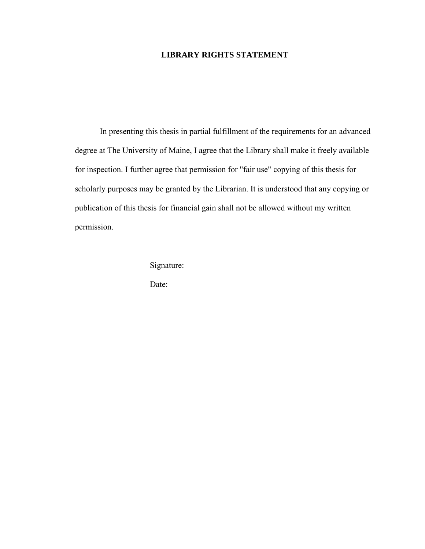## **LIBRARY RIGHTS STATEMENT**

In presenting this thesis in partial fulfillment of the requirements for an advanced degree at The University of Maine, I agree that the Library shall make it freely available for inspection. I further agree that permission for "fair use" copying of this thesis for scholarly purposes may be granted by the Librarian. It is understood that any copying or publication of this thesis for financial gain shall not be allowed without my written permission.

Signature:

Date: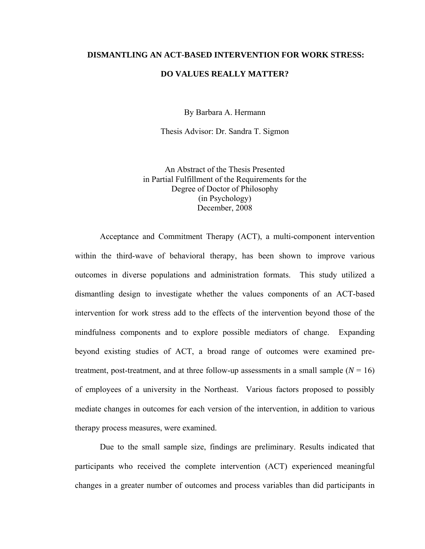## **DISMANTLING AN ACT-BASED INTERVENTION FOR WORK STRESS:**

#### **DO VALUES REALLY MATTER?**

By Barbara A. Hermann

Thesis Advisor: Dr. Sandra T. Sigmon

An Abstract of the Thesis Presented in Partial Fulfillment of the Requirements for the Degree of Doctor of Philosophy (in Psychology) December, 2008

 Acceptance and Commitment Therapy (ACT), a multi-component intervention within the third-wave of behavioral therapy, has been shown to improve various outcomes in diverse populations and administration formats. This study utilized a dismantling design to investigate whether the values components of an ACT-based intervention for work stress add to the effects of the intervention beyond those of the mindfulness components and to explore possible mediators of change. Expanding beyond existing studies of ACT, a broad range of outcomes were examined pretreatment, post-treatment, and at three follow-up assessments in a small sample  $(N = 16)$ of employees of a university in the Northeast. Various factors proposed to possibly mediate changes in outcomes for each version of the intervention, in addition to various therapy process measures, were examined.

Due to the small sample size, findings are preliminary. Results indicated that participants who received the complete intervention (ACT) experienced meaningful changes in a greater number of outcomes and process variables than did participants in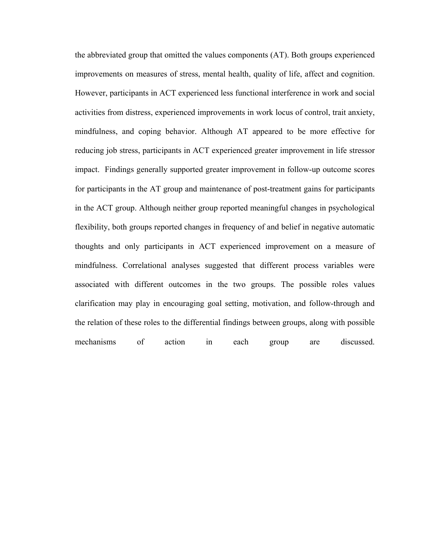the abbreviated group that omitted the values components (AT). Both groups experienced improvements on measures of stress, mental health, quality of life, affect and cognition. However, participants in ACT experienced less functional interference in work and social activities from distress, experienced improvements in work locus of control, trait anxiety, mindfulness, and coping behavior. Although AT appeared to be more effective for reducing job stress, participants in ACT experienced greater improvement in life stressor impact. Findings generally supported greater improvement in follow-up outcome scores for participants in the AT group and maintenance of post-treatment gains for participants in the ACT group. Although neither group reported meaningful changes in psychological flexibility, both groups reported changes in frequency of and belief in negative automatic thoughts and only participants in ACT experienced improvement on a measure of mindfulness. Correlational analyses suggested that different process variables were associated with different outcomes in the two groups. The possible roles values clarification may play in encouraging goal setting, motivation, and follow-through and the relation of these roles to the differential findings between groups, along with possible mechanisms of action in each group are discussed.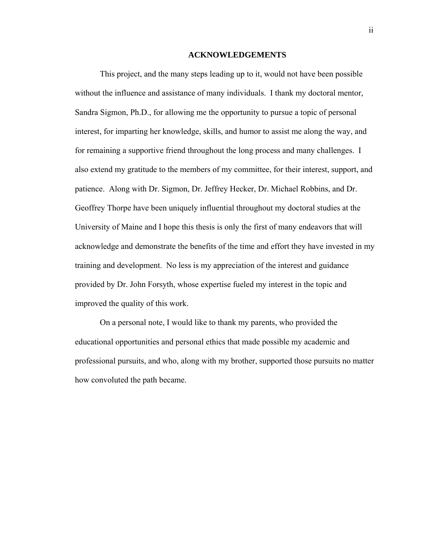#### **ACKNOWLEDGEMENTS**

<span id="page-5-1"></span><span id="page-5-0"></span> This project, and the many steps leading up to it, would not have been possible without the influence and assistance of many individuals. I thank my doctoral mentor, Sandra Sigmon, Ph.D., for allowing me the opportunity to pursue a topic of personal interest, for imparting her knowledge, skills, and humor to assist me along the way, and for remaining a supportive friend throughout the long process and many challenges. I also extend my gratitude to the members of my committee, for their interest, support, and patience. Along with Dr. Sigmon, Dr. Jeffrey Hecker, Dr. Michael Robbins, and Dr. Geoffrey Thorpe have been uniquely influential throughout my doctoral studies at the University of Maine and I hope this thesis is only the first of many endeavors that will acknowledge and demonstrate the benefits of the time and effort they have invested in my training and development. No less is my appreciation of the interest and guidance provided by Dr. John Forsyth, whose expertise fueled my interest in the topic and improved the quality of this work.

 On a personal note, I would like to thank my parents, who provided the educational opportunities and personal ethics that made possible my academic and professional pursuits, and who, along with my brother, supported those pursuits no matter how convoluted the path became.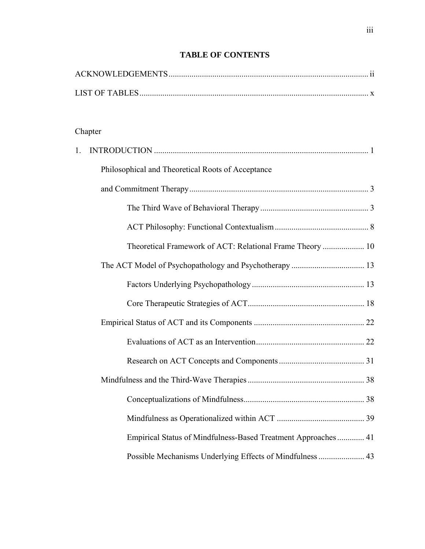| Chapter                                                       |  |  |
|---------------------------------------------------------------|--|--|
| 1.                                                            |  |  |
| Philosophical and Theoretical Roots of Acceptance             |  |  |
|                                                               |  |  |
|                                                               |  |  |
|                                                               |  |  |
| Theoretical Framework of ACT: Relational Frame Theory  10     |  |  |
|                                                               |  |  |
|                                                               |  |  |
|                                                               |  |  |
|                                                               |  |  |
|                                                               |  |  |
|                                                               |  |  |
|                                                               |  |  |
|                                                               |  |  |
|                                                               |  |  |
| Empirical Status of Mindfulness-Based Treatment Approaches 41 |  |  |
| Possible Mechanisms Underlying Effects of Mindfulness  43     |  |  |

## **TABLE OF CONTENTS**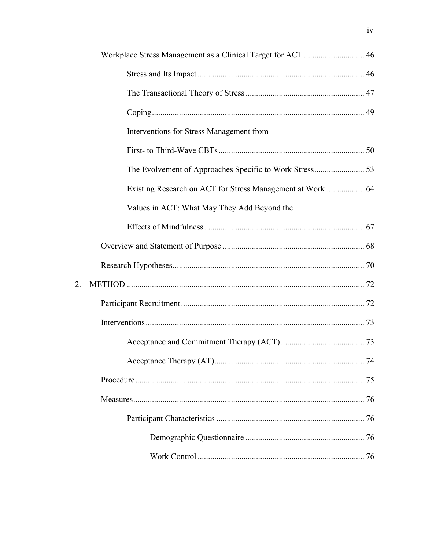| Workplace Stress Management as a Clinical Target for ACT  46 |  |
|--------------------------------------------------------------|--|
|                                                              |  |
|                                                              |  |
|                                                              |  |
| Interventions for Stress Management from                     |  |
|                                                              |  |
|                                                              |  |
| Existing Research on ACT for Stress Management at Work  64   |  |
| Values in ACT: What May They Add Beyond the                  |  |
|                                                              |  |
|                                                              |  |
|                                                              |  |
|                                                              |  |
|                                                              |  |
|                                                              |  |
|                                                              |  |
|                                                              |  |
|                                                              |  |
|                                                              |  |
|                                                              |  |
|                                                              |  |
|                                                              |  |

 $\overline{2}$ .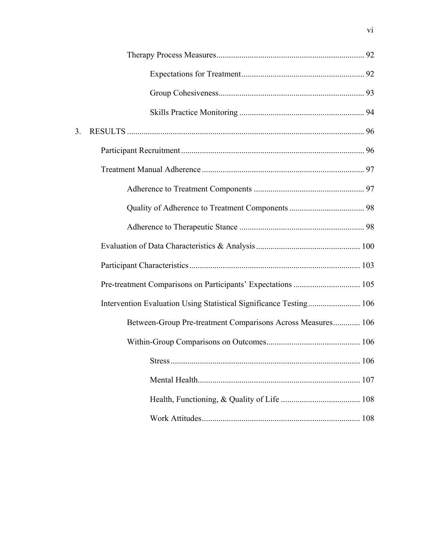| 3. |                                                                    |  |
|----|--------------------------------------------------------------------|--|
|    |                                                                    |  |
|    |                                                                    |  |
|    |                                                                    |  |
|    |                                                                    |  |
|    |                                                                    |  |
|    |                                                                    |  |
|    |                                                                    |  |
|    | Pre-treatment Comparisons on Participants' Expectations  105       |  |
|    | Intervention Evaluation Using Statistical Significance Testing 106 |  |
|    | Between-Group Pre-treatment Comparisons Across Measures 106        |  |
|    |                                                                    |  |
|    |                                                                    |  |
|    |                                                                    |  |
|    |                                                                    |  |
|    |                                                                    |  |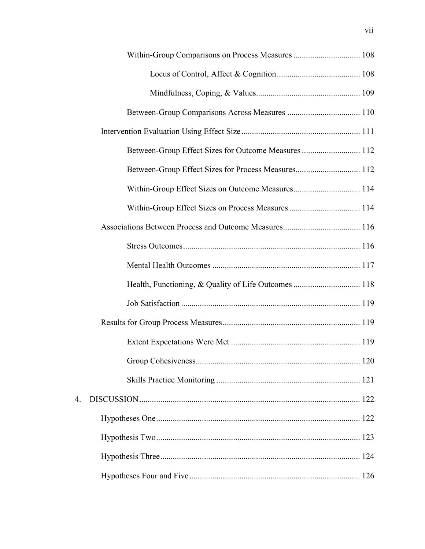|    | Within-Group Effect Sizes on Process Measures  114 |  |
|----|----------------------------------------------------|--|
|    |                                                    |  |
|    |                                                    |  |
|    |                                                    |  |
|    |                                                    |  |
|    |                                                    |  |
|    |                                                    |  |
|    |                                                    |  |
|    |                                                    |  |
|    |                                                    |  |
| 4. |                                                    |  |
|    |                                                    |  |
|    |                                                    |  |
|    |                                                    |  |
|    |                                                    |  |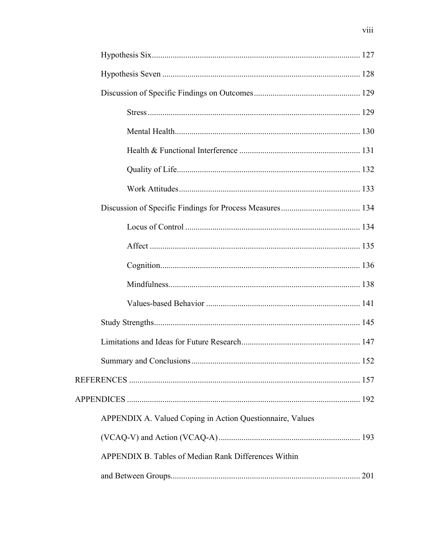| APPENDIX A. Valued Coping in Action Questionnaire, Values |     |
|-----------------------------------------------------------|-----|
|                                                           |     |
| APPENDIX B. Tables of Median Rank Differences Within      |     |
|                                                           | 201 |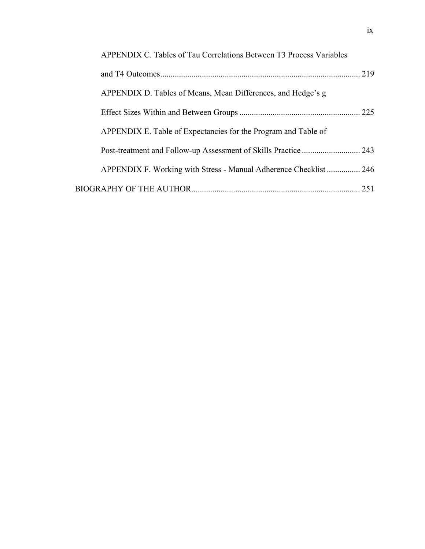| APPENDIX C. Tables of Tau Correlations Between T3 Process Variables |       |
|---------------------------------------------------------------------|-------|
|                                                                     | 219   |
| APPENDIX D. Tables of Means, Mean Differences, and Hedge's g        |       |
|                                                                     | . 225 |
| APPENDIX E. Table of Expectancies for the Program and Table of      |       |
|                                                                     |       |
| APPENDIX F. Working with Stress - Manual Adherence Checklist  246   |       |
|                                                                     | 251   |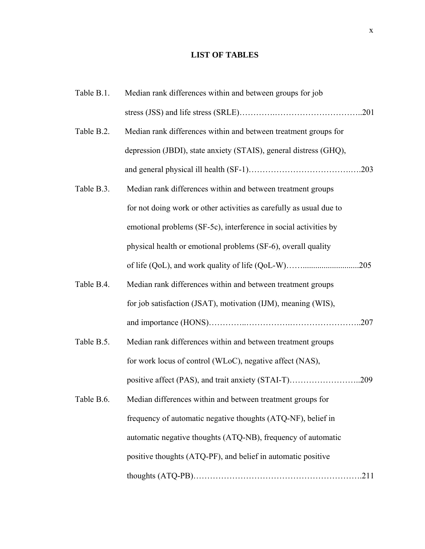## **LIST OF TABLES**

<span id="page-13-1"></span><span id="page-13-0"></span>

| Table B.1. | Median rank differences within and between groups for job           |  |
|------------|---------------------------------------------------------------------|--|
|            |                                                                     |  |
| Table B.2. | Median rank differences within and between treatment groups for     |  |
|            | depression (JBDI), state anxiety (STAIS), general distress (GHQ),   |  |
|            |                                                                     |  |
| Table B.3. | Median rank differences within and between treatment groups         |  |
|            | for not doing work or other activities as carefully as usual due to |  |
|            | emotional problems (SF-5c), interference in social activities by    |  |
|            | physical health or emotional problems (SF-6), overall quality       |  |
|            | of life (QoL), and work quality of life (QoL-W)205                  |  |
| Table B.4. | Median rank differences within and between treatment groups         |  |
|            | for job satisfaction (JSAT), motivation (IJM), meaning (WIS),       |  |
|            |                                                                     |  |
| Table B.5. | Median rank differences within and between treatment groups         |  |
|            | for work locus of control (WLoC), negative affect (NAS),            |  |
|            |                                                                     |  |
| Table B.6. | Median differences within and between treatment groups for          |  |
|            | frequency of automatic negative thoughts (ATQ-NF), belief in        |  |
|            | automatic negative thoughts (ATQ-NB), frequency of automatic        |  |
|            | positive thoughts (ATQ-PF), and belief in automatic positive        |  |
|            |                                                                     |  |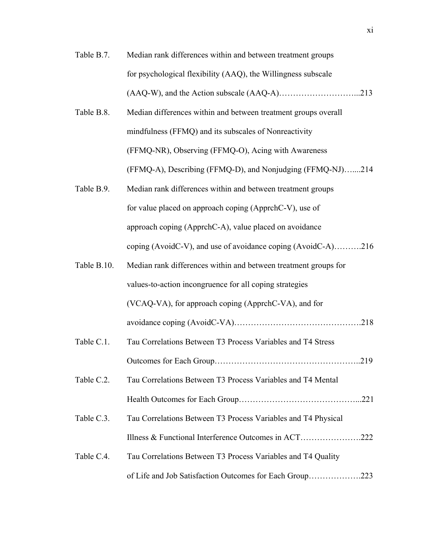- Table B.7. Median rank differences within and between treatment groups for psychological flexibility (AAQ), the Willingness subscale (AAQ-W), and the Action subscale (AAQ-A)………………………...213
- Table B.8. Median differences within and between treatment groups overall mindfulness (FFMQ) and its subscales of Nonreactivity (FFMQ-NR), Observing (FFMQ-O), Acing with Awareness (FFMQ-A), Describing (FFMQ-D), and Nonjudging (FFMQ-NJ)…....214
- Table B.9. Median rank differences within and between treatment groups for value placed on approach coping (ApprchC-V), use of approach coping (ApprchC-A), value placed on avoidance coping (AvoidC-V), and use of avoidance coping (AvoidC-A)……….216
- Table B.10. Median rank differences within and between treatment groups for values-to-action incongruence for all coping strategies (VCAQ-VA), for approach coping (ApprchC-VA), and for avoidance coping (AvoidC-VA)……………………………………….218
- Table C.1. Tau Correlations Between T3 Process Variables and T4 Stress Outcomes for Each Group……………………………………………..219
- Table C.2. Tau Correlations Between T3 Process Variables and T4 Mental Health Outcomes for Each Group……………………………………...221
- Table C.3. Tau Correlations Between T3 Process Variables and T4 Physical Illness & Functional Interference Outcomes in ACT………………….222
- Table C.4. Tau Correlations Between T3 Process Variables and T4 Quality of Life and Job Satisfaction Outcomes for Each Group……………….223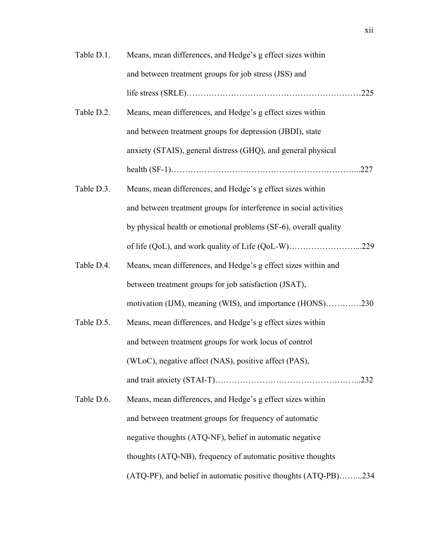| Table D.1. | Means, mean differences, and Hedge's g effect sizes within         |
|------------|--------------------------------------------------------------------|
|            | and between treatment groups for job stress (JSS) and              |
|            |                                                                    |
| Table D.2. | Means, mean differences, and Hedge's g effect sizes within         |
|            | and between treatment groups for depression (JBDI), state          |
|            | anxiety (STAIS), general distress (GHQ), and general physical      |
|            | $\text{health (SF-1)} \dots 227$                                   |
| Table D.3. | Means, mean differences, and Hedge's g effect sizes within         |
|            | and between treatment groups for interference in social activities |
|            | by physical health or emotional problems (SF-6), overall quality   |
|            | of life (QoL), and work quality of Life (QoL-W)229                 |
| Table D.4. | Means, mean differences, and Hedge's g effect sizes within and     |
|            | between treatment groups for job satisfaction (JSAT),              |
|            | motivation (IJM), meaning (WIS), and importance (HONS)230          |
| Table D.5. | Means, mean differences, and Hedge's g effect sizes within         |
|            | and between treatment groups for work locus of control             |
|            | (WLoC), negative affect (NAS), positive affect (PAS),              |
|            |                                                                    |
| Table D.6. | Means, mean differences, and Hedge's g effect sizes within         |
|            | and between treatment groups for frequency of automatic            |
|            | negative thoughts (ATQ-NF), belief in automatic negative           |
|            | thoughts (ATQ-NB), frequency of automatic positive thoughts        |
|            | (ATQ-PF), and belief in automatic positive thoughts (ATQ-PB)234    |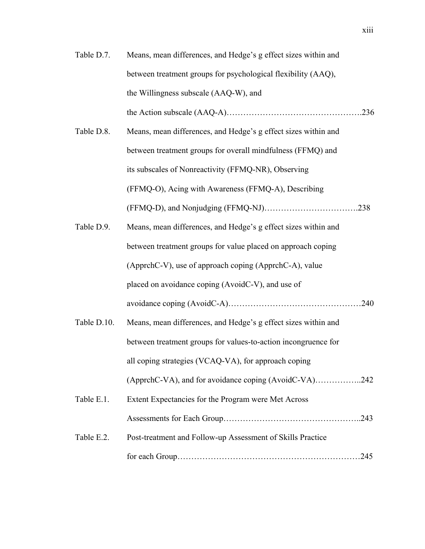- Table D.7. Means, mean differences, and Hedge's g effect sizes within and between treatment groups for psychological flexibility (AAQ), the Willingness subscale (AAQ-W), and the Action subscale (AAQ-A)………………………………………….236
- Table D.8. Means, mean differences, and Hedge's g effect sizes within and between treatment groups for overall mindfulness (FFMQ) and its subscales of Nonreactivity (FFMQ-NR), Observing (FFMQ-O), Acing with Awareness (FFMQ-A), Describing (FFMQ-D), and Nonjudging (FFMQ-NJ)…………………………….238
- Table D.9. Means, mean differences, and Hedge's g effect sizes within and between treatment groups for value placed on approach coping (ApprchC-V), use of approach coping (ApprchC-A), value placed on avoidance coping (AvoidC-V), and use of avoidance coping (AvoidC-A)…………………………………………240
- Table D.10. Means, mean differences, and Hedge's g effect sizes within and between treatment groups for values-to-action incongruence for all coping strategies (VCAQ-VA), for approach coping (ApprchC-VA), and for avoidance coping (AvoidC-VA)……………..242
- Table E.1. Extent Expectancies for the Program were Met Across Assessments for Each Group…………………………………………..243 Table E.2. Post-treatment and Follow-up Assessment of Skills Practice for each Group…………………………………………………………245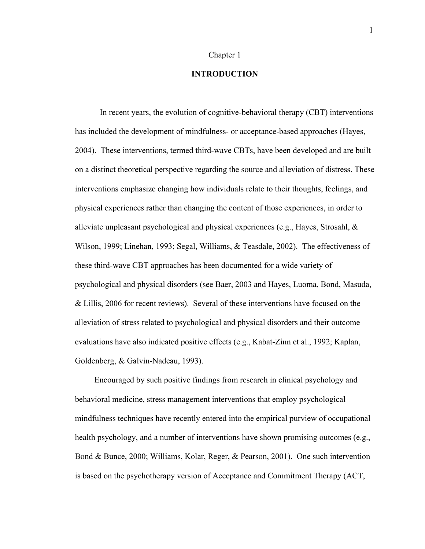#### Chapter 1

## **INTRODUCTION**

<span id="page-17-1"></span><span id="page-17-0"></span> In recent years, the evolution of cognitive-behavioral therapy (CBT) interventions has included the development of mindfulness- or acceptance-based approaches (Hayes, 2004). These interventions, termed third-wave CBTs, have been developed and are built on a distinct theoretical perspective regarding the source and alleviation of distress. These interventions emphasize changing how individuals relate to their thoughts, feelings, and physical experiences rather than changing the content of those experiences, in order to alleviate unpleasant psychological and physical experiences (e.g., Hayes, Strosahl, & Wilson, 1999; Linehan, 1993; Segal, Williams, & Teasdale, 2002). The effectiveness of these third-wave CBT approaches has been documented for a wide variety of psychological and physical disorders (see Baer, 2003 and Hayes, Luoma, Bond, Masuda, & Lillis, 2006 for recent reviews). Several of these interventions have focused on the alleviation of stress related to psychological and physical disorders and their outcome evaluations have also indicated positive effects (e.g., Kabat-Zinn et al., 1992; Kaplan, Goldenberg, & Galvin-Nadeau, 1993).

 Encouraged by such positive findings from research in clinical psychology and behavioral medicine, stress management interventions that employ psychological mindfulness techniques have recently entered into the empirical purview of occupational health psychology, and a number of interventions have shown promising outcomes (e.g., Bond & Bunce, 2000; Williams, Kolar, Reger, & Pearson, 2001). One such intervention is based on the psychotherapy version of Acceptance and Commitment Therapy (ACT,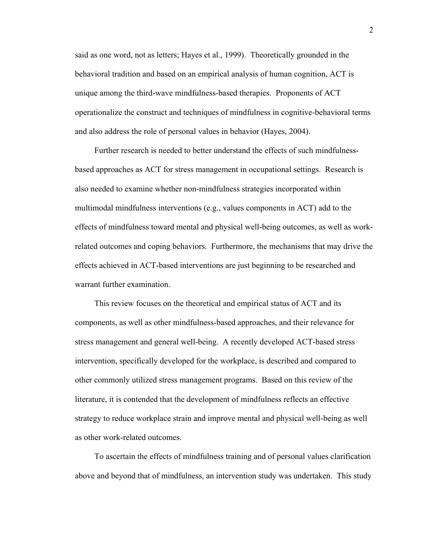said as one word, not as letters; Hayes et al., 1999). Theoretically grounded in the behavioral tradition and based on an empirical analysis of human cognition, ACT is unique among the third-wave mindfulness-based therapies. Proponents of ACT operationalize the construct and techniques of mindfulness in cognitive-behavioral terms and also address the role of personal values in behavior (Hayes, 2004).

 Further research is needed to better understand the effects of such mindfulnessbased approaches as ACT for stress management in occupational settings. Research is also needed to examine whether non-mindfulness strategies incorporated within multimodal mindfulness interventions (e.g., values components in ACT) add to the effects of mindfulness toward mental and physical well-being outcomes, as well as workrelated outcomes and coping behaviors. Furthermore, the mechanisms that may drive the effects achieved in ACT-based interventions are just beginning to be researched and warrant further examination.

 This review focuses on the theoretical and empirical status of ACT and its components, as well as other mindfulness-based approaches, and their relevance for stress management and general well-being. A recently developed ACT-based stress intervention, specifically developed for the workplace, is described and compared to other commonly utilized stress management programs. Based on this review of the literature, it is contended that the development of mindfulness reflects an effective strategy to reduce workplace strain and improve mental and physical well-being as well as other work-related outcomes.

 To ascertain the effects of mindfulness training and of personal values clarification above and beyond that of mindfulness, an intervention study was undertaken. This study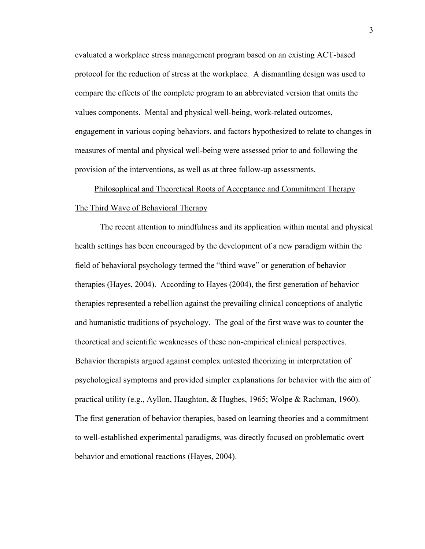<span id="page-19-0"></span>evaluated a workplace stress management program based on an existing ACT-based protocol for the reduction of stress at the workplace. A dismantling design was used to compare the effects of the complete program to an abbreviated version that omits the values components. Mental and physical well-being, work-related outcomes, engagement in various coping behaviors, and factors hypothesized to relate to changes in measures of mental and physical well-being were assessed prior to and following the provision of the interventions, as well as at three follow-up assessments.

## <span id="page-19-2"></span><span id="page-19-1"></span>Philosophical and Theoretical Roots of Acceptance and Commitment Therapy The Third Wave of Behavioral Therapy

 The recent attention to mindfulness and its application within mental and physical health settings has been encouraged by the development of a new paradigm within the field of behavioral psychology termed the "third wave" or generation of behavior therapies (Hayes, 2004). According to Hayes (2004), the first generation of behavior therapies represented a rebellion against the prevailing clinical conceptions of analytic and humanistic traditions of psychology. The goal of the first wave was to counter the theoretical and scientific weaknesses of these non-empirical clinical perspectives. Behavior therapists argued against complex untested theorizing in interpretation of psychological symptoms and provided simpler explanations for behavior with the aim of practical utility (e.g., Ayllon, Haughton, & Hughes, 1965; Wolpe & Rachman, 1960). The first generation of behavior therapies, based on learning theories and a commitment to well-established experimental paradigms, was directly focused on problematic overt behavior and emotional reactions (Hayes, 2004).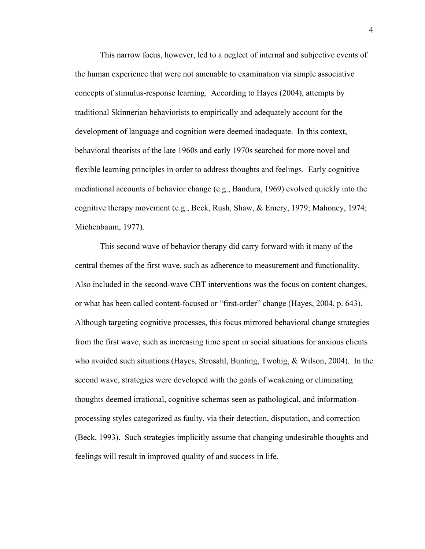This narrow focus, however, led to a neglect of internal and subjective events of the human experience that were not amenable to examination via simple associative concepts of stimulus-response learning. According to Hayes (2004), attempts by traditional Skinnerian behaviorists to empirically and adequately account for the development of language and cognition were deemed inadequate. In this context, behavioral theorists of the late 1960s and early 1970s searched for more novel and flexible learning principles in order to address thoughts and feelings. Early cognitive mediational accounts of behavior change (e.g., Bandura, 1969) evolved quickly into the cognitive therapy movement (e.g., Beck, Rush, Shaw, & Emery, 1979; Mahoney, 1974; Michenbaum, 1977).

 This second wave of behavior therapy did carry forward with it many of the central themes of the first wave, such as adherence to measurement and functionality. Also included in the second-wave CBT interventions was the focus on content changes, or what has been called content-focused or "first-order" change (Hayes, 2004, p. 643). Although targeting cognitive processes, this focus mirrored behavioral change strategies from the first wave, such as increasing time spent in social situations for anxious clients who avoided such situations (Hayes, Strosahl, Bunting, Twohig, & Wilson, 2004). In the second wave, strategies were developed with the goals of weakening or eliminating thoughts deemed irrational, cognitive schemas seen as pathological, and informationprocessing styles categorized as faulty, via their detection, disputation, and correction (Beck, 1993). Such strategies implicitly assume that changing undesirable thoughts and feelings will result in improved quality of and success in life.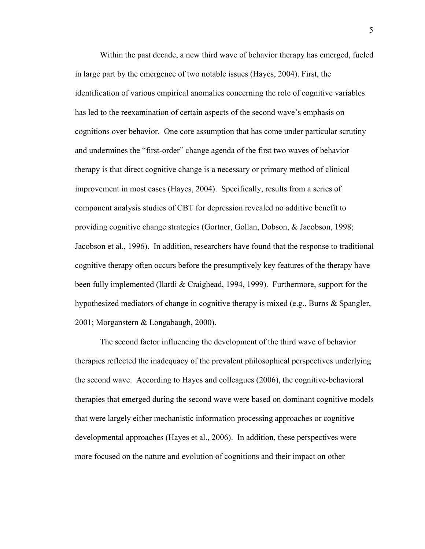Within the past decade, a new third wave of behavior therapy has emerged, fueled in large part by the emergence of two notable issues (Hayes, 2004). First, the identification of various empirical anomalies concerning the role of cognitive variables has led to the reexamination of certain aspects of the second wave's emphasis on cognitions over behavior. One core assumption that has come under particular scrutiny and undermines the "first-order" change agenda of the first two waves of behavior therapy is that direct cognitive change is a necessary or primary method of clinical improvement in most cases (Hayes, 2004). Specifically, results from a series of component analysis studies of CBT for depression revealed no additive benefit to providing cognitive change strategies (Gortner, Gollan, Dobson, & Jacobson, 1998; Jacobson et al., 1996). In addition, researchers have found that the response to traditional cognitive therapy often occurs before the presumptively key features of the therapy have been fully implemented (Ilardi & Craighead, 1994, 1999). Furthermore, support for the hypothesized mediators of change in cognitive therapy is mixed (e.g., Burns & Spangler, 2001; Morganstern & Longabaugh, 2000).

 The second factor influencing the development of the third wave of behavior therapies reflected the inadequacy of the prevalent philosophical perspectives underlying the second wave. According to Hayes and colleagues (2006), the cognitive-behavioral therapies that emerged during the second wave were based on dominant cognitive models that were largely either mechanistic information processing approaches or cognitive developmental approaches (Hayes et al., 2006). In addition, these perspectives were more focused on the nature and evolution of cognitions and their impact on other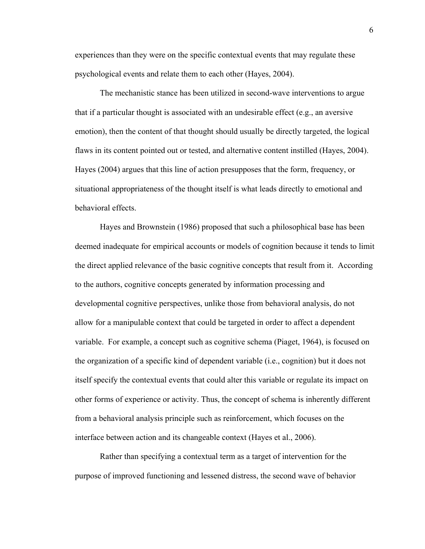experiences than they were on the specific contextual events that may regulate these psychological events and relate them to each other (Hayes, 2004).

 The mechanistic stance has been utilized in second-wave interventions to argue that if a particular thought is associated with an undesirable effect (e.g., an aversive emotion), then the content of that thought should usually be directly targeted, the logical flaws in its content pointed out or tested, and alternative content instilled (Hayes, 2004). Hayes (2004) argues that this line of action presupposes that the form, frequency, or situational appropriateness of the thought itself is what leads directly to emotional and behavioral effects.

 Hayes and Brownstein (1986) proposed that such a philosophical base has been deemed inadequate for empirical accounts or models of cognition because it tends to limit the direct applied relevance of the basic cognitive concepts that result from it. According to the authors, cognitive concepts generated by information processing and developmental cognitive perspectives, unlike those from behavioral analysis, do not allow for a manipulable context that could be targeted in order to affect a dependent variable. For example, a concept such as cognitive schema (Piaget, 1964), is focused on the organization of a specific kind of dependent variable (i.e., cognition) but it does not itself specify the contextual events that could alter this variable or regulate its impact on other forms of experience or activity. Thus, the concept of schema is inherently different from a behavioral analysis principle such as reinforcement, which focuses on the interface between action and its changeable context (Hayes et al., 2006).

Rather than specifying a contextual term as a target of intervention for the purpose of improved functioning and lessened distress, the second wave of behavior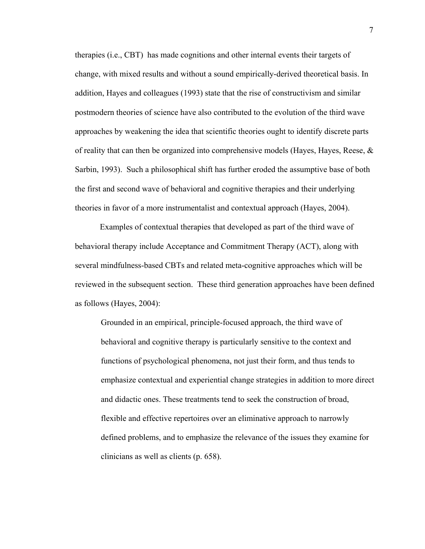therapies (i.e., CBT) has made cognitions and other internal events their targets of change, with mixed results and without a sound empirically-derived theoretical basis. In addition, Hayes and colleagues (1993) state that the rise of constructivism and similar postmodern theories of science have also contributed to the evolution of the third wave approaches by weakening the idea that scientific theories ought to identify discrete parts of reality that can then be organized into comprehensive models (Hayes, Hayes, Reese,  $\&$ Sarbin, 1993). Such a philosophical shift has further eroded the assumptive base of both the first and second wave of behavioral and cognitive therapies and their underlying theories in favor of a more instrumentalist and contextual approach (Hayes, 2004).

 Examples of contextual therapies that developed as part of the third wave of behavioral therapy include Acceptance and Commitment Therapy (ACT), along with several mindfulness-based CBTs and related meta-cognitive approaches which will be reviewed in the subsequent section. These third generation approaches have been defined as follows (Hayes, 2004):

Grounded in an empirical, principle-focused approach, the third wave of behavioral and cognitive therapy is particularly sensitive to the context and functions of psychological phenomena, not just their form, and thus tends to emphasize contextual and experiential change strategies in addition to more direct and didactic ones. These treatments tend to seek the construction of broad, flexible and effective repertoires over an eliminative approach to narrowly defined problems, and to emphasize the relevance of the issues they examine for clinicians as well as clients (p. 658).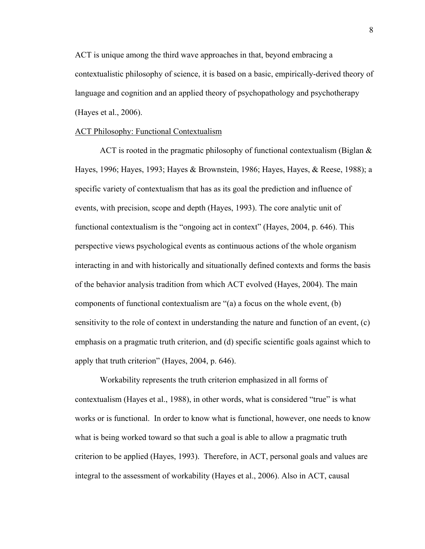<span id="page-24-0"></span>ACT is unique among the third wave approaches in that, beyond embracing a contextualistic philosophy of science, it is based on a basic, empirically-derived theory of language and cognition and an applied theory of psychopathology and psychotherapy (Hayes et al., 2006).

#### <span id="page-24-1"></span>ACT Philosophy: Functional Contextualism

ACT is rooted in the pragmatic philosophy of functional contextualism (Biglan & Hayes, 1996; Hayes, 1993; Hayes & Brownstein, 1986; Hayes, Hayes, & Reese, 1988); a specific variety of contextualism that has as its goal the prediction and influence of events, with precision, scope and depth (Hayes, 1993). The core analytic unit of functional contextualism is the "ongoing act in context" (Hayes, 2004, p. 646). This perspective views psychological events as continuous actions of the whole organism interacting in and with historically and situationally defined contexts and forms the basis of the behavior analysis tradition from which ACT evolved (Hayes, 2004). The main components of functional contextualism are "(a) a focus on the whole event, (b) sensitivity to the role of context in understanding the nature and function of an event, (c) emphasis on a pragmatic truth criterion, and (d) specific scientific goals against which to apply that truth criterion" (Hayes, 2004, p. 646).

 Workability represents the truth criterion emphasized in all forms of contextualism (Hayes et al., 1988), in other words, what is considered "true" is what works or is functional. In order to know what is functional, however, one needs to know what is being worked toward so that such a goal is able to allow a pragmatic truth criterion to be applied (Hayes, 1993). Therefore, in ACT, personal goals and values are integral to the assessment of workability (Hayes et al., 2006). Also in ACT, causal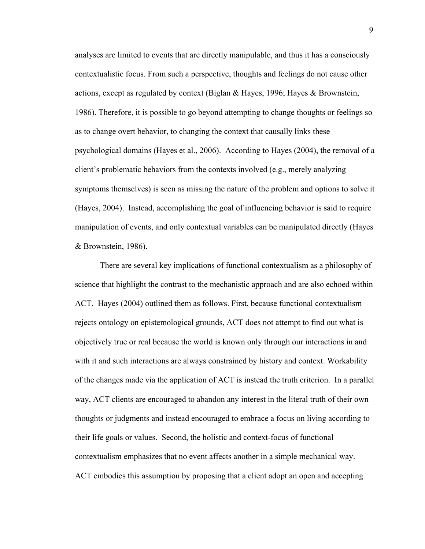analyses are limited to events that are directly manipulable, and thus it has a consciously contextualistic focus. From such a perspective, thoughts and feelings do not cause other actions, except as regulated by context (Biglan & Hayes, 1996; Hayes & Brownstein, 1986). Therefore, it is possible to go beyond attempting to change thoughts or feelings so as to change overt behavior, to changing the context that causally links these psychological domains (Hayes et al., 2006). According to Hayes (2004), the removal of a client's problematic behaviors from the contexts involved (e.g., merely analyzing symptoms themselves) is seen as missing the nature of the problem and options to solve it (Hayes, 2004). Instead, accomplishing the goal of influencing behavior is said to require manipulation of events, and only contextual variables can be manipulated directly (Hayes & Brownstein, 1986).

 There are several key implications of functional contextualism as a philosophy of science that highlight the contrast to the mechanistic approach and are also echoed within ACT. Hayes (2004) outlined them as follows. First, because functional contextualism rejects ontology on epistemological grounds, ACT does not attempt to find out what is objectively true or real because the world is known only through our interactions in and with it and such interactions are always constrained by history and context. Workability of the changes made via the application of ACT is instead the truth criterion. In a parallel way, ACT clients are encouraged to abandon any interest in the literal truth of their own thoughts or judgments and instead encouraged to embrace a focus on living according to their life goals or values. Second, the holistic and context-focus of functional contextualism emphasizes that no event affects another in a simple mechanical way. ACT embodies this assumption by proposing that a client adopt an open and accepting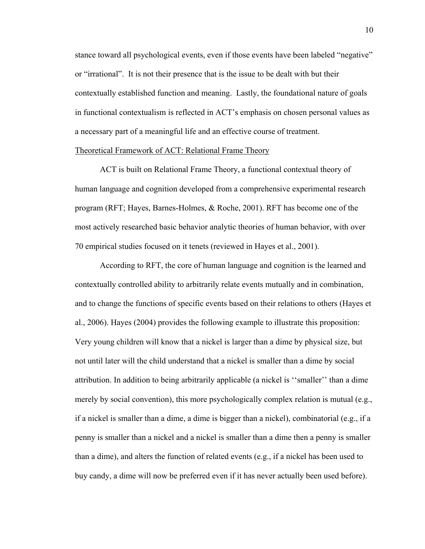<span id="page-26-0"></span>stance toward all psychological events, even if those events have been labeled "negative" or "irrational". It is not their presence that is the issue to be dealt with but their contextually established function and meaning. Lastly, the foundational nature of goals in functional contextualism is reflected in ACT's emphasis on chosen personal values as a necessary part of a meaningful life and an effective course of treatment.

### <span id="page-26-1"></span>Theoretical Framework of ACT: Relational Frame Theory

ACT is built on Relational Frame Theory, a functional contextual theory of human language and cognition developed from a comprehensive experimental research program (RFT; Hayes, Barnes-Holmes, & Roche, 2001). RFT has become one of the most actively researched basic behavior analytic theories of human behavior, with over 70 empirical studies focused on it tenets (reviewed in Hayes et al., 2001).

According to RFT, the core of human language and cognition is the learned and contextually controlled ability to arbitrarily relate events mutually and in combination, and to change the functions of specific events based on their relations to others (Hayes et al., 2006). Hayes (2004) provides the following example to illustrate this proposition: Very young children will know that a nickel is larger than a dime by physical size, but not until later will the child understand that a nickel is smaller than a dime by social attribution. In addition to being arbitrarily applicable (a nickel is ''smaller'' than a dime merely by social convention), this more psychologically complex relation is mutual (e.g., if a nickel is smaller than a dime, a dime is bigger than a nickel), combinatorial (e.g., if a penny is smaller than a nickel and a nickel is smaller than a dime then a penny is smaller than a dime), and alters the function of related events (e.g., if a nickel has been used to buy candy, a dime will now be preferred even if it has never actually been used before).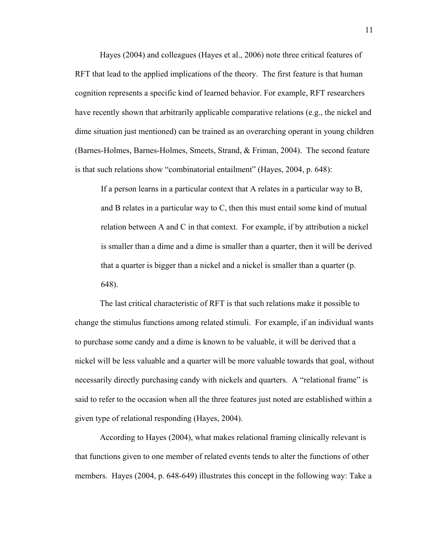Hayes (2004) and colleagues (Hayes et al., 2006) note three critical features of RFT that lead to the applied implications of the theory. The first feature is that human cognition represents a specific kind of learned behavior. For example, RFT researchers have recently shown that arbitrarily applicable comparative relations (e.g., the nickel and dime situation just mentioned) can be trained as an overarching operant in young children (Barnes-Holmes, Barnes-Holmes, Smeets, Strand, & Friman, 2004). The second feature is that such relations show "combinatorial entailment" (Hayes, 2004, p. 648):

If a person learns in a particular context that A relates in a particular way to B, and B relates in a particular way to C, then this must entail some kind of mutual relation between A and C in that context. For example, if by attribution a nickel is smaller than a dime and a dime is smaller than a quarter, then it will be derived that a quarter is bigger than a nickel and a nickel is smaller than a quarter (p. 648).

 The last critical characteristic of RFT is that such relations make it possible to change the stimulus functions among related stimuli. For example, if an individual wants to purchase some candy and a dime is known to be valuable, it will be derived that a nickel will be less valuable and a quarter will be more valuable towards that goal, without necessarily directly purchasing candy with nickels and quarters. A "relational frame" is said to refer to the occasion when all the three features just noted are established within a given type of relational responding (Hayes, 2004).

 According to Hayes (2004), what makes relational framing clinically relevant is that functions given to one member of related events tends to alter the functions of other members. Hayes (2004, p. 648-649) illustrates this concept in the following way: Take a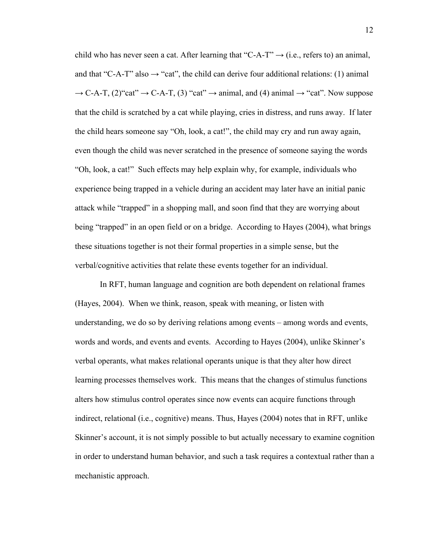child who has never seen a cat. After learning that "C-A-T"  $\rightarrow$  (i.e., refers to) an animal, and that "C-A-T" also  $\rightarrow$  "cat", the child can derive four additional relations: (1) animal  $\rightarrow$  C-A-T, (2)"cat"  $\rightarrow$  C-A-T, (3) "cat"  $\rightarrow$  animal, and (4) animal  $\rightarrow$  "cat". Now suppose that the child is scratched by a cat while playing, cries in distress, and runs away. If later the child hears someone say "Oh, look, a cat!", the child may cry and run away again, even though the child was never scratched in the presence of someone saying the words "Oh, look, a cat!" Such effects may help explain why, for example, individuals who experience being trapped in a vehicle during an accident may later have an initial panic attack while "trapped" in a shopping mall, and soon find that they are worrying about being "trapped" in an open field or on a bridge. According to Hayes (2004), what brings these situations together is not their formal properties in a simple sense, but the verbal/cognitive activities that relate these events together for an individual.

 In RFT, human language and cognition are both dependent on relational frames (Hayes, 2004). When we think, reason, speak with meaning, or listen with understanding, we do so by deriving relations among events – among words and events, words and words, and events and events. According to Hayes (2004), unlike Skinner's verbal operants, what makes relational operants unique is that they alter how direct learning processes themselves work. This means that the changes of stimulus functions alters how stimulus control operates since now events can acquire functions through indirect, relational (i.e., cognitive) means. Thus, Hayes (2004) notes that in RFT, unlike Skinner's account, it is not simply possible to but actually necessary to examine cognition in order to understand human behavior, and such a task requires a contextual rather than a mechanistic approach.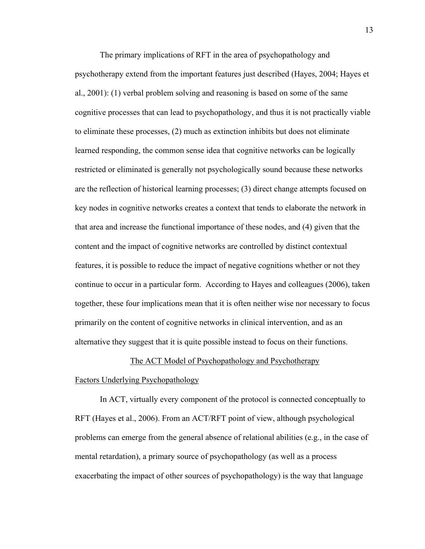<span id="page-29-0"></span>The primary implications of RFT in the area of psychopathology and psychotherapy extend from the important features just described (Hayes, 2004; Hayes et al., 2001): (1) verbal problem solving and reasoning is based on some of the same cognitive processes that can lead to psychopathology, and thus it is not practically viable to eliminate these processes, (2) much as extinction inhibits but does not eliminate learned responding, the common sense idea that cognitive networks can be logically restricted or eliminated is generally not psychologically sound because these networks are the reflection of historical learning processes; (3) direct change attempts focused on key nodes in cognitive networks creates a context that tends to elaborate the network in that area and increase the functional importance of these nodes, and (4) given that the content and the impact of cognitive networks are controlled by distinct contextual features, it is possible to reduce the impact of negative cognitions whether or not they continue to occur in a particular form. According to Hayes and colleagues (2006), taken together, these four implications mean that it is often neither wise nor necessary to focus primarily on the content of cognitive networks in clinical intervention, and as an alternative they suggest that it is quite possible instead to focus on their functions.

#### The ACT Model of Psychopathology and Psychotherapy

#### <span id="page-29-2"></span><span id="page-29-1"></span>Factors Underlying Psychopathology

 In ACT, virtually every component of the protocol is connected conceptually to RFT (Hayes et al., 2006). From an ACT/RFT point of view, although psychological problems can emerge from the general absence of relational abilities (e.g., in the case of mental retardation), a primary source of psychopathology (as well as a process exacerbating the impact of other sources of psychopathology) is the way that language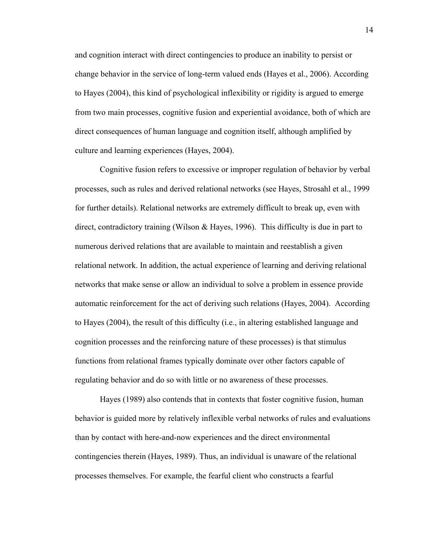and cognition interact with direct contingencies to produce an inability to persist or change behavior in the service of long-term valued ends (Hayes et al., 2006). According to Hayes (2004), this kind of psychological inflexibility or rigidity is argued to emerge from two main processes, cognitive fusion and experiential avoidance, both of which are direct consequences of human language and cognition itself, although amplified by culture and learning experiences (Hayes, 2004).

Cognitive fusion refers to excessive or improper regulation of behavior by verbal processes, such as rules and derived relational networks (see Hayes, Strosahl et al., 1999 for further details). Relational networks are extremely difficult to break up, even with direct, contradictory training (Wilson & Hayes, 1996). This difficulty is due in part to numerous derived relations that are available to maintain and reestablish a given relational network. In addition, the actual experience of learning and deriving relational networks that make sense or allow an individual to solve a problem in essence provide automatic reinforcement for the act of deriving such relations (Hayes, 2004). According to Hayes (2004), the result of this difficulty (i.e., in altering established language and cognition processes and the reinforcing nature of these processes) is that stimulus functions from relational frames typically dominate over other factors capable of regulating behavior and do so with little or no awareness of these processes.

 Hayes (1989) also contends that in contexts that foster cognitive fusion, human behavior is guided more by relatively inflexible verbal networks of rules and evaluations than by contact with here-and-now experiences and the direct environmental contingencies therein (Hayes, 1989). Thus, an individual is unaware of the relational processes themselves. For example, the fearful client who constructs a fearful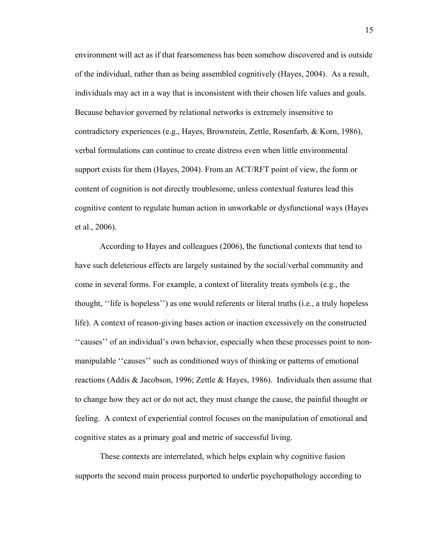environment will act as if that fearsomeness has been somehow discovered and is outside of the individual, rather than as being assembled cognitively (Hayes, 2004). As a result, individuals may act in a way that is inconsistent with their chosen life values and goals. Because behavior governed by relational networks is extremely insensitive to contradictory experiences (e.g., Hayes, Brownstein, Zettle, Rosenfarb, & Korn, 1986), verbal formulations can continue to create distress even when little environmental support exists for them (Hayes, 2004). From an ACT/RFT point of view, the form or content of cognition is not directly troublesome, unless contextual features lead this cognitive content to regulate human action in unworkable or dysfunctional ways (Hayes et al., 2006).

 According to Hayes and colleagues (2006), the functional contexts that tend to have such deleterious effects are largely sustained by the social/verbal community and come in several forms. For example, a context of literality treats symbols (e.g., the thought, ''life is hopeless'') as one would referents or literal truths (i.e., a truly hopeless life). A context of reason-giving bases action or inaction excessively on the constructed ''causes'' of an individual's own behavior, especially when these processes point to nonmanipulable ''causes'' such as conditioned ways of thinking or patterns of emotional reactions (Addis & Jacobson, 1996; Zettle & Hayes, 1986). Individuals then assume that to change how they act or do not act, they must change the cause, the painful thought or feeling. A context of experiential control focuses on the manipulation of emotional and cognitive states as a primary goal and metric of successful living.

 These contexts are interrelated, which helps explain why cognitive fusion supports the second main process purported to underlie psychopathology according to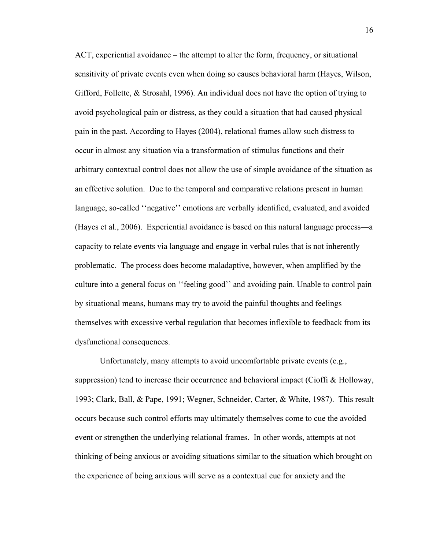ACT, experiential avoidance – the attempt to alter the form, frequency, or situational sensitivity of private events even when doing so causes behavioral harm (Hayes, Wilson, Gifford, Follette,  $\&$  Strosahl, 1996). An individual does not have the option of trying to avoid psychological pain or distress, as they could a situation that had caused physical pain in the past. According to Hayes (2004), relational frames allow such distress to occur in almost any situation via a transformation of stimulus functions and their arbitrary contextual control does not allow the use of simple avoidance of the situation as an effective solution. Due to the temporal and comparative relations present in human language, so-called ''negative'' emotions are verbally identified, evaluated, and avoided (Hayes et al., 2006). Experiential avoidance is based on this natural language process—a capacity to relate events via language and engage in verbal rules that is not inherently problematic. The process does become maladaptive, however, when amplified by the culture into a general focus on ''feeling good'' and avoiding pain. Unable to control pain by situational means, humans may try to avoid the painful thoughts and feelings themselves with excessive verbal regulation that becomes inflexible to feedback from its dysfunctional consequences.

Unfortunately, many attempts to avoid uncomfortable private events (e.g., suppression) tend to increase their occurrence and behavioral impact (Cioffi & Holloway, 1993; Clark, Ball, & Pape, 1991; Wegner, Schneider, Carter, & White, 1987). This result occurs because such control efforts may ultimately themselves come to cue the avoided event or strengthen the underlying relational frames. In other words, attempts at not thinking of being anxious or avoiding situations similar to the situation which brought on the experience of being anxious will serve as a contextual cue for anxiety and the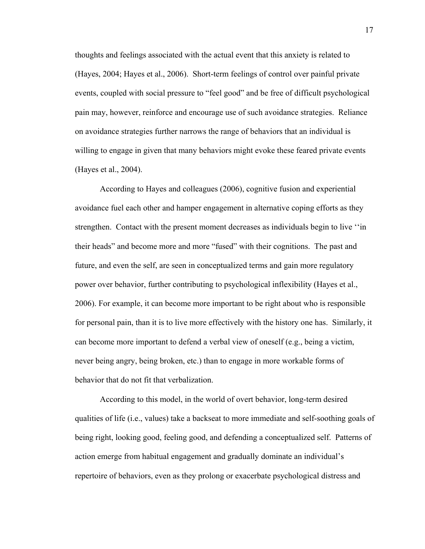thoughts and feelings associated with the actual event that this anxiety is related to (Hayes, 2004; Hayes et al., 2006). Short-term feelings of control over painful private events, coupled with social pressure to "feel good" and be free of difficult psychological pain may, however, reinforce and encourage use of such avoidance strategies. Reliance on avoidance strategies further narrows the range of behaviors that an individual is willing to engage in given that many behaviors might evoke these feared private events (Hayes et al., 2004).

 According to Hayes and colleagues (2006), cognitive fusion and experiential avoidance fuel each other and hamper engagement in alternative coping efforts as they strengthen. Contact with the present moment decreases as individuals begin to live ''in their heads" and become more and more "fused" with their cognitions. The past and future, and even the self, are seen in conceptualized terms and gain more regulatory power over behavior, further contributing to psychological inflexibility (Hayes et al., 2006). For example, it can become more important to be right about who is responsible for personal pain, than it is to live more effectively with the history one has. Similarly, it can become more important to defend a verbal view of oneself (e.g., being a victim, never being angry, being broken, etc.) than to engage in more workable forms of behavior that do not fit that verbalization.

 According to this model, in the world of overt behavior, long-term desired qualities of life (i.e., values) take a backseat to more immediate and self-soothing goals of being right, looking good, feeling good, and defending a conceptualized self. Patterns of action emerge from habitual engagement and gradually dominate an individual's repertoire of behaviors, even as they prolong or exacerbate psychological distress and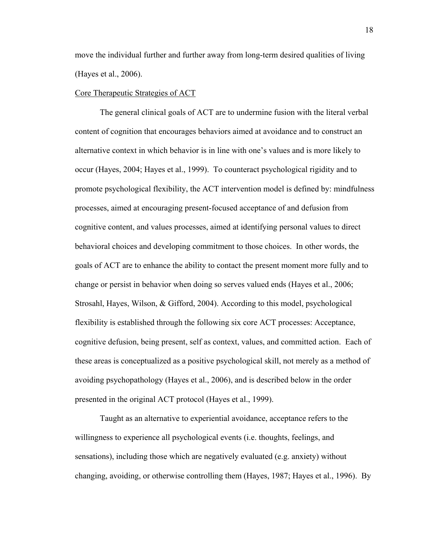<span id="page-34-0"></span>move the individual further and further away from long-term desired qualities of living (Hayes et al., 2006).

#### <span id="page-34-1"></span>Core Therapeutic Strategies of ACT

The general clinical goals of ACT are to undermine fusion with the literal verbal content of cognition that encourages behaviors aimed at avoidance and to construct an alternative context in which behavior is in line with one's values and is more likely to occur (Hayes, 2004; Hayes et al., 1999). To counteract psychological rigidity and to promote psychological flexibility, the ACT intervention model is defined by: mindfulness processes, aimed at encouraging present-focused acceptance of and defusion from cognitive content, and values processes, aimed at identifying personal values to direct behavioral choices and developing commitment to those choices. In other words, the goals of ACT are to enhance the ability to contact the present moment more fully and to change or persist in behavior when doing so serves valued ends (Hayes et al., 2006; Strosahl, Hayes, Wilson, & Gifford, 2004). According to this model, psychological flexibility is established through the following six core ACT processes: Acceptance, cognitive defusion, being present, self as context, values, and committed action. Each of these areas is conceptualized as a positive psychological skill, not merely as a method of avoiding psychopathology (Hayes et al., 2006), and is described below in the order presented in the original ACT protocol (Hayes et al., 1999).

 Taught as an alternative to experiential avoidance, acceptance refers to the willingness to experience all psychological events (i.e. thoughts, feelings, and sensations), including those which are negatively evaluated (e.g. anxiety) without changing, avoiding, or otherwise controlling them (Hayes, 1987; Hayes et al., 1996). By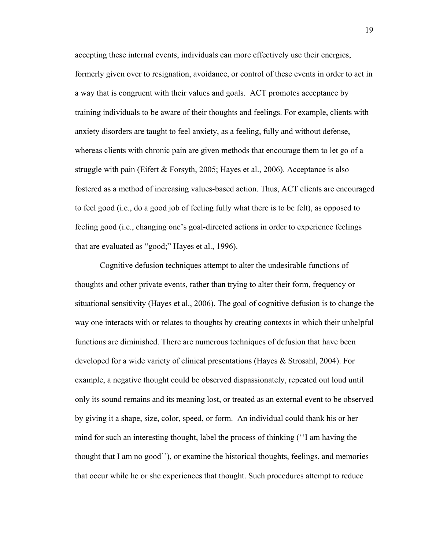accepting these internal events, individuals can more effectively use their energies, formerly given over to resignation, avoidance, or control of these events in order to act in a way that is congruent with their values and goals. ACT promotes acceptance by training individuals to be aware of their thoughts and feelings. For example, clients with anxiety disorders are taught to feel anxiety, as a feeling, fully and without defense, whereas clients with chronic pain are given methods that encourage them to let go of a struggle with pain (Eifert & Forsyth, 2005; Hayes et al., 2006). Acceptance is also fostered as a method of increasing values-based action. Thus, ACT clients are encouraged to feel good (i.e., do a good job of feeling fully what there is to be felt), as opposed to feeling good (i.e., changing one's goal-directed actions in order to experience feelings that are evaluated as "good;" Hayes et al., 1996).

 Cognitive defusion techniques attempt to alter the undesirable functions of thoughts and other private events, rather than trying to alter their form, frequency or situational sensitivity (Hayes et al., 2006). The goal of cognitive defusion is to change the way one interacts with or relates to thoughts by creating contexts in which their unhelpful functions are diminished. There are numerous techniques of defusion that have been developed for a wide variety of clinical presentations (Hayes & Strosahl, 2004). For example, a negative thought could be observed dispassionately, repeated out loud until only its sound remains and its meaning lost, or treated as an external event to be observed by giving it a shape, size, color, speed, or form. An individual could thank his or her mind for such an interesting thought, label the process of thinking (''I am having the thought that I am no good''), or examine the historical thoughts, feelings, and memories that occur while he or she experiences that thought. Such procedures attempt to reduce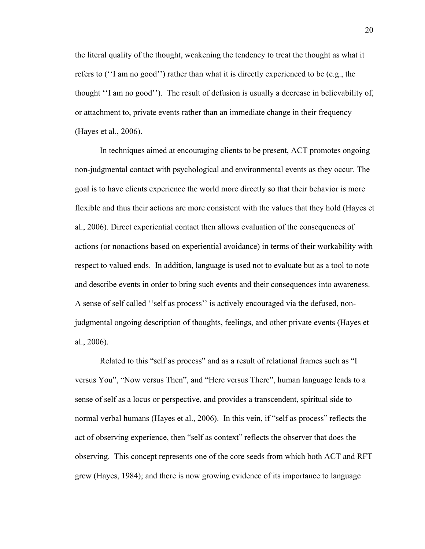the literal quality of the thought, weakening the tendency to treat the thought as what it refers to (''I am no good'') rather than what it is directly experienced to be (e.g., the thought ''I am no good''). The result of defusion is usually a decrease in believability of, or attachment to, private events rather than an immediate change in their frequency (Hayes et al., 2006).

 In techniques aimed at encouraging clients to be present, ACT promotes ongoing non-judgmental contact with psychological and environmental events as they occur. The goal is to have clients experience the world more directly so that their behavior is more flexible and thus their actions are more consistent with the values that they hold (Hayes et al., 2006). Direct experiential contact then allows evaluation of the consequences of actions (or nonactions based on experiential avoidance) in terms of their workability with respect to valued ends. In addition, language is used not to evaluate but as a tool to note and describe events in order to bring such events and their consequences into awareness. A sense of self called ''self as process'' is actively encouraged via the defused, nonjudgmental ongoing description of thoughts, feelings, and other private events (Hayes et al., 2006).

 Related to this "self as process" and as a result of relational frames such as "I versus You", "Now versus Then", and "Here versus There", human language leads to a sense of self as a locus or perspective, and provides a transcendent, spiritual side to normal verbal humans (Hayes et al., 2006). In this vein, if "self as process" reflects the act of observing experience, then "self as context" reflects the observer that does the observing. This concept represents one of the core seeds from which both ACT and RFT grew (Hayes, 1984); and there is now growing evidence of its importance to language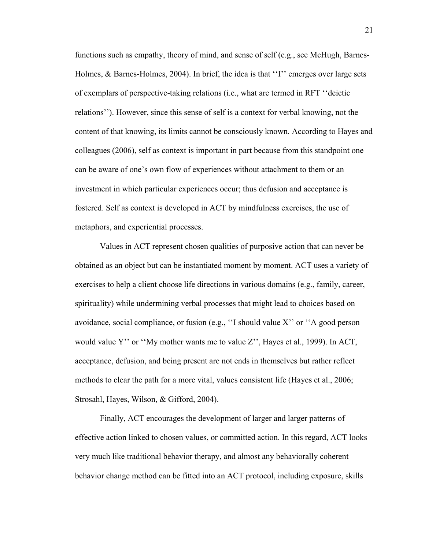functions such as empathy, theory of mind, and sense of self (e.g., see McHugh, Barnes-Holmes, & Barnes-Holmes, 2004). In brief, the idea is that "I" emerges over large sets of exemplars of perspective-taking relations (i.e., what are termed in RFT ''deictic relations''). However, since this sense of self is a context for verbal knowing, not the content of that knowing, its limits cannot be consciously known. According to Hayes and colleagues (2006), self as context is important in part because from this standpoint one can be aware of one's own flow of experiences without attachment to them or an investment in which particular experiences occur; thus defusion and acceptance is fostered. Self as context is developed in ACT by mindfulness exercises, the use of metaphors, and experiential processes.

 Values in ACT represent chosen qualities of purposive action that can never be obtained as an object but can be instantiated moment by moment. ACT uses a variety of exercises to help a client choose life directions in various domains (e.g., family, career, spirituality) while undermining verbal processes that might lead to choices based on avoidance, social compliance, or fusion (e.g., ''I should value X'' or ''A good person would value Y'' or ''My mother wants me to value Z'', Hayes et al., 1999). In ACT, acceptance, defusion, and being present are not ends in themselves but rather reflect methods to clear the path for a more vital, values consistent life (Hayes et al., 2006; Strosahl, Hayes, Wilson, & Gifford, 2004).

Finally, ACT encourages the development of larger and larger patterns of effective action linked to chosen values, or committed action. In this regard, ACT looks very much like traditional behavior therapy, and almost any behaviorally coherent behavior change method can be fitted into an ACT protocol, including exposure, skills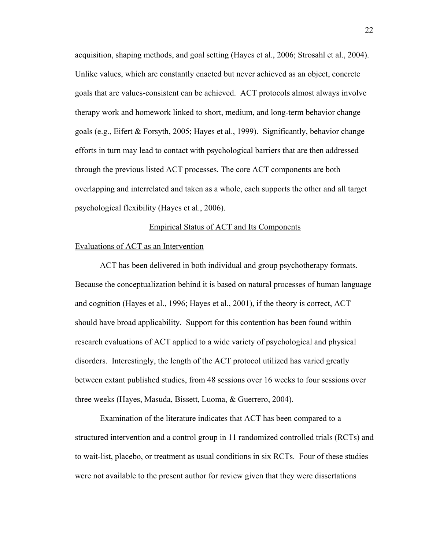acquisition, shaping methods, and goal setting (Hayes et al., 2006; Strosahl et al., 2004). Unlike values, which are constantly enacted but never achieved as an object, concrete goals that are values-consistent can be achieved. ACT protocols almost always involve therapy work and homework linked to short, medium, and long-term behavior change goals (e.g., Eifert & Forsyth, 2005; Hayes et al., 1999). Significantly, behavior change efforts in turn may lead to contact with psychological barriers that are then addressed through the previous listed ACT processes. The core ACT components are both overlapping and interrelated and taken as a whole, each supports the other and all target psychological flexibility (Hayes et al., 2006).

# Empirical Status of ACT and Its Components

### Evaluations of ACT as an Intervention

 ACT has been delivered in both individual and group psychotherapy formats. Because the conceptualization behind it is based on natural processes of human language and cognition (Hayes et al., 1996; Hayes et al., 2001), if the theory is correct, ACT should have broad applicability. Support for this contention has been found within research evaluations of ACT applied to a wide variety of psychological and physical disorders. Interestingly, the length of the ACT protocol utilized has varied greatly between extant published studies, from 48 sessions over 16 weeks to four sessions over three weeks (Hayes, Masuda, Bissett, Luoma, & Guerrero, 2004).

 Examination of the literature indicates that ACT has been compared to a structured intervention and a control group in 11 randomized controlled trials (RCTs) and to wait-list, placebo, or treatment as usual conditions in six RCTs. Four of these studies were not available to the present author for review given that they were dissertations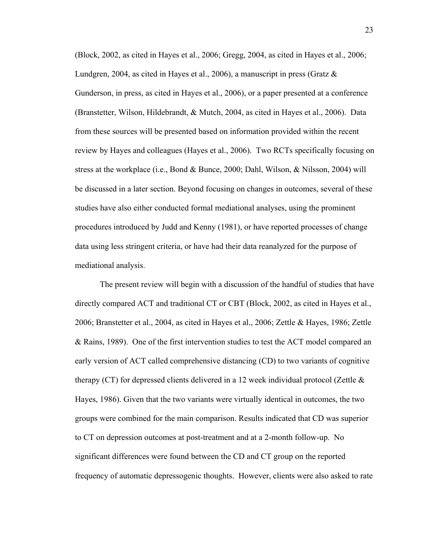(Block, 2002, as cited in Hayes et al., 2006; Gregg, 2004, as cited in Hayes et al., 2006; Lundgren, 2004, as cited in Hayes et al., 2006), a manuscript in press (Gratz  $\&$ Gunderson, in press, as cited in Hayes et al., 2006), or a paper presented at a conference (Branstetter, Wilson, Hildebrandt, & Mutch, 2004, as cited in Hayes et al., 2006). Data from these sources will be presented based on information provided within the recent review by Hayes and colleagues (Hayes et al., 2006). Two RCTs specifically focusing on stress at the workplace (i.e., Bond & Bunce, 2000; Dahl, Wilson, & Nilsson, 2004) will be discussed in a later section. Beyond focusing on changes in outcomes, several of these studies have also either conducted formal mediational analyses, using the prominent procedures introduced by Judd and Kenny (1981), or have reported processes of change data using less stringent criteria, or have had their data reanalyzed for the purpose of mediational analysis.

The present review will begin with a discussion of the handful of studies that have directly compared ACT and traditional CT or CBT (Block, 2002, as cited in Hayes et al., 2006; Branstetter et al., 2004, as cited in Hayes et al., 2006; Zettle & Hayes, 1986; Zettle & Rains, 1989). One of the first intervention studies to test the ACT model compared an early version of ACT called comprehensive distancing (CD) to two variants of cognitive therapy (CT) for depressed clients delivered in a 12 week individual protocol (Zettle  $\&$ Hayes, 1986). Given that the two variants were virtually identical in outcomes, the two groups were combined for the main comparison. Results indicated that CD was superior to CT on depression outcomes at post-treatment and at a 2-month follow-up. No significant differences were found between the CD and CT group on the reported frequency of automatic depressogenic thoughts. However, clients were also asked to rate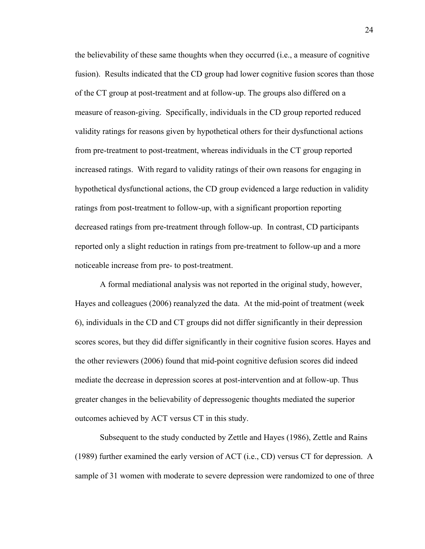the believability of these same thoughts when they occurred (i.e., a measure of cognitive fusion). Results indicated that the CD group had lower cognitive fusion scores than those of the CT group at post-treatment and at follow-up. The groups also differed on a measure of reason-giving. Specifically, individuals in the CD group reported reduced validity ratings for reasons given by hypothetical others for their dysfunctional actions from pre-treatment to post-treatment, whereas individuals in the CT group reported increased ratings. With regard to validity ratings of their own reasons for engaging in hypothetical dysfunctional actions, the CD group evidenced a large reduction in validity ratings from post-treatment to follow-up, with a significant proportion reporting decreased ratings from pre-treatment through follow-up. In contrast, CD participants reported only a slight reduction in ratings from pre-treatment to follow-up and a more noticeable increase from pre- to post-treatment.

A formal mediational analysis was not reported in the original study, however, Hayes and colleagues (2006) reanalyzed the data. At the mid-point of treatment (week 6), individuals in the CD and CT groups did not differ significantly in their depression scores scores, but they did differ significantly in their cognitive fusion scores. Hayes and the other reviewers (2006) found that mid-point cognitive defusion scores did indeed mediate the decrease in depression scores at post-intervention and at follow-up. Thus greater changes in the believability of depressogenic thoughts mediated the superior outcomes achieved by ACT versus CT in this study.

Subsequent to the study conducted by Zettle and Hayes (1986), Zettle and Rains (1989) further examined the early version of ACT (i.e., CD) versus CT for depression. A sample of 31 women with moderate to severe depression were randomized to one of three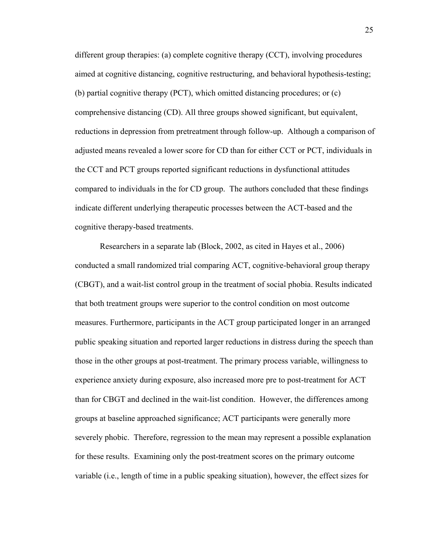different group therapies: (a) complete cognitive therapy (CCT), involving procedures aimed at cognitive distancing, cognitive restructuring, and behavioral hypothesis-testing; (b) partial cognitive therapy (PCT), which omitted distancing procedures; or (c) comprehensive distancing (CD). All three groups showed significant, but equivalent, reductions in depression from pretreatment through follow-up. Although a comparison of adjusted means revealed a lower score for CD than for either CCT or PCT, individuals in the CCT and PCT groups reported significant reductions in dysfunctional attitudes compared to individuals in the for CD group. The authors concluded that these findings indicate different underlying therapeutic processes between the ACT-based and the cognitive therapy-based treatments.

Researchers in a separate lab (Block, 2002, as cited in Hayes et al., 2006) conducted a small randomized trial comparing ACT, cognitive-behavioral group therapy (CBGT), and a wait-list control group in the treatment of social phobia. Results indicated that both treatment groups were superior to the control condition on most outcome measures. Furthermore, participants in the ACT group participated longer in an arranged public speaking situation and reported larger reductions in distress during the speech than those in the other groups at post-treatment. The primary process variable, willingness to experience anxiety during exposure, also increased more pre to post-treatment for ACT than for CBGT and declined in the wait-list condition. However, the differences among groups at baseline approached significance; ACT participants were generally more severely phobic. Therefore, regression to the mean may represent a possible explanation for these results. Examining only the post-treatment scores on the primary outcome variable (i.e., length of time in a public speaking situation), however, the effect sizes for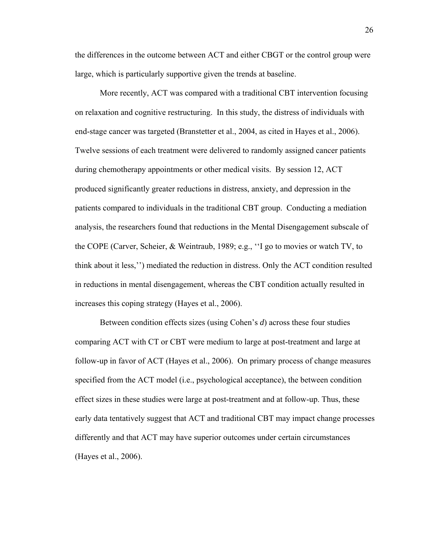the differences in the outcome between ACT and either CBGT or the control group were large, which is particularly supportive given the trends at baseline.

 More recently, ACT was compared with a traditional CBT intervention focusing on relaxation and cognitive restructuring. In this study, the distress of individuals with end-stage cancer was targeted (Branstetter et al., 2004, as cited in Hayes et al., 2006). Twelve sessions of each treatment were delivered to randomly assigned cancer patients during chemotherapy appointments or other medical visits. By session 12, ACT produced significantly greater reductions in distress, anxiety, and depression in the patients compared to individuals in the traditional CBT group. Conducting a mediation analysis, the researchers found that reductions in the Mental Disengagement subscale of the COPE (Carver, Scheier, & Weintraub, 1989; e.g., ''I go to movies or watch TV, to think about it less,'') mediated the reduction in distress. Only the ACT condition resulted in reductions in mental disengagement, whereas the CBT condition actually resulted in increases this coping strategy (Hayes et al., 2006).

 Between condition effects sizes (using Cohen's *d*) across these four studies comparing ACT with CT or CBT were medium to large at post-treatment and large at follow-up in favor of ACT (Hayes et al., 2006). On primary process of change measures specified from the ACT model (i.e., psychological acceptance), the between condition effect sizes in these studies were large at post-treatment and at follow-up. Thus, these early data tentatively suggest that ACT and traditional CBT may impact change processes differently and that ACT may have superior outcomes under certain circumstances (Hayes et al., 2006).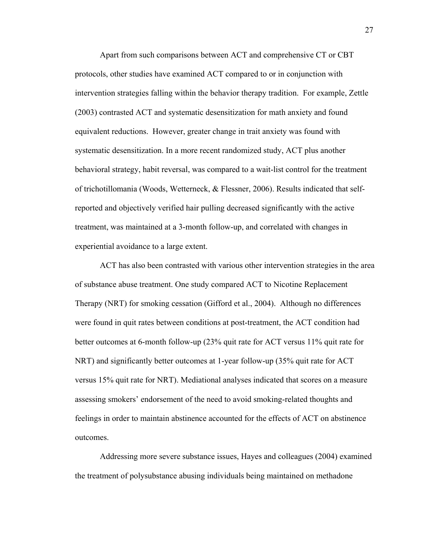Apart from such comparisons between ACT and comprehensive CT or CBT protocols, other studies have examined ACT compared to or in conjunction with intervention strategies falling within the behavior therapy tradition. For example, Zettle (2003) contrasted ACT and systematic desensitization for math anxiety and found equivalent reductions. However, greater change in trait anxiety was found with systematic desensitization. In a more recent randomized study, ACT plus another behavioral strategy, habit reversal, was compared to a wait-list control for the treatment of trichotillomania (Woods, Wetterneck, & Flessner, 2006). Results indicated that selfreported and objectively verified hair pulling decreased significantly with the active treatment, was maintained at a 3-month follow-up, and correlated with changes in experiential avoidance to a large extent.

 ACT has also been contrasted with various other intervention strategies in the area of substance abuse treatment. One study compared ACT to Nicotine Replacement Therapy (NRT) for smoking cessation (Gifford et al., 2004). Although no differences were found in quit rates between conditions at post-treatment, the ACT condition had better outcomes at 6-month follow-up (23% quit rate for ACT versus 11% quit rate for NRT) and significantly better outcomes at 1-year follow-up (35% quit rate for ACT versus 15% quit rate for NRT). Mediational analyses indicated that scores on a measure assessing smokers' endorsement of the need to avoid smoking-related thoughts and feelings in order to maintain abstinence accounted for the effects of ACT on abstinence outcomes.

 Addressing more severe substance issues, Hayes and colleagues (2004) examined the treatment of polysubstance abusing individuals being maintained on methadone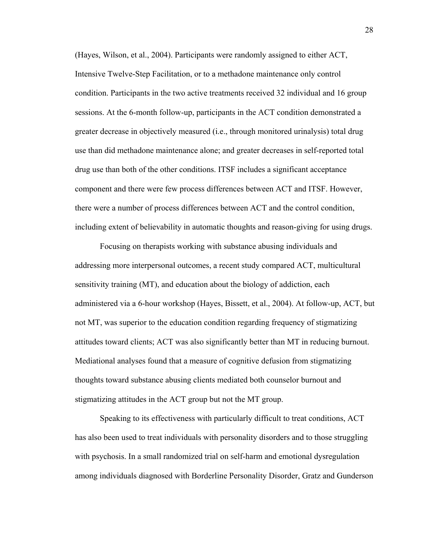(Hayes, Wilson, et al., 2004). Participants were randomly assigned to either ACT, Intensive Twelve-Step Facilitation, or to a methadone maintenance only control condition. Participants in the two active treatments received 32 individual and 16 group sessions. At the 6-month follow-up, participants in the ACT condition demonstrated a greater decrease in objectively measured (i.e., through monitored urinalysis) total drug use than did methadone maintenance alone; and greater decreases in self-reported total drug use than both of the other conditions. ITSF includes a significant acceptance component and there were few process differences between ACT and ITSF. However, there were a number of process differences between ACT and the control condition, including extent of believability in automatic thoughts and reason-giving for using drugs.

 Focusing on therapists working with substance abusing individuals and addressing more interpersonal outcomes, a recent study compared ACT, multicultural sensitivity training (MT), and education about the biology of addiction, each administered via a 6-hour workshop (Hayes, Bissett, et al., 2004). At follow-up, ACT, but not MT, was superior to the education condition regarding frequency of stigmatizing attitudes toward clients; ACT was also significantly better than MT in reducing burnout. Mediational analyses found that a measure of cognitive defusion from stigmatizing thoughts toward substance abusing clients mediated both counselor burnout and stigmatizing attitudes in the ACT group but not the MT group.

 Speaking to its effectiveness with particularly difficult to treat conditions, ACT has also been used to treat individuals with personality disorders and to those struggling with psychosis. In a small randomized trial on self-harm and emotional dysregulation among individuals diagnosed with Borderline Personality Disorder, Gratz and Gunderson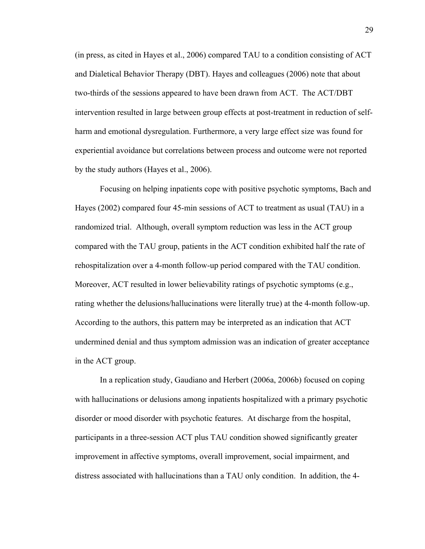(in press, as cited in Hayes et al., 2006) compared TAU to a condition consisting of ACT and Dialetical Behavior Therapy (DBT). Hayes and colleagues (2006) note that about two-thirds of the sessions appeared to have been drawn from ACT. The ACT/DBT intervention resulted in large between group effects at post-treatment in reduction of selfharm and emotional dysregulation. Furthermore, a very large effect size was found for experiential avoidance but correlations between process and outcome were not reported by the study authors (Hayes et al., 2006).

 Focusing on helping inpatients cope with positive psychotic symptoms, Bach and Hayes (2002) compared four 45-min sessions of ACT to treatment as usual (TAU) in a randomized trial. Although, overall symptom reduction was less in the ACT group compared with the TAU group, patients in the ACT condition exhibited half the rate of rehospitalization over a 4-month follow-up period compared with the TAU condition. Moreover, ACT resulted in lower believability ratings of psychotic symptoms (e.g., rating whether the delusions/hallucinations were literally true) at the 4-month follow-up. According to the authors, this pattern may be interpreted as an indication that ACT undermined denial and thus symptom admission was an indication of greater acceptance in the ACT group.

In a replication study, Gaudiano and Herbert (2006a, 2006b) focused on coping with hallucinations or delusions among inpatients hospitalized with a primary psychotic disorder or mood disorder with psychotic features. At discharge from the hospital, participants in a three-session ACT plus TAU condition showed significantly greater improvement in affective symptoms, overall improvement, social impairment, and distress associated with hallucinations than a TAU only condition. In addition, the 4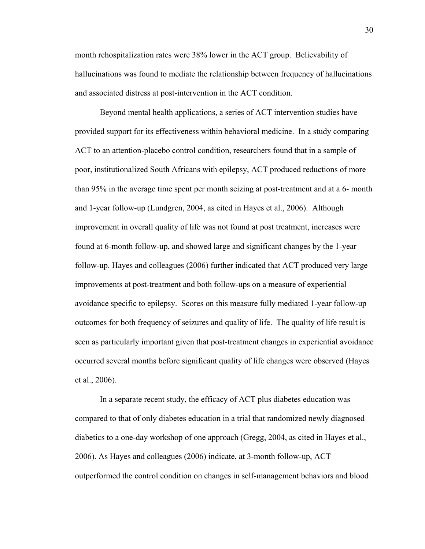month rehospitalization rates were 38% lower in the ACT group. Believability of hallucinations was found to mediate the relationship between frequency of hallucinations and associated distress at post-intervention in the ACT condition.

 Beyond mental health applications, a series of ACT intervention studies have provided support for its effectiveness within behavioral medicine. In a study comparing ACT to an attention-placebo control condition, researchers found that in a sample of poor, institutionalized South Africans with epilepsy, ACT produced reductions of more than 95% in the average time spent per month seizing at post-treatment and at a 6- month and 1-year follow-up (Lundgren, 2004, as cited in Hayes et al., 2006). Although improvement in overall quality of life was not found at post treatment, increases were found at 6-month follow-up, and showed large and significant changes by the 1-year follow-up. Hayes and colleagues (2006) further indicated that ACT produced very large improvements at post-treatment and both follow-ups on a measure of experiential avoidance specific to epilepsy. Scores on this measure fully mediated 1-year follow-up outcomes for both frequency of seizures and quality of life. The quality of life result is seen as particularly important given that post-treatment changes in experiential avoidance occurred several months before significant quality of life changes were observed (Hayes et al., 2006).

 In a separate recent study, the efficacy of ACT plus diabetes education was compared to that of only diabetes education in a trial that randomized newly diagnosed diabetics to a one-day workshop of one approach (Gregg, 2004, as cited in Hayes et al., 2006). As Hayes and colleagues (2006) indicate, at 3-month follow-up, ACT outperformed the control condition on changes in self-management behaviors and blood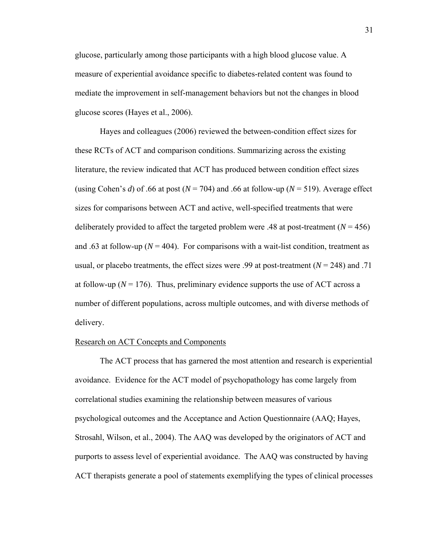glucose, particularly among those participants with a high blood glucose value. A measure of experiential avoidance specific to diabetes-related content was found to mediate the improvement in self-management behaviors but not the changes in blood glucose scores (Hayes et al., 2006).

 Hayes and colleagues (2006) reviewed the between-condition effect sizes for these RCTs of ACT and comparison conditions. Summarizing across the existing literature, the review indicated that ACT has produced between condition effect sizes (using Cohen's *d*) of .66 at post ( $N = 704$ ) and .66 at follow-up ( $N = 519$ ). Average effect sizes for comparisons between ACT and active, well-specified treatments that were deliberately provided to affect the targeted problem were .48 at post-treatment  $(N = 456)$ and .63 at follow-up ( $N = 404$ ). For comparisons with a wait-list condition, treatment as usual, or placebo treatments, the effect sizes were .99 at post-treatment  $(N = 248)$  and .71 at follow-up ( $N = 176$ ). Thus, preliminary evidence supports the use of ACT across a number of different populations, across multiple outcomes, and with diverse methods of delivery.

# Research on ACT Concepts and Components

 The ACT process that has garnered the most attention and research is experiential avoidance. Evidence for the ACT model of psychopathology has come largely from correlational studies examining the relationship between measures of various psychological outcomes and the Acceptance and Action Questionnaire (AAQ; Hayes, Strosahl, Wilson, et al., 2004). The AAQ was developed by the originators of ACT and purports to assess level of experiential avoidance. The AAQ was constructed by having ACT therapists generate a pool of statements exemplifying the types of clinical processes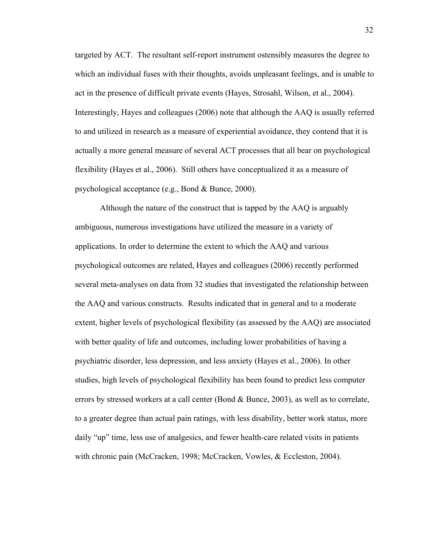targeted by ACT. The resultant self-report instrument ostensibly measures the degree to which an individual fuses with their thoughts, avoids unpleasant feelings, and is unable to act in the presence of difficult private events (Hayes, Strosahl, Wilson, et al., 2004). Interestingly, Hayes and colleagues (2006) note that although the AAQ is usually referred to and utilized in research as a measure of experiential avoidance, they contend that it is actually a more general measure of several ACT processes that all bear on psychological flexibility (Hayes et al., 2006). Still others have conceptualized it as a measure of psychological acceptance (e.g., Bond & Bunce, 2000).

Although the nature of the construct that is tapped by the AAQ is arguably ambiguous, numerous investigations have utilized the measure in a variety of applications. In order to determine the extent to which the AAQ and various psychological outcomes are related, Hayes and colleagues (2006) recently performed several meta-analyses on data from 32 studies that investigated the relationship between the AAQ and various constructs. Results indicated that in general and to a moderate extent, higher levels of psychological flexibility (as assessed by the AAQ) are associated with better quality of life and outcomes, including lower probabilities of having a psychiatric disorder, less depression, and less anxiety (Hayes et al., 2006). In other studies, high levels of psychological flexibility has been found to predict less computer errors by stressed workers at a call center (Bond & Bunce, 2003), as well as to correlate, to a greater degree than actual pain ratings, with less disability, better work status, more daily "up" time, less use of analgesics, and fewer health-care related visits in patients with chronic pain (McCracken, 1998; McCracken, Vowles, & Eccleston, 2004).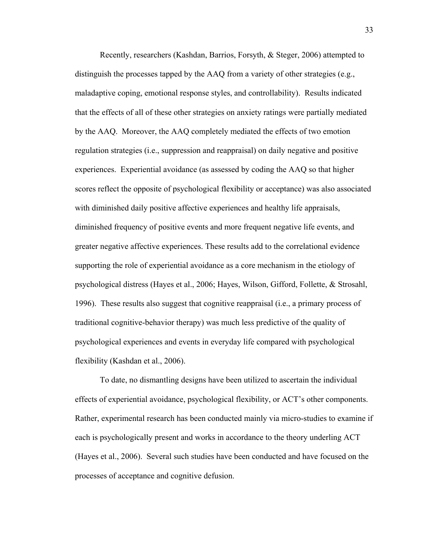Recently, researchers (Kashdan, Barrios, Forsyth, & Steger, 2006) attempted to distinguish the processes tapped by the AAQ from a variety of other strategies (e.g., maladaptive coping, emotional response styles, and controllability). Results indicated that the effects of all of these other strategies on anxiety ratings were partially mediated by the AAQ. Moreover, the AAQ completely mediated the effects of two emotion regulation strategies (i.e., suppression and reappraisal) on daily negative and positive experiences. Experiential avoidance (as assessed by coding the AAQ so that higher scores reflect the opposite of psychological flexibility or acceptance) was also associated with diminished daily positive affective experiences and healthy life appraisals, diminished frequency of positive events and more frequent negative life events, and greater negative affective experiences. These results add to the correlational evidence supporting the role of experiential avoidance as a core mechanism in the etiology of psychological distress (Hayes et al., 2006; Hayes, Wilson, Gifford, Follette, & Strosahl, 1996). These results also suggest that cognitive reappraisal (i.e., a primary process of traditional cognitive-behavior therapy) was much less predictive of the quality of psychological experiences and events in everyday life compared with psychological flexibility (Kashdan et al., 2006).

 To date, no dismantling designs have been utilized to ascertain the individual effects of experiential avoidance, psychological flexibility, or ACT's other components. Rather, experimental research has been conducted mainly via micro-studies to examine if each is psychologically present and works in accordance to the theory underling ACT (Hayes et al., 2006). Several such studies have been conducted and have focused on the processes of acceptance and cognitive defusion.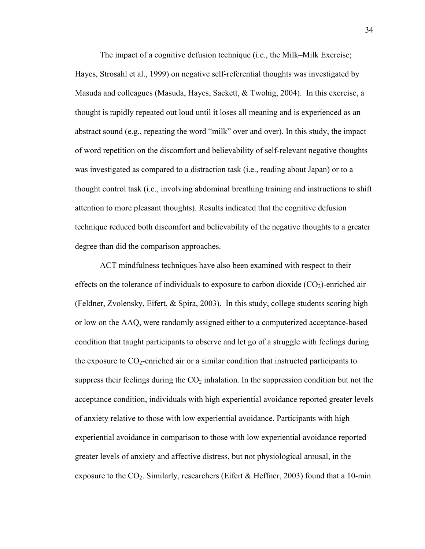The impact of a cognitive defusion technique (i.e., the Milk–Milk Exercise; Hayes, Strosahl et al., 1999) on negative self-referential thoughts was investigated by Masuda and colleagues (Masuda, Hayes, Sackett, & Twohig, 2004). In this exercise, a thought is rapidly repeated out loud until it loses all meaning and is experienced as an abstract sound (e.g., repeating the word "milk" over and over). In this study, the impact of word repetition on the discomfort and believability of self-relevant negative thoughts was investigated as compared to a distraction task (i.e., reading about Japan) or to a thought control task (i.e., involving abdominal breathing training and instructions to shift attention to more pleasant thoughts). Results indicated that the cognitive defusion technique reduced both discomfort and believability of the negative thoughts to a greater degree than did the comparison approaches.

 ACT mindfulness techniques have also been examined with respect to their effects on the tolerance of individuals to exposure to carbon dioxide  $(CO<sub>2</sub>)$ -enriched air (Feldner, Zvolensky, Eifert, & Spira, 2003). In this study, college students scoring high or low on the AAQ, were randomly assigned either to a computerized acceptance-based condition that taught participants to observe and let go of a struggle with feelings during the exposure to  $CO_2$ -enriched air or a similar condition that instructed participants to suppress their feelings during the  $CO<sub>2</sub>$  inhalation. In the suppression condition but not the acceptance condition, individuals with high experiential avoidance reported greater levels of anxiety relative to those with low experiential avoidance. Participants with high experiential avoidance in comparison to those with low experiential avoidance reported greater levels of anxiety and affective distress, but not physiological arousal, in the exposure to the  $CO<sub>2</sub>$ . Similarly, researchers (Eifert & Heffner, 2003) found that a 10-min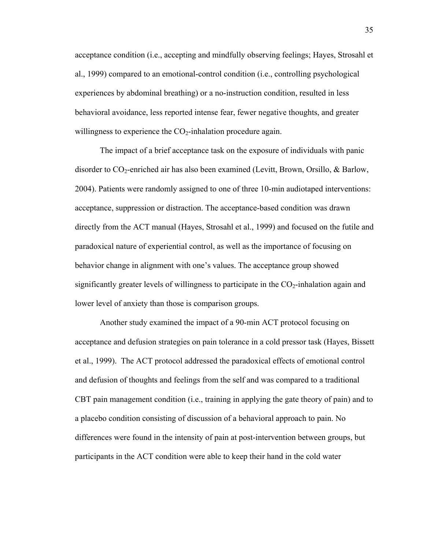acceptance condition (i.e., accepting and mindfully observing feelings; Hayes, Strosahl et al., 1999) compared to an emotional-control condition (i.e., controlling psychological experiences by abdominal breathing) or a no-instruction condition, resulted in less behavioral avoidance, less reported intense fear, fewer negative thoughts, and greater willingness to experience the  $CO<sub>2</sub>$ -inhalation procedure again.

 The impact of a brief acceptance task on the exposure of individuals with panic disorder to  $CO_2$ -enriched air has also been examined (Levitt, Brown, Orsillo, & Barlow, 2004). Patients were randomly assigned to one of three 10-min audiotaped interventions: acceptance, suppression or distraction. The acceptance-based condition was drawn directly from the ACT manual (Hayes, Strosahl et al., 1999) and focused on the futile and paradoxical nature of experiential control, as well as the importance of focusing on behavior change in alignment with one's values. The acceptance group showed significantly greater levels of willingness to participate in the  $CO<sub>2</sub>$ -inhalation again and lower level of anxiety than those is comparison groups.

 Another study examined the impact of a 90-min ACT protocol focusing on acceptance and defusion strategies on pain tolerance in a cold pressor task (Hayes, Bissett et al., 1999). The ACT protocol addressed the paradoxical effects of emotional control and defusion of thoughts and feelings from the self and was compared to a traditional CBT pain management condition (i.e., training in applying the gate theory of pain) and to a placebo condition consisting of discussion of a behavioral approach to pain. No differences were found in the intensity of pain at post-intervention between groups, but participants in the ACT condition were able to keep their hand in the cold water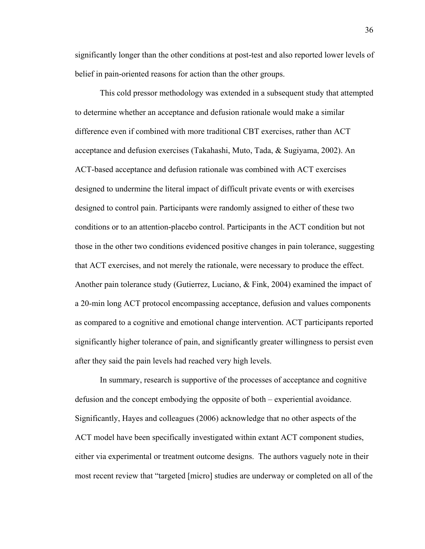significantly longer than the other conditions at post-test and also reported lower levels of belief in pain-oriented reasons for action than the other groups.

 This cold pressor methodology was extended in a subsequent study that attempted to determine whether an acceptance and defusion rationale would make a similar difference even if combined with more traditional CBT exercises, rather than ACT acceptance and defusion exercises (Takahashi, Muto, Tada, & Sugiyama, 2002). An ACT-based acceptance and defusion rationale was combined with ACT exercises designed to undermine the literal impact of difficult private events or with exercises designed to control pain. Participants were randomly assigned to either of these two conditions or to an attention-placebo control. Participants in the ACT condition but not those in the other two conditions evidenced positive changes in pain tolerance, suggesting that ACT exercises, and not merely the rationale, were necessary to produce the effect. Another pain tolerance study (Gutierrez, Luciano, & Fink, 2004) examined the impact of a 20-min long ACT protocol encompassing acceptance, defusion and values components as compared to a cognitive and emotional change intervention. ACT participants reported significantly higher tolerance of pain, and significantly greater willingness to persist even after they said the pain levels had reached very high levels.

 In summary, research is supportive of the processes of acceptance and cognitive defusion and the concept embodying the opposite of both – experiential avoidance. Significantly, Hayes and colleagues (2006) acknowledge that no other aspects of the ACT model have been specifically investigated within extant ACT component studies, either via experimental or treatment outcome designs. The authors vaguely note in their most recent review that "targeted [micro] studies are underway or completed on all of the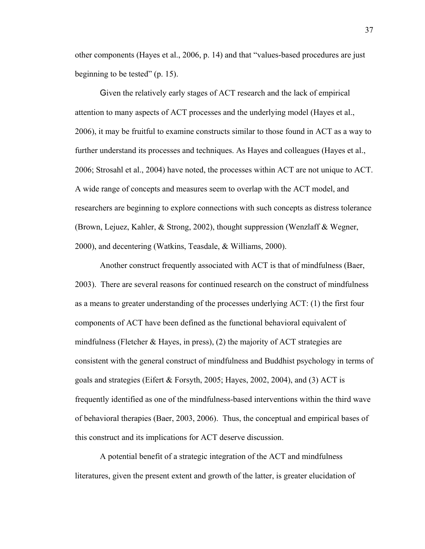other components (Hayes et al., 2006, p. 14) and that "values-based procedures are just beginning to be tested" (p. 15).

Given the relatively early stages of ACT research and the lack of empirical attention to many aspects of ACT processes and the underlying model (Hayes et al., 2006), it may be fruitful to examine constructs similar to those found in ACT as a way to further understand its processes and techniques. As Hayes and colleagues (Hayes et al., 2006; Strosahl et al., 2004) have noted, the processes within ACT are not unique to ACT. A wide range of concepts and measures seem to overlap with the ACT model, and researchers are beginning to explore connections with such concepts as distress tolerance (Brown, Lejuez, Kahler, & Strong, 2002), thought suppression (Wenzlaff & Wegner, 2000), and decentering (Watkins, Teasdale, & Williams, 2000).

Another construct frequently associated with ACT is that of mindfulness (Baer, 2003). There are several reasons for continued research on the construct of mindfulness as a means to greater understanding of the processes underlying ACT: (1) the first four components of ACT have been defined as the functional behavioral equivalent of mindfulness (Fletcher  $\&$  Hayes, in press), (2) the majority of ACT strategies are consistent with the general construct of mindfulness and Buddhist psychology in terms of goals and strategies (Eifert & Forsyth, 2005; Hayes, 2002, 2004), and (3) ACT is frequently identified as one of the mindfulness-based interventions within the third wave of behavioral therapies (Baer, 2003, 2006). Thus, the conceptual and empirical bases of this construct and its implications for ACT deserve discussion.

 A potential benefit of a strategic integration of the ACT and mindfulness literatures, given the present extent and growth of the latter, is greater elucidation of 37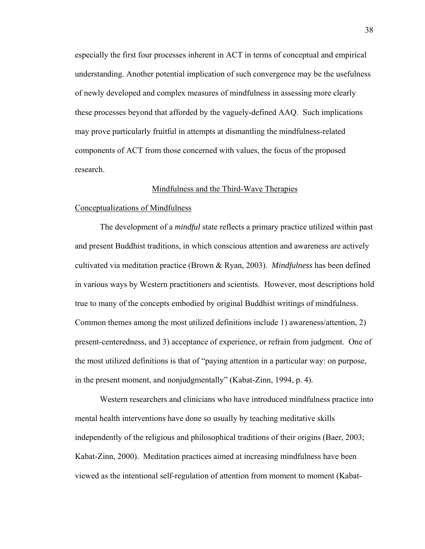especially the first four processes inherent in ACT in terms of conceptual and empirical understanding. Another potential implication of such convergence may be the usefulness of newly developed and complex measures of mindfulness in assessing more clearly these processes beyond that afforded by the vaguely-defined AAQ. Such implications may prove particularly fruitful in attempts at dismantling the mindfulness-related components of ACT from those concerned with values, the focus of the proposed research.

# Mindfulness and the Third-Wave Therapies

### Conceptualizations of Mindfulness

 The development of a *mindful* state reflects a primary practice utilized within past and present Buddhist traditions, in which conscious attention and awareness are actively cultivated via meditation practice (Brown & Ryan, 2003). *Mindfulness* has been defined in various ways by Western practitioners and scientists. However, most descriptions hold true to many of the concepts embodied by original Buddhist writings of mindfulness. Common themes among the most utilized definitions include 1) awareness/attention, 2) present-centeredness, and 3) acceptance of experience, or refrain from judgment. One of the most utilized definitions is that of "paying attention in a particular way: on purpose, in the present moment, and nonjudgmentally" (Kabat-Zinn, 1994, p. 4).

 Western researchers and clinicians who have introduced mindfulness practice into mental health interventions have done so usually by teaching meditative skills independently of the religious and philosophical traditions of their origins (Baer, 2003; Kabat-Zinn, 2000). Meditation practices aimed at increasing mindfulness have been viewed as the intentional self-regulation of attention from moment to moment (Kabat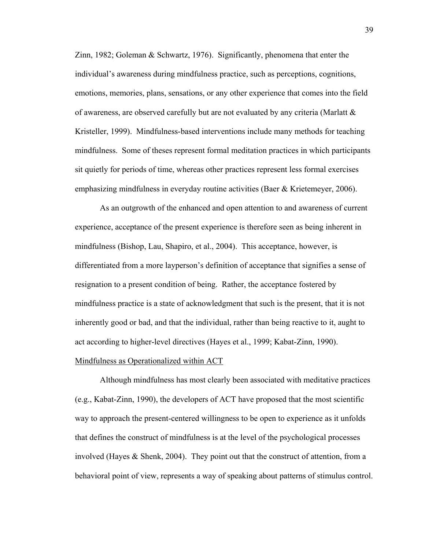Zinn, 1982; Goleman & Schwartz, 1976). Significantly, phenomena that enter the individual's awareness during mindfulness practice, such as perceptions, cognitions, emotions, memories, plans, sensations, or any other experience that comes into the field of awareness, are observed carefully but are not evaluated by any criteria (Marlatt & Kristeller, 1999). Mindfulness-based interventions include many methods for teaching mindfulness. Some of theses represent formal meditation practices in which participants sit quietly for periods of time, whereas other practices represent less formal exercises emphasizing mindfulness in everyday routine activities (Baer & Krietemeyer, 2006).

 As an outgrowth of the enhanced and open attention to and awareness of current experience, acceptance of the present experience is therefore seen as being inherent in mindfulness (Bishop, Lau, Shapiro, et al., 2004). This acceptance, however, is differentiated from a more layperson's definition of acceptance that signifies a sense of resignation to a present condition of being. Rather, the acceptance fostered by mindfulness practice is a state of acknowledgment that such is the present, that it is not inherently good or bad, and that the individual, rather than being reactive to it, aught to act according to higher-level directives (Hayes et al., 1999; Kabat-Zinn, 1990). Mindfulness as Operationalized within ACT

 Although mindfulness has most clearly been associated with meditative practices (e.g., Kabat-Zinn, 1990), the developers of ACT have proposed that the most scientific way to approach the present-centered willingness to be open to experience as it unfolds that defines the construct of mindfulness is at the level of the psychological processes involved (Hayes & Shenk, 2004). They point out that the construct of attention, from a behavioral point of view, represents a way of speaking about patterns of stimulus control.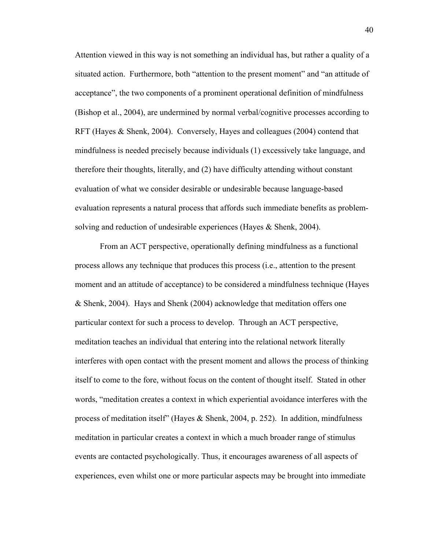Attention viewed in this way is not something an individual has, but rather a quality of a situated action. Furthermore, both "attention to the present moment" and "an attitude of acceptance", the two components of a prominent operational definition of mindfulness (Bishop et al., 2004), are undermined by normal verbal/cognitive processes according to RFT (Hayes & Shenk, 2004). Conversely, Hayes and colleagues (2004) contend that mindfulness is needed precisely because individuals (1) excessively take language, and therefore their thoughts, literally, and (2) have difficulty attending without constant evaluation of what we consider desirable or undesirable because language-based evaluation represents a natural process that affords such immediate benefits as problemsolving and reduction of undesirable experiences (Hayes & Shenk, 2004).

 From an ACT perspective, operationally defining mindfulness as a functional process allows any technique that produces this process (i.e., attention to the present moment and an attitude of acceptance) to be considered a mindfulness technique (Hayes & Shenk, 2004). Hays and Shenk (2004) acknowledge that meditation offers one particular context for such a process to develop. Through an ACT perspective, meditation teaches an individual that entering into the relational network literally interferes with open contact with the present moment and allows the process of thinking itself to come to the fore, without focus on the content of thought itself. Stated in other words, "meditation creates a context in which experiential avoidance interferes with the process of meditation itself" (Hayes & Shenk, 2004, p. 252). In addition, mindfulness meditation in particular creates a context in which a much broader range of stimulus events are contacted psychologically. Thus, it encourages awareness of all aspects of experiences, even whilst one or more particular aspects may be brought into immediate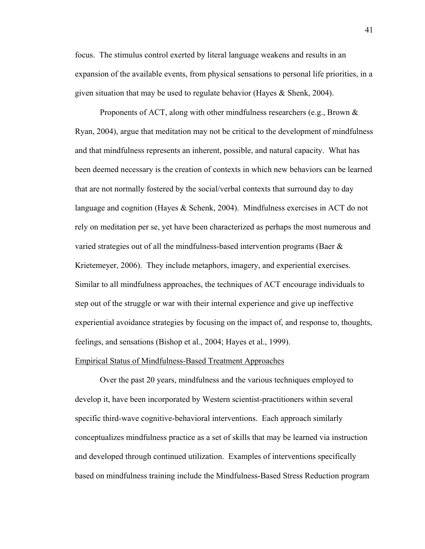focus. The stimulus control exerted by literal language weakens and results in an expansion of the available events, from physical sensations to personal life priorities, in a given situation that may be used to regulate behavior (Hayes & Shenk, 2004).

 Proponents of ACT, along with other mindfulness researchers (e.g., Brown & Ryan, 2004), argue that meditation may not be critical to the development of mindfulness and that mindfulness represents an inherent, possible, and natural capacity. What has been deemed necessary is the creation of contexts in which new behaviors can be learned that are not normally fostered by the social/verbal contexts that surround day to day language and cognition (Hayes & Schenk, 2004). Mindfulness exercises in ACT do not rely on meditation per se, yet have been characterized as perhaps the most numerous and varied strategies out of all the mindfulness-based intervention programs (Baer & Krietemeyer, 2006). They include metaphors, imagery, and experiential exercises. Similar to all mindfulness approaches, the techniques of ACT encourage individuals to step out of the struggle or war with their internal experience and give up ineffective experiential avoidance strategies by focusing on the impact of, and response to, thoughts, feelings, and sensations (Bishop et al., 2004; Hayes et al., 1999).

#### Empirical Status of Mindfulness-Based Treatment Approaches

 Over the past 20 years, mindfulness and the various techniques employed to develop it, have been incorporated by Western scientist-practitioners within several specific third-wave cognitive-behavioral interventions. Each approach similarly conceptualizes mindfulness practice as a set of skills that may be learned via instruction and developed through continued utilization. Examples of interventions specifically based on mindfulness training include the Mindfulness-Based Stress Reduction program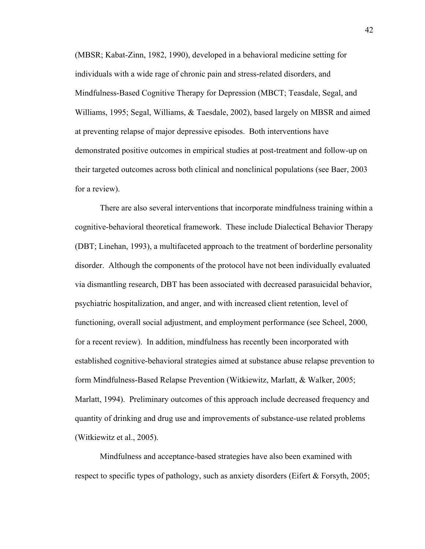(MBSR; Kabat-Zinn, 1982, 1990), developed in a behavioral medicine setting for individuals with a wide rage of chronic pain and stress-related disorders, and Mindfulness-Based Cognitive Therapy for Depression (MBCT; Teasdale, Segal, and Williams, 1995; Segal, Williams, & Taesdale, 2002), based largely on MBSR and aimed at preventing relapse of major depressive episodes. Both interventions have demonstrated positive outcomes in empirical studies at post-treatment and follow-up on their targeted outcomes across both clinical and nonclinical populations (see Baer, 2003 for a review).

 There are also several interventions that incorporate mindfulness training within a cognitive-behavioral theoretical framework. These include Dialectical Behavior Therapy (DBT; Linehan, 1993), a multifaceted approach to the treatment of borderline personality disorder. Although the components of the protocol have not been individually evaluated via dismantling research, DBT has been associated with decreased parasuicidal behavior, psychiatric hospitalization, and anger, and with increased client retention, level of functioning, overall social adjustment, and employment performance (see Scheel, 2000, for a recent review). In addition, mindfulness has recently been incorporated with established cognitive-behavioral strategies aimed at substance abuse relapse prevention to form Mindfulness-Based Relapse Prevention (Witkiewitz, Marlatt, & Walker, 2005; Marlatt, 1994). Preliminary outcomes of this approach include decreased frequency and quantity of drinking and drug use and improvements of substance-use related problems (Witkiewitz et al., 2005).

 Mindfulness and acceptance-based strategies have also been examined with respect to specific types of pathology, such as anxiety disorders (Eifert & Forsyth, 2005;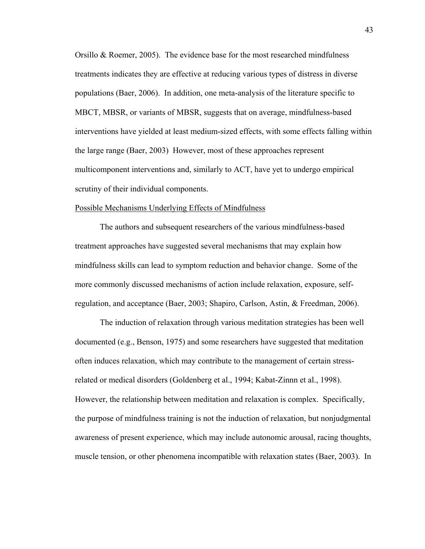Orsillo & Roemer, 2005). The evidence base for the most researched mindfulness treatments indicates they are effective at reducing various types of distress in diverse populations (Baer, 2006). In addition, one meta-analysis of the literature specific to MBCT, MBSR, or variants of MBSR, suggests that on average, mindfulness-based interventions have yielded at least medium-sized effects, with some effects falling within the large range (Baer, 2003) However, most of these approaches represent multicomponent interventions and, similarly to ACT, have yet to undergo empirical scrutiny of their individual components.

#### Possible Mechanisms Underlying Effects of Mindfulness

 The authors and subsequent researchers of the various mindfulness-based treatment approaches have suggested several mechanisms that may explain how mindfulness skills can lead to symptom reduction and behavior change. Some of the more commonly discussed mechanisms of action include relaxation, exposure, selfregulation, and acceptance (Baer, 2003; Shapiro, Carlson, Astin, & Freedman, 2006).

 The induction of relaxation through various meditation strategies has been well documented (e.g., Benson, 1975) and some researchers have suggested that meditation often induces relaxation, which may contribute to the management of certain stressrelated or medical disorders (Goldenberg et al., 1994; Kabat-Zinnn et al., 1998). However, the relationship between meditation and relaxation is complex. Specifically, the purpose of mindfulness training is not the induction of relaxation, but nonjudgmental awareness of present experience, which may include autonomic arousal, racing thoughts, muscle tension, or other phenomena incompatible with relaxation states (Baer, 2003). In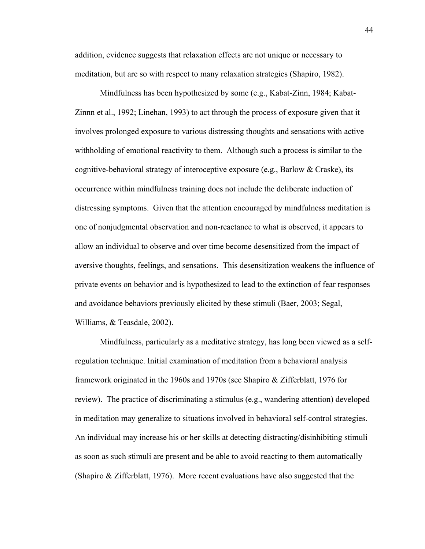addition, evidence suggests that relaxation effects are not unique or necessary to meditation, but are so with respect to many relaxation strategies (Shapiro, 1982).

 Mindfulness has been hypothesized by some (e.g., Kabat-Zinn, 1984; Kabat-Zinnn et al., 1992; Linehan, 1993) to act through the process of exposure given that it involves prolonged exposure to various distressing thoughts and sensations with active withholding of emotional reactivity to them. Although such a process is similar to the cognitive-behavioral strategy of interoceptive exposure (e.g., Barlow  $&$  Craske), its occurrence within mindfulness training does not include the deliberate induction of distressing symptoms. Given that the attention encouraged by mindfulness meditation is one of nonjudgmental observation and non-reactance to what is observed, it appears to allow an individual to observe and over time become desensitized from the impact of aversive thoughts, feelings, and sensations. This desensitization weakens the influence of private events on behavior and is hypothesized to lead to the extinction of fear responses and avoidance behaviors previously elicited by these stimuli (Baer, 2003; Segal, Williams, & Teasdale, 2002).

 Mindfulness, particularly as a meditative strategy, has long been viewed as a selfregulation technique. Initial examination of meditation from a behavioral analysis framework originated in the 1960s and 1970s (see Shapiro & Zifferblatt, 1976 for review). The practice of discriminating a stimulus (e.g., wandering attention) developed in meditation may generalize to situations involved in behavioral self-control strategies. An individual may increase his or her skills at detecting distracting/disinhibiting stimuli as soon as such stimuli are present and be able to avoid reacting to them automatically (Shapiro  $\&$  Zifferblatt, 1976). More recent evaluations have also suggested that the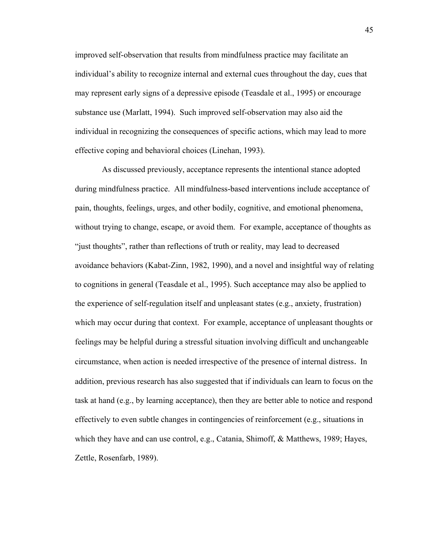improved self-observation that results from mindfulness practice may facilitate an individual's ability to recognize internal and external cues throughout the day, cues that may represent early signs of a depressive episode (Teasdale et al., 1995) or encourage substance use (Marlatt, 1994). Such improved self-observation may also aid the individual in recognizing the consequences of specific actions, which may lead to more effective coping and behavioral choices (Linehan, 1993).

 As discussed previously, acceptance represents the intentional stance adopted during mindfulness practice. All mindfulness-based interventions include acceptance of pain, thoughts, feelings, urges, and other bodily, cognitive, and emotional phenomena, without trying to change, escape, or avoid them. For example, acceptance of thoughts as "just thoughts", rather than reflections of truth or reality, may lead to decreased avoidance behaviors (Kabat-Zinn, 1982, 1990), and a novel and insightful way of relating to cognitions in general (Teasdale et al., 1995). Such acceptance may also be applied to the experience of self-regulation itself and unpleasant states (e.g., anxiety, frustration) which may occur during that context. For example, acceptance of unpleasant thoughts or feelings may be helpful during a stressful situation involving difficult and unchangeable circumstance, when action is needed irrespective of the presence of internal distress. In addition, previous research has also suggested that if individuals can learn to focus on the task at hand (e.g., by learning acceptance), then they are better able to notice and respond effectively to even subtle changes in contingencies of reinforcement (e.g., situations in which they have and can use control, e.g., Catania, Shimoff, & Matthews, 1989; Hayes, Zettle, Rosenfarb, 1989).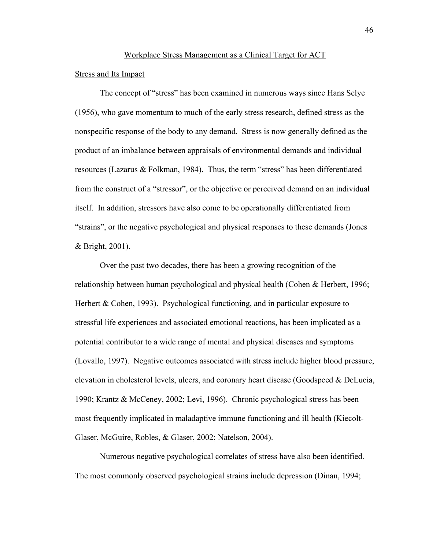# Workplace Stress Management as a Clinical Target for ACT

# Stress and Its Impact

 The concept of "stress" has been examined in numerous ways since Hans Selye (1956), who gave momentum to much of the early stress research, defined stress as the nonspecific response of the body to any demand. Stress is now generally defined as the product of an imbalance between appraisals of environmental demands and individual resources (Lazarus & Folkman, 1984). Thus, the term "stress" has been differentiated from the construct of a "stressor", or the objective or perceived demand on an individual itself. In addition, stressors have also come to be operationally differentiated from "strains", or the negative psychological and physical responses to these demands (Jones & Bright, 2001).

 Over the past two decades, there has been a growing recognition of the relationship between human psychological and physical health (Cohen & Herbert, 1996; Herbert & Cohen, 1993). Psychological functioning, and in particular exposure to stressful life experiences and associated emotional reactions, has been implicated as a potential contributor to a wide range of mental and physical diseases and symptoms (Lovallo, 1997). Negative outcomes associated with stress include higher blood pressure, elevation in cholesterol levels, ulcers, and coronary heart disease (Goodspeed & DeLucia, 1990; Krantz & McCeney, 2002; Levi, 1996). Chronic psychological stress has been most frequently implicated in maladaptive immune functioning and ill health (Kiecolt-Glaser, McGuire, Robles, & Glaser, 2002; Natelson, 2004).

 Numerous negative psychological correlates of stress have also been identified. The most commonly observed psychological strains include depression (Dinan, 1994;

46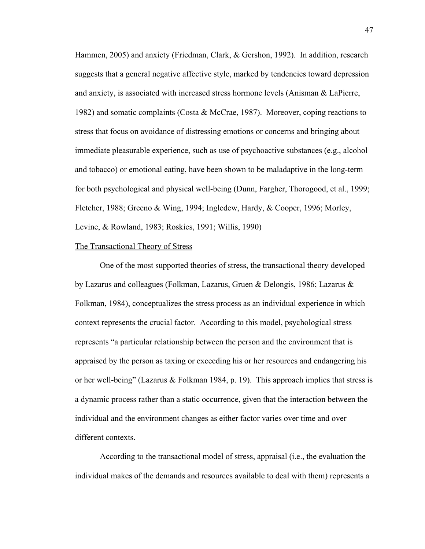Hammen, 2005) and anxiety (Friedman, Clark, & Gershon, 1992). In addition, research suggests that a general negative affective style, marked by tendencies toward depression and anxiety, is associated with increased stress hormone levels (Anisman  $\&$  LaPierre, 1982) and somatic complaints (Costa & McCrae, 1987). Moreover, coping reactions to stress that focus on avoidance of distressing emotions or concerns and bringing about immediate pleasurable experience, such as use of psychoactive substances (e.g., alcohol and tobacco) or emotional eating, have been shown to be maladaptive in the long-term for both psychological and physical well-being (Dunn, Fargher, Thorogood, et al., 1999; Fletcher, 1988; Greeno & Wing, 1994; Ingledew, Hardy, & Cooper, 1996; Morley, Levine, & Rowland, 1983; Roskies, 1991; Willis, 1990)

#### The Transactional Theory of Stress

 One of the most supported theories of stress, the transactional theory developed by Lazarus and colleagues (Folkman, Lazarus, Gruen & Delongis, 1986; Lazarus & Folkman, 1984), conceptualizes the stress process as an individual experience in which context represents the crucial factor. According to this model, psychological stress represents "a particular relationship between the person and the environment that is appraised by the person as taxing or exceeding his or her resources and endangering his or her well-being" (Lazarus & Folkman 1984, p. 19). This approach implies that stress is a dynamic process rather than a static occurrence, given that the interaction between the individual and the environment changes as either factor varies over time and over different contexts.

 According to the transactional model of stress, appraisal (i.e., the evaluation the individual makes of the demands and resources available to deal with them) represents a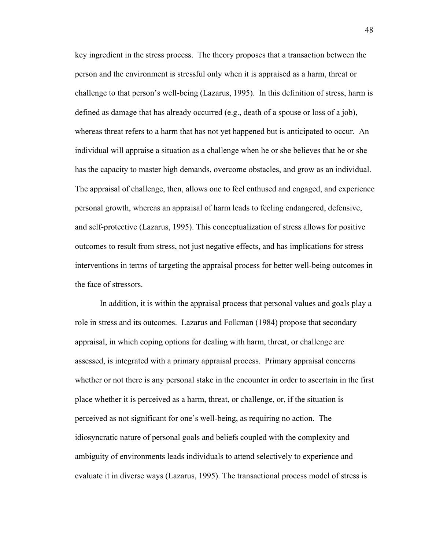key ingredient in the stress process. The theory proposes that a transaction between the person and the environment is stressful only when it is appraised as a harm, threat or challenge to that person's well-being (Lazarus, 1995). In this definition of stress, harm is defined as damage that has already occurred (e.g., death of a spouse or loss of a job), whereas threat refers to a harm that has not yet happened but is anticipated to occur. An individual will appraise a situation as a challenge when he or she believes that he or she has the capacity to master high demands, overcome obstacles, and grow as an individual. The appraisal of challenge, then, allows one to feel enthused and engaged, and experience personal growth, whereas an appraisal of harm leads to feeling endangered, defensive, and self-protective (Lazarus, 1995). This conceptualization of stress allows for positive outcomes to result from stress, not just negative effects, and has implications for stress interventions in terms of targeting the appraisal process for better well-being outcomes in the face of stressors.

 In addition, it is within the appraisal process that personal values and goals play a role in stress and its outcomes. Lazarus and Folkman (1984) propose that secondary appraisal, in which coping options for dealing with harm, threat, or challenge are assessed, is integrated with a primary appraisal process. Primary appraisal concerns whether or not there is any personal stake in the encounter in order to ascertain in the first place whether it is perceived as a harm, threat, or challenge, or, if the situation is perceived as not significant for one's well-being, as requiring no action. The idiosyncratic nature of personal goals and beliefs coupled with the complexity and ambiguity of environments leads individuals to attend selectively to experience and evaluate it in diverse ways (Lazarus, 1995). The transactional process model of stress is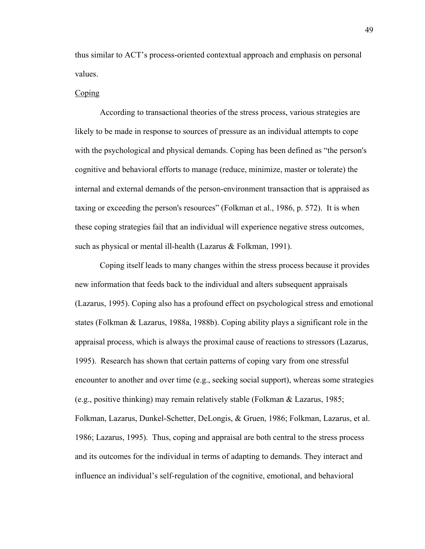thus similar to ACT's process-oriented contextual approach and emphasis on personal values.

### Coping

 According to transactional theories of the stress process, various strategies are likely to be made in response to sources of pressure as an individual attempts to cope with the psychological and physical demands. Coping has been defined as "the person's cognitive and behavioral efforts to manage (reduce, minimize, master or tolerate) the internal and external demands of the person-environment transaction that is appraised as taxing or exceeding the person's resources" (Folkman et al., 1986, p. 572). It is when these coping strategies fail that an individual will experience negative stress outcomes, such as physical or mental ill-health (Lazarus & Folkman, 1991).

 Coping itself leads to many changes within the stress process because it provides new information that feeds back to the individual and alters subsequent appraisals (Lazarus, 1995). Coping also has a profound effect on psychological stress and emotional states (Folkman & Lazarus, 1988a, 1988b). Coping ability plays a significant role in the appraisal process, which is always the proximal cause of reactions to stressors (Lazarus, 1995). Research has shown that certain patterns of coping vary from one stressful encounter to another and over time (e.g., seeking social support), whereas some strategies (e.g., positive thinking) may remain relatively stable (Folkman & Lazarus, 1985; Folkman, Lazarus, Dunkel-Schetter, DeLongis, & Gruen, 1986; Folkman, Lazarus, et al. 1986; Lazarus, 1995). Thus, coping and appraisal are both central to the stress process and its outcomes for the individual in terms of adapting to demands. They interact and influence an individual's self-regulation of the cognitive, emotional, and behavioral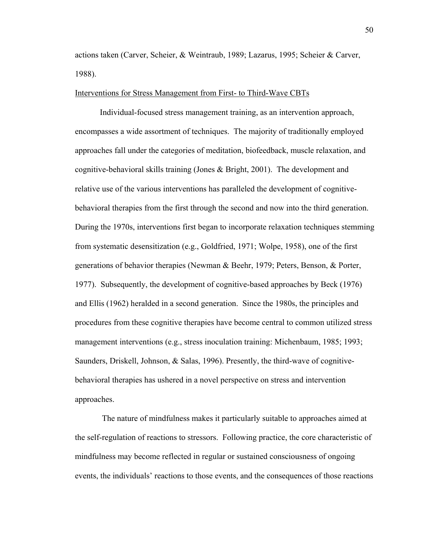actions taken (Carver, Scheier, & Weintraub, 1989; Lazarus, 1995; Scheier & Carver, 1988).

### Interventions for Stress Management from First- to Third-Wave CBTs

 Individual-focused stress management training, as an intervention approach, encompasses a wide assortment of techniques. The majority of traditionally employed approaches fall under the categories of meditation, biofeedback, muscle relaxation, and cognitive-behavioral skills training (Jones & Bright, 2001). The development and relative use of the various interventions has paralleled the development of cognitivebehavioral therapies from the first through the second and now into the third generation. During the 1970s, interventions first began to incorporate relaxation techniques stemming from systematic desensitization (e.g., Goldfried, 1971; Wolpe, 1958), one of the first generations of behavior therapies (Newman & Beehr, 1979; Peters, Benson, & Porter, 1977). Subsequently, the development of cognitive-based approaches by Beck (1976) and Ellis (1962) heralded in a second generation. Since the 1980s, the principles and procedures from these cognitive therapies have become central to common utilized stress management interventions (e.g., stress inoculation training: Michenbaum, 1985; 1993; Saunders, Driskell, Johnson, & Salas, 1996). Presently, the third-wave of cognitivebehavioral therapies has ushered in a novel perspective on stress and intervention approaches.

 The nature of mindfulness makes it particularly suitable to approaches aimed at the self-regulation of reactions to stressors. Following practice, the core characteristic of mindfulness may become reflected in regular or sustained consciousness of ongoing events, the individuals' reactions to those events, and the consequences of those reactions

50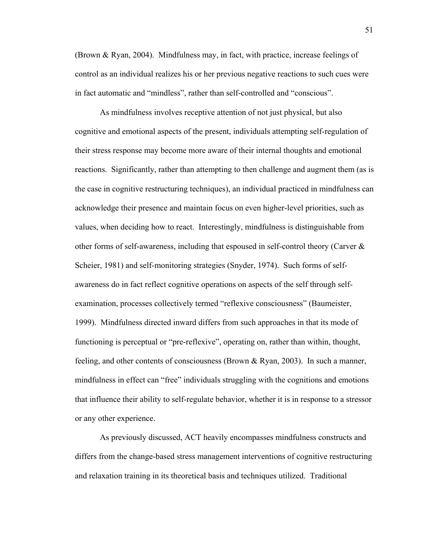(Brown & Ryan, 2004). Mindfulness may, in fact, with practice, increase feelings of control as an individual realizes his or her previous negative reactions to such cues were in fact automatic and "mindless", rather than self-controlled and "conscious".

 As mindfulness involves receptive attention of not just physical, but also cognitive and emotional aspects of the present, individuals attempting self-regulation of their stress response may become more aware of their internal thoughts and emotional reactions. Significantly, rather than attempting to then challenge and augment them (as is the case in cognitive restructuring techniques), an individual practiced in mindfulness can acknowledge their presence and maintain focus on even higher-level priorities, such as values, when deciding how to react. Interestingly, mindfulness is distinguishable from other forms of self-awareness, including that espoused in self-control theory (Carver & Scheier, 1981) and self-monitoring strategies (Snyder, 1974). Such forms of selfawareness do in fact reflect cognitive operations on aspects of the self through selfexamination, processes collectively termed "reflexive consciousness" (Baumeister, 1999). Mindfulness directed inward differs from such approaches in that its mode of functioning is perceptual or "pre-reflexive", operating on, rather than within, thought, feeling, and other contents of consciousness (Brown & Ryan, 2003). In such a manner, mindfulness in effect can "free" individuals struggling with the cognitions and emotions that influence their ability to self-regulate behavior, whether it is in response to a stressor or any other experience.

As previously discussed, ACT heavily encompasses mindfulness constructs and differs from the change-based stress management interventions of cognitive restructuring and relaxation training in its theoretical basis and techniques utilized. Traditional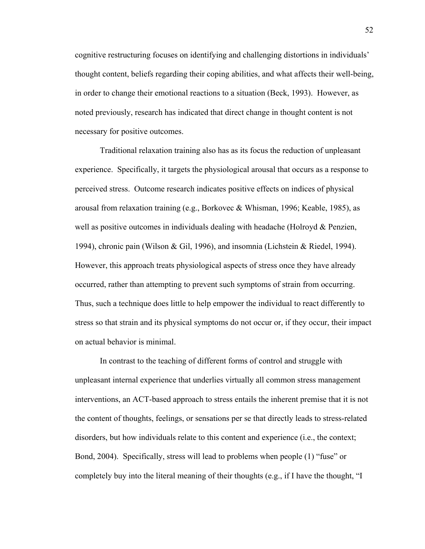cognitive restructuring focuses on identifying and challenging distortions in individuals' thought content, beliefs regarding their coping abilities, and what affects their well-being, in order to change their emotional reactions to a situation (Beck, 1993). However, as noted previously, research has indicated that direct change in thought content is not necessary for positive outcomes.

 Traditional relaxation training also has as its focus the reduction of unpleasant experience. Specifically, it targets the physiological arousal that occurs as a response to perceived stress. Outcome research indicates positive effects on indices of physical arousal from relaxation training (e.g., Borkovec & Whisman, 1996; Keable, 1985), as well as positive outcomes in individuals dealing with headache (Holroyd & Penzien, 1994), chronic pain (Wilson & Gil, 1996), and insomnia (Lichstein & Riedel, 1994). However, this approach treats physiological aspects of stress once they have already occurred, rather than attempting to prevent such symptoms of strain from occurring. Thus, such a technique does little to help empower the individual to react differently to stress so that strain and its physical symptoms do not occur or, if they occur, their impact on actual behavior is minimal.

 In contrast to the teaching of different forms of control and struggle with unpleasant internal experience that underlies virtually all common stress management interventions, an ACT-based approach to stress entails the inherent premise that it is not the content of thoughts, feelings, or sensations per se that directly leads to stress-related disorders, but how individuals relate to this content and experience (i.e., the context; Bond, 2004). Specifically, stress will lead to problems when people (1) "fuse" or completely buy into the literal meaning of their thoughts (e.g., if I have the thought, "I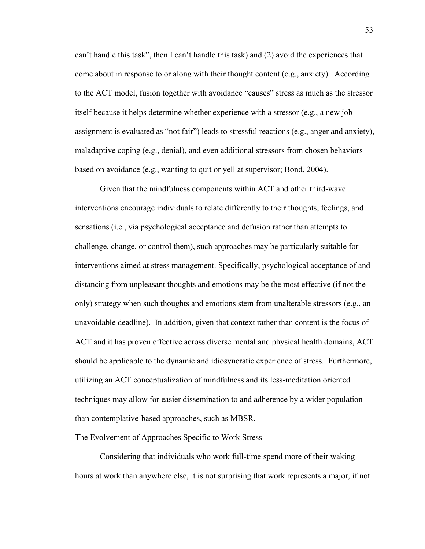can't handle this task", then I can't handle this task) and (2) avoid the experiences that come about in response to or along with their thought content (e.g., anxiety). According to the ACT model, fusion together with avoidance "causes" stress as much as the stressor itself because it helps determine whether experience with a stressor (e.g., a new job assignment is evaluated as "not fair") leads to stressful reactions (e.g., anger and anxiety), maladaptive coping (e.g., denial), and even additional stressors from chosen behaviors based on avoidance (e.g., wanting to quit or yell at supervisor; Bond, 2004).

 Given that the mindfulness components within ACT and other third-wave interventions encourage individuals to relate differently to their thoughts, feelings, and sensations (i.e., via psychological acceptance and defusion rather than attempts to challenge, change, or control them), such approaches may be particularly suitable for interventions aimed at stress management. Specifically, psychological acceptance of and distancing from unpleasant thoughts and emotions may be the most effective (if not the only) strategy when such thoughts and emotions stem from unalterable stressors (e.g., an unavoidable deadline). In addition, given that context rather than content is the focus of ACT and it has proven effective across diverse mental and physical health domains, ACT should be applicable to the dynamic and idiosyncratic experience of stress. Furthermore, utilizing an ACT conceptualization of mindfulness and its less-meditation oriented techniques may allow for easier dissemination to and adherence by a wider population than contemplative-based approaches, such as MBSR.

# The Evolvement of Approaches Specific to Work Stress

 Considering that individuals who work full-time spend more of their waking hours at work than anywhere else, it is not surprising that work represents a major, if not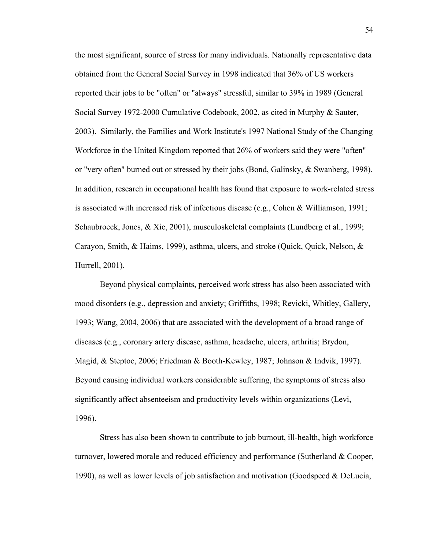the most significant, source of stress for many individuals. Nationally representative data obtained from the General Social Survey in 1998 indicated that 36% of US workers reported their jobs to be "often" or "always" stressful, similar to 39% in 1989 (General Social Survey 1972-2000 Cumulative Codebook, 2002, as cited in Murphy & Sauter, 2003). Similarly, the Families and Work Institute's 1997 National Study of the Changing Workforce in the United Kingdom reported that 26% of workers said they were "often" or "very often" burned out or stressed by their jobs (Bond, Galinsky, & Swanberg, 1998). In addition, research in occupational health has found that exposure to work-related stress is associated with increased risk of infectious disease (e.g., Cohen & Williamson, 1991; Schaubroeck, Jones, & Xie, 2001), musculoskeletal complaints (Lundberg et al., 1999; Carayon, Smith, & Haims, 1999), asthma, ulcers, and stroke (Quick, Quick, Nelson, & Hurrell, 2001).

 Beyond physical complaints, perceived work stress has also been associated with mood disorders (e.g., depression and anxiety; Griffiths, 1998; Revicki, Whitley, Gallery, 1993; Wang, 2004, 2006) that are associated with the development of a broad range of diseases (e.g., coronary artery disease, asthma, headache, ulcers, arthritis; Brydon, Magid, & Steptoe, 2006; Friedman & Booth-Kewley, 1987; Johnson & Indvik, 1997). Beyond causing individual workers considerable suffering, the symptoms of stress also significantly affect absenteeism and productivity levels within organizations (Levi, 1996).

Stress has also been shown to contribute to job burnout, ill-health, high workforce turnover, lowered morale and reduced efficiency and performance (Sutherland & Cooper, 1990), as well as lower levels of job satisfaction and motivation (Goodspeed & DeLucia,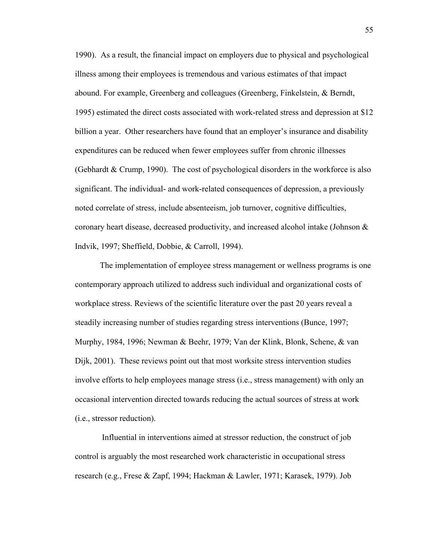1990). As a result, the financial impact on employers due to physical and psychological illness among their employees is tremendous and various estimates of that impact abound. For example, Greenberg and colleagues (Greenberg, Finkelstein, & Berndt, 1995) estimated the direct costs associated with work-related stress and depression at \$12 billion a year. Other researchers have found that an employer's insurance and disability expenditures can be reduced when fewer employees suffer from chronic illnesses (Gebhardt & Crump, 1990). The cost of psychological disorders in the workforce is also significant. The individual- and work-related consequences of depression, a previously noted correlate of stress, include absenteeism, job turnover, cognitive difficulties, coronary heart disease, decreased productivity, and increased alcohol intake (Johnson & Indvik, 1997; Sheffield, Dobbie, & Carroll, 1994).

 The implementation of employee stress management or wellness programs is one contemporary approach utilized to address such individual and organizational costs of workplace stress. Reviews of the scientific literature over the past 20 years reveal a steadily increasing number of studies regarding stress interventions (Bunce, 1997; Murphy, 1984, 1996; Newman & Beehr, 1979; Van der Klink, Blonk, Schene, & van Dijk, 2001). These reviews point out that most worksite stress intervention studies involve efforts to help employees manage stress (i.e., stress management) with only an occasional intervention directed towards reducing the actual sources of stress at work (i.e., stressor reduction).

 Influential in interventions aimed at stressor reduction, the construct of job control is arguably the most researched work characteristic in occupational stress research (e.g., Frese & Zapf, 1994; Hackman & Lawler, 1971; Karasek, 1979). Job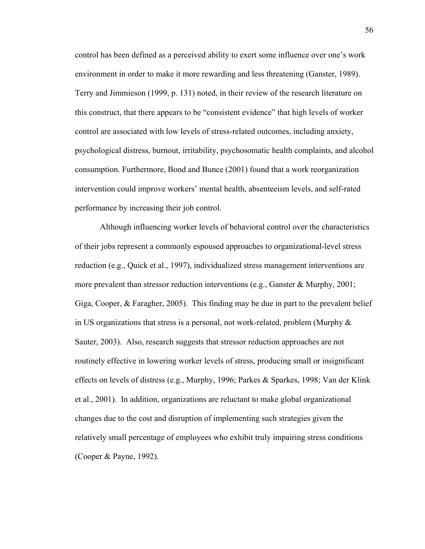control has been defined as a perceived ability to exert some influence over one's work environment in order to make it more rewarding and less threatening (Ganster, 1989). Terry and Jimmieson (1999, p. 131) noted, in their review of the research literature on this construct, that there appears to be "consistent evidence" that high levels of worker control are associated with low levels of stress-related outcomes, including anxiety, psychological distress, burnout, irritability, psychosomatic health complaints, and alcohol consumption. Furthermore, Bond and Bunce (2001) found that a work reorganization intervention could improve workers' mental health, absenteeism levels, and self-rated performance by increasing their job control.

 Although influencing worker levels of behavioral control over the characteristics of their jobs represent a commonly espoused approaches to organizational-level stress reduction (e.g., Quick et al., 1997), individualized stress management interventions are more prevalent than stressor reduction interventions (e.g., Ganster & Murphy, 2001; Giga, Cooper, & Faragher, 2005). This finding may be due in part to the prevalent belief in US organizations that stress is a personal, not work-related, problem (Murphy  $\&$ Sauter, 2003). Also, research suggests that stressor reduction approaches are not routinely effective in lowering worker levels of stress, producing small or insignificant effects on levels of distress (e.g., Murphy, 1996; Parkes & Sparkes, 1998; Van der Klink et al., 2001). In addition, organizations are reluctant to make global organizational changes due to the cost and disruption of implementing such strategies given the relatively small percentage of employees who exhibit truly impairing stress conditions (Cooper & Payne, 1992).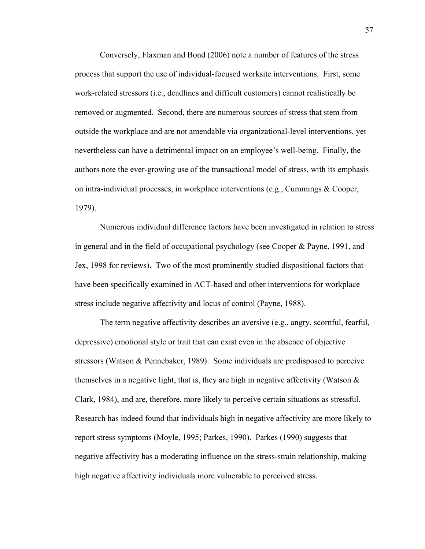Conversely, Flaxman and Bond (2006) note a number of features of the stress process that support the use of individual-focused worksite interventions. First, some work-related stressors (i.e., deadlines and difficult customers) cannot realistically be removed or augmented. Second, there are numerous sources of stress that stem from outside the workplace and are not amendable via organizational-level interventions, yet nevertheless can have a detrimental impact on an employee's well-being. Finally, the authors note the ever-growing use of the transactional model of stress, with its emphasis on intra-individual processes, in workplace interventions (e.g., Cummings & Cooper, 1979).

 Numerous individual difference factors have been investigated in relation to stress in general and in the field of occupational psychology (see Cooper & Payne, 1991, and Jex, 1998 for reviews). Two of the most prominently studied dispositional factors that have been specifically examined in ACT-based and other interventions for workplace stress include negative affectivity and locus of control (Payne, 1988).

 The term negative affectivity describes an aversive (e.g., angry, scornful, fearful, depressive) emotional style or trait that can exist even in the absence of objective stressors (Watson & Pennebaker, 1989). Some individuals are predisposed to perceive themselves in a negative light, that is, they are high in negative affectivity (Watson  $\&$ Clark, 1984), and are, therefore, more likely to perceive certain situations as stressful. Research has indeed found that individuals high in negative affectivity are more likely to report stress symptoms (Moyle, 1995; Parkes, 1990). Parkes (1990) suggests that negative affectivity has a moderating influence on the stress-strain relationship, making high negative affectivity individuals more vulnerable to perceived stress.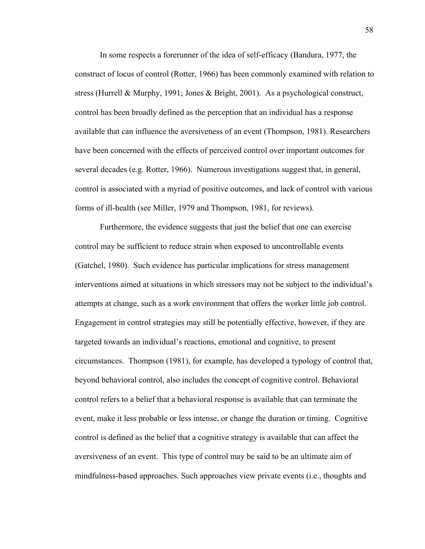In some respects a forerunner of the idea of self-efficacy (Bandura, 1977, the construct of locus of control (Rotter, 1966) has been commonly examined with relation to stress (Hurrell & Murphy, 1991; Jones & Bright, 2001). As a psychological construct, control has been broadly defined as the perception that an individual has a response available that can influence the aversiveness of an event (Thompson, 1981). Researchers have been concerned with the effects of perceived control over important outcomes for several decades (e.g. Rotter, 1966). Numerous investigations suggest that, in general, control is associated with a myriad of positive outcomes, and lack of control with various forms of ill-health (see Miller, 1979 and Thompson, 1981, for reviews).

 Furthermore, the evidence suggests that just the belief that one can exercise control may be sufficient to reduce strain when exposed to uncontrollable events (Gatchel, 1980). Such evidence has particular implications for stress management interventions aimed at situations in which stressors may not be subject to the individual's attempts at change, such as a work environment that offers the worker little job control. Engagement in control strategies may still be potentially effective, however, if they are targeted towards an individual's reactions, emotional and cognitive, to present circumstances. Thompson (1981), for example, has developed a typology of control that, beyond behavioral control, also includes the concept of cognitive control. Behavioral control refers to a belief that a behavioral response is available that can terminate the event, make it less probable or less intense, or change the duration or timing. Cognitive control is defined as the belief that a cognitive strategy is available that can affect the aversiveness of an event. This type of control may be said to be an ultimate aim of mindfulness-based approaches. Such approaches view private events (i.e., thoughts and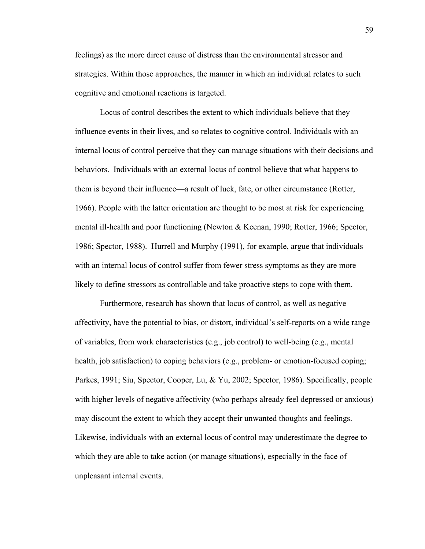feelings) as the more direct cause of distress than the environmental stressor and strategies. Within those approaches, the manner in which an individual relates to such cognitive and emotional reactions is targeted.

 Locus of control describes the extent to which individuals believe that they influence events in their lives, and so relates to cognitive control. Individuals with an internal locus of control perceive that they can manage situations with their decisions and behaviors. Individuals with an external locus of control believe that what happens to them is beyond their influence—a result of luck, fate, or other circumstance (Rotter, 1966). People with the latter orientation are thought to be most at risk for experiencing mental ill-health and poor functioning (Newton & Keenan, 1990; Rotter, 1966; Spector, 1986; Spector, 1988).Hurrell and Murphy (1991), for example, argue that individuals with an internal locus of control suffer from fewer stress symptoms as they are more likely to define stressors as controllable and take proactive steps to cope with them.

 Furthermore, research has shown that locus of control, as well as negative affectivity, have the potential to bias, or distort, individual's self-reports on a wide range of variables, from work characteristics (e.g., job control) to well-being (e.g., mental health, job satisfaction) to coping behaviors (e.g., problem- or emotion-focused coping; Parkes, 1991; Siu, Spector, Cooper, Lu, & Yu, 2002; Spector, 1986). Specifically, people with higher levels of negative affectivity (who perhaps already feel depressed or anxious) may discount the extent to which they accept their unwanted thoughts and feelings. Likewise, individuals with an external locus of control may underestimate the degree to which they are able to take action (or manage situations), especially in the face of unpleasant internal events.

59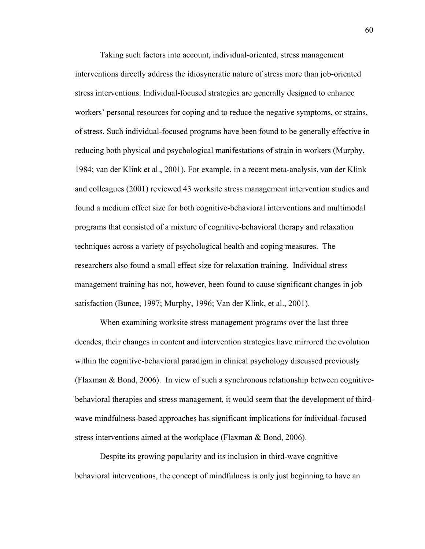Taking such factors into account, individual-oriented, stress management interventions directly address the idiosyncratic nature of stress more than job-oriented stress interventions. Individual-focused strategies are generally designed to enhance workers' personal resources for coping and to reduce the negative symptoms, or strains, of stress. Such individual-focused programs have been found to be generally effective in reducing both physical and psychological manifestations of strain in workers (Murphy, 1984; van der Klink et al., 2001). For example, in a recent meta-analysis, van der Klink and colleagues (2001) reviewed 43 worksite stress management intervention studies and found a medium effect size for both cognitive-behavioral interventions and multimodal programs that consisted of a mixture of cognitive-behavioral therapy and relaxation techniques across a variety of psychological health and coping measures. The researchers also found a small effect size for relaxation training. Individual stress management training has not, however, been found to cause significant changes in job satisfaction (Bunce, 1997; Murphy, 1996; Van der Klink, et al., 2001).

 When examining worksite stress management programs over the last three decades, their changes in content and intervention strategies have mirrored the evolution within the cognitive-behavioral paradigm in clinical psychology discussed previously (Flaxman & Bond, 2006). In view of such a synchronous relationship between cognitivebehavioral therapies and stress management, it would seem that the development of thirdwave mindfulness-based approaches has significant implications for individual-focused stress interventions aimed at the workplace (Flaxman & Bond, 2006).

 Despite its growing popularity and its inclusion in third-wave cognitive behavioral interventions, the concept of mindfulness is only just beginning to have an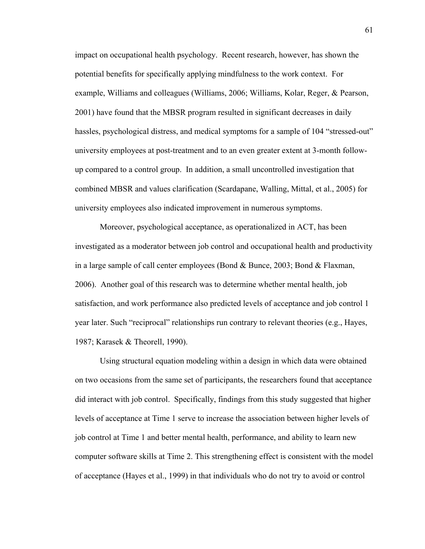impact on occupational health psychology. Recent research, however, has shown the potential benefits for specifically applying mindfulness to the work context. For example, Williams and colleagues (Williams, 2006; Williams, Kolar, Reger, & Pearson, 2001) have found that the MBSR program resulted in significant decreases in daily hassles, psychological distress, and medical symptoms for a sample of 104 "stressed-out" university employees at post-treatment and to an even greater extent at 3-month followup compared to a control group. In addition, a small uncontrolled investigation that combined MBSR and values clarification (Scardapane, Walling, Mittal, et al., 2005) for university employees also indicated improvement in numerous symptoms.

 Moreover, psychological acceptance, as operationalized in ACT, has been investigated as a moderator between job control and occupational health and productivity in a large sample of call center employees (Bond  $&$  Bunce, 2003; Bond  $&$  Flaxman, 2006). Another goal of this research was to determine whether mental health, job satisfaction, and work performance also predicted levels of acceptance and job control 1 year later. Such "reciprocal" relationships run contrary to relevant theories (e.g., Hayes, 1987; Karasek & Theorell, 1990).

 Using structural equation modeling within a design in which data were obtained on two occasions from the same set of participants, the researchers found that acceptance did interact with job control. Specifically, findings from this study suggested that higher levels of acceptance at Time 1 serve to increase the association between higher levels of job control at Time 1 and better mental health, performance, and ability to learn new computer software skills at Time 2. This strengthening effect is consistent with the model of acceptance (Hayes et al., 1999) in that individuals who do not try to avoid or control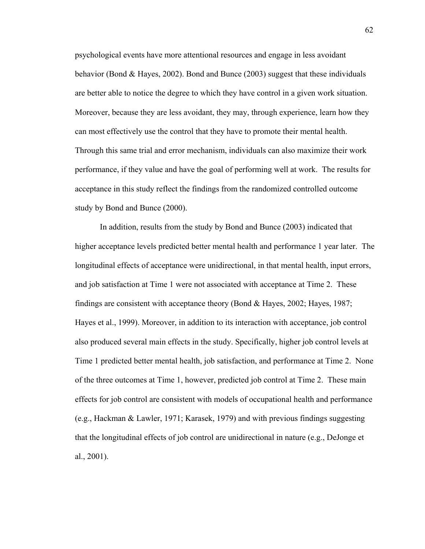psychological events have more attentional resources and engage in less avoidant behavior (Bond & Hayes, 2002). Bond and Bunce (2003) suggest that these individuals are better able to notice the degree to which they have control in a given work situation. Moreover, because they are less avoidant, they may, through experience, learn how they can most effectively use the control that they have to promote their mental health. Through this same trial and error mechanism, individuals can also maximize their work performance, if they value and have the goal of performing well at work. The results for acceptance in this study reflect the findings from the randomized controlled outcome study by Bond and Bunce (2000).

 In addition, results from the study by Bond and Bunce (2003) indicated that higher acceptance levels predicted better mental health and performance 1 year later. The longitudinal effects of acceptance were unidirectional, in that mental health, input errors, and job satisfaction at Time 1 were not associated with acceptance at Time 2. These findings are consistent with acceptance theory (Bond & Hayes, 2002; Hayes, 1987; Hayes et al., 1999). Moreover, in addition to its interaction with acceptance, job control also produced several main effects in the study. Specifically, higher job control levels at Time 1 predicted better mental health, job satisfaction, and performance at Time 2. None of the three outcomes at Time 1, however, predicted job control at Time 2. These main effects for job control are consistent with models of occupational health and performance (e.g., Hackman & Lawler, 1971; Karasek, 1979) and with previous findings suggesting that the longitudinal effects of job control are unidirectional in nature (e.g., DeJonge et al., 2001).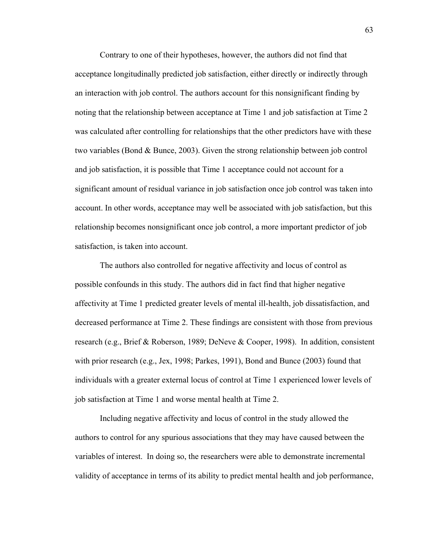Contrary to one of their hypotheses, however, the authors did not find that acceptance longitudinally predicted job satisfaction, either directly or indirectly through an interaction with job control. The authors account for this nonsignificant finding by noting that the relationship between acceptance at Time 1 and job satisfaction at Time 2 was calculated after controlling for relationships that the other predictors have with these two variables (Bond & Bunce, 2003). Given the strong relationship between job control and job satisfaction, it is possible that Time 1 acceptance could not account for a significant amount of residual variance in job satisfaction once job control was taken into account. In other words, acceptance may well be associated with job satisfaction, but this relationship becomes nonsignificant once job control, a more important predictor of job satisfaction, is taken into account.

 The authors also controlled for negative affectivity and locus of control as possible confounds in this study. The authors did in fact find that higher negative affectivity at Time 1 predicted greater levels of mental ill-health, job dissatisfaction, and decreased performance at Time 2. These findings are consistent with those from previous research (e.g., Brief & Roberson, 1989; DeNeve & Cooper, 1998). In addition, consistent with prior research (e.g., Jex, 1998; Parkes, 1991), Bond and Bunce (2003) found that individuals with a greater external locus of control at Time 1 experienced lower levels of job satisfaction at Time 1 and worse mental health at Time 2.

 Including negative affectivity and locus of control in the study allowed the authors to control for any spurious associations that they may have caused between the variables of interest. In doing so, the researchers were able to demonstrate incremental validity of acceptance in terms of its ability to predict mental health and job performance,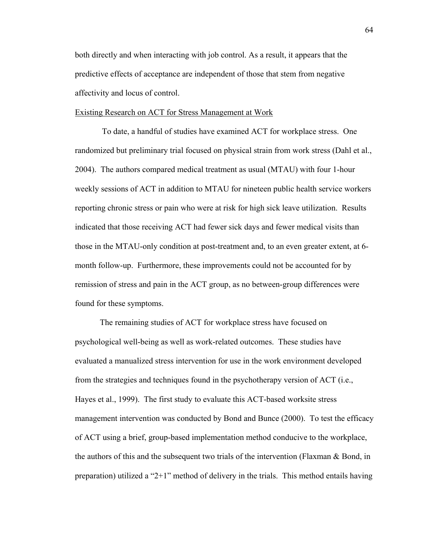both directly and when interacting with job control. As a result, it appears that the predictive effects of acceptance are independent of those that stem from negative affectivity and locus of control.

## Existing Research on ACT for Stress Management at Work

 To date, a handful of studies have examined ACT for workplace stress. One randomized but preliminary trial focused on physical strain from work stress (Dahl et al., 2004). The authors compared medical treatment as usual (MTAU) with four 1-hour weekly sessions of ACT in addition to MTAU for nineteen public health service workers reporting chronic stress or pain who were at risk for high sick leave utilization. Results indicated that those receiving ACT had fewer sick days and fewer medical visits than those in the MTAU-only condition at post-treatment and, to an even greater extent, at 6 month follow-up. Furthermore, these improvements could not be accounted for by remission of stress and pain in the ACT group, as no between-group differences were found for these symptoms.

 The remaining studies of ACT for workplace stress have focused on psychological well-being as well as work-related outcomes. These studies have evaluated a manualized stress intervention for use in the work environment developed from the strategies and techniques found in the psychotherapy version of ACT (i.e., Hayes et al., 1999). The first study to evaluate this ACT-based worksite stress management intervention was conducted by Bond and Bunce (2000). To test the efficacy of ACT using a brief, group-based implementation method conducive to the workplace, the authors of this and the subsequent two trials of the intervention (Flaxman & Bond, in preparation) utilized a "2+1" method of delivery in the trials. This method entails having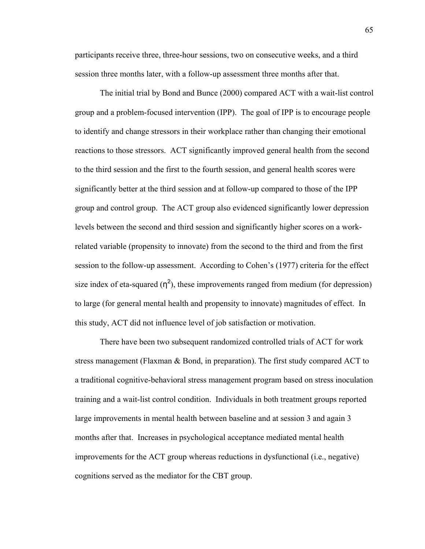participants receive three, three-hour sessions, two on consecutive weeks, and a third session three months later, with a follow-up assessment three months after that.

 The initial trial by Bond and Bunce (2000) compared ACT with a wait-list control group and a problem-focused intervention (IPP). The goal of IPP is to encourage people to identify and change stressors in their workplace rather than changing their emotional reactions to those stressors. ACT significantly improved general health from the second to the third session and the first to the fourth session, and general health scores were significantly better at the third session and at follow-up compared to those of the IPP group and control group. The ACT group also evidenced significantly lower depression levels between the second and third session and significantly higher scores on a workrelated variable (propensity to innovate) from the second to the third and from the first session to the follow-up assessment. According to Cohen's (1977) criteria for the effect size index of eta-squared  $(\eta^2)$ , these improvements ranged from medium (for depression) to large (for general mental health and propensity to innovate) magnitudes of effect. In this study, ACT did not influence level of job satisfaction or motivation.

 There have been two subsequent randomized controlled trials of ACT for work stress management (Flaxman & Bond, in preparation). The first study compared ACT to a traditional cognitive-behavioral stress management program based on stress inoculation training and a wait-list control condition. Individuals in both treatment groups reported large improvements in mental health between baseline and at session 3 and again 3 months after that. Increases in psychological acceptance mediated mental health improvements for the ACT group whereas reductions in dysfunctional (i.e., negative) cognitions served as the mediator for the CBT group.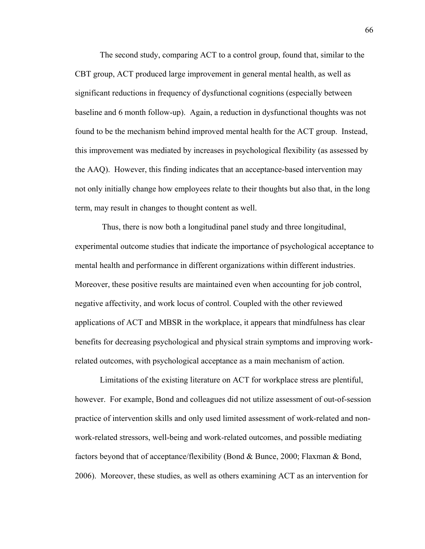The second study, comparing ACT to a control group, found that, similar to the CBT group, ACT produced large improvement in general mental health, as well as significant reductions in frequency of dysfunctional cognitions (especially between baseline and 6 month follow-up). Again, a reduction in dysfunctional thoughts was not found to be the mechanism behind improved mental health for the ACT group. Instead, this improvement was mediated by increases in psychological flexibility (as assessed by the AAQ). However, this finding indicates that an acceptance-based intervention may not only initially change how employees relate to their thoughts but also that, in the long term, may result in changes to thought content as well.

 Thus, there is now both a longitudinal panel study and three longitudinal, experimental outcome studies that indicate the importance of psychological acceptance to mental health and performance in different organizations within different industries. Moreover, these positive results are maintained even when accounting for job control, negative affectivity, and work locus of control. Coupled with the other reviewed applications of ACT and MBSR in the workplace, it appears that mindfulness has clear benefits for decreasing psychological and physical strain symptoms and improving workrelated outcomes, with psychological acceptance as a main mechanism of action.

 Limitations of the existing literature on ACT for workplace stress are plentiful, however. For example, Bond and colleagues did not utilize assessment of out-of-session practice of intervention skills and only used limited assessment of work-related and nonwork-related stressors, well-being and work-related outcomes, and possible mediating factors beyond that of acceptance/flexibility (Bond & Bunce, 2000; Flaxman & Bond, 2006). Moreover, these studies, as well as others examining ACT as an intervention for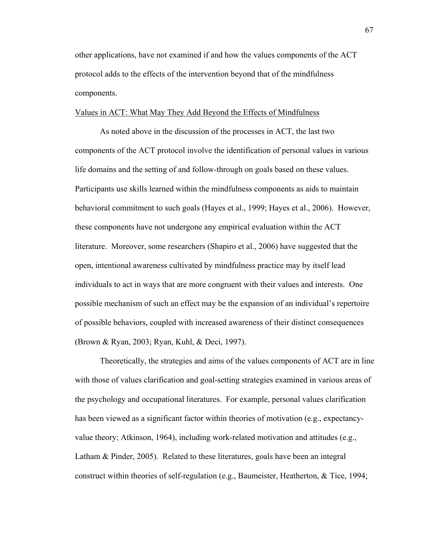other applications, have not examined if and how the values components of the ACT protocol adds to the effects of the intervention beyond that of the mindfulness components.

## Values in ACT: What May They Add Beyond the Effects of Mindfulness

 As noted above in the discussion of the processes in ACT, the last two components of the ACT protocol involve the identification of personal values in various life domains and the setting of and follow-through on goals based on these values. Participants use skills learned within the mindfulness components as aids to maintain behavioral commitment to such goals (Hayes et al., 1999; Hayes et al., 2006). However, these components have not undergone any empirical evaluation within the ACT literature. Moreover, some researchers (Shapiro et al., 2006) have suggested that the open, intentional awareness cultivated by mindfulness practice may by itself lead individuals to act in ways that are more congruent with their values and interests. One possible mechanism of such an effect may be the expansion of an individual's repertoire of possible behaviors, coupled with increased awareness of their distinct consequences (Brown & Ryan, 2003; Ryan, Kuhl, & Deci, 1997).

 Theoretically, the strategies and aims of the values components of ACT are in line with those of values clarification and goal-setting strategies examined in various areas of the psychology and occupational literatures. For example, personal values clarification has been viewed as a significant factor within theories of motivation (e.g., expectancyvalue theory; Atkinson, 1964), including work-related motivation and attitudes (e.g., Latham & Pinder, 2005). Related to these literatures, goals have been an integral construct within theories of self-regulation (e.g., Baumeister, Heatherton, & Tice, 1994;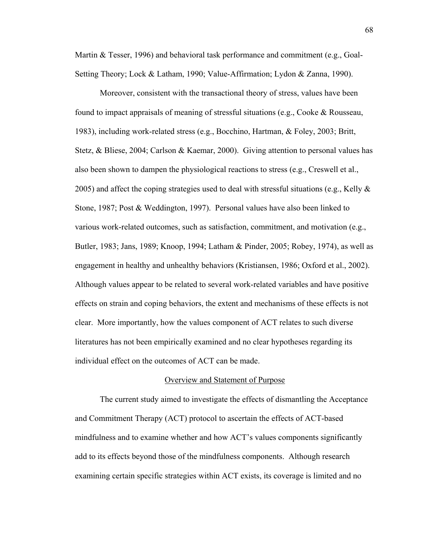Martin & Tesser, 1996) and behavioral task performance and commitment (e.g., Goal-Setting Theory; Lock & Latham, 1990; Value-Affirmation; Lydon & Zanna, 1990).

 Moreover, consistent with the transactional theory of stress, values have been found to impact appraisals of meaning of stressful situations (e.g., Cooke & Rousseau, 1983), including work-related stress (e.g., Bocchino, Hartman, & Foley, 2003; Britt, Stetz, & Bliese, 2004; Carlson & Kaemar, 2000). Giving attention to personal values has also been shown to dampen the physiological reactions to stress (e.g., Creswell et al., 2005) and affect the coping strategies used to deal with stressful situations (e.g., Kelly  $\&$ Stone, 1987; Post & Weddington, 1997). Personal values have also been linked to various work-related outcomes, such as satisfaction, commitment, and motivation (e.g., Butler, 1983; Jans, 1989; Knoop, 1994; Latham & Pinder, 2005; Robey, 1974), as well as engagement in healthy and unhealthy behaviors (Kristiansen, 1986; Oxford et al., 2002). Although values appear to be related to several work-related variables and have positive effects on strain and coping behaviors, the extent and mechanisms of these effects is not clear. More importantly, how the values component of ACT relates to such diverse literatures has not been empirically examined and no clear hypotheses regarding its individual effect on the outcomes of ACT can be made.

#### Overview and Statement of Purpose

 The current study aimed to investigate the effects of dismantling the Acceptance and Commitment Therapy (ACT) protocol to ascertain the effects of ACT-based mindfulness and to examine whether and how ACT's values components significantly add to its effects beyond those of the mindfulness components. Although research examining certain specific strategies within ACT exists, its coverage is limited and no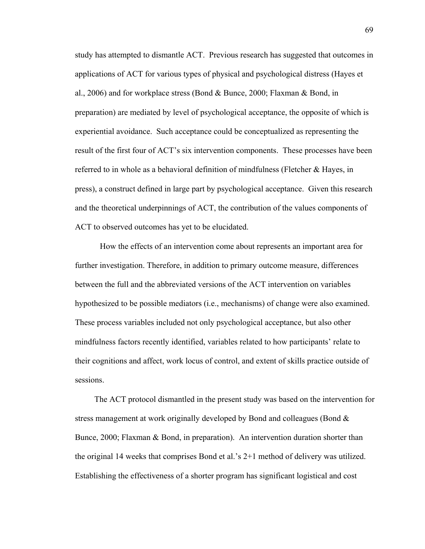study has attempted to dismantle ACT. Previous research has suggested that outcomes in applications of ACT for various types of physical and psychological distress (Hayes et al., 2006) and for workplace stress (Bond  $\&$  Bunce, 2000; Flaxman  $\&$  Bond, in preparation) are mediated by level of psychological acceptance, the opposite of which is experiential avoidance. Such acceptance could be conceptualized as representing the result of the first four of ACT's six intervention components. These processes have been referred to in whole as a behavioral definition of mindfulness (Fletcher & Hayes, in press), a construct defined in large part by psychological acceptance. Given this research and the theoretical underpinnings of ACT, the contribution of the values components of ACT to observed outcomes has yet to be elucidated.

 How the effects of an intervention come about represents an important area for further investigation. Therefore, in addition to primary outcome measure, differences between the full and the abbreviated versions of the ACT intervention on variables hypothesized to be possible mediators (i.e., mechanisms) of change were also examined. These process variables included not only psychological acceptance, but also other mindfulness factors recently identified, variables related to how participants' relate to their cognitions and affect, work locus of control, and extent of skills practice outside of sessions.

 The ACT protocol dismantled in the present study was based on the intervention for stress management at work originally developed by Bond and colleagues (Bond & Bunce, 2000; Flaxman & Bond, in preparation). An intervention duration shorter than the original 14 weeks that comprises Bond et al.'s 2+1 method of delivery was utilized. Establishing the effectiveness of a shorter program has significant logistical and cost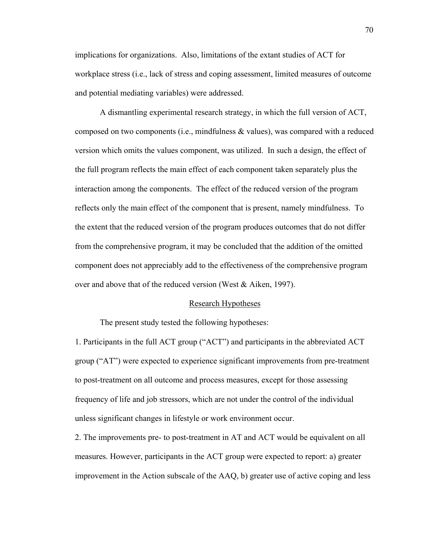implications for organizations. Also, limitations of the extant studies of ACT for workplace stress (i.e., lack of stress and coping assessment, limited measures of outcome and potential mediating variables) were addressed.

A dismantling experimental research strategy, in which the full version of ACT, composed on two components (i.e., mindfulness  $\&$  values), was compared with a reduced version which omits the values component, was utilized. In such a design, the effect of the full program reflects the main effect of each component taken separately plus the interaction among the components. The effect of the reduced version of the program reflects only the main effect of the component that is present, namely mindfulness. To the extent that the reduced version of the program produces outcomes that do not differ from the comprehensive program, it may be concluded that the addition of the omitted component does not appreciably add to the effectiveness of the comprehensive program over and above that of the reduced version (West & Aiken, 1997).

#### Research Hypotheses

The present study tested the following hypotheses:

1. Participants in the full ACT group ("ACT") and participants in the abbreviated ACT group ("AT") were expected to experience significant improvements from pre-treatment to post-treatment on all outcome and process measures, except for those assessing frequency of life and job stressors, which are not under the control of the individual unless significant changes in lifestyle or work environment occur.

2. The improvements pre- to post-treatment in AT and ACT would be equivalent on all measures. However, participants in the ACT group were expected to report: a) greater improvement in the Action subscale of the AAQ, b) greater use of active coping and less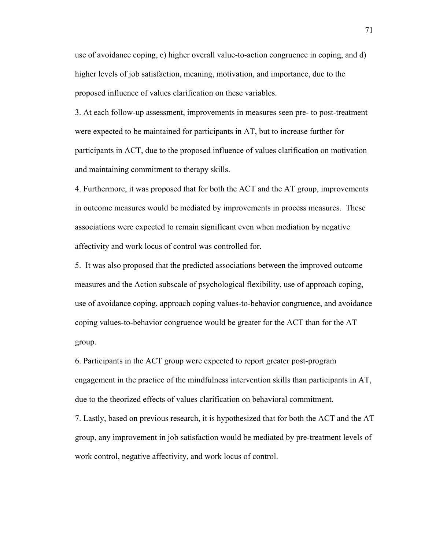use of avoidance coping, c) higher overall value-to-action congruence in coping, and d) higher levels of job satisfaction, meaning, motivation, and importance, due to the proposed influence of values clarification on these variables.

3. At each follow-up assessment, improvements in measures seen pre- to post-treatment were expected to be maintained for participants in AT, but to increase further for participants in ACT, due to the proposed influence of values clarification on motivation and maintaining commitment to therapy skills.

4. Furthermore, it was proposed that for both the ACT and the AT group, improvements in outcome measures would be mediated by improvements in process measures. These associations were expected to remain significant even when mediation by negative affectivity and work locus of control was controlled for.

5. It was also proposed that the predicted associations between the improved outcome measures and the Action subscale of psychological flexibility, use of approach coping, use of avoidance coping, approach coping values-to-behavior congruence, and avoidance coping values-to-behavior congruence would be greater for the ACT than for the AT group.

6. Participants in the ACT group were expected to report greater post-program engagement in the practice of the mindfulness intervention skills than participants in AT, due to the theorized effects of values clarification on behavioral commitment.

7. Lastly, based on previous research, it is hypothesized that for both the ACT and the AT group, any improvement in job satisfaction would be mediated by pre-treatment levels of work control, negative affectivity, and work locus of control.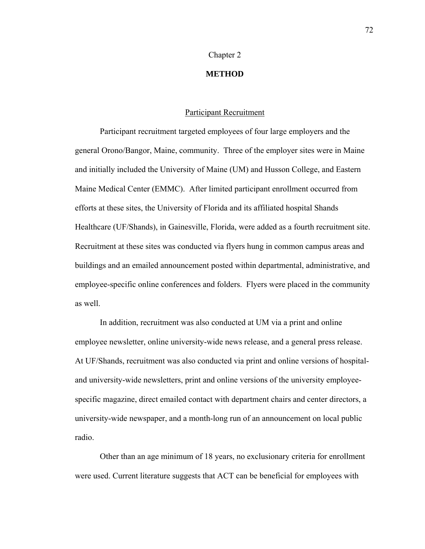#### Chapter 2

# **METHOD**

## Participant Recruitment

 Participant recruitment targeted employees of four large employers and the general Orono/Bangor, Maine, community. Three of the employer sites were in Maine and initially included the University of Maine (UM) and Husson College, and Eastern Maine Medical Center (EMMC). After limited participant enrollment occurred from efforts at these sites, the University of Florida and its affiliated hospital Shands Healthcare (UF/Shands), in Gainesville, Florida, were added as a fourth recruitment site. Recruitment at these sites was conducted via flyers hung in common campus areas and buildings and an emailed announcement posted within departmental, administrative, and employee-specific online conferences and folders. Flyers were placed in the community as well.

In addition, recruitment was also conducted at UM via a print and online employee newsletter, online university-wide news release, and a general press release. At UF/Shands, recruitment was also conducted via print and online versions of hospitaland university-wide newsletters, print and online versions of the university employeespecific magazine, direct emailed contact with department chairs and center directors, a university-wide newspaper, and a month-long run of an announcement on local public radio.

 Other than an age minimum of 18 years, no exclusionary criteria for enrollment were used. Current literature suggests that ACT can be beneficial for employees with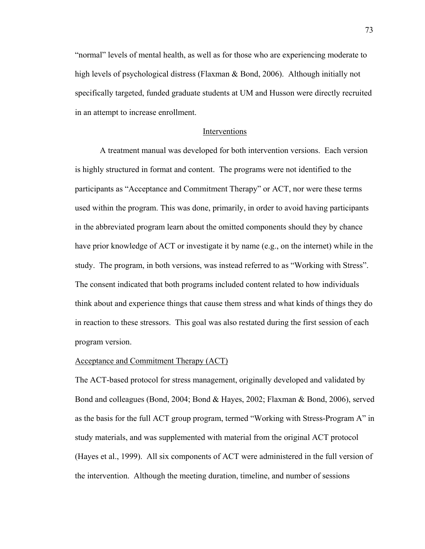"normal" levels of mental health, as well as for those who are experiencing moderate to high levels of psychological distress (Flaxman & Bond, 2006). Although initially not specifically targeted, funded graduate students at UM and Husson were directly recruited in an attempt to increase enrollment.

### Interventions

A treatment manual was developed for both intervention versions. Each version is highly structured in format and content. The programs were not identified to the participants as "Acceptance and Commitment Therapy" or ACT, nor were these terms used within the program. This was done, primarily, in order to avoid having participants in the abbreviated program learn about the omitted components should they by chance have prior knowledge of ACT or investigate it by name (e.g., on the internet) while in the study. The program, in both versions, was instead referred to as "Working with Stress". The consent indicated that both programs included content related to how individuals think about and experience things that cause them stress and what kinds of things they do in reaction to these stressors. This goal was also restated during the first session of each program version.

#### Acceptance and Commitment Therapy (ACT)

The ACT-based protocol for stress management, originally developed and validated by Bond and colleagues (Bond, 2004; Bond & Hayes, 2002; Flaxman & Bond, 2006), served as the basis for the full ACT group program, termed "Working with Stress-Program A" in study materials, and was supplemented with material from the original ACT protocol (Hayes et al., 1999). All six components of ACT were administered in the full version of the intervention. Although the meeting duration, timeline, and number of sessions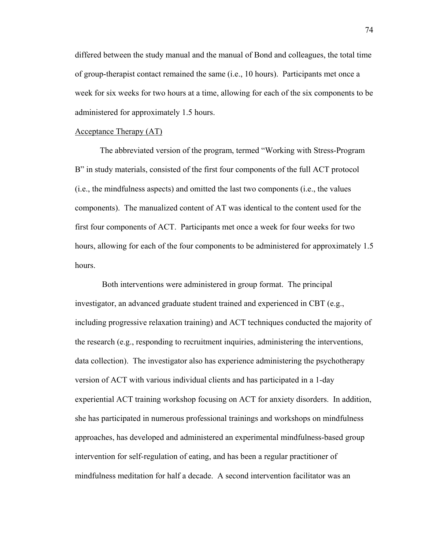differed between the study manual and the manual of Bond and colleagues, the total time of group-therapist contact remained the same (i.e., 10 hours). Participants met once a week for six weeks for two hours at a time, allowing for each of the six components to be administered for approximately 1.5 hours.

# Acceptance Therapy (AT)

 The abbreviated version of the program, termed "Working with Stress-Program B" in study materials, consisted of the first four components of the full ACT protocol (i.e., the mindfulness aspects) and omitted the last two components (i.e., the values components). The manualized content of AT was identical to the content used for the first four components of ACT. Participants met once a week for four weeks for two hours, allowing for each of the four components to be administered for approximately 1.5 hours.

 Both interventions were administered in group format. The principal investigator, an advanced graduate student trained and experienced in CBT (e.g., including progressive relaxation training) and ACT techniques conducted the majority of the research (e.g., responding to recruitment inquiries, administering the interventions, data collection). The investigator also has experience administering the psychotherapy version of ACT with various individual clients and has participated in a 1-day experiential ACT training workshop focusing on ACT for anxiety disorders. In addition, she has participated in numerous professional trainings and workshops on mindfulness approaches, has developed and administered an experimental mindfulness-based group intervention for self-regulation of eating, and has been a regular practitioner of mindfulness meditation for half a decade. A second intervention facilitator was an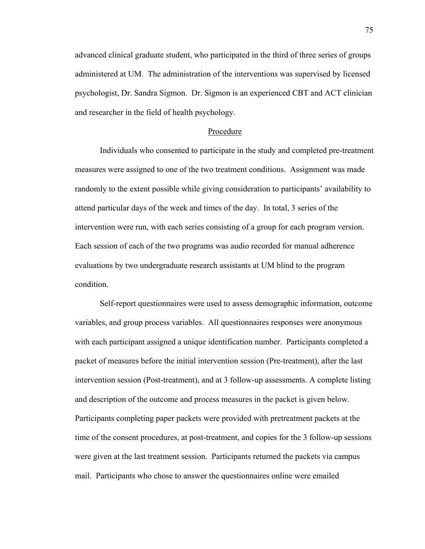advanced clinical graduate student, who participated in the third of three series of groups administered at UM. The administration of the interventions was supervised by licensed psychologist, Dr. Sandra Sigmon. Dr. Sigmon is an experienced CBT and ACT clinician and researcher in the field of health psychology.

### Procedure

 Individuals who consented to participate in the study and completed pre-treatment measures were assigned to one of the two treatment conditions. Assignment was made randomly to the extent possible while giving consideration to participants' availability to attend particular days of the week and times of the day. In total, 3 series of the intervention were run, with each series consisting of a group for each program version. Each session of each of the two programs was audio recorded for manual adherence evaluations by two undergraduate research assistants at UM blind to the program condition.

 Self-report questionnaires were used to assess demographic information, outcome variables, and group process variables. All questionnaires responses were anonymous with each participant assigned a unique identification number. Participants completed a packet of measures before the initial intervention session (Pre-treatment), after the last intervention session (Post-treatment), and at 3 follow-up assessments. A complete listing and description of the outcome and process measures in the packet is given below. Participants completing paper packets were provided with pretreatment packets at the time of the consent procedures, at post-treatment, and copies for the 3 follow-up sessions were given at the last treatment session. Participants returned the packets via campus mail. Participants who chose to answer the questionnaires online were emailed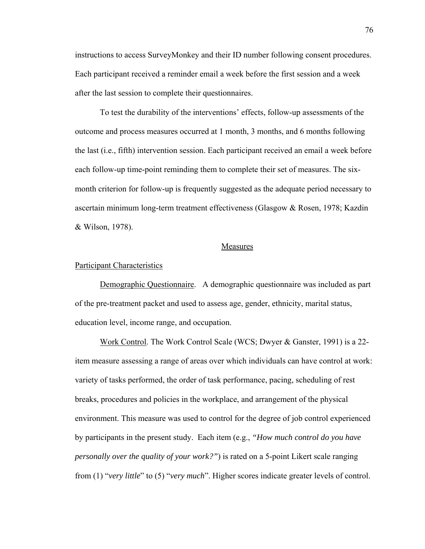instructions to access SurveyMonkey and their ID number following consent procedures. Each participant received a reminder email a week before the first session and a week after the last session to complete their questionnaires.

 To test the durability of the interventions' effects, follow-up assessments of the outcome and process measures occurred at 1 month, 3 months, and 6 months following the last (i.e., fifth) intervention session. Each participant received an email a week before each follow-up time-point reminding them to complete their set of measures. The sixmonth criterion for follow-up is frequently suggested as the adequate period necessary to ascertain minimum long-term treatment effectiveness (Glasgow & Rosen, 1978; Kazdin & Wilson, 1978).

### Measures

#### Participant Characteristics

 Demographic Questionnaire. A demographic questionnaire was included as part of the pre-treatment packet and used to assess age, gender, ethnicity, marital status, education level, income range, and occupation.

Work Control. The Work Control Scale (WCS; Dwyer & Ganster, 1991) is a 22 item measure assessing a range of areas over which individuals can have control at work: variety of tasks performed, the order of task performance, pacing, scheduling of rest breaks, procedures and policies in the workplace, and arrangement of the physical environment. This measure was used to control for the degree of job control experienced by participants in the present study. Each item (e.g., *"How much control do you have personally over the quality of your work?"*) is rated on a 5-point Likert scale ranging from (1) "*very little*" to (5) "*very much*". Higher scores indicate greater levels of control.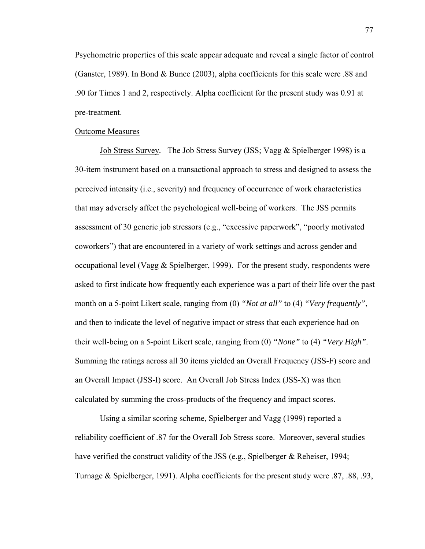Psychometric properties of this scale appear adequate and reveal a single factor of control (Ganster, 1989). In Bond & Bunce (2003), alpha coefficients for this scale were .88 and .90 for Times 1 and 2, respectively. Alpha coefficient for the present study was 0.91 at pre-treatment.

# Outcome Measures

Job Stress Survey*.* The Job Stress Survey (JSS; Vagg & Spielberger 1998) is a 30-item instrument based on a transactional approach to stress and designed to assess the perceived intensity (i.e., severity) and frequency of occurrence of work characteristics that may adversely affect the psychological well-being of workers. The JSS permits assessment of 30 generic job stressors (e.g., "excessive paperwork", "poorly motivated coworkers") that are encountered in a variety of work settings and across gender and occupational level (Vagg  $\&$  Spielberger, 1999). For the present study, respondents were asked to first indicate how frequently each experience was a part of their life over the past month on a 5-point Likert scale, ranging from (0) *"Not at all"* to (4) *"Very frequently"*, and then to indicate the level of negative impact or stress that each experience had on their well-being on a 5-point Likert scale, ranging from (0) *"None"* to (4) *"Very High"*. Summing the ratings across all 30 items yielded an Overall Frequency (JSS-F) score and an Overall Impact (JSS-I) score. An Overall Job Stress Index (JSS-X) was then calculated by summing the cross-products of the frequency and impact scores.

Using a similar scoring scheme, Spielberger and Vagg (1999) reported a reliability coefficient of .87 for the Overall Job Stress score. Moreover, several studies have verified the construct validity of the JSS (e.g., Spielberger & Reheiser, 1994; Turnage & Spielberger, 1991). Alpha coefficients for the present study were .87, .88, .93,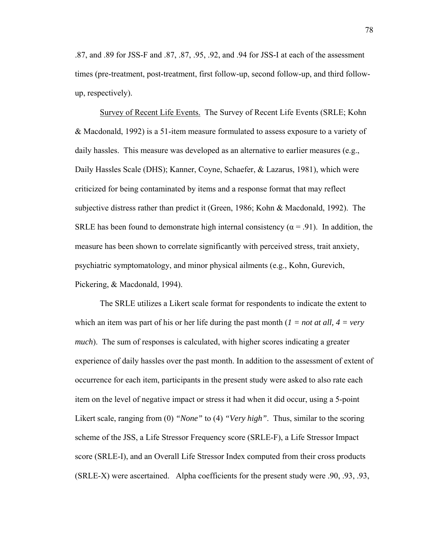.87, and .89 for JSS-F and .87, .87, .95, .92, and .94 for JSS-I at each of the assessment times (pre-treatment, post-treatment, first follow-up, second follow-up, and third followup, respectively).

Survey of Recent Life Events. The Survey of Recent Life Events (SRLE; Kohn & Macdonald, 1992) is a 51-item measure formulated to assess exposure to a variety of daily hassles. This measure was developed as an alternative to earlier measures (e.g., Daily Hassles Scale (DHS); Kanner, Coyne, Schaefer, & Lazarus, 1981), which were criticized for being contaminated by items and a response format that may reflect subjective distress rather than predict it (Green, 1986; Kohn & Macdonald, 1992). The SRLE has been found to demonstrate high internal consistency ( $\alpha$  = .91). In addition, the measure has been shown to correlate significantly with perceived stress, trait anxiety, psychiatric symptomatology, and minor physical ailments (e.g., Kohn, Gurevich, Pickering, & Macdonald, 1994).

The SRLE utilizes a Likert scale format for respondents to indicate the extent to which an item was part of his or her life during the past month  $(I = not at all, 4 = very)$ *much*). The sum of responses is calculated, with higher scores indicating a greater experience of daily hassles over the past month. In addition to the assessment of extent of occurrence for each item, participants in the present study were asked to also rate each item on the level of negative impact or stress it had when it did occur, using a 5-point Likert scale, ranging from (0) *"None"* to (4) *"Very high"*. Thus, similar to the scoring scheme of the JSS, a Life Stressor Frequency score (SRLE-F), a Life Stressor Impact score (SRLE-I), and an Overall Life Stressor Index computed from their cross products (SRLE-X) were ascertained. Alpha coefficients for the present study were .90, .93, .93,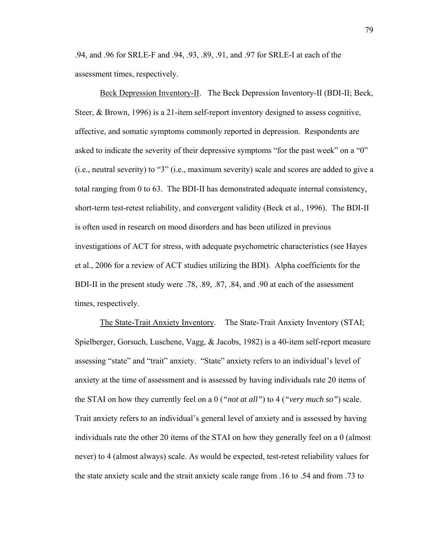.94, and .96 for SRLE-F and .94, .93, .89, .91, and .97 for SRLE-I at each of the assessment times, respectively.

Beck Depression Inventory-II. The Beck Depression Inventory-II (BDI-II; Beck, Steer, & Brown, 1996) is a 21-item self-report inventory designed to assess cognitive, affective, and somatic symptoms commonly reported in depression. Respondents are asked to indicate the severity of their depressive symptoms "for the past week" on a "0" (i.e., neutral severity) to "3" (i.e., maximum severity) scale and scores are added to give a total ranging from 0 to 63. The BDI-II has demonstrated adequate internal consistency, short-term test-retest reliability, and convergent validity (Beck et al., 1996). The BDI-II is often used in research on mood disorders and has been utilized in previous investigations of ACT for stress, with adequate psychometric characteristics (see Hayes et al., 2006 for a review of ACT studies utilizing the BDI). Alpha coefficients for the BDI-II in the present study were .78, .89, .87, .84, and .90 at each of the assessment times, respectively.

 The State-Trait Anxiety Inventory. The State-Trait Anxiety Inventory (STAI; Spielberger, Gorsuch, Luschene, Vagg, & Jacobs, 1982) is a 40-item self-report measure assessing "state" and "trait" anxiety. "State" anxiety refers to an individual's level of anxiety at the time of assessment and is assessed by having individuals rate 20 items of the STAI on how they currently feel on a 0 (*"not at all"*) to 4 (*"very much so"*) scale. Trait anxiety refers to an individual's general level of anxiety and is assessed by having individuals rate the other 20 items of the STAI on how they generally feel on a 0 (almost never) to 4 (almost always) scale. As would be expected, test-retest reliability values for the state anxiety scale and the strait anxiety scale range from .16 to .54 and from .73 to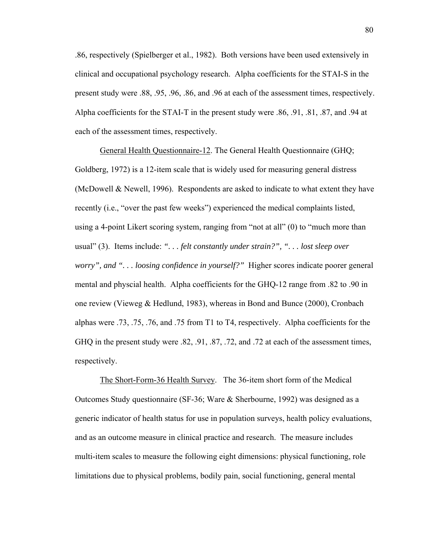.86, respectively (Spielberger et al., 1982). Both versions have been used extensively in clinical and occupational psychology research. Alpha coefficients for the STAI-S in the present study were .88, .95, .96, .86, and .96 at each of the assessment times, respectively. Alpha coefficients for the STAI-T in the present study were .86, .91, .81, .87, and .94 at each of the assessment times, respectively.

 General Health Questionnaire-12. The General Health Questionnaire (GHQ; Goldberg, 1972) is a 12-item scale that is widely used for measuring general distress (McDowell & Newell, 1996). Respondents are asked to indicate to what extent they have recently (i.e., "over the past few weeks") experienced the medical complaints listed, using a 4-point Likert scoring system, ranging from "not at all" (0) to "much more than usual" (3). Items include: *". . . felt constantly under strain?", ". . . lost sleep over worry", and ". . . loosing confidence in yourself?"* Higher scores indicate poorer general mental and physcial health. Alpha coefficients for the GHQ-12 range from .82 to .90 in one review (Vieweg & Hedlund, 1983), whereas in Bond and Bunce (2000), Cronbach alphas were .73, .75, .76, and .75 from T1 to T4, respectively. Alpha coefficients for the GHQ in the present study were .82, .91, .87, .72, and .72 at each of the assessment times, respectively.

The Short-Form-36 Health Survey. The 36-item short form of the Medical Outcomes Study questionnaire (SF-36; Ware & Sherbourne, 1992) was designed as a generic indicator of health status for use in population surveys, health policy evaluations, and as an outcome measure in clinical practice and research. The measure includes multi-item scales to measure the following eight dimensions: physical functioning, role limitations due to physical problems, bodily pain, social functioning, general mental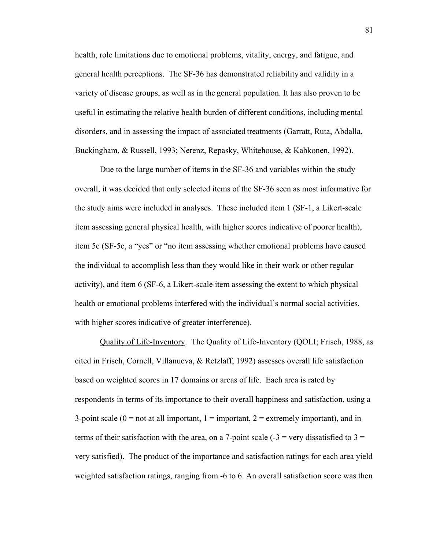health, role limitations due to emotional problems, vitality, energy, and fatigue, and general health perceptions. The SF-36 has demonstrated reliability and validity in a variety of disease groups, as well as in the general population. It has also proven to be useful in estimating the relative health burden of different conditions, including mental disorders, and in assessing the impact of associated treatments ([Garratt,](http://psychservices.psychiatryonline.org/cgi/content/full/51/3/341#R51311222#R51311222) Ruta, Abdalla, Buckingham, & Russell, 1993; Nerenz, Repasky, Whitehouse, & Kahkonen, 1992).

Due to the large number of items in the SF-36 and variables within the study overall, it was decided that only selected items of the SF-36 seen as most informative for the study aims were included in analyses. These included item 1 (SF-1, a Likert-scale item assessing general physical health, with higher scores indicative of poorer health), item 5c (SF-5c, a "yes" or "no item assessing whether emotional problems have caused the individual to accomplish less than they would like in their work or other regular activity), and item 6 (SF-6, a Likert-scale item assessing the extent to which physical health or emotional problems interfered with the individual's normal social activities, with higher scores indicative of greater interference).

 Quality of Life-Inventory. The Quality of Life-Inventory (QOLI; Frisch, 1988, as cited in Frisch, Cornell, Villanueva, & Retzlaff, 1992) assesses overall life satisfaction based on weighted scores in 17 domains or areas of life. Each area is rated by respondents in terms of its importance to their overall happiness and satisfaction, using a 3-point scale ( $0 =$  not at all important,  $1 =$  important,  $2 =$  extremely important), and in terms of their satisfaction with the area, on a 7-point scale  $(-3 = \text{very dissatisfied to } 3 =$ very satisfied). The product of the importance and satisfaction ratings for each area yield weighted satisfaction ratings, ranging from -6 to 6. An overall satisfaction score was then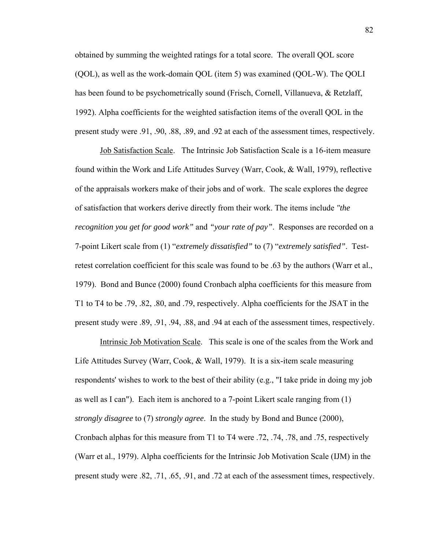obtained by summing the weighted ratings for a total score. The overall QOL score (QOL), as well as the work-domain QOL (item 5) was examined (QOL-W). The QOLI has been found to be psychometrically sound (Frisch, Cornell, Villanueva, & Retzlaff, 1992). Alpha coefficients for the weighted satisfaction items of the overall QOL in the present study were .91, .90, .88, .89, and .92 at each of the assessment times, respectively.

Job Satisfaction Scale. The Intrinsic Job Satisfaction Scale is a 16-item measure found within the Work and Life Attitudes Survey (Warr, Cook, & Wall, 1979), reflective of the appraisals workers make of their jobs and of work. The scale explores the degree of satisfaction that workers derive directly from their work. The items include *"the recognition you get for good work"* and *"your rate of pay"*. Responses are recorded on a 7-point Likert scale from (1) "*extremely dissatisfied"* to (7) "*extremely satisfied"*. Testretest correlation coefficient for this scale was found to be .63 by the authors (Warr et al., 1979). Bond and Bunce (2000) found Cronbach alpha coefficients for this measure from T1 to T4 to be .79, .82, .80, and .79, respectively. Alpha coefficients for the JSAT in the present study were .89, .91, .94, .88, and .94 at each of the assessment times, respectively.

Intrinsic Job Motivation Scale. This scale is one of the scales from the Work and Life Attitudes Survey (Warr, Cook, & Wall, 1979). It is a six-item scale measuring respondents' wishes to work to the best of their ability (e.g., "I take pride in doing my job as well as I can"). Each item is anchored to a 7-point Likert scale ranging from (1) *strongly disagree* to (7) *strongly agree*. In the study by Bond and Bunce (2000), Cronbach alphas for this measure from T1 to T4 were .72, .74, .78, and .75, respectively (Warr et al., 1979). Alpha coefficients for the Intrinsic Job Motivation Scale (IJM) in the present study were .82, .71, .65, .91, and .72 at each of the assessment times, respectively.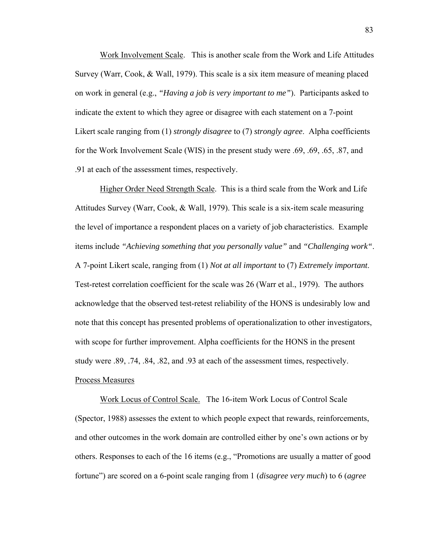Work Involvement Scale. This is another scale from the Work and Life Attitudes Survey (Warr, Cook, & Wall, 1979). This scale is a six item measure of meaning placed on work in general (e.g., *"Having a job is very important to me"*). Participants asked to indicate the extent to which they agree or disagree with each statement on a 7-point Likert scale ranging from (1) *strongly disagree* to (7) *strongly agree*. Alpha coefficients for the Work Involvement Scale (WIS) in the present study were .69, .69, .65, .87, and .91 at each of the assessment times, respectively.

Higher Order Need Strength Scale. This is a third scale from the Work and Life Attitudes Survey (Warr, Cook, & Wall, 1979). This scale is a six-item scale measuring the level of importance a respondent places on a variety of job characteristics. Example items include *"Achieving something that you personally value"* and *"Challenging work"*. A 7-point Likert scale, ranging from (1) *Not at all important* to (7) *Extremely important*. Test-retest correlation coefficient for the scale was 26 (Warr et al., 1979). The authors acknowledge that the observed test-retest reliability of the HONS is undesirably low and note that this concept has presented problems of operationalization to other investigators, with scope for further improvement. Alpha coefficients for the HONS in the present study were .89, .74, .84, .82, and .93 at each of the assessment times, respectively. Process Measures

Work Locus of Control Scale. The 16-item Work Locus of Control Scale (Spector, 1988) assesses the extent to which people expect that rewards, reinforcements, and other outcomes in the work domain are controlled either by one's own actions or by others. Responses to each of the 16 items (e.g., "Promotions are usually a matter of good fortune") are scored on a 6-point scale ranging from 1 (*disagree very much*) to 6 (*agree*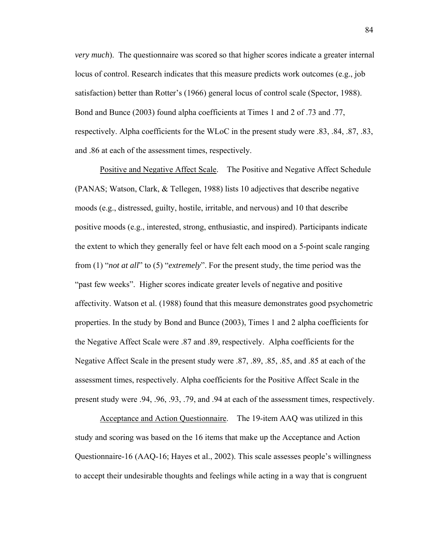*very much*). The questionnaire was scored so that higher scores indicate a greater internal locus of control. Research indicates that this measure predicts work outcomes (e.g., job satisfaction) better than Rotter's (1966) general locus of control scale (Spector, 1988). Bond and Bunce (2003) found alpha coefficients at Times 1 and 2 of .73 and .77, respectively. Alpha coefficients for the WLoC in the present study were .83, .84, .87, .83, and .86 at each of the assessment times, respectively.

Positive and Negative Affect Scale. The Positive and Negative Affect Schedule (PANAS; Watson, Clark, & Tellegen, 1988) lists 10 adjectives that describe negative moods (e.g., distressed, guilty, hostile, irritable, and nervous) and 10 that describe positive moods (e.g., interested, strong, enthusiastic, and inspired). Participants indicate the extent to which they generally feel or have felt each mood on a 5-point scale ranging from (1) "*not at all*" to (5) "*extremely*". For the present study, the time period was the "past few weeks". Higher scores indicate greater levels of negative and positive affectivity. Watson et al. (1988) found that this measure demonstrates good psychometric properties. In the study by Bond and Bunce (2003), Times 1 and 2 alpha coefficients for the Negative Affect Scale were .87 and .89, respectively. Alpha coefficients for the Negative Affect Scale in the present study were .87, .89, .85, .85, and .85 at each of the assessment times, respectively. Alpha coefficients for the Positive Affect Scale in the present study were .94, .96, .93, .79, and .94 at each of the assessment times, respectively.

Acceptance and Action Questionnaire. The 19-item AAQ was utilized in this study and scoring was based on the 16 items that make up the Acceptance and Action Questionnaire-16 (AAQ-16; Hayes et al., 2002). This scale assesses people's willingness to accept their undesirable thoughts and feelings while acting in a way that is congruent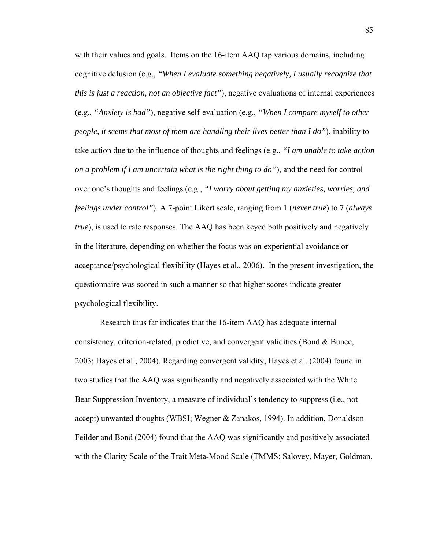with their values and goals. Items on the 16-item AAQ tap various domains, including cognitive defusion (e.g., *"When I evaluate something negatively, I usually recognize that this is just a reaction, not an objective fact"*), negative evaluations of internal experiences (e.g., *"Anxiety is bad"*), negative self-evaluation (e.g., *"When I compare myself to other people, it seems that most of them are handling their lives better than I do"*), inability to take action due to the influence of thoughts and feelings (e.g., *"I am unable to take action on a problem if I am uncertain what is the right thing to do"*), and the need for control over one's thoughts and feelings (e.g., *"I worry about getting my anxieties, worries, and feelings under control"*). A 7-point Likert scale, ranging from 1 (*never true*) to 7 (*always true*), is used to rate responses. The AAQ has been keyed both positively and negatively in the literature, depending on whether the focus was on experiential avoidance or acceptance/psychological flexibility (Hayes et al., 2006). In the present investigation, the questionnaire was scored in such a manner so that higher scores indicate greater psychological flexibility.

 Research thus far indicates that the 16-item AAQ has adequate internal consistency, criterion-related, predictive, and convergent validities (Bond  $\&$  Bunce, 2003; Hayes et al., 2004). Regarding convergent validity, Hayes et al. (2004) found in two studies that the AAQ was significantly and negatively associated with the White Bear Suppression Inventory, a measure of individual's tendency to suppress (i.e., not accept) unwanted thoughts (WBSI; Wegner & Zanakos, 1994). In addition, Donaldson-Feilder and Bond (2004) found that the AAQ was significantly and positively associated with the Clarity Scale of the Trait Meta-Mood Scale (TMMS; Salovey, Mayer, Goldman,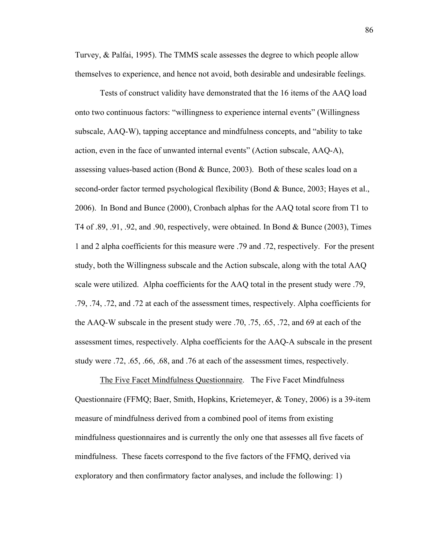Turvey, & Palfai, 1995). The TMMS scale assesses the degree to which people allow themselves to experience, and hence not avoid, both desirable and undesirable feelings.

 Tests of construct validity have demonstrated that the 16 items of the AAQ load onto two continuous factors: "willingness to experience internal events" (Willingness subscale, AAQ-W), tapping acceptance and mindfulness concepts, and "ability to take action, even in the face of unwanted internal events" (Action subscale, AAQ-A), assessing values-based action (Bond & Bunce, 2003). Both of these scales load on a second-order factor termed psychological flexibility (Bond & Bunce, 2003; Hayes et al., 2006). In Bond and Bunce (2000), Cronbach alphas for the AAQ total score from T1 to T4 of .89, .91, .92, and .90, respectively, were obtained. In Bond & Bunce (2003), Times 1 and 2 alpha coefficients for this measure were .79 and .72, respectively. For the present study, both the Willingness subscale and the Action subscale, along with the total AAQ scale were utilized. Alpha coefficients for the AAQ total in the present study were .79, .79, .74, .72, and .72 at each of the assessment times, respectively. Alpha coefficients for the AAQ-W subscale in the present study were .70, .75, .65, .72, and 69 at each of the assessment times, respectively. Alpha coefficients for the AAQ-A subscale in the present study were .72, .65, .66, .68, and .76 at each of the assessment times, respectively.

The Five Facet Mindfulness Questionnaire. The Five Facet Mindfulness Questionnaire (FFMQ; Baer, Smith, Hopkins, Krietemeyer, & Toney, 2006) is a 39-item measure of mindfulness derived from a combined pool of items from existing mindfulness questionnaires and is currently the only one that assesses all five facets of mindfulness. These facets correspond to the five factors of the FFMQ, derived via exploratory and then confirmatory factor analyses, and include the following: 1)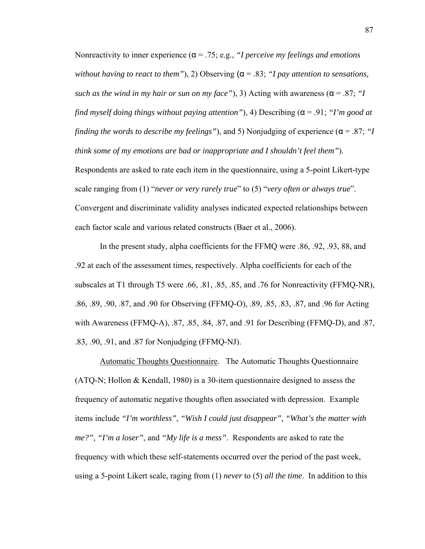Nonreactivity to inner experience (α = .75; e.g., *"I perceive my feelings and emotions without having to react to them"*), 2) Observing (α = .83; *"I pay attention to sensations, such as the wind in my hair or sun on my face"*), 3) Acting with awareness ( $\alpha$  = .87; *"I find myself doing things without paying attention"*), 4) Describing (α = .91; *"I'm good at finding the words to describe my feelings"*), and 5) Nonjudging of experience (α = .87; *"I think some of my emotions are bad or inappropriate and I shouldn't feel them"*). Respondents are asked to rate each item in the questionnaire, using a 5-point Likert-type scale ranging from (1) "*never or very rarely true*" to (5) "*very often or always true*". Convergent and discriminate validity analyses indicated expected relationships between each factor scale and various related constructs (Baer et al., 2006).

In the present study, alpha coefficients for the FFMQ were .86, .92, .93, 88, and .92 at each of the assessment times, respectively. Alpha coefficients for each of the subscales at T1 through T5 were .66, .81, .85, .85, and .76 for Nonreactivity (FFMQ-NR), .86, .89, .90, .87, and .90 for Observing (FFMQ-O), .89, .85, .83, .87, and .96 for Acting with Awareness (FFMQ-A), .87, .85, .84, .87, and .91 for Describing (FFMQ-D), and .87, .83, .90, .91, and .87 for Nonjudging (FFMQ-NJ).

Automatic Thoughts Questionnaire. The Automatic Thoughts Questionnaire (ATQ-N; Hollon & Kendall, 1980) is a 30-item questionnaire designed to assess the frequency of automatic negative thoughts often associated with depression. Example items include *"I'm worthless"*, *"Wish I could just disappear"*, *"What's the matter with me?"*, *"I'm a loser"*, and *"My life is a mess"*. Respondents are asked to rate the frequency with which these self-statements occurred over the period of the past week, using a 5-point Likert scale, raging from (1) *never* to (5) *all the time*. In addition to this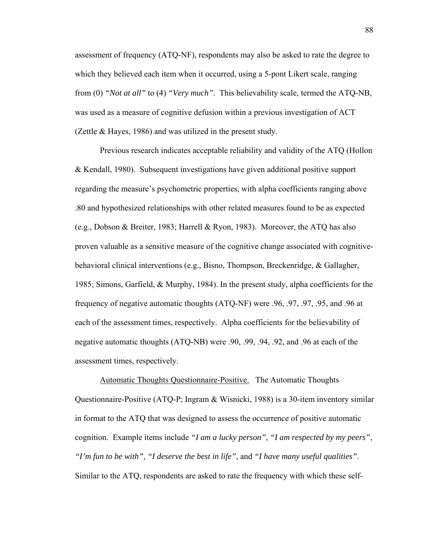assessment of frequency (ATQ-NF), respondents may also be asked to rate the degree to which they believed each item when it occurred, using a 5-pont Likert scale, ranging from (0) *"Not at all"* to (4) *"Very much"*. This believability scale, termed the ATQ-NB, was used as a measure of cognitive defusion within a previous investigation of ACT (Zettle & Hayes, 1986) and was utilized in the present study.

 Previous research indicates acceptable reliability and validity of the ATQ (Hollon & Kendall, 1980). Subsequent investigations have given additional positive support regarding the measure's psychometric properties, with alpha coefficients ranging above .80 and hypothesized relationships with other related measures found to be as expected (e.g., Dobson & Breiter, 1983; Harrell & Ryon, 1983). Moreover, the ATQ has also proven valuable as a sensitive measure of the cognitive change associated with cognitivebehavioral clinical interventions (e.g., Bisno, Thompson, Breckenridge, & Gallagher, 1985; Simons, Garfield, & Murphy, 1984). In the present study, alpha coefficients for the frequency of negative automatic thoughts (ATQ-NF) were .96, .97, .97, .95, and .96 at each of the assessment times, respectively. Alpha coefficients for the believability of negative automatic thoughts (ATQ-NB) were .90, .99, .94, .92, and .96 at each of the assessment times, respectively.

 Automatic Thoughts Questionnaire-Positive. The Automatic Thoughts Questionnaire-Positive (ATQ-P; Ingram & Wisnicki, 1988) is a 30-item inventory similar in format to the ATQ that was designed to assess the occurrence of positive automatic cognition. Example items include *"I am a lucky person"*, *"I am respected by my peers"*, *"I'm fun to be with"*, *"I deserve the best in life"*, and *"I have many useful qualities"*. Similar to the ATQ, respondents are asked to rate the frequency with which these self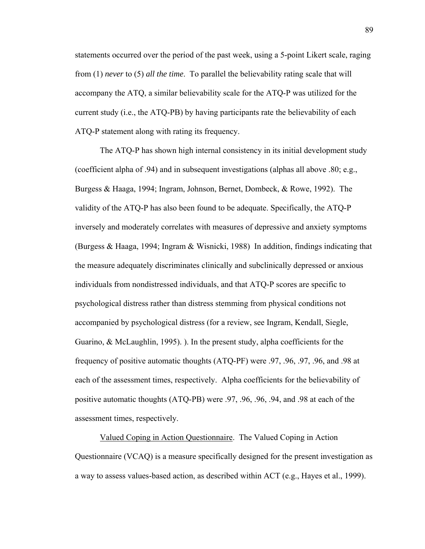statements occurred over the period of the past week, using a 5-point Likert scale, raging from (1) *never* to (5) *all the time*. To parallel the believability rating scale that will accompany the ATQ, a similar believability scale for the ATQ-P was utilized for the current study (i.e., the ATQ-PB) by having participants rate the believability of each ATQ-P statement along with rating its frequency.

The ATQ-P has shown high internal consistency in its initial development study (coefficient alpha of .94) and in subsequent investigations (alphas all above .80; e.g., Burgess & Haaga, 1994; Ingram, Johnson, Bernet, Dombeck, & Rowe, 1992). The validity of the ATQ-P has also been found to be adequate. Specifically, the ATQ-P inversely and moderately correlates with measures of depressive and anxiety symptoms (Burgess & Haaga, 1994; Ingram & Wisnicki, 1988) In addition, findings indicating that the measure adequately discriminates clinically and subclinically depressed or anxious individuals from nondistressed individuals, and that ATQ-P scores are specific to psychological distress rather than distress stemming from physical conditions not accompanied by psychological distress (for a review, see Ingram, Kendall, Siegle, Guarino, & McLaughlin, 1995). ). In the present study, alpha coefficients for the frequency of positive automatic thoughts (ATQ-PF) were .97, .96, .97, .96, and .98 at each of the assessment times, respectively. Alpha coefficients for the believability of positive automatic thoughts (ATQ-PB) were .97, .96, .96, .94, and .98 at each of the assessment times, respectively.

Valued Coping in Action Questionnaire. The Valued Coping in Action Questionnaire (VCAQ) is a measure specifically designed for the present investigation as a way to assess values-based action, as described within ACT (e.g., Hayes et al., 1999).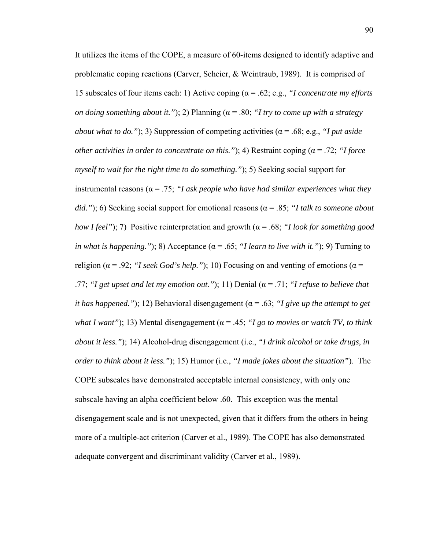It utilizes the items of the COPE, a measure of 60-items designed to identify adaptive and problematic coping reactions (Carver, Scheier, & Weintraub, 1989). It is comprised of 15 subscales of four items each: 1) Active coping (α = .62; e.g., *"I concentrate my efforts on doing something about it.*"); 2) Planning ( $\alpha$  = .80; "I try to come up with a strategy *about what to do."*); 3) Suppression of competing activities ( $\alpha$  = .68; e.g., *"I put aside other activities in order to concentrate on this."*); 4) Restraint coping ( $\alpha$  = .72; "*I force myself to wait for the right time to do something."*); 5) Seeking social support for instrumental reasons ( $\alpha$  = .75; "I ask people who have had similar experiences what they *did."*); 6) Seeking social support for emotional reasons (α = .85; *"I talk to someone about how I feel"*); 7) Positive reinterpretation and growth (α = .68; *"I look for something good in what is happening.*"); 8) Acceptance ( $\alpha$  = .65; "*I learn to live with it.*"); 9) Turning to religion ( $\alpha$  = .92; *"I seek God's help."*); 10) Focusing on and venting of emotions ( $\alpha$  = .77; *"I get upset and let my emotion out."*); 11) Denial ( $\alpha$  = .71; *"I refuse to believe that it has happened."*); 12) Behavioral disengagement ( $\alpha$  = .63; "I give up the attempt to get *what I want"*); 13) Mental disengagement ( $\alpha$  = .45; "*I go to movies or watch TV, to think about it less."*); 14) Alcohol-drug disengagement (i.e., *"I drink alcohol or take drugs, in order to think about it less."*); 15) Humor (i.e., *"I made jokes about the situation"*). The COPE subscales have demonstrated acceptable internal consistency, with only one subscale having an alpha coefficient below .60. This exception was the mental disengagement scale and is not unexpected, given that it differs from the others in being more of a multiple-act criterion (Carver et al., 1989). The COPE has also demonstrated adequate convergent and discriminant validity (Carver et al., 1989).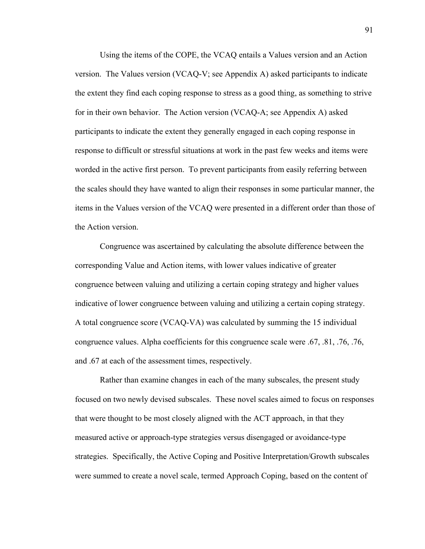Using the items of the COPE, the VCAQ entails a Values version and an Action version. The Values version (VCAQ-V; see Appendix A) asked participants to indicate the extent they find each coping response to stress as a good thing, as something to strive for in their own behavior. The Action version (VCAQ-A; see Appendix A) asked participants to indicate the extent they generally engaged in each coping response in response to difficult or stressful situations at work in the past few weeks and items were worded in the active first person. To prevent participants from easily referring between the scales should they have wanted to align their responses in some particular manner, the items in the Values version of the VCAQ were presented in a different order than those of the Action version.

Congruence was ascertained by calculating the absolute difference between the corresponding Value and Action items, with lower values indicative of greater congruence between valuing and utilizing a certain coping strategy and higher values indicative of lower congruence between valuing and utilizing a certain coping strategy. A total congruence score (VCAQ-VA) was calculated by summing the 15 individual congruence values. Alpha coefficients for this congruence scale were .67, .81, .76, .76, and .67 at each of the assessment times, respectively.

Rather than examine changes in each of the many subscales, the present study focused on two newly devised subscales. These novel scales aimed to focus on responses that were thought to be most closely aligned with the ACT approach, in that they measured active or approach-type strategies versus disengaged or avoidance-type strategies. Specifically, the Active Coping and Positive Interpretation/Growth subscales were summed to create a novel scale, termed Approach Coping, based on the content of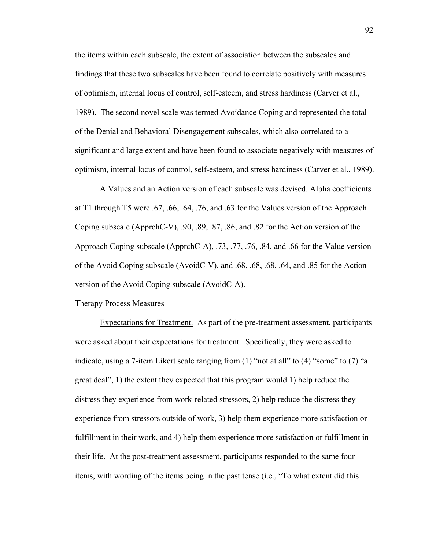the items within each subscale, the extent of association between the subscales and findings that these two subscales have been found to correlate positively with measures of optimism, internal locus of control, self-esteem, and stress hardiness (Carver et al., 1989). The second novel scale was termed Avoidance Coping and represented the total of the Denial and Behavioral Disengagement subscales, which also correlated to a significant and large extent and have been found to associate negatively with measures of optimism, internal locus of control, self-esteem, and stress hardiness (Carver et al., 1989).

 A Values and an Action version of each subscale was devised. Alpha coefficients at T1 through T5 were .67, .66, .64, .76, and .63 for the Values version of the Approach Coping subscale (ApprchC-V), .90, .89, .87, .86, and .82 for the Action version of the Approach Coping subscale (ApprchC-A), .73, .77, .76, .84, and .66 for the Value version of the Avoid Coping subscale (AvoidC-V), and .68, .68, .68, .64, and .85 for the Action version of the Avoid Coping subscale (AvoidC-A).

## Therapy Process Measures

Expectations for Treatment. As part of the pre-treatment assessment, participants were asked about their expectations for treatment. Specifically, they were asked to indicate, using a 7-item Likert scale ranging from (1) "not at all" to (4) "some" to (7) "a great deal", 1) the extent they expected that this program would 1) help reduce the distress they experience from work-related stressors, 2) help reduce the distress they experience from stressors outside of work, 3) help them experience more satisfaction or fulfillment in their work, and 4) help them experience more satisfaction or fulfillment in their life. At the post-treatment assessment, participants responded to the same four items, with wording of the items being in the past tense (i.e., "To what extent did this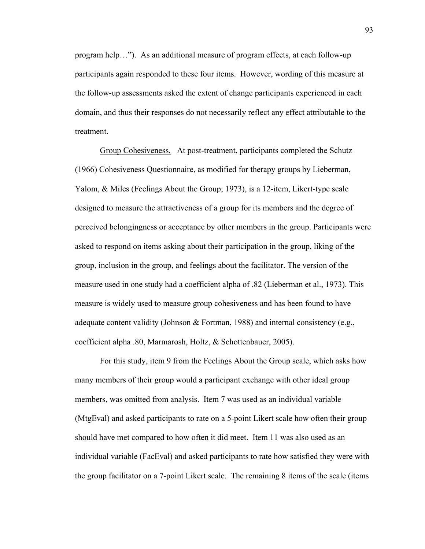program help…"). As an additional measure of program effects, at each follow-up participants again responded to these four items. However, wording of this measure at the follow-up assessments asked the extent of change participants experienced in each domain, and thus their responses do not necessarily reflect any effect attributable to the treatment.

Group Cohesiveness. At post-treatment, participants completed the Schutz (1966) Cohesiveness Questionnaire, as modified for therapy groups by Lieberman, Yalom, & Miles (Feelings About the Group; 1973), is a 12-item, Likert-type scale designed to measure the attractiveness of a group for its members and the degree of perceived belongingness or acceptance by other members in the group. Participants were asked to respond on items asking about their participation in the group, liking of the group, inclusion in the group, and feelings about the facilitator. The version of the measure used in one study had a coefficient alpha of .82 (Lieberman et al., 1973). This measure is widely used to measure group cohesiveness and has been found to have adequate content validity (Johnson & Fortman, 1988) and internal consistency (e.g., coefficient alpha .80, Marmarosh, Holtz, & Schottenbauer, 2005).

For this study, item 9 from the Feelings About the Group scale, which asks how many members of their group would a participant exchange with other ideal group members, was omitted from analysis. Item 7 was used as an individual variable (MtgEval) and asked participants to rate on a 5-point Likert scale how often their group should have met compared to how often it did meet. Item 11 was also used as an individual variable (FacEval) and asked participants to rate how satisfied they were with the group facilitator on a 7-point Likert scale. The remaining 8 items of the scale (items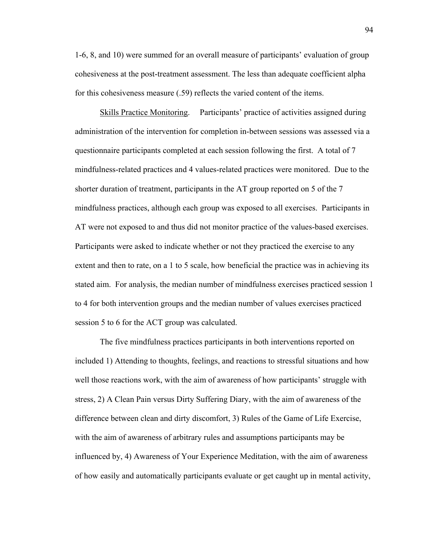1-6, 8, and 10) were summed for an overall measure of participants' evaluation of group cohesiveness at the post-treatment assessment. The less than adequate coefficient alpha for this cohesiveness measure (.59) reflects the varied content of the items.

Skills Practice Monitoring. Participants' practice of activities assigned during administration of the intervention for completion in-between sessions was assessed via a questionnaire participants completed at each session following the first. A total of 7 mindfulness-related practices and 4 values-related practices were monitored. Due to the shorter duration of treatment, participants in the AT group reported on 5 of the 7 mindfulness practices, although each group was exposed to all exercises. Participants in AT were not exposed to and thus did not monitor practice of the values-based exercises. Participants were asked to indicate whether or not they practiced the exercise to any extent and then to rate, on a 1 to 5 scale, how beneficial the practice was in achieving its stated aim. For analysis, the median number of mindfulness exercises practiced session 1 to 4 for both intervention groups and the median number of values exercises practiced session 5 to 6 for the ACT group was calculated.

The five mindfulness practices participants in both interventions reported on included 1) Attending to thoughts, feelings, and reactions to stressful situations and how well those reactions work, with the aim of awareness of how participants' struggle with stress, 2) A Clean Pain versus Dirty Suffering Diary, with the aim of awareness of the difference between clean and dirty discomfort, 3) Rules of the Game of Life Exercise, with the aim of awareness of arbitrary rules and assumptions participants may be influenced by, 4) Awareness of Your Experience Meditation, with the aim of awareness of how easily and automatically participants evaluate or get caught up in mental activity,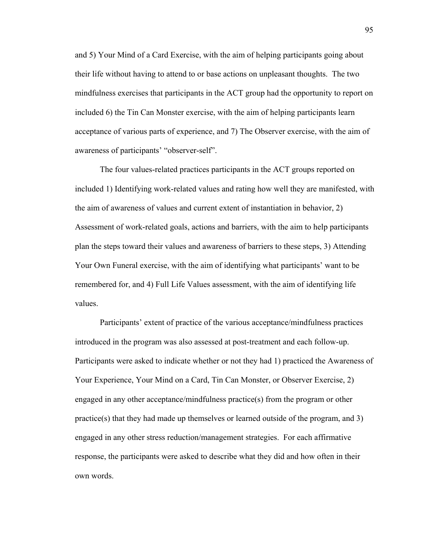and 5) Your Mind of a Card Exercise, with the aim of helping participants going about their life without having to attend to or base actions on unpleasant thoughts. The two mindfulness exercises that participants in the ACT group had the opportunity to report on included 6) the Tin Can Monster exercise, with the aim of helping participants learn acceptance of various parts of experience, and 7) The Observer exercise, with the aim of awareness of participants' "observer-self".

The four values-related practices participants in the ACT groups reported on included 1) Identifying work-related values and rating how well they are manifested, with the aim of awareness of values and current extent of instantiation in behavior, 2) Assessment of work-related goals, actions and barriers, with the aim to help participants plan the steps toward their values and awareness of barriers to these steps, 3) Attending Your Own Funeral exercise, with the aim of identifying what participants' want to be remembered for, and 4) Full Life Values assessment, with the aim of identifying life values.

Participants' extent of practice of the various acceptance/mindfulness practices introduced in the program was also assessed at post-treatment and each follow-up. Participants were asked to indicate whether or not they had 1) practiced the Awareness of Your Experience, Your Mind on a Card, Tin Can Monster, or Observer Exercise, 2) engaged in any other acceptance/mindfulness practice(s) from the program or other practice(s) that they had made up themselves or learned outside of the program, and 3) engaged in any other stress reduction/management strategies. For each affirmative response, the participants were asked to describe what they did and how often in their own words.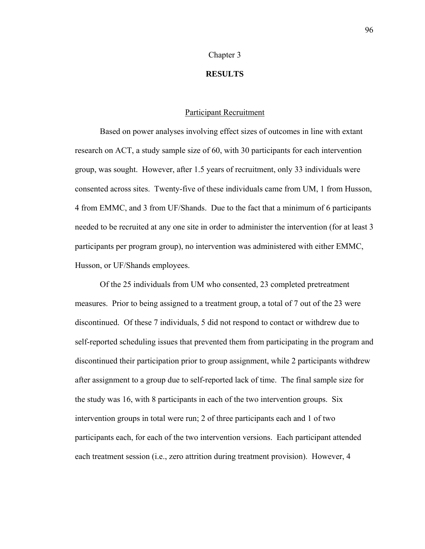### Chapter 3

## **RESULTS**

## Participant Recruitment

Based on power analyses involving effect sizes of outcomes in line with extant research on ACT, a study sample size of 60, with 30 participants for each intervention group, was sought. However, after 1.5 years of recruitment, only 33 individuals were consented across sites. Twenty-five of these individuals came from UM, 1 from Husson, 4 from EMMC, and 3 from UF/Shands. Due to the fact that a minimum of 6 participants needed to be recruited at any one site in order to administer the intervention (for at least 3 participants per program group), no intervention was administered with either EMMC, Husson, or UF/Shands employees.

 Of the 25 individuals from UM who consented, 23 completed pretreatment measures. Prior to being assigned to a treatment group, a total of 7 out of the 23 were discontinued. Of these 7 individuals, 5 did not respond to contact or withdrew due to self-reported scheduling issues that prevented them from participating in the program and discontinued their participation prior to group assignment, while 2 participants withdrew after assignment to a group due to self-reported lack of time. The final sample size for the study was 16, with 8 participants in each of the two intervention groups. Six intervention groups in total were run; 2 of three participants each and 1 of two participants each, for each of the two intervention versions. Each participant attended each treatment session (i.e., zero attrition during treatment provision). However, 4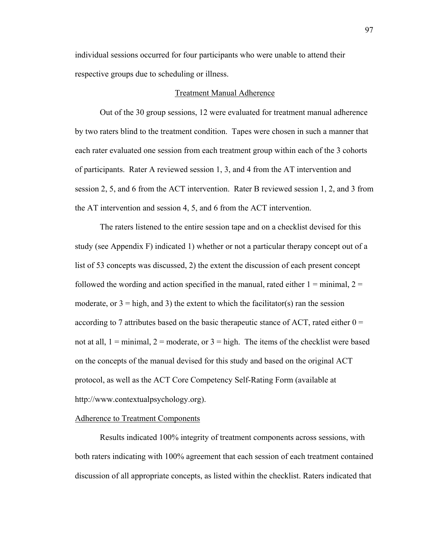individual sessions occurred for four participants who were unable to attend their respective groups due to scheduling or illness.

#### Treatment Manual Adherence

 Out of the 30 group sessions, 12 were evaluated for treatment manual adherence by two raters blind to the treatment condition. Tapes were chosen in such a manner that each rater evaluated one session from each treatment group within each of the 3 cohorts of participants. Rater A reviewed session 1, 3, and 4 from the AT intervention and session 2, 5, and 6 from the ACT intervention. Rater B reviewed session 1, 2, and 3 from the AT intervention and session 4, 5, and 6 from the ACT intervention.

 The raters listened to the entire session tape and on a checklist devised for this study (see Appendix F) indicated 1) whether or not a particular therapy concept out of a list of 53 concepts was discussed, 2) the extent the discussion of each present concept followed the wording and action specified in the manual, rated either  $1 = \text{minimal}$ ,  $2 =$ moderate, or  $3 =$  high, and 3) the extent to which the facilitator(s) ran the session according to 7 attributes based on the basic therapeutic stance of ACT, rated either  $0 =$ not at all,  $1 = \text{minimal}$ ,  $2 = \text{moderate}$ , or  $3 = \text{high}$ . The items of the checklist were based on the concepts of the manual devised for this study and based on the original ACT protocol, as well as the ACT Core Competency Self-Rating Form (available at http://www.contextualpsychology.org).

# Adherence to Treatment Components

 Results indicated 100% integrity of treatment components across sessions, with both raters indicating with 100% agreement that each session of each treatment contained discussion of all appropriate concepts, as listed within the checklist. Raters indicated that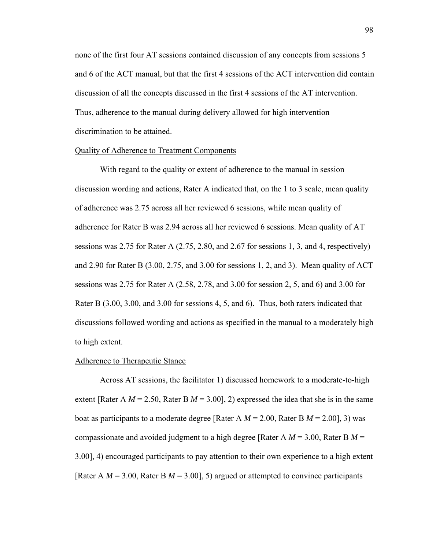none of the first four AT sessions contained discussion of any concepts from sessions 5 and 6 of the ACT manual, but that the first 4 sessions of the ACT intervention did contain discussion of all the concepts discussed in the first 4 sessions of the AT intervention. Thus, adherence to the manual during delivery allowed for high intervention discrimination to be attained.

## Quality of Adherence to Treatment Components

 With regard to the quality or extent of adherence to the manual in session discussion wording and actions, Rater A indicated that, on the 1 to 3 scale, mean quality of adherence was 2.75 across all her reviewed 6 sessions, while mean quality of adherence for Rater B was 2.94 across all her reviewed 6 sessions. Mean quality of AT sessions was 2.75 for Rater A (2.75, 2.80, and 2.67 for sessions 1, 3, and 4, respectively) and 2.90 for Rater B (3.00, 2.75, and 3.00 for sessions 1, 2, and 3). Mean quality of ACT sessions was 2.75 for Rater A (2.58, 2.78, and 3.00 for session 2, 5, and 6) and 3.00 for Rater B (3.00, 3.00, and 3.00 for sessions 4, 5, and 6). Thus, both raters indicated that discussions followed wording and actions as specified in the manual to a moderately high to high extent.

### Adherence to Therapeutic Stance

 Across AT sessions, the facilitator 1) discussed homework to a moderate-to-high extent [Rater A  $M = 2.50$ , Rater B  $M = 3.00$ ], 2) expressed the idea that she is in the same boat as participants to a moderate degree [Rater A  $M = 2.00$ , Rater B  $M = 2.00$ ], 3) was compassionate and avoided judgment to a high degree [Rater A *M* = 3.00, Rater B *M* = 3.00], 4) encouraged participants to pay attention to their own experience to a high extent [Rater A *M* = 3.00, Rater B *M* = 3.00], 5) argued or attempted to convince participants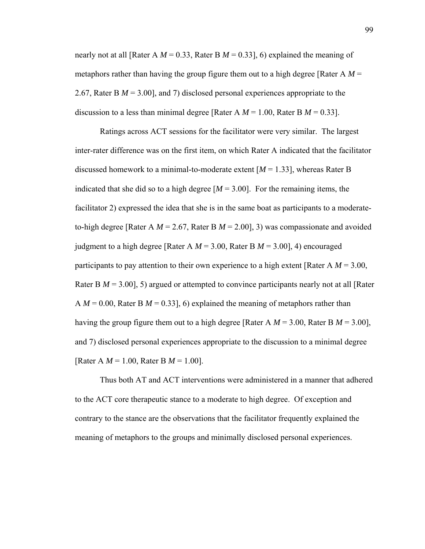nearly not at all [Rater A *M* = 0.33, Rater B *M* = 0.33], 6) explained the meaning of metaphors rather than having the group figure them out to a high degree [Rater A  $M =$ 2.67, Rater B *M* = 3.00], and 7) disclosed personal experiences appropriate to the discussion to a less than minimal degree [Rater A  $M = 1.00$ , Rater B  $M = 0.33$ ].

 Ratings across ACT sessions for the facilitator were very similar. The largest inter-rater difference was on the first item, on which Rater A indicated that the facilitator discussed homework to a minimal-to-moderate extent [*M* = 1.33], whereas Rater B indicated that she did so to a high degree  $[M = 3.00]$ . For the remaining items, the facilitator 2) expressed the idea that she is in the same boat as participants to a moderateto-high degree [Rater A  $M = 2.67$ , Rater B  $M = 2.00$ ], 3) was compassionate and avoided judgment to a high degree [Rater A *M* = 3.00, Rater B *M* = 3.00], 4) encouraged participants to pay attention to their own experience to a high extent [Rater A *M* = 3.00, Rater B  $M = 3.00$ ], 5) argued or attempted to convince participants nearly not at all [Rater] A  $M = 0.00$ , Rater B  $M = 0.33$ ], 6) explained the meaning of metaphors rather than having the group figure them out to a high degree [Rater A  $M = 3.00$ , Rater B  $M = 3.00$ ], and 7) disclosed personal experiences appropriate to the discussion to a minimal degree [Rater A *M* = 1.00, Rater B *M* = 1.00].

 Thus both AT and ACT interventions were administered in a manner that adhered to the ACT core therapeutic stance to a moderate to high degree. Of exception and contrary to the stance are the observations that the facilitator frequently explained the meaning of metaphors to the groups and minimally disclosed personal experiences.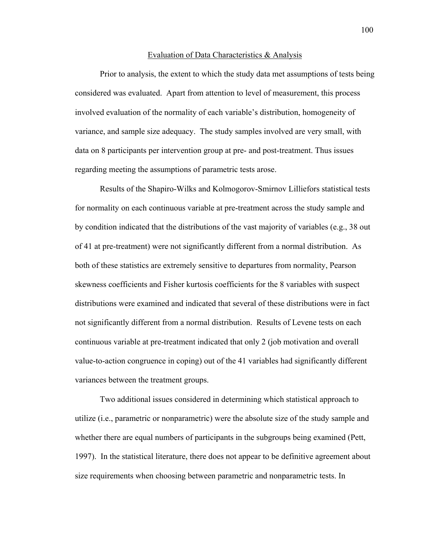#### Evaluation of Data Characteristics & Analysis

Prior to analysis, the extent to which the study data met assumptions of tests being considered was evaluated. Apart from attention to level of measurement, this process involved evaluation of the normality of each variable's distribution, homogeneity of variance, and sample size adequacy. The study samples involved are very small, with data on 8 participants per intervention group at pre- and post-treatment. Thus issues regarding meeting the assumptions of parametric tests arose.

Results of the Shapiro-Wilks and Kolmogorov-Smirnov Lilliefors statistical tests for normality on each continuous variable at pre-treatment across the study sample and by condition indicated that the distributions of the vast majority of variables (e.g., 38 out of 41 at pre-treatment) were not significantly different from a normal distribution. As both of these statistics are extremely sensitive to departures from normality, Pearson skewness coefficients and Fisher kurtosis coefficients for the 8 variables with suspect distributions were examined and indicated that several of these distributions were in fact not significantly different from a normal distribution. Results of Levene tests on each continuous variable at pre-treatment indicated that only 2 (job motivation and overall value-to-action congruence in coping) out of the 41 variables had significantly different variances between the treatment groups.

Two additional issues considered in determining which statistical approach to utilize (i.e., parametric or nonparametric) were the absolute size of the study sample and whether there are equal numbers of participants in the subgroups being examined (Pett, 1997). In the statistical literature, there does not appear to be definitive agreement about size requirements when choosing between parametric and nonparametric tests. In

100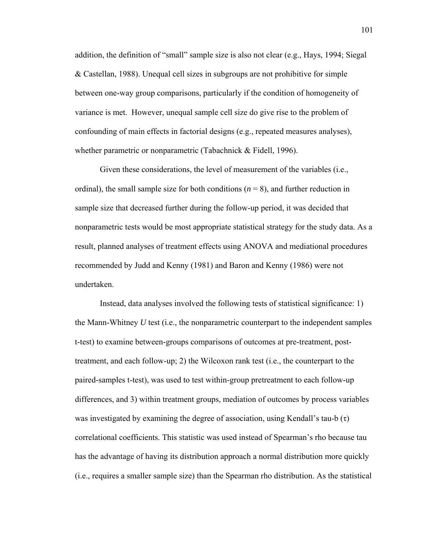addition, the definition of "small" sample size is also not clear (e.g., Hays, 1994; Siegal & Castellan, 1988). Unequal cell sizes in subgroups are not prohibitive for simple between one-way group comparisons, particularly if the condition of homogeneity of variance is met. However, unequal sample cell size do give rise to the problem of confounding of main effects in factorial designs (e.g., repeated measures analyses), whether parametric or nonparametric (Tabachnick & Fidell, 1996).

Given these considerations, the level of measurement of the variables (i.e., ordinal), the small sample size for both conditions  $(n = 8)$ , and further reduction in sample size that decreased further during the follow-up period, it was decided that nonparametric tests would be most appropriate statistical strategy for the study data. As a result, planned analyses of treatment effects using ANOVA and mediational procedures recommended by Judd and Kenny (1981) and Baron and Kenny (1986) were not undertaken.

Instead, data analyses involved the following tests of statistical significance: 1) the Mann-Whitney *U* test (i.e., the nonparametric counterpart to the independent samples t-test) to examine between-groups comparisons of outcomes at pre-treatment, posttreatment, and each follow-up; 2) the Wilcoxon rank test (i.e., the counterpart to the paired-samples t-test), was used to test within-group pretreatment to each follow-up differences, and 3) within treatment groups, mediation of outcomes by process variables was investigated by examining the degree of association, using Kendall's tau-b  $(\tau)$ correlational coefficients. This statistic was used instead of Spearman's rho because tau has the advantage of having its distribution approach a normal distribution more quickly (i.e., requires a smaller sample size) than the Spearman rho distribution. As the statistical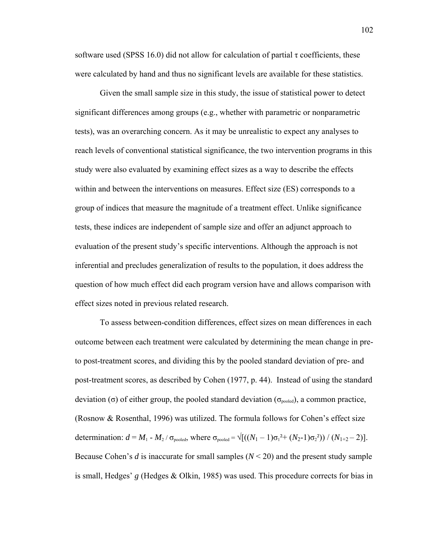software used (SPSS 16.0) did not allow for calculation of partial  $\tau$  coefficients, these were calculated by hand and thus no significant levels are available for these statistics.

Given the small sample size in this study, the issue of statistical power to detect significant differences among groups (e.g., whether with parametric or nonparametric tests), was an overarching concern. As it may be unrealistic to expect any analyses to reach levels of conventional statistical significance, the two intervention programs in this study were also evaluated by examining effect sizes as a way to describe the effects within and between the interventions on measures. Effect size (ES) corresponds to a group of indices that measure the magnitude of a treatment effect. Unlike significance tests, these indices are independent of sample size and offer an adjunct approach to evaluation of the present study's specific interventions. Although the approach is not inferential and precludes generalization of results to the population, it does address the question of how much effect did each program version have and allows comparison with effect sizes noted in previous related research.

To assess between-condition differences, effect sizes on mean differences in each outcome between each treatment were calculated by determining the mean change in preto post-treatment scores, and dividing this by the pooled standard deviation of pre- and post-treatment scores, as described by Cohen (1977, p. 44). Instead of using the standard deviation (σ) of either group, the pooled standard deviation ( $\sigma_{pooled}$ ), a common practice, (Rosnow & Rosenthal, 1996) was utilized. The formula follows for Cohen's effect size determination:  $d = M_1 - M_2 / \sigma_{pooled}$ , where  $\sigma_{pooled} = \sqrt{((N_1 - 1)\sigma_1^2 + (N_2 - 1)\sigma_2^2)} / (N_{1+2} - 2)$ . Because Cohen's *d* is inaccurate for small samples  $(N < 20)$  and the present study sample is small, Hedges' *g* (Hedges & Olkin, 1985) was used. This procedure corrects for bias in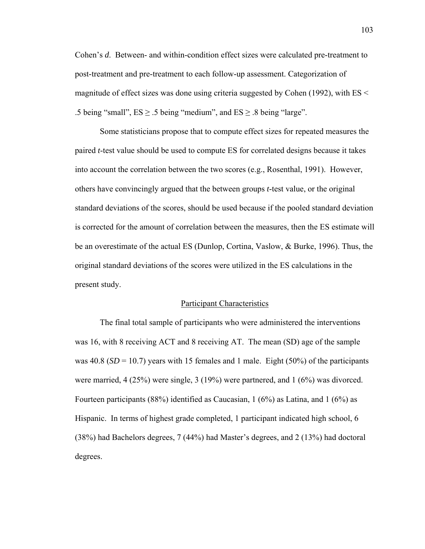Cohen's *d*. Between- and within-condition effect sizes were calculated pre-treatment to post-treatment and pre-treatment to each follow-up assessment. Categorization of magnitude of effect sizes was done using criteria suggested by Cohen (1992), with ES < .5 being "small",  $ES \ge 0.5$  being "medium", and  $ES \ge 0.8$  being "large".

Some statisticians propose that to compute effect sizes for repeated measures the paired *t*-test value should be used to compute ES for correlated designs because it takes into account the correlation between the two scores (e.g., Rosenthal, 1991). However, others have convincingly argued that the between groups *t*-test value, or the original standard deviations of the scores, should be used because if the pooled standard deviation is corrected for the amount of correlation between the measures, then the ES estimate will be an overestimate of the actual ES (Dunlop, Cortina, Vaslow, & Burke, 1996). Thus, the original standard deviations of the scores were utilized in the ES calculations in the present study.

### Participant Characteristics

 The final total sample of participants who were administered the interventions was 16, with 8 receiving ACT and 8 receiving AT. The mean (SD) age of the sample was  $40.8$  (*SD* = 10.7) years with 15 females and 1 male. Eight (50%) of the participants were married, 4 (25%) were single, 3 (19%) were partnered, and 1 (6%) was divorced. Fourteen participants (88%) identified as Caucasian, 1 (6%) as Latina, and 1 (6%) as Hispanic. In terms of highest grade completed, 1 participant indicated high school, 6 (38%) had Bachelors degrees, 7 (44%) had Master's degrees, and 2 (13%) had doctoral degrees.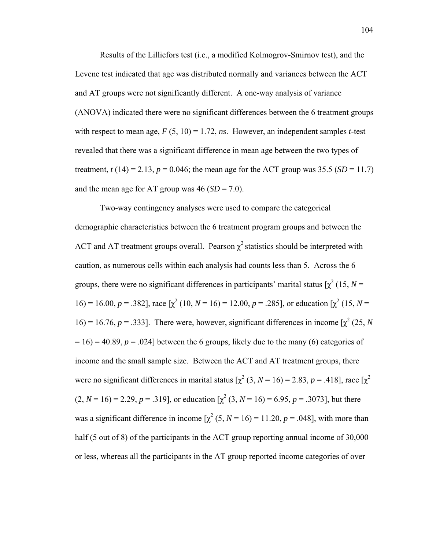Results of the Lilliefors test (i.e., a modified Kolmogrov-Smirnov test), and the Levene test indicated that age was distributed normally and variances between the ACT and AT groups were not significantly different. A one-way analysis of variance (ANOVA) indicated there were no significant differences between the 6 treatment groups with respect to mean age,  $F(5, 10) = 1.72$ , *ns*. However, an independent samples *t*-test revealed that there was a significant difference in mean age between the two types of treatment,  $t(14) = 2.13$ ,  $p = 0.046$ ; the mean age for the ACT group was 35.5 (*SD* = 11.7) and the mean age for AT group was  $46 (SD = 7.0)$ .

Two-way contingency analyses were used to compare the categorical demographic characteristics between the 6 treatment program groups and between the ACT and AT treatment groups overall. Pearson  $\chi^2$  statistics should be interpreted with caution, as numerous cells within each analysis had counts less than 5. Across the 6 groups, there were no significant differences in participants' marital status  $[\chi^2(15, N =$ 16) = 16.00,  $p = .382$ , race  $[\chi^2 (10, N = 16) = 12.00, p = .285]$ , or education  $[\chi^2 (15, N =$  $16$ ) = 16.76, *p* = .333]. There were, however, significant differences in income  $\chi^2$  (25, *N*  $= 16$ ) = 40.89,  $p = 0.024$ ] between the 6 groups, likely due to the many (6) categories of income and the small sample size. Between the ACT and AT treatment groups, there were no significant differences in marital status  $[\chi^2 (3, N = 16) = 2.83, p = .418]$ , race  $[\chi^2$  $(2, N = 16) = 2.29, p = .319$ ], or education  $\chi^2$  (3, *N* = 16) = 6.95, *p* = .3073], but there was a significant difference in income  $\chi^2$  (5, *N* = 16) = 11.20, *p* = .048], with more than half (5 out of 8) of the participants in the ACT group reporting annual income of 30,000 or less, whereas all the participants in the AT group reported income categories of over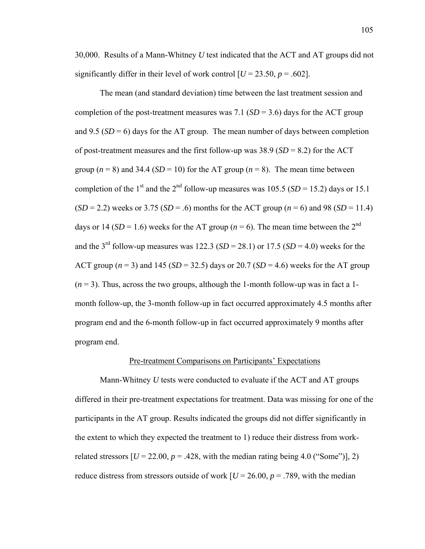30,000. Results of a Mann-Whitney *U* test indicated that the ACT and AT groups did not significantly differ in their level of work control  $[U = 23.50, p = .602]$ .

 The mean (and standard deviation) time between the last treatment session and completion of the post-treatment measures was 7.1  $(SD = 3.6)$  days for the ACT group and 9.5  $(SD = 6)$  days for the AT group. The mean number of days between completion of post-treatment measures and the first follow-up was  $38.9$  (*SD* = 8.2) for the ACT group  $(n = 8)$  and 34.4 (*SD* = 10) for the AT group  $(n = 8)$ . The mean time between completion of the 1<sup>st</sup> and the 2<sup>nd</sup> follow-up measures was 105.5 (*SD* = 15.2) days or 15.1  $(SD = 2.2)$  weeks or 3.75 (*SD* = .6) months for the ACT group ( $n = 6$ ) and 98 (*SD* = 11.4) days or 14 (*SD* = 1.6) weeks for the AT group ( $n = 6$ ). The mean time between the 2<sup>nd</sup> and the 3<sup>rd</sup> follow-up measures was 122.3 (*SD* = 28.1) or 17.5 (*SD* = 4.0) weeks for the ACT group  $(n = 3)$  and 145 (*SD* = 32.5) days or 20.7 (*SD* = 4.6) weeks for the AT group  $(n=3)$ . Thus, across the two groups, although the 1-month follow-up was in fact a 1month follow-up, the 3-month follow-up in fact occurred approximately 4.5 months after program end and the 6-month follow-up in fact occurred approximately 9 months after program end.

## Pre-treatment Comparisons on Participants' Expectations

 Mann-Whitney *U* tests were conducted to evaluate if the ACT and AT groups differed in their pre-treatment expectations for treatment. Data was missing for one of the participants in the AT group. Results indicated the groups did not differ significantly in the extent to which they expected the treatment to 1) reduce their distress from workrelated stressors  $[U = 22.00, p = .428$ , with the median rating being 4.0 ("Some")], 2) reduce distress from stressors outside of work  $\left[ U = 26.00, p = .789 \right]$ , with the median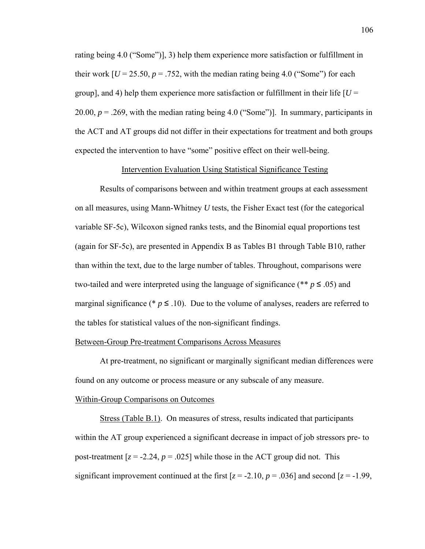rating being 4.0 ("Some")], 3) help them experience more satisfaction or fulfillment in their work  $[U = 25.50, p = .752$ , with the median rating being 4.0 ("Some") for each group], and 4) help them experience more satisfaction or fulfillment in their life  $\overline{U}$  = 20.00,  $p = 0.269$ , with the median rating being 4.0 ("Some")]. In summary, participants in the ACT and AT groups did not differ in their expectations for treatment and both groups expected the intervention to have "some" positive effect on their well-being.

# Intervention Evaluation Using Statistical Significance Testing

Results of comparisons between and within treatment groups at each assessment on all measures, using Mann-Whitney *U* tests, the Fisher Exact test (for the categorical variable SF-5c), Wilcoxon signed ranks tests, and the Binomial equal proportions test (again for SF-5c), are presented in Appendix B as Tables B1 through Table B10, rather than within the text, due to the large number of tables. Throughout, comparisons were two-tailed and were interpreted using the language of significance (\*\*  $p \leq .05$ ) and marginal significance ( $\ast p \leq 10$ ). Due to the volume of analyses, readers are referred to the tables for statistical values of the non-significant findings.

# Between-Group Pre-treatment Comparisons Across Measures

At pre-treatment, no significant or marginally significant median differences were found on any outcome or process measure or any subscale of any measure.

## Within-Group Comparisons on Outcomes

 Stress (Table B.1). On measures of stress, results indicated that participants within the AT group experienced a significant decrease in impact of job stressors pre- to post-treatment  $[z = -2.24, p = .025]$  while those in the ACT group did not. This significant improvement continued at the first  $[z = -2.10, p = .036]$  and second  $[z = -1.99, z = 0.02]$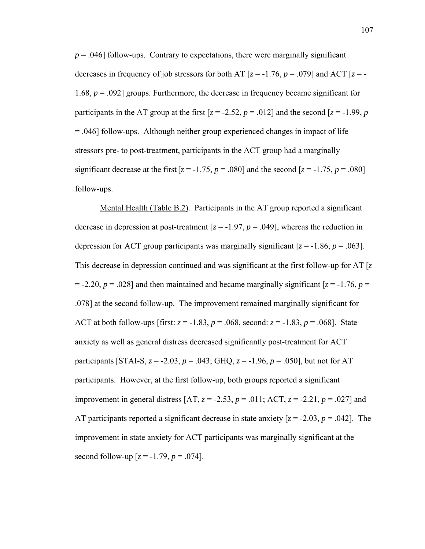$p = .046$ ] follow-ups. Contrary to expectations, there were marginally significant decreases in frequency of job stressors for both AT  $[z = -1.76, p = .079]$  and ACT  $[z = -1.76, p = .079]$ 1.68, *p* = .092] groups. Furthermore, the decrease in frequency became significant for participants in the AT group at the first  $[z = -2.52, p = .012]$  and the second  $[z = -1.99, p$ = .046] follow-ups. Although neither group experienced changes in impact of life stressors pre- to post-treatment, participants in the ACT group had a marginally significant decrease at the first  $[z = -1.75, p = .080]$  and the second  $[z = -1.75, p = .080]$ follow-ups.

Mental Health (Table B.2)*.* Participants in the AT group reported a significant decrease in depression at post-treatment  $[z = -1.97, p = .049]$ , whereas the reduction in depression for ACT group participants was marginally significant  $[z = -1.86, p = .063]$ . This decrease in depression continued and was significant at the first follow-up for AT [*z*  $=$  -2.20,  $p = .028$ ] and then maintained and became marginally significant  $[z = -1.76, p =$ .078] at the second follow-up. The improvement remained marginally significant for ACT at both follow-ups [first:  $z = -1.83$ ,  $p = .068$ , second:  $z = -1.83$ ,  $p = .068$ ]. State anxiety as well as general distress decreased significantly post-treatment for ACT participants [STAI-S,  $z = -2.03$ ,  $p = .043$ ; GHQ,  $z = -1.96$ ,  $p = .050$ ], but not for AT participants. However, at the first follow-up, both groups reported a significant improvement in general distress [AT, *z* = -2.53, *p* = .011; ACT, *z* = -2.21, *p* = .027] and AT participants reported a significant decrease in state anxiety  $[z = -2.03, p = .042]$ . The improvement in state anxiety for ACT participants was marginally significant at the second follow-up  $[z = -1.79, p = .074]$ .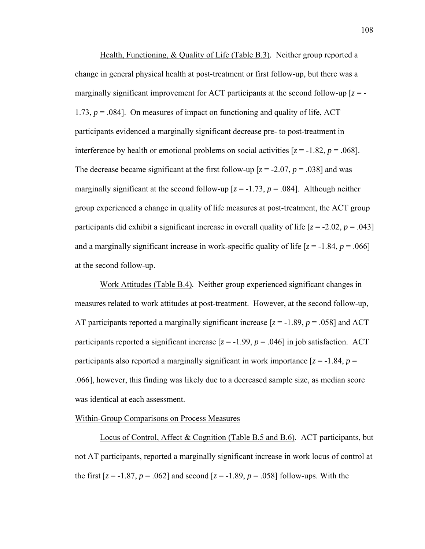Health, Functioning, & Quality of Life (Table B.3)*.* Neither group reported a change in general physical health at post-treatment or first follow-up, but there was a marginally significant improvement for ACT participants at the second follow-up  $[z = -1]$ 1.73,  $p = 0.084$ . On measures of impact on functioning and quality of life, ACT participants evidenced a marginally significant decrease pre- to post-treatment in interference by health or emotional problems on social activities  $[z = -1.82, p = .068]$ . The decrease became significant at the first follow-up  $[z = -2.07, p = .038]$  and was marginally significant at the second follow-up  $[z = -1.73, p = .084]$ . Although neither group experienced a change in quality of life measures at post-treatment, the ACT group participants did exhibit a significant increase in overall quality of life  $[z = -2.02, p = .043]$ and a marginally significant increase in work-specific quality of life  $[z = -1.84, p = .066]$ at the second follow-up.

Work Attitudes (Table B.4)*.* Neither group experienced significant changes in measures related to work attitudes at post-treatment. However, at the second follow-up, AT participants reported a marginally significant increase  $[z = -1.89, p = .058]$  and ACT participants reported a significant increase  $[z = -1.99, p = .046]$  in job satisfaction. ACT participants also reported a marginally significant in work importance  $[z = -1.84, p =$ .066], however, this finding was likely due to a decreased sample size, as median score was identical at each assessment.

# Within-Group Comparisons on Process Measures

Locus of Control, Affect & Cognition (Table B.5 and B.6)*.* ACT participants, but not AT participants, reported a marginally significant increase in work locus of control at the first  $[z = -1.87, p = .062]$  and second  $[z = -1.89, p = .058]$  follow-ups. With the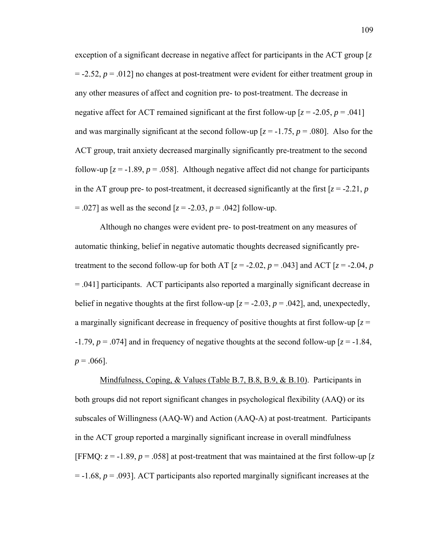exception of a significant decrease in negative affect for participants in the ACT group [*z*  $= -2.52$ ,  $p = .012$ ] no changes at post-treatment were evident for either treatment group in any other measures of affect and cognition pre- to post-treatment. The decrease in negative affect for ACT remained significant at the first follow-up  $[z = -2.05, p = .041]$ and was marginally significant at the second follow-up  $[z = -1.75, p = .080]$ . Also for the ACT group, trait anxiety decreased marginally significantly pre-treatment to the second follow-up  $[z = -1.89, p = .058]$ . Although negative affect did not change for participants in the AT group pre- to post-treatment, it decreased significantly at the first  $[z = -2.21, p]$  $= .027$  as well as the second  $[z = -2.03, p = .042]$  follow-up.

Although no changes were evident pre- to post-treatment on any measures of automatic thinking, belief in negative automatic thoughts decreased significantly pretreatment to the second follow-up for both AT  $[z = -2.02, p = .043]$  and ACT  $[z = -2.04, p$ = .041] participants. ACT participants also reported a marginally significant decrease in belief in negative thoughts at the first follow-up  $[z = -2.03, p = .042]$ , and, unexpectedly, a marginally significant decrease in frequency of positive thoughts at first follow-up  $[z =$  $-1.79$ ,  $p = 0.074$ ] and in frequency of negative thoughts at the second follow-up  $z = -1.84$ ,  $p = .066$ ].

Mindfulness, Coping, & Values (Table B.7, B.8, B.9, & B.10). Participants in both groups did not report significant changes in psychological flexibility (AAQ) or its subscales of Willingness (AAQ-W) and Action (AAQ-A) at post-treatment. Participants in the ACT group reported a marginally significant increase in overall mindfulness [FFMQ:  $z = -1.89$ ,  $p = .058$ ] at post-treatment that was maintained at the first follow-up [ $z$ ] = -1.68, *p* = .093]. ACT participants also reported marginally significant increases at the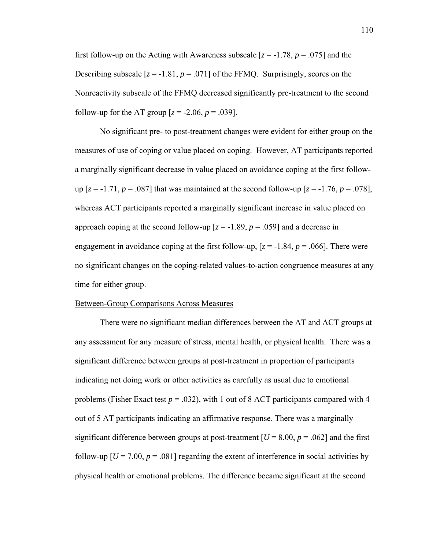first follow-up on the Acting with Awareness subscale  $[z = -1.78, p = .075]$  and the Describing subscale  $[z = -1.81, p = .071]$  of the FFMQ. Surprisingly, scores on the Nonreactivity subscale of the FFMQ decreased significantly pre-treatment to the second follow-up for the AT group  $[z = -2.06, p = .039]$ .

No significant pre- to post-treatment changes were evident for either group on the measures of use of coping or value placed on coping. However, AT participants reported a marginally significant decrease in value placed on avoidance coping at the first followup  $[z = -1.71, p = .087]$  that was maintained at the second follow-up  $[z = -1.76, p = .078]$ , whereas ACT participants reported a marginally significant increase in value placed on approach coping at the second follow-up  $[z = -1.89, p = .059]$  and a decrease in engagement in avoidance coping at the first follow-up,  $[z = -1.84, p = .066]$ . There were no significant changes on the coping-related values-to-action congruence measures at any time for either group.

## Between-Group Comparisons Across Measures

There were no significant median differences between the AT and ACT groups at any assessment for any measure of stress, mental health, or physical health. There was a significant difference between groups at post-treatment in proportion of participants indicating not doing work or other activities as carefully as usual due to emotional problems (Fisher Exact test  $p = .032$ ), with 1 out of 8 ACT participants compared with 4 out of 5 AT participants indicating an affirmative response. There was a marginally significant difference between groups at post-treatment  $[U = 8.00, p = .062]$  and the first follow-up  $[U = 7.00, p = .081]$  regarding the extent of interference in social activities by physical health or emotional problems. The difference became significant at the second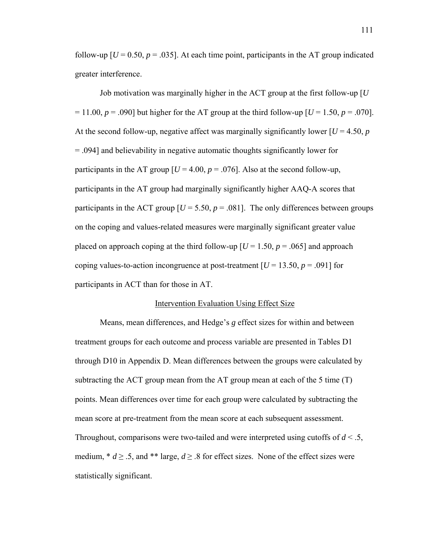follow-up  $[U = 0.50, p = .035]$ . At each time point, participants in the AT group indicated greater interference.

Job motivation was marginally higher in the ACT group at the first follow-up [*U*  $= 11.00$ ,  $p = .090$ ] but higher for the AT group at the third follow-up  $[U = 1.50, p = .070]$ . At the second follow-up, negative affect was marginally significantly lower  $[U = 4.50, p]$ = .094] and believability in negative automatic thoughts significantly lower for participants in the AT group  $[U = 4.00, p = .076]$ . Also at the second follow-up, participants in the AT group had marginally significantly higher AAQ-A scores that participants in the ACT group  $[U = 5.50, p = .081]$ . The only differences between groups on the coping and values-related measures were marginally significant greater value placed on approach coping at the third follow-up  $[U = 1.50, p = .065]$  and approach coping values-to-action incongruence at post-treatment  $[U = 13.50, p = .091]$  for participants in ACT than for those in AT.

### Intervention Evaluation Using Effect Size

 Means, mean differences, and Hedge's *g* effect sizes for within and between treatment groups for each outcome and process variable are presented in Tables D1 through D10 in Appendix D. Mean differences between the groups were calculated by subtracting the ACT group mean from the AT group mean at each of the 5 time  $(T)$ points. Mean differences over time for each group were calculated by subtracting the mean score at pre-treatment from the mean score at each subsequent assessment. Throughout, comparisons were two-tailed and were interpreted using cutoffs of *d* < .5, medium,  $* d \geq .5$ , and  $**$  large,  $d \geq .8$  for effect sizes. None of the effect sizes were statistically significant.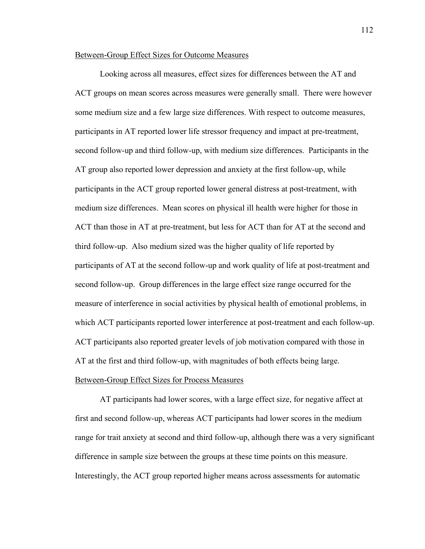# Between-Group Effect Sizes for Outcome Measures

 Looking across all measures, effect sizes for differences between the AT and ACT groups on mean scores across measures were generally small. There were however some medium size and a few large size differences. With respect to outcome measures, participants in AT reported lower life stressor frequency and impact at pre-treatment, second follow-up and third follow-up, with medium size differences. Participants in the AT group also reported lower depression and anxiety at the first follow-up, while participants in the ACT group reported lower general distress at post-treatment, with medium size differences. Mean scores on physical ill health were higher for those in ACT than those in AT at pre-treatment, but less for ACT than for AT at the second and third follow-up. Also medium sized was the higher quality of life reported by participants of AT at the second follow-up and work quality of life at post-treatment and second follow-up. Group differences in the large effect size range occurred for the measure of interference in social activities by physical health of emotional problems, in which ACT participants reported lower interference at post-treatment and each follow-up. ACT participants also reported greater levels of job motivation compared with those in AT at the first and third follow-up, with magnitudes of both effects being large. Between-Group Effect Sizes for Process Measures

 AT participants had lower scores, with a large effect size, for negative affect at first and second follow-up, whereas ACT participants had lower scores in the medium range for trait anxiety at second and third follow-up, although there was a very significant difference in sample size between the groups at these time points on this measure. Interestingly, the ACT group reported higher means across assessments for automatic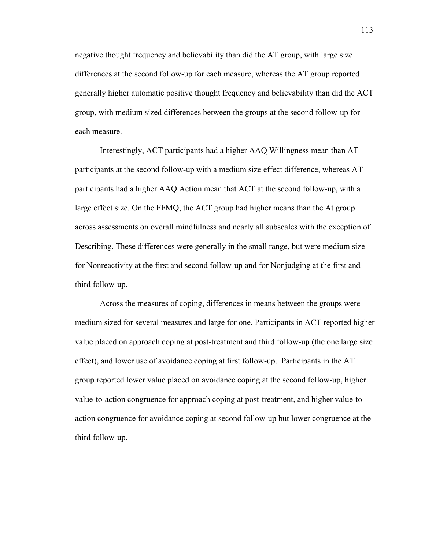negative thought frequency and believability than did the AT group, with large size differences at the second follow-up for each measure, whereas the AT group reported generally higher automatic positive thought frequency and believability than did the ACT group, with medium sized differences between the groups at the second follow-up for each measure.

Interestingly, ACT participants had a higher AAQ Willingness mean than AT participants at the second follow-up with a medium size effect difference, whereas AT participants had a higher AAQ Action mean that ACT at the second follow-up, with a large effect size. On the FFMQ, the ACT group had higher means than the At group across assessments on overall mindfulness and nearly all subscales with the exception of Describing. These differences were generally in the small range, but were medium size for Nonreactivity at the first and second follow-up and for Nonjudging at the first and third follow-up.

Across the measures of coping, differences in means between the groups were medium sized for several measures and large for one. Participants in ACT reported higher value placed on approach coping at post-treatment and third follow-up (the one large size effect), and lower use of avoidance coping at first follow-up. Participants in the AT group reported lower value placed on avoidance coping at the second follow-up, higher value-to-action congruence for approach coping at post-treatment, and higher value-toaction congruence for avoidance coping at second follow-up but lower congruence at the third follow-up.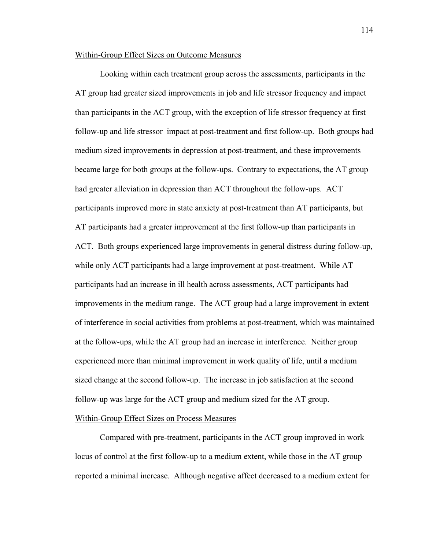# Within-Group Effect Sizes on Outcome Measures

 Looking within each treatment group across the assessments, participants in the AT group had greater sized improvements in job and life stressor frequency and impact than participants in the ACT group, with the exception of life stressor frequency at first follow-up and life stressor impact at post-treatment and first follow-up. Both groups had medium sized improvements in depression at post-treatment, and these improvements became large for both groups at the follow-ups. Contrary to expectations, the AT group had greater alleviation in depression than ACT throughout the follow-ups. ACT participants improved more in state anxiety at post-treatment than AT participants, but AT participants had a greater improvement at the first follow-up than participants in ACT. Both groups experienced large improvements in general distress during follow-up, while only ACT participants had a large improvement at post-treatment. While AT participants had an increase in ill health across assessments, ACT participants had improvements in the medium range. The ACT group had a large improvement in extent of interference in social activities from problems at post-treatment, which was maintained at the follow-ups, while the AT group had an increase in interference. Neither group experienced more than minimal improvement in work quality of life, until a medium sized change at the second follow-up. The increase in job satisfaction at the second follow-up was large for the ACT group and medium sized for the AT group.

# Within-Group Effect Sizes on Process Measures

 Compared with pre-treatment, participants in the ACT group improved in work locus of control at the first follow-up to a medium extent, while those in the AT group reported a minimal increase. Although negative affect decreased to a medium extent for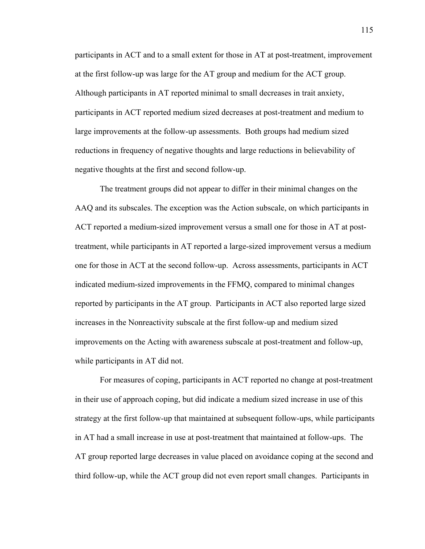participants in ACT and to a small extent for those in AT at post-treatment, improvement at the first follow-up was large for the AT group and medium for the ACT group. Although participants in AT reported minimal to small decreases in trait anxiety, participants in ACT reported medium sized decreases at post-treatment and medium to large improvements at the follow-up assessments. Both groups had medium sized reductions in frequency of negative thoughts and large reductions in believability of negative thoughts at the first and second follow-up.

The treatment groups did not appear to differ in their minimal changes on the AAQ and its subscales. The exception was the Action subscale, on which participants in ACT reported a medium-sized improvement versus a small one for those in AT at posttreatment, while participants in AT reported a large-sized improvement versus a medium one for those in ACT at the second follow-up. Across assessments, participants in ACT indicated medium-sized improvements in the FFMQ, compared to minimal changes reported by participants in the AT group. Participants in ACT also reported large sized increases in the Nonreactivity subscale at the first follow-up and medium sized improvements on the Acting with awareness subscale at post-treatment and follow-up, while participants in AT did not.

For measures of coping, participants in ACT reported no change at post-treatment in their use of approach coping, but did indicate a medium sized increase in use of this strategy at the first follow-up that maintained at subsequent follow-ups, while participants in AT had a small increase in use at post-treatment that maintained at follow-ups. The AT group reported large decreases in value placed on avoidance coping at the second and third follow-up, while the ACT group did not even report small changes. Participants in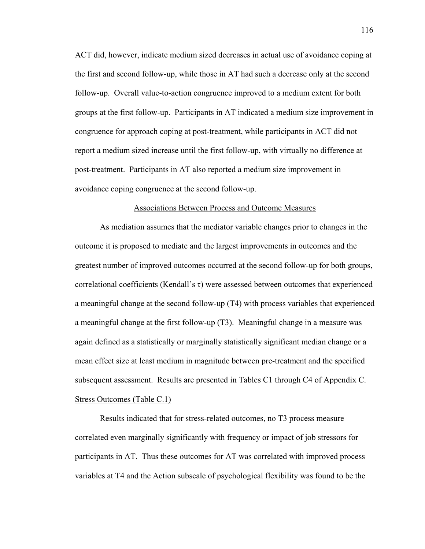ACT did, however, indicate medium sized decreases in actual use of avoidance coping at the first and second follow-up, while those in AT had such a decrease only at the second follow-up. Overall value-to-action congruence improved to a medium extent for both groups at the first follow-up. Participants in AT indicated a medium size improvement in congruence for approach coping at post-treatment, while participants in ACT did not report a medium sized increase until the first follow-up, with virtually no difference at post-treatment. Participants in AT also reported a medium size improvement in avoidance coping congruence at the second follow-up.

## Associations Between Process and Outcome Measures

 As mediation assumes that the mediator variable changes prior to changes in the outcome it is proposed to mediate and the largest improvements in outcomes and the greatest number of improved outcomes occurred at the second follow-up for both groups, correlational coefficients (Kendall's τ) were assessed between outcomes that experienced a meaningful change at the second follow-up (T4) with process variables that experienced a meaningful change at the first follow-up (T3). Meaningful change in a measure was again defined as a statistically or marginally statistically significant median change or a mean effect size at least medium in magnitude between pre-treatment and the specified subsequent assessment. Results are presented in Tables C1 through C4 of Appendix C. Stress Outcomes (Table C.1)

 Results indicated that for stress-related outcomes, no T3 process measure correlated even marginally significantly with frequency or impact of job stressors for participants in AT. Thus these outcomes for AT was correlated with improved process variables at T4 and the Action subscale of psychological flexibility was found to be the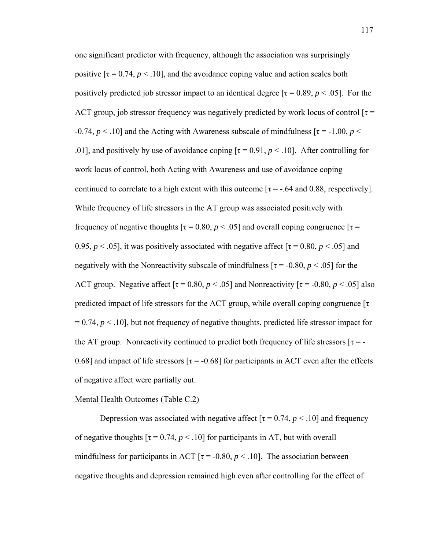one significant predictor with frequency, although the association was surprisingly positive  $[\tau = 0.74, p < 0.10]$ , and the avoidance coping value and action scales both positively predicted job stressor impact to an identical degree  $\tau = 0.89$ ,  $p < .05$ . For the ACT group, job stressor frequency was negatively predicted by work locus of control  $\tau$  =  $-0.74$ ,  $p < 0.10$ ] and the Acting with Awareness subscale of mindfulness  $\tau = -1.00$ ,  $p < 0.74$ . .01], and positively by use of avoidance coping  $[\tau = 0.91, p < .10]$ . After controlling for work locus of control, both Acting with Awareness and use of avoidance coping continued to correlate to a high extent with this outcome  $\tau = -0.64$  and 0.88, respectively. While frequency of life stressors in the AT group was associated positively with frequency of negative thoughts  $\tau = 0.80$ ,  $p < .05$ ] and overall coping congruence  $\tau =$ 0.95,  $p < .05$ ], it was positively associated with negative affect  $\lceil \tau = 0.80, p < .05 \rceil$  and negatively with the Nonreactivity subscale of mindfulness  $[\tau = -0.80, p < .05]$  for the ACT group. Negative affect  $\tau = 0.80$ ,  $p < .05$ ] and Nonreactivity  $\tau = -0.80$ ,  $p < .05$ ] also predicted impact of life stressors for the ACT group, while overall coping congruence [τ  $= 0.74$ ,  $p \le 10$ , but not frequency of negative thoughts, predicted life stressor impact for the AT group. Nonreactivity continued to predict both frequency of life stressors  $[\tau = -]$ 0.68] and impact of life stressors  $\tau = -0.68$ ] for participants in ACT even after the effects of negative affect were partially out.

## Mental Health Outcomes (Table C.2)

Depression was associated with negative affect  $\tau = 0.74$ ,  $p < 0.10$  and frequency of negative thoughts  $[\tau = 0.74, p < .10]$  for participants in AT, but with overall mindfulness for participants in ACT  $\tau$  = -0.80,  $p < 10$ . The association between negative thoughts and depression remained high even after controlling for the effect of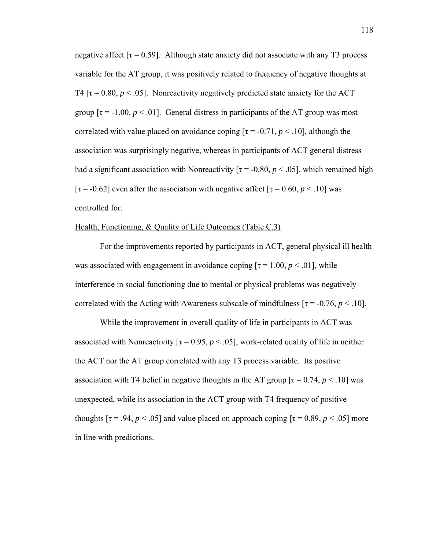negative affect  $\lceil \tau = 0.59 \rceil$ . Although state anxiety did not associate with any T3 process variable for the AT group, it was positively related to frequency of negative thoughts at T4 [ $\tau$  = 0.80,  $p < .05$ ]. Nonreactivity negatively predicted state anxiety for the ACT group  $[\tau = -1.00, p < 0.01]$ . General distress in participants of the AT group was most correlated with value placed on avoidance coping  $[\tau = -0.71, p < 0.10]$ , although the association was surprisingly negative, whereas in participants of ACT general distress had a significant association with Nonreactivity  $\tau = -0.80, p < 0.05$ , which remained high [ $\tau$  = -0.62] even after the association with negative affect [ $\tau$  = 0.60, *p* < .10] was controlled for.

# Health, Functioning, & Quality of Life Outcomes (Table C.3)

 For the improvements reported by participants in ACT, general physical ill health was associated with engagement in avoidance coping  $[\tau = 1.00, p < .01]$ , while interference in social functioning due to mental or physical problems was negatively correlated with the Acting with Awareness subscale of mindfulness  $[\tau = -0.76, p < .10]$ .

 While the improvement in overall quality of life in participants in ACT was associated with Nonreactivity  $[\tau = 0.95, p < .05]$ , work-related quality of life in neither the ACT nor the AT group correlated with any T3 process variable. Its positive association with T4 belief in negative thoughts in the AT group  $[\tau = 0.74, p < .10]$  was unexpected, while its association in the ACT group with T4 frequency of positive thoughts  $[\tau = .94, p < .05]$  and value placed on approach coping  $[\tau = 0.89, p < .05]$  more in line with predictions.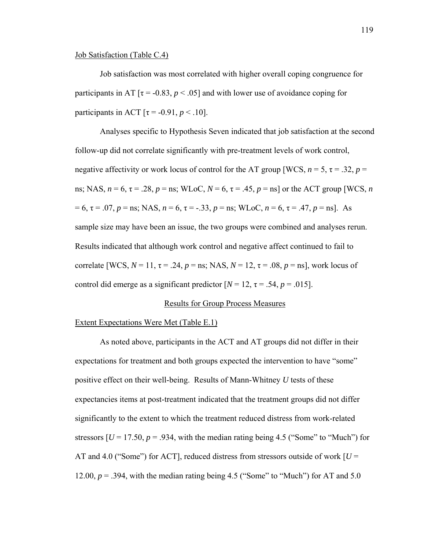## Job Satisfaction (Table C.4)

 Job satisfaction was most correlated with higher overall coping congruence for participants in AT  $[\tau = -0.83, p < .05]$  and with lower use of avoidance coping for participants in ACT  $\lbrack \tau = -0.91, p < .10 \rbrack$ .

 Analyses specific to Hypothesis Seven indicated that job satisfaction at the second follow-up did not correlate significantly with pre-treatment levels of work control, negative affectivity or work locus of control for the AT group [WCS,  $n = 5$ ,  $\tau = .32$ ,  $p =$ ns; NAS,  $n = 6$ ,  $\tau = .28$ ,  $p =$  ns; WLoC,  $N = 6$ ,  $\tau = .45$ ,  $p =$  ns] or the ACT group [WCS, *n*  $= 6$ ,  $\tau = .07$ ,  $p =$ ns; NAS,  $n = 6$ ,  $\tau = -.33$ ,  $p =$ ns; WLoC,  $n = 6$ ,  $\tau = .47$ ,  $p =$ ns]. As sample size may have been an issue, the two groups were combined and analyses rerun. Results indicated that although work control and negative affect continued to fail to correlate [WCS,  $N = 11$ ,  $\tau = .24$ ,  $p = \text{ns}$ ; NAS,  $N = 12$ ,  $\tau = .08$ ,  $p = \text{ns}$ ], work locus of control did emerge as a significant predictor  $[N = 12, \tau = .54, p = .015]$ .

## Results for Group Process Measures

## Extent Expectations Were Met (Table E.1)

 As noted above, participants in the ACT and AT groups did not differ in their expectations for treatment and both groups expected the intervention to have "some" positive effect on their well-being. Results of Mann-Whitney *U* tests of these expectancies items at post-treatment indicated that the treatment groups did not differ significantly to the extent to which the treatment reduced distress from work-related stressors  $[U = 17.50, p = .934$ , with the median rating being 4.5 ("Some" to "Much") for AT and 4.0 ("Some") for ACT], reduced distress from stressors outside of work  $U =$ 12.00,  $p = 0.394$ , with the median rating being 4.5 ("Some" to "Much") for AT and 5.0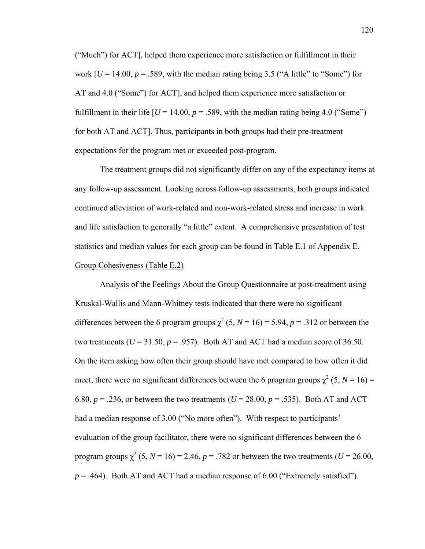("Much") for ACT], helped them experience more satisfaction or fulfillment in their work  $[U = 14.00, p = .589$ , with the median rating being 3.5 ("A little" to "Some") for AT and 4.0 ("Some") for ACT], and helped them experience more satisfaction or fulfillment in their life  $[U = 14.00, p = .589$ , with the median rating being 4.0 ("Some") for both AT and ACT]. Thus, participants in both groups had their pre-treatment expectations for the program met or exceeded post-program.

 The treatment groups did not significantly differ on any of the expectancy items at any follow-up assessment. Looking across follow-up assessments, both groups indicated continued alleviation of work-related and non-work-related stress and increase in work and life satisfaction to generally "a little" extent. A comprehensive presentation of test statistics and median values for each group can be found in Table E.1 of Appendix E. Group Cohesiveness (Table E.2)

 Analysis of the Feelings About the Group Questionnaire at post-treatment using Kruskal-Wallis and Mann-Whitney tests indicated that there were no significant differences between the 6 program groups  $\chi^2$  (5, *N* = 16) = 5.94, *p* = .312 or between the two treatments ( $U = 31.50$ ,  $p = .957$ ). Both AT and ACT had a median score of 36.50. On the item asking how often their group should have met compared to how often it did meet, there were no significant differences between the 6 program groups  $\chi^2$  (5, *N* = 16) = 6.80,  $p = 0.236$ , or between the two treatments ( $U = 28.00$ ,  $p = 0.535$ ). Both AT and ACT had a median response of 3.00 ("No more often"). With respect to participants' evaluation of the group facilitator, there were no significant differences between the 6 program groups  $\chi^2$  (5,  $N = 16$ ) = 2.46,  $p = .782$  or between the two treatments ( $U = 26.00$ ,  $p = .464$ ). Both AT and ACT had a median response of 6.00 ("Extremely satisfied").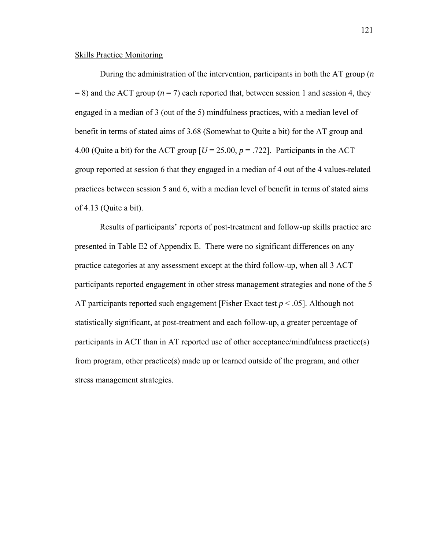## Skills Practice Monitoring

 During the administration of the intervention, participants in both the AT group (*n*  $= 8$ ) and the ACT group ( $n = 7$ ) each reported that, between session 1 and session 4, they engaged in a median of 3 (out of the 5) mindfulness practices, with a median level of benefit in terms of stated aims of 3.68 (Somewhat to Quite a bit) for the AT group and 4.00 (Quite a bit) for the ACT group  $[U = 25.00, p = .722]$ . Participants in the ACT group reported at session 6 that they engaged in a median of 4 out of the 4 values-related practices between session 5 and 6, with a median level of benefit in terms of stated aims of 4.13 (Quite a bit).

Results of participants' reports of post-treatment and follow-up skills practice are presented in Table E2 of Appendix E. There were no significant differences on any practice categories at any assessment except at the third follow-up, when all 3 ACT participants reported engagement in other stress management strategies and none of the 5 AT participants reported such engagement [Fisher Exact test *p* < .05]. Although not statistically significant, at post-treatment and each follow-up, a greater percentage of participants in ACT than in AT reported use of other acceptance/mindfulness practice(s) from program, other practice(s) made up or learned outside of the program, and other stress management strategies.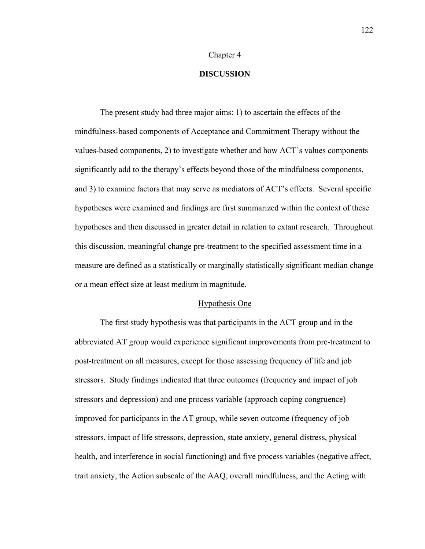## Chapter 4

# **DISCUSSION**

The present study had three major aims: 1) to ascertain the effects of the mindfulness-based components of Acceptance and Commitment Therapy without the values-based components, 2) to investigate whether and how ACT's values components significantly add to the therapy's effects beyond those of the mindfulness components, and 3) to examine factors that may serve as mediators of ACT's effects. Several specific hypotheses were examined and findings are first summarized within the context of these hypotheses and then discussed in greater detail in relation to extant research. Throughout this discussion, meaningful change pre-treatment to the specified assessment time in a measure are defined as a statistically or marginally statistically significant median change or a mean effect size at least medium in magnitude.

### Hypothesis One

 The first study hypothesis was that participants in the ACT group and in the abbreviated AT group would experience significant improvements from pre-treatment to post-treatment on all measures, except for those assessing frequency of life and job stressors. Study findings indicated that three outcomes (frequency and impact of job stressors and depression) and one process variable (approach coping congruence) improved for participants in the AT group, while seven outcome (frequency of job stressors, impact of life stressors, depression, state anxiety, general distress, physical health, and interference in social functioning) and five process variables (negative affect, trait anxiety, the Action subscale of the AAQ, overall mindfulness, and the Acting with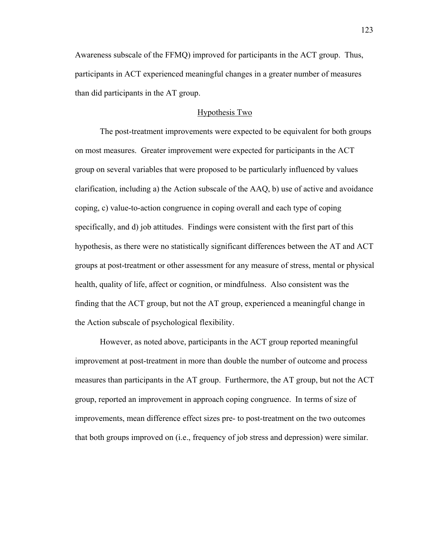Awareness subscale of the FFMQ) improved for participants in the ACT group. Thus, participants in ACT experienced meaningful changes in a greater number of measures than did participants in the AT group.

# Hypothesis Two

 The post-treatment improvements were expected to be equivalent for both groups on most measures. Greater improvement were expected for participants in the ACT group on several variables that were proposed to be particularly influenced by values clarification, including a) the Action subscale of the AAQ, b) use of active and avoidance coping, c) value-to-action congruence in coping overall and each type of coping specifically, and d) job attitudes. Findings were consistent with the first part of this hypothesis, as there were no statistically significant differences between the AT and ACT groups at post-treatment or other assessment for any measure of stress, mental or physical health, quality of life, affect or cognition, or mindfulness. Also consistent was the finding that the ACT group, but not the AT group, experienced a meaningful change in the Action subscale of psychological flexibility.

 However, as noted above, participants in the ACT group reported meaningful improvement at post-treatment in more than double the number of outcome and process measures than participants in the AT group. Furthermore, the AT group, but not the ACT group, reported an improvement in approach coping congruence. In terms of size of improvements, mean difference effect sizes pre- to post-treatment on the two outcomes that both groups improved on (i.e., frequency of job stress and depression) were similar.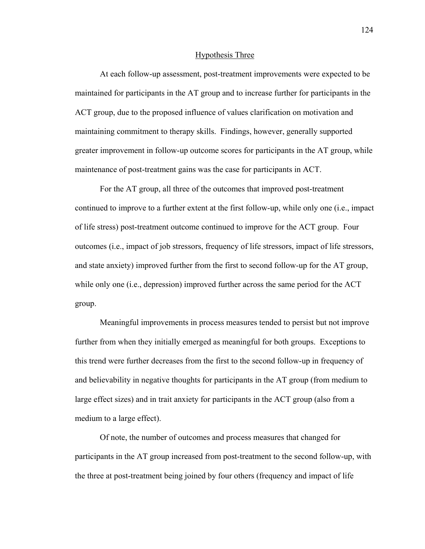#### Hypothesis Three

 At each follow-up assessment, post-treatment improvements were expected to be maintained for participants in the AT group and to increase further for participants in the ACT group, due to the proposed influence of values clarification on motivation and maintaining commitment to therapy skills. Findings, however, generally supported greater improvement in follow-up outcome scores for participants in the AT group, while maintenance of post-treatment gains was the case for participants in ACT.

 For the AT group, all three of the outcomes that improved post-treatment continued to improve to a further extent at the first follow-up, while only one (i.e., impact of life stress) post-treatment outcome continued to improve for the ACT group. Four outcomes (i.e., impact of job stressors, frequency of life stressors, impact of life stressors, and state anxiety) improved further from the first to second follow-up for the AT group, while only one (i.e., depression) improved further across the same period for the ACT group.

 Meaningful improvements in process measures tended to persist but not improve further from when they initially emerged as meaningful for both groups. Exceptions to this trend were further decreases from the first to the second follow-up in frequency of and believability in negative thoughts for participants in the AT group (from medium to large effect sizes) and in trait anxiety for participants in the ACT group (also from a medium to a large effect).

 Of note, the number of outcomes and process measures that changed for participants in the AT group increased from post-treatment to the second follow-up, with the three at post-treatment being joined by four others (frequency and impact of life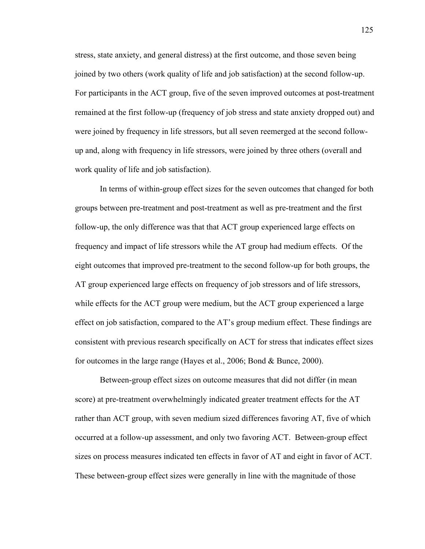stress, state anxiety, and general distress) at the first outcome, and those seven being joined by two others (work quality of life and job satisfaction) at the second follow-up. For participants in the ACT group, five of the seven improved outcomes at post-treatment remained at the first follow-up (frequency of job stress and state anxiety dropped out) and were joined by frequency in life stressors, but all seven reemerged at the second followup and, along with frequency in life stressors, were joined by three others (overall and work quality of life and job satisfaction).

 In terms of within-group effect sizes for the seven outcomes that changed for both groups between pre-treatment and post-treatment as well as pre-treatment and the first follow-up, the only difference was that that ACT group experienced large effects on frequency and impact of life stressors while the AT group had medium effects. Of the eight outcomes that improved pre-treatment to the second follow-up for both groups, the AT group experienced large effects on frequency of job stressors and of life stressors, while effects for the ACT group were medium, but the ACT group experienced a large effect on job satisfaction, compared to the AT's group medium effect. These findings are consistent with previous research specifically on ACT for stress that indicates effect sizes for outcomes in the large range (Hayes et al., 2006; Bond & Bunce, 2000).

 Between-group effect sizes on outcome measures that did not differ (in mean score) at pre-treatment overwhelmingly indicated greater treatment effects for the AT rather than ACT group, with seven medium sized differences favoring AT, five of which occurred at a follow-up assessment, and only two favoring ACT. Between-group effect sizes on process measures indicated ten effects in favor of AT and eight in favor of ACT. These between-group effect sizes were generally in line with the magnitude of those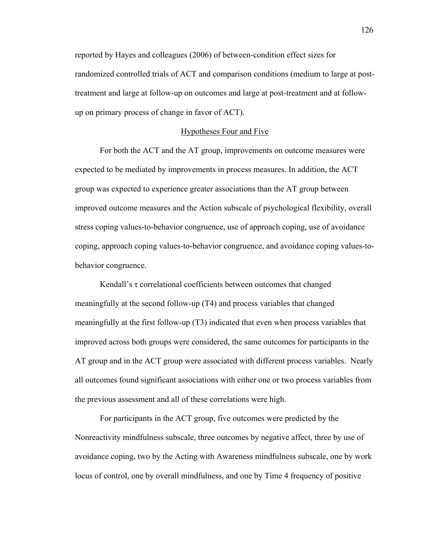reported by Hayes and colleagues (2006) of between-condition effect sizes for randomized controlled trials of ACT and comparison conditions (medium to large at posttreatment and large at follow-up on outcomes and large at post-treatment and at followup on primary process of change in favor of ACT).

## Hypotheses Four and Five

 For both the ACT and the AT group, improvements on outcome measures were expected to be mediated by improvements in process measures. In addition, the ACT group was expected to experience greater associations than the AT group between improved outcome measures and the Action subscale of psychological flexibility, overall stress coping values-to-behavior congruence, use of approach coping, use of avoidance coping, approach coping values-to-behavior congruence, and avoidance coping values-tobehavior congruence.

 Kendall's τ correlational coefficients between outcomes that changed meaningfully at the second follow-up (T4) and process variables that changed meaningfully at the first follow-up (T3) indicated that even when process variables that improved across both groups were considered, the same outcomes for participants in the AT group and in the ACT group were associated with different process variables. Nearly all outcomes found significant associations with either one or two process variables from the previous assessment and all of these correlations were high.

 For participants in the ACT group, five outcomes were predicted by the Nonreactivity mindfulness subscale, three outcomes by negative affect, three by use of avoidance coping, two by the Acting with Awareness mindfulness subscale, one by work locus of control, one by overall mindfulness, and one by Time 4 frequency of positive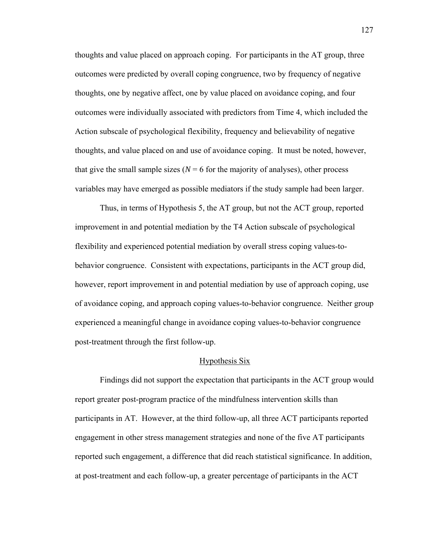thoughts and value placed on approach coping. For participants in the AT group, three outcomes were predicted by overall coping congruence, two by frequency of negative thoughts, one by negative affect, one by value placed on avoidance coping, and four outcomes were individually associated with predictors from Time 4, which included the Action subscale of psychological flexibility, frequency and believability of negative thoughts, and value placed on and use of avoidance coping. It must be noted, however, that give the small sample sizes ( $N = 6$  for the majority of analyses), other process variables may have emerged as possible mediators if the study sample had been larger.

 Thus, in terms of Hypothesis 5, the AT group, but not the ACT group, reported improvement in and potential mediation by the T4 Action subscale of psychological flexibility and experienced potential mediation by overall stress coping values-tobehavior congruence. Consistent with expectations, participants in the ACT group did, however, report improvement in and potential mediation by use of approach coping, use of avoidance coping, and approach coping values-to-behavior congruence. Neither group experienced a meaningful change in avoidance coping values-to-behavior congruence post-treatment through the first follow-up.

### Hypothesis Six

 Findings did not support the expectation that participants in the ACT group would report greater post-program practice of the mindfulness intervention skills than participants in AT. However, at the third follow-up, all three ACT participants reported engagement in other stress management strategies and none of the five AT participants reported such engagement, a difference that did reach statistical significance. In addition, at post-treatment and each follow-up, a greater percentage of participants in the ACT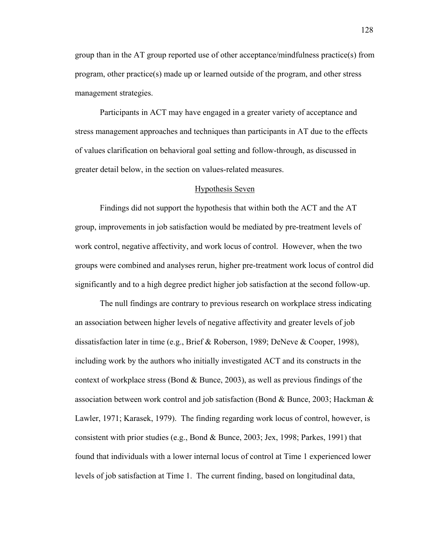group than in the AT group reported use of other acceptance/mindfulness practice(s) from program, other practice(s) made up or learned outside of the program, and other stress management strategies.

 Participants in ACT may have engaged in a greater variety of acceptance and stress management approaches and techniques than participants in AT due to the effects of values clarification on behavioral goal setting and follow-through, as discussed in greater detail below, in the section on values-related measures.

#### Hypothesis Seven

 Findings did not support the hypothesis that within both the ACT and the AT group, improvements in job satisfaction would be mediated by pre-treatment levels of work control, negative affectivity, and work locus of control. However, when the two groups were combined and analyses rerun, higher pre-treatment work locus of control did significantly and to a high degree predict higher job satisfaction at the second follow-up.

 The null findings are contrary to previous research on workplace stress indicating an association between higher levels of negative affectivity and greater levels of job dissatisfaction later in time (e.g., Brief & Roberson, 1989; DeNeve & Cooper, 1998), including work by the authors who initially investigated ACT and its constructs in the context of workplace stress (Bond  $\&$  Bunce, 2003), as well as previous findings of the association between work control and job satisfaction (Bond & Bunce, 2003; Hackman & Lawler, 1971; Karasek, 1979). The finding regarding work locus of control, however, is consistent with prior studies (e.g., Bond  $\&$  Bunce, 2003; Jex, 1998; Parkes, 1991) that found that individuals with a lower internal locus of control at Time 1 experienced lower levels of job satisfaction at Time 1. The current finding, based on longitudinal data,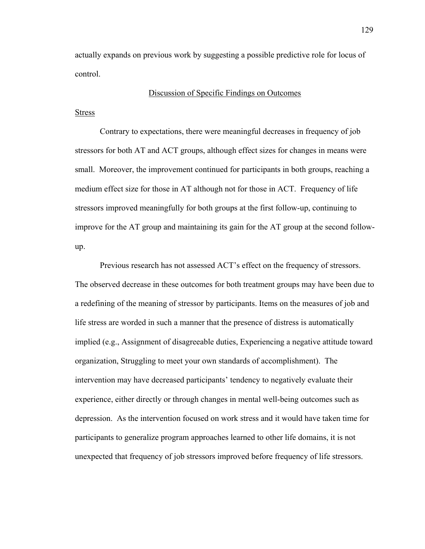actually expands on previous work by suggesting a possible predictive role for locus of control.

## Discussion of Specific Findings on Outcomes

## Stress

 Contrary to expectations, there were meaningful decreases in frequency of job stressors for both AT and ACT groups, although effect sizes for changes in means were small. Moreover, the improvement continued for participants in both groups, reaching a medium effect size for those in AT although not for those in ACT. Frequency of life stressors improved meaningfully for both groups at the first follow-up, continuing to improve for the AT group and maintaining its gain for the AT group at the second followup.

Previous research has not assessed ACT's effect on the frequency of stressors. The observed decrease in these outcomes for both treatment groups may have been due to a redefining of the meaning of stressor by participants. Items on the measures of job and life stress are worded in such a manner that the presence of distress is automatically implied (e.g., Assignment of disagreeable duties, Experiencing a negative attitude toward organization, Struggling to meet your own standards of accomplishment). The intervention may have decreased participants' tendency to negatively evaluate their experience, either directly or through changes in mental well-being outcomes such as depression. As the intervention focused on work stress and it would have taken time for participants to generalize program approaches learned to other life domains, it is not unexpected that frequency of job stressors improved before frequency of life stressors.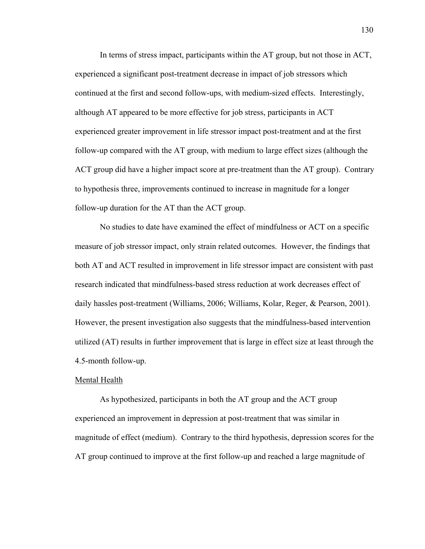In terms of stress impact, participants within the AT group, but not those in ACT, experienced a significant post-treatment decrease in impact of job stressors which continued at the first and second follow-ups, with medium-sized effects. Interestingly, although AT appeared to be more effective for job stress, participants in ACT experienced greater improvement in life stressor impact post-treatment and at the first follow-up compared with the AT group, with medium to large effect sizes (although the ACT group did have a higher impact score at pre-treatment than the AT group). Contrary to hypothesis three, improvements continued to increase in magnitude for a longer follow-up duration for the AT than the ACT group.

 No studies to date have examined the effect of mindfulness or ACT on a specific measure of job stressor impact, only strain related outcomes. However, the findings that both AT and ACT resulted in improvement in life stressor impact are consistent with past research indicated that mindfulness-based stress reduction at work decreases effect of daily hassles post-treatment (Williams, 2006; Williams, Kolar, Reger, & Pearson, 2001). However, the present investigation also suggests that the mindfulness-based intervention utilized (AT) results in further improvement that is large in effect size at least through the 4.5-month follow-up.

#### Mental Health

As hypothesized, participants in both the AT group and the ACT group experienced an improvement in depression at post-treatment that was similar in magnitude of effect (medium). Contrary to the third hypothesis, depression scores for the AT group continued to improve at the first follow-up and reached a large magnitude of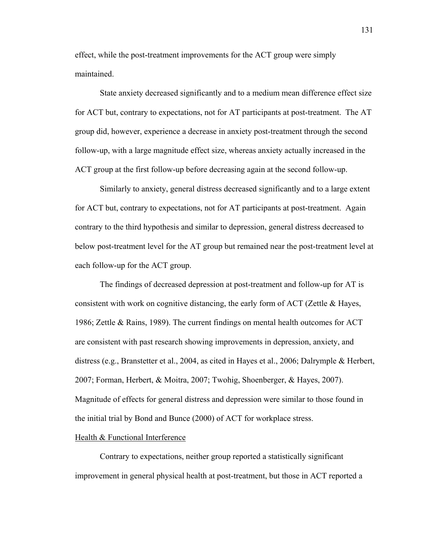effect, while the post-treatment improvements for the ACT group were simply maintained.

State anxiety decreased significantly and to a medium mean difference effect size for ACT but, contrary to expectations, not for AT participants at post-treatment. The AT group did, however, experience a decrease in anxiety post-treatment through the second follow-up, with a large magnitude effect size, whereas anxiety actually increased in the ACT group at the first follow-up before decreasing again at the second follow-up.

Similarly to anxiety, general distress decreased significantly and to a large extent for ACT but, contrary to expectations, not for AT participants at post-treatment. Again contrary to the third hypothesis and similar to depression, general distress decreased to below post-treatment level for the AT group but remained near the post-treatment level at each follow-up for the ACT group.

The findings of decreased depression at post-treatment and follow-up for AT is consistent with work on cognitive distancing, the early form of ACT (Zettle & Hayes, 1986; Zettle & Rains, 1989). The current findings on mental health outcomes for ACT are consistent with past research showing improvements in depression, anxiety, and distress (e.g., Branstetter et al., 2004, as cited in Hayes et al., 2006; Dalrymple & Herbert, 2007; Forman, Herbert, & Moitra, 2007; Twohig, Shoenberger, & Hayes, 2007). Magnitude of effects for general distress and depression were similar to those found in the initial trial by Bond and Bunce (2000) of ACT for workplace stress.

# Health & Functional Interference

 Contrary to expectations, neither group reported a statistically significant improvement in general physical health at post-treatment, but those in ACT reported a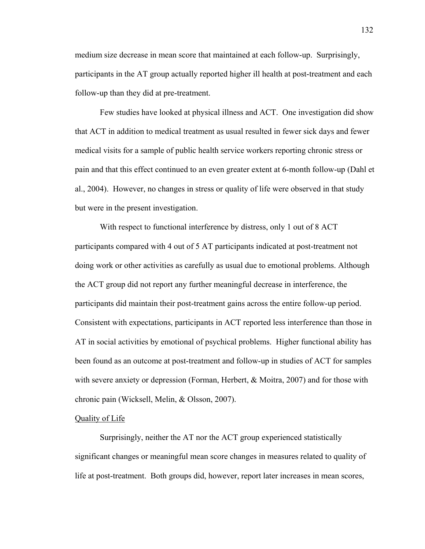medium size decrease in mean score that maintained at each follow-up. Surprisingly, participants in the AT group actually reported higher ill health at post-treatment and each follow-up than they did at pre-treatment.

Few studies have looked at physical illness and ACT. One investigation did show that ACT in addition to medical treatment as usual resulted in fewer sick days and fewer medical visits for a sample of public health service workers reporting chronic stress or pain and that this effect continued to an even greater extent at 6-month follow-up (Dahl et al., 2004). However, no changes in stress or quality of life were observed in that study but were in the present investigation.

With respect to functional interference by distress, only 1 out of 8 ACT participants compared with 4 out of 5 AT participants indicated at post-treatment not doing work or other activities as carefully as usual due to emotional problems. Although the ACT group did not report any further meaningful decrease in interference, the participants did maintain their post-treatment gains across the entire follow-up period. Consistent with expectations, participants in ACT reported less interference than those in AT in social activities by emotional of psychical problems. Higher functional ability has been found as an outcome at post-treatment and follow-up in studies of ACT for samples with severe anxiety or depression (Forman, Herbert, & Moitra, 2007) and for those with chronic pain (Wicksell, Melin, & Olsson, 2007).

# Quality of Life

 Surprisingly, neither the AT nor the ACT group experienced statistically significant changes or meaningful mean score changes in measures related to quality of life at post-treatment. Both groups did, however, report later increases in mean scores,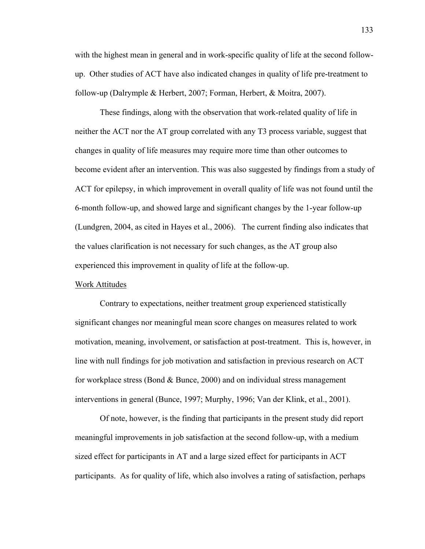with the highest mean in general and in work-specific quality of life at the second followup. Other studies of ACT have also indicated changes in quality of life pre-treatment to follow-up (Dalrymple & Herbert, 2007; Forman, Herbert, & Moitra, 2007).

 These findings, along with the observation that work-related quality of life in neither the ACT nor the AT group correlated with any T3 process variable, suggest that changes in quality of life measures may require more time than other outcomes to become evident after an intervention. This was also suggested by findings from a study of ACT for epilepsy, in which improvement in overall quality of life was not found until the 6-month follow-up, and showed large and significant changes by the 1-year follow-up (Lundgren, 2004, as cited in Hayes et al., 2006). The current finding also indicates that the values clarification is not necessary for such changes, as the AT group also experienced this improvement in quality of life at the follow-up.

#### Work Attitudes

 Contrary to expectations, neither treatment group experienced statistically significant changes nor meaningful mean score changes on measures related to work motivation, meaning, involvement, or satisfaction at post-treatment. This is, however, in line with null findings for job motivation and satisfaction in previous research on ACT for workplace stress (Bond & Bunce, 2000) and on individual stress management interventions in general (Bunce, 1997; Murphy, 1996; Van der Klink, et al., 2001).

 Of note, however, is the finding that participants in the present study did report meaningful improvements in job satisfaction at the second follow-up, with a medium sized effect for participants in AT and a large sized effect for participants in ACT participants. As for quality of life, which also involves a rating of satisfaction, perhaps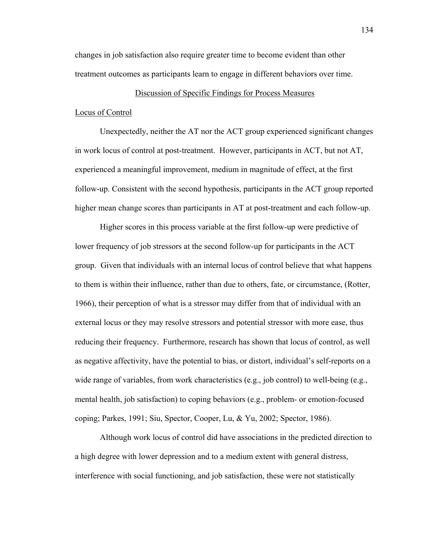changes in job satisfaction also require greater time to become evident than other treatment outcomes as participants learn to engage in different behaviors over time.

# Discussion of Specific Findings for Process Measures

#### Locus of Control

 Unexpectedly, neither the AT nor the ACT group experienced significant changes in work locus of control at post-treatment. However, participants in ACT, but not AT, experienced a meaningful improvement, medium in magnitude of effect, at the first follow-up. Consistent with the second hypothesis, participants in the ACT group reported higher mean change scores than participants in AT at post-treatment and each follow-up.

 Higher scores in this process variable at the first follow-up were predictive of lower frequency of job stressors at the second follow-up for participants in the ACT group. Given that individuals with an internal locus of control believe that what happens to them is within their influence, rather than due to others, fate, or circumstance, (Rotter, 1966), their perception of what is a stressor may differ from that of individual with an external locus or they may resolve stressors and potential stressor with more ease, thus reducing their frequency. Furthermore, research has shown that locus of control, as well as negative affectivity, have the potential to bias, or distort, individual's self-reports on a wide range of variables, from work characteristics (e.g., job control) to well-being (e.g., mental health, job satisfaction) to coping behaviors (e.g., problem- or emotion-focused coping; Parkes, 1991; Siu, Spector, Cooper, Lu, & Yu, 2002; Spector, 1986).

 Although work locus of control did have associations in the predicted direction to a high degree with lower depression and to a medium extent with general distress, interference with social functioning, and job satisfaction, these were not statistically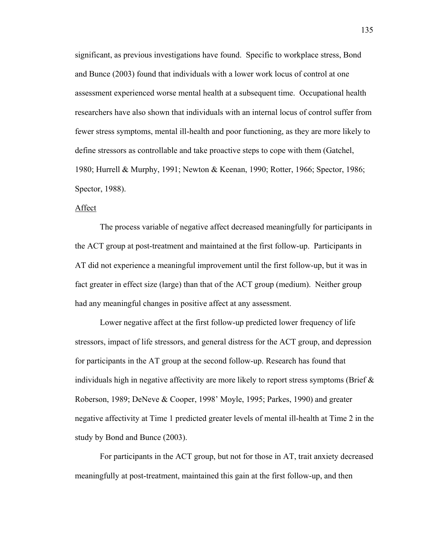significant, as previous investigations have found. Specific to workplace stress, Bond and Bunce (2003) found that individuals with a lower work locus of control at one assessment experienced worse mental health at a subsequent time. Occupational health researchers have also shown that individuals with an internal locus of control suffer from fewer stress symptoms, mental ill-health and poor functioning, as they are more likely to define stressors as controllable and take proactive steps to cope with them (Gatchel, 1980; Hurrell & Murphy, 1991; Newton & Keenan, 1990; Rotter, 1966; Spector, 1986; Spector, 1988).

# Affect

 The process variable of negative affect decreased meaningfully for participants in the ACT group at post-treatment and maintained at the first follow-up. Participants in AT did not experience a meaningful improvement until the first follow-up, but it was in fact greater in effect size (large) than that of the ACT group (medium). Neither group had any meaningful changes in positive affect at any assessment.

 Lower negative affect at the first follow-up predicted lower frequency of life stressors, impact of life stressors, and general distress for the ACT group, and depression for participants in the AT group at the second follow-up. Research has found that individuals high in negative affectivity are more likely to report stress symptoms (Brief  $\&$ Roberson, 1989; DeNeve & Cooper, 1998' Moyle, 1995; Parkes, 1990) and greater negative affectivity at Time 1 predicted greater levels of mental ill-health at Time 2 in the study by Bond and Bunce (2003).

 For participants in the ACT group, but not for those in AT, trait anxiety decreased meaningfully at post-treatment, maintained this gain at the first follow-up, and then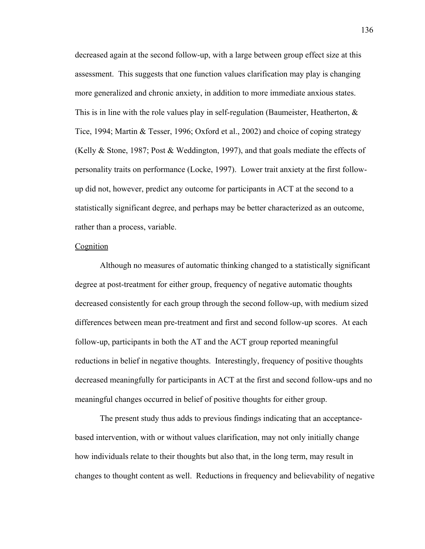decreased again at the second follow-up, with a large between group effect size at this assessment. This suggests that one function values clarification may play is changing more generalized and chronic anxiety, in addition to more immediate anxious states. This is in line with the role values play in self-regulation (Baumeister, Heatherton,  $\&$ Tice, 1994; Martin & Tesser, 1996; Oxford et al., 2002) and choice of coping strategy (Kelly & Stone, 1987; Post & Weddington, 1997), and that goals mediate the effects of personality traits on performance (Locke, 1997). Lower trait anxiety at the first followup did not, however, predict any outcome for participants in ACT at the second to a statistically significant degree, and perhaps may be better characterized as an outcome, rather than a process, variable.

# Cognition

 Although no measures of automatic thinking changed to a statistically significant degree at post-treatment for either group, frequency of negative automatic thoughts decreased consistently for each group through the second follow-up, with medium sized differences between mean pre-treatment and first and second follow-up scores. At each follow-up, participants in both the AT and the ACT group reported meaningful reductions in belief in negative thoughts. Interestingly, frequency of positive thoughts decreased meaningfully for participants in ACT at the first and second follow-ups and no meaningful changes occurred in belief of positive thoughts for either group.

The present study thus adds to previous findings indicating that an acceptancebased intervention, with or without values clarification, may not only initially change how individuals relate to their thoughts but also that, in the long term, may result in changes to thought content as well. Reductions in frequency and believability of negative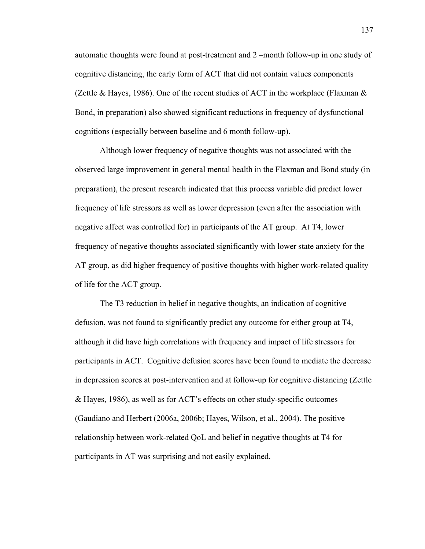automatic thoughts were found at post-treatment and 2 –month follow-up in one study of cognitive distancing, the early form of ACT that did not contain values components (Zettle & Hayes, 1986). One of the recent studies of ACT in the workplace (Flaxman  $\&$ Bond, in preparation) also showed significant reductions in frequency of dysfunctional cognitions (especially between baseline and 6 month follow-up).

Although lower frequency of negative thoughts was not associated with the observed large improvement in general mental health in the Flaxman and Bond study (in preparation), the present research indicated that this process variable did predict lower frequency of life stressors as well as lower depression (even after the association with negative affect was controlled for) in participants of the AT group. At T4, lower frequency of negative thoughts associated significantly with lower state anxiety for the AT group, as did higher frequency of positive thoughts with higher work-related quality of life for the ACT group.

The T3 reduction in belief in negative thoughts, an indication of cognitive defusion, was not found to significantly predict any outcome for either group at T4, although it did have high correlations with frequency and impact of life stressors for participants in ACT. Cognitive defusion scores have been found to mediate the decrease in depression scores at post-intervention and at follow-up for cognitive distancing (Zettle & Hayes, 1986), as well as for ACT's effects on other study-specific outcomes (Gaudiano and Herbert (2006a, 2006b; Hayes, Wilson, et al., 2004). The positive relationship between work-related QoL and belief in negative thoughts at T4 for participants in AT was surprising and not easily explained.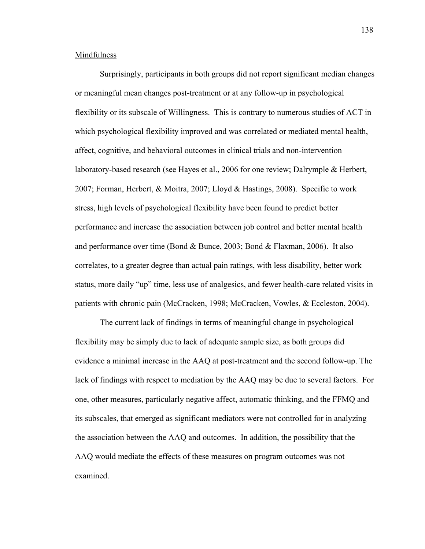# Mindfulness

 Surprisingly, participants in both groups did not report significant median changes or meaningful mean changes post-treatment or at any follow-up in psychological flexibility or its subscale of Willingness. This is contrary to numerous studies of ACT in which psychological flexibility improved and was correlated or mediated mental health, affect, cognitive, and behavioral outcomes in clinical trials and non-intervention laboratory-based research (see Hayes et al., 2006 for one review; Dalrymple & Herbert, 2007; Forman, Herbert, & Moitra, 2007; Lloyd & Hastings, 2008). Specific to work stress, high levels of psychological flexibility have been found to predict better performance and increase the association between job control and better mental health and performance over time (Bond & Bunce, 2003; Bond & Flaxman, 2006). It also correlates, to a greater degree than actual pain ratings, with less disability, better work status, more daily "up" time, less use of analgesics, and fewer health-care related visits in patients with chronic pain (McCracken, 1998; McCracken, Vowles, & Eccleston, 2004).

 The current lack of findings in terms of meaningful change in psychological flexibility may be simply due to lack of adequate sample size, as both groups did evidence a minimal increase in the AAQ at post-treatment and the second follow-up. The lack of findings with respect to mediation by the AAQ may be due to several factors. For one, other measures, particularly negative affect, automatic thinking, and the FFMQ and its subscales, that emerged as significant mediators were not controlled for in analyzing the association between the AAQ and outcomes. In addition, the possibility that the AAQ would mediate the effects of these measures on program outcomes was not examined.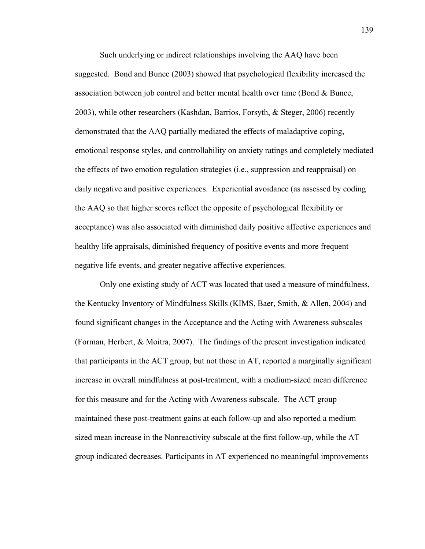Such underlying or indirect relationships involving the AAQ have been suggested. Bond and Bunce (2003) showed that psychological flexibility increased the association between job control and better mental health over time (Bond & Bunce, 2003), while other researchers (Kashdan, Barrios, Forsyth, & Steger, 2006) recently demonstrated that the AAQ partially mediated the effects of maladaptive coping, emotional response styles, and controllability on anxiety ratings and completely mediated the effects of two emotion regulation strategies (i.e., suppression and reappraisal) on daily negative and positive experiences. Experiential avoidance (as assessed by coding the AAQ so that higher scores reflect the opposite of psychological flexibility or acceptance) was also associated with diminished daily positive affective experiences and healthy life appraisals, diminished frequency of positive events and more frequent negative life events, and greater negative affective experiences.

 Only one existing study of ACT was located that used a measure of mindfulness, the Kentucky Inventory of Mindfulness Skills (KIMS, Baer, Smith, & Allen, 2004) and found significant changes in the Acceptance and the Acting with Awareness subscales (Forman, Herbert, & Moitra, 2007). The findings of the present investigation indicated that participants in the ACT group, but not those in AT, reported a marginally significant increase in overall mindfulness at post-treatment, with a medium-sized mean difference for this measure and for the Acting with Awareness subscale. The ACT group maintained these post-treatment gains at each follow-up and also reported a medium sized mean increase in the Nonreactivity subscale at the first follow-up, while the AT group indicated decreases. Participants in AT experienced no meaningful improvements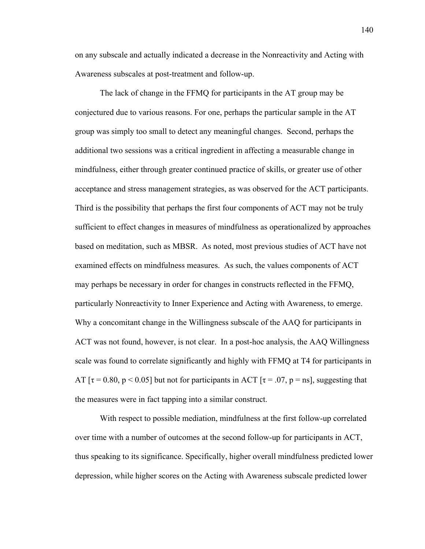on any subscale and actually indicated a decrease in the Nonreactivity and Acting with Awareness subscales at post-treatment and follow-up.

The lack of change in the FFMQ for participants in the AT group may be conjectured due to various reasons. For one, perhaps the particular sample in the AT group was simply too small to detect any meaningful changes. Second, perhaps the additional two sessions was a critical ingredient in affecting a measurable change in mindfulness, either through greater continued practice of skills, or greater use of other acceptance and stress management strategies, as was observed for the ACT participants. Third is the possibility that perhaps the first four components of ACT may not be truly sufficient to effect changes in measures of mindfulness as operationalized by approaches based on meditation, such as MBSR. As noted, most previous studies of ACT have not examined effects on mindfulness measures. As such, the values components of ACT may perhaps be necessary in order for changes in constructs reflected in the FFMQ, particularly Nonreactivity to Inner Experience and Acting with Awareness, to emerge. Why a concomitant change in the Willingness subscale of the AAQ for participants in ACT was not found, however, is not clear. In a post-hoc analysis, the AAQ Willingness scale was found to correlate significantly and highly with FFMQ at T4 for participants in AT  $\tau$  = 0.80, p < 0.05] but not for participants in ACT  $\tau$  = .07, p = ns], suggesting that the measures were in fact tapping into a similar construct.

With respect to possible mediation, mindfulness at the first follow-up correlated over time with a number of outcomes at the second follow-up for participants in ACT, thus speaking to its significance. Specifically, higher overall mindfulness predicted lower depression, while higher scores on the Acting with Awareness subscale predicted lower

140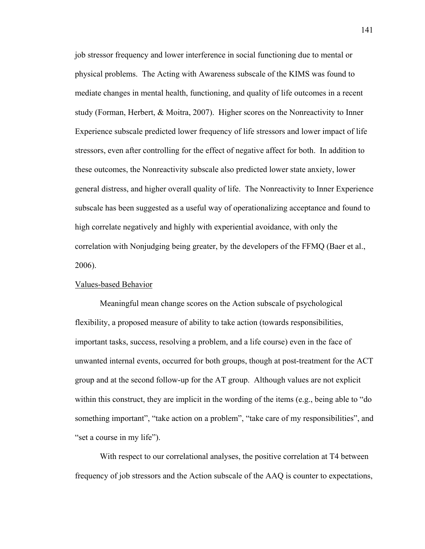job stressor frequency and lower interference in social functioning due to mental or physical problems. The Acting with Awareness subscale of the KIMS was found to mediate changes in mental health, functioning, and quality of life outcomes in a recent study (Forman, Herbert, & Moitra, 2007). Higher scores on the Nonreactivity to Inner Experience subscale predicted lower frequency of life stressors and lower impact of life stressors, even after controlling for the effect of negative affect for both. In addition to these outcomes, the Nonreactivity subscale also predicted lower state anxiety, lower general distress, and higher overall quality of life. The Nonreactivity to Inner Experience subscale has been suggested as a useful way of operationalizing acceptance and found to high correlate negatively and highly with experiential avoidance, with only the correlation with Nonjudging being greater, by the developers of the FFMQ (Baer et al., 2006).

# Values-based Behavior

 Meaningful mean change scores on the Action subscale of psychological flexibility, a proposed measure of ability to take action (towards responsibilities, important tasks, success, resolving a problem, and a life course) even in the face of unwanted internal events, occurred for both groups, though at post-treatment for the ACT group and at the second follow-up for the AT group. Although values are not explicit within this construct, they are implicit in the wording of the items (e.g., being able to "do something important", "take action on a problem", "take care of my responsibilities", and "set a course in my life").

 With respect to our correlational analyses, the positive correlation at T4 between frequency of job stressors and the Action subscale of the AAQ is counter to expectations,

141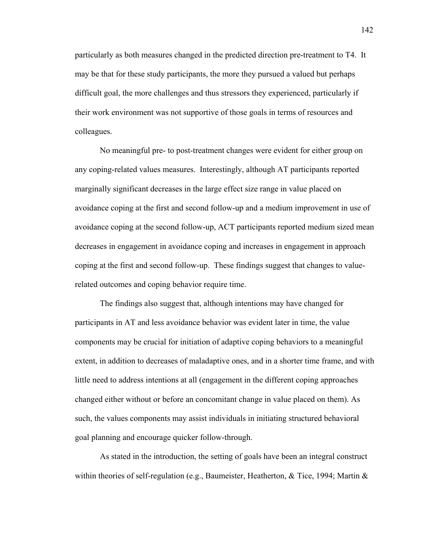particularly as both measures changed in the predicted direction pre-treatment to T4. It may be that for these study participants, the more they pursued a valued but perhaps difficult goal, the more challenges and thus stressors they experienced, particularly if their work environment was not supportive of those goals in terms of resources and colleagues.

No meaningful pre- to post-treatment changes were evident for either group on any coping-related values measures. Interestingly, although AT participants reported marginally significant decreases in the large effect size range in value placed on avoidance coping at the first and second follow-up and a medium improvement in use of avoidance coping at the second follow-up, ACT participants reported medium sized mean decreases in engagement in avoidance coping and increases in engagement in approach coping at the first and second follow-up. These findings suggest that changes to valuerelated outcomes and coping behavior require time.

 The findings also suggest that, although intentions may have changed for participants in AT and less avoidance behavior was evident later in time, the value components may be crucial for initiation of adaptive coping behaviors to a meaningful extent, in addition to decreases of maladaptive ones, and in a shorter time frame, and with little need to address intentions at all (engagement in the different coping approaches changed either without or before an concomitant change in value placed on them). As such, the values components may assist individuals in initiating structured behavioral goal planning and encourage quicker follow-through.

 As stated in the introduction, the setting of goals have been an integral construct within theories of self-regulation (e.g., Baumeister, Heatherton, & Tice, 1994; Martin &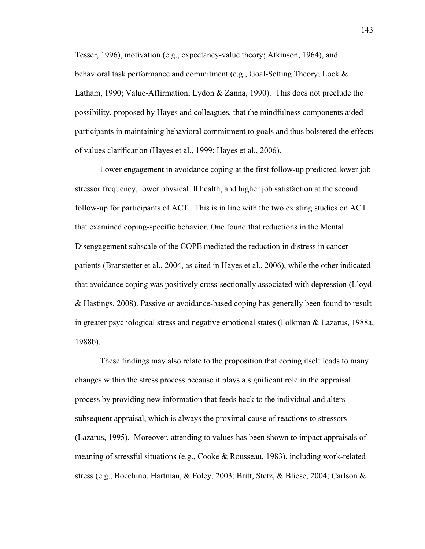Tesser, 1996), motivation (e.g., expectancy-value theory; Atkinson, 1964), and behavioral task performance and commitment (e.g., Goal-Setting Theory; Lock & Latham, 1990; Value-Affirmation; Lydon & Zanna, 1990). This does not preclude the possibility, proposed by Hayes and colleagues, that the mindfulness components aided participants in maintaining behavioral commitment to goals and thus bolstered the effects of values clarification (Hayes et al., 1999; Hayes et al., 2006).

 Lower engagement in avoidance coping at the first follow-up predicted lower job stressor frequency, lower physical ill health, and higher job satisfaction at the second follow-up for participants of ACT. This is in line with the two existing studies on ACT that examined coping-specific behavior. One found that reductions in the Mental Disengagement subscale of the COPE mediated the reduction in distress in cancer patients (Branstetter et al., 2004, as cited in Hayes et al., 2006), while the other indicated that avoidance coping was positively cross-sectionally associated with depression (Lloyd & Hastings, 2008). Passive or avoidance-based coping has generally been found to result in greater psychological stress and negative emotional states (Folkman & Lazarus, 1988a, 1988b).

 These findings may also relate to the proposition that coping itself leads to many changes within the stress process because it plays a significant role in the appraisal process by providing new information that feeds back to the individual and alters subsequent appraisal, which is always the proximal cause of reactions to stressors (Lazarus, 1995). Moreover, attending to values has been shown to impact appraisals of meaning of stressful situations (e.g., Cooke & Rousseau, 1983), including work-related stress (e.g., Bocchino, Hartman, & Foley, 2003; Britt, Stetz, & Bliese, 2004; Carlson &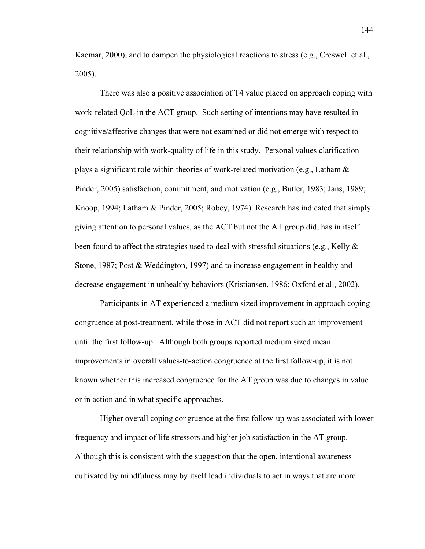Kaemar, 2000), and to dampen the physiological reactions to stress (e.g., Creswell et al., 2005).

 There was also a positive association of T4 value placed on approach coping with work-related QoL in the ACT group. Such setting of intentions may have resulted in cognitive/affective changes that were not examined or did not emerge with respect to their relationship with work-quality of life in this study. Personal values clarification plays a significant role within theories of work-related motivation (e.g., Latham  $\&$ Pinder, 2005) satisfaction, commitment, and motivation (e.g., Butler, 1983; Jans, 1989; Knoop, 1994; Latham & Pinder, 2005; Robey, 1974). Research has indicated that simply giving attention to personal values, as the ACT but not the AT group did, has in itself been found to affect the strategies used to deal with stressful situations (e.g., Kelly  $\&$ Stone, 1987; Post & Weddington, 1997) and to increase engagement in healthy and decrease engagement in unhealthy behaviors (Kristiansen, 1986; Oxford et al., 2002).

Participants in AT experienced a medium sized improvement in approach coping congruence at post-treatment, while those in ACT did not report such an improvement until the first follow-up. Although both groups reported medium sized mean improvements in overall values-to-action congruence at the first follow-up, it is not known whether this increased congruence for the AT group was due to changes in value or in action and in what specific approaches.

 Higher overall coping congruence at the first follow-up was associated with lower frequency and impact of life stressors and higher job satisfaction in the AT group. Although this is consistent with the suggestion that the open, intentional awareness cultivated by mindfulness may by itself lead individuals to act in ways that are more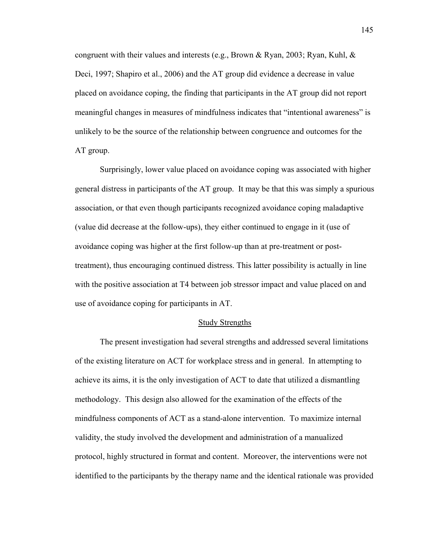congruent with their values and interests (e.g., Brown & Ryan, 2003; Ryan, Kuhl, & Deci, 1997; Shapiro et al., 2006) and the AT group did evidence a decrease in value placed on avoidance coping, the finding that participants in the AT group did not report meaningful changes in measures of mindfulness indicates that "intentional awareness" is unlikely to be the source of the relationship between congruence and outcomes for the AT group.

 Surprisingly, lower value placed on avoidance coping was associated with higher general distress in participants of the AT group. It may be that this was simply a spurious association, or that even though participants recognized avoidance coping maladaptive (value did decrease at the follow-ups), they either continued to engage in it (use of avoidance coping was higher at the first follow-up than at pre-treatment or posttreatment), thus encouraging continued distress. This latter possibility is actually in line with the positive association at T4 between job stressor impact and value placed on and use of avoidance coping for participants in AT.

## Study Strengths

 The present investigation had several strengths and addressed several limitations of the existing literature on ACT for workplace stress and in general. In attempting to achieve its aims, it is the only investigation of ACT to date that utilized a dismantling methodology. This design also allowed for the examination of the effects of the mindfulness components of ACT as a stand-alone intervention. To maximize internal validity, the study involved the development and administration of a manualized protocol, highly structured in format and content. Moreover, the interventions were not identified to the participants by the therapy name and the identical rationale was provided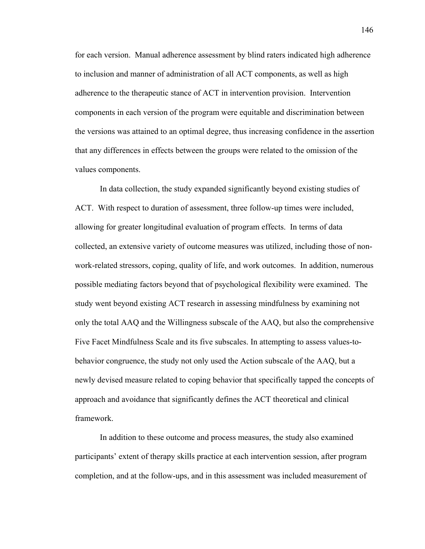for each version. Manual adherence assessment by blind raters indicated high adherence to inclusion and manner of administration of all ACT components, as well as high adherence to the therapeutic stance of ACT in intervention provision. Intervention components in each version of the program were equitable and discrimination between the versions was attained to an optimal degree, thus increasing confidence in the assertion that any differences in effects between the groups were related to the omission of the values components.

 In data collection, the study expanded significantly beyond existing studies of ACT. With respect to duration of assessment, three follow-up times were included, allowing for greater longitudinal evaluation of program effects. In terms of data collected, an extensive variety of outcome measures was utilized, including those of nonwork-related stressors, coping, quality of life, and work outcomes. In addition, numerous possible mediating factors beyond that of psychological flexibility were examined. The study went beyond existing ACT research in assessing mindfulness by examining not only the total AAQ and the Willingness subscale of the AAQ, but also the comprehensive Five Facet Mindfulness Scale and its five subscales. In attempting to assess values-tobehavior congruence, the study not only used the Action subscale of the AAQ, but a newly devised measure related to coping behavior that specifically tapped the concepts of approach and avoidance that significantly defines the ACT theoretical and clinical framework.

 In addition to these outcome and process measures, the study also examined participants' extent of therapy skills practice at each intervention session, after program completion, and at the follow-ups, and in this assessment was included measurement of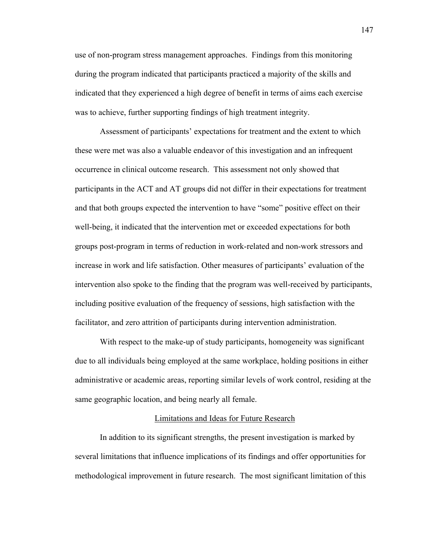use of non-program stress management approaches. Findings from this monitoring during the program indicated that participants practiced a majority of the skills and indicated that they experienced a high degree of benefit in terms of aims each exercise was to achieve, further supporting findings of high treatment integrity.

 Assessment of participants' expectations for treatment and the extent to which these were met was also a valuable endeavor of this investigation and an infrequent occurrence in clinical outcome research. This assessment not only showed that participants in the ACT and AT groups did not differ in their expectations for treatment and that both groups expected the intervention to have "some" positive effect on their well-being, it indicated that the intervention met or exceeded expectations for both groups post-program in terms of reduction in work-related and non-work stressors and increase in work and life satisfaction. Other measures of participants' evaluation of the intervention also spoke to the finding that the program was well-received by participants, including positive evaluation of the frequency of sessions, high satisfaction with the facilitator, and zero attrition of participants during intervention administration.

 With respect to the make-up of study participants, homogeneity was significant due to all individuals being employed at the same workplace, holding positions in either administrative or academic areas, reporting similar levels of work control, residing at the same geographic location, and being nearly all female.

# Limitations and Ideas for Future Research

 In addition to its significant strengths, the present investigation is marked by several limitations that influence implications of its findings and offer opportunities for methodological improvement in future research. The most significant limitation of this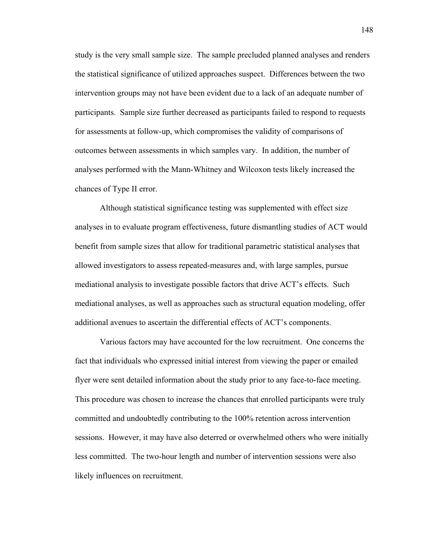study is the very small sample size. The sample precluded planned analyses and renders the statistical significance of utilized approaches suspect. Differences between the two intervention groups may not have been evident due to a lack of an adequate number of participants. Sample size further decreased as participants failed to respond to requests for assessments at follow-up, which compromises the validity of comparisons of outcomes between assessments in which samples vary. In addition, the number of analyses performed with the Mann-Whitney and Wilcoxon tests likely increased the chances of Type II error.

 Although statistical significance testing was supplemented with effect size analyses in to evaluate program effectiveness, future dismantling studies of ACT would benefit from sample sizes that allow for traditional parametric statistical analyses that allowed investigators to assess repeated-measures and, with large samples, pursue mediational analysis to investigate possible factors that drive ACT's effects. Such mediational analyses, as well as approaches such as structural equation modeling, offer additional avenues to ascertain the differential effects of ACT's components.

 Various factors may have accounted for the low recruitment. One concerns the fact that individuals who expressed initial interest from viewing the paper or emailed flyer were sent detailed information about the study prior to any face-to-face meeting. This procedure was chosen to increase the chances that enrolled participants were truly committed and undoubtedly contributing to the 100% retention across intervention sessions. However, it may have also deterred or overwhelmed others who were initially less committed. The two-hour length and number of intervention sessions were also likely influences on recruitment.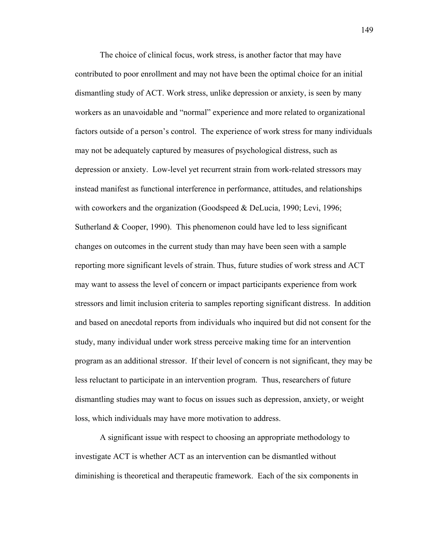The choice of clinical focus, work stress, is another factor that may have contributed to poor enrollment and may not have been the optimal choice for an initial dismantling study of ACT. Work stress, unlike depression or anxiety, is seen by many workers as an unavoidable and "normal" experience and more related to organizational factors outside of a person's control. The experience of work stress for many individuals may not be adequately captured by measures of psychological distress, such as depression or anxiety. Low-level yet recurrent strain from work-related stressors may instead manifest as functional interference in performance, attitudes, and relationships with coworkers and the organization (Goodspeed & DeLucia, 1990; Levi, 1996; Sutherland  $& Cooper, 1990)$ . This phenomenon could have led to less significant changes on outcomes in the current study than may have been seen with a sample reporting more significant levels of strain. Thus, future studies of work stress and ACT may want to assess the level of concern or impact participants experience from work stressors and limit inclusion criteria to samples reporting significant distress. In addition and based on anecdotal reports from individuals who inquired but did not consent for the study, many individual under work stress perceive making time for an intervention program as an additional stressor. If their level of concern is not significant, they may be less reluctant to participate in an intervention program. Thus, researchers of future dismantling studies may want to focus on issues such as depression, anxiety, or weight loss, which individuals may have more motivation to address.

A significant issue with respect to choosing an appropriate methodology to investigate ACT is whether ACT as an intervention can be dismantled without diminishing is theoretical and therapeutic framework. Each of the six components in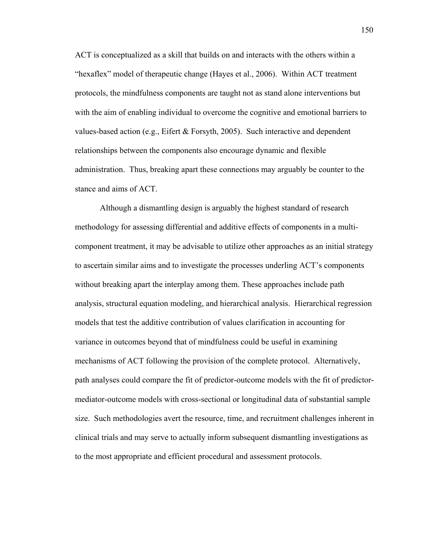ACT is conceptualized as a skill that builds on and interacts with the others within a "hexaflex" model of therapeutic change (Hayes et al., 2006). Within ACT treatment protocols, the mindfulness components are taught not as stand alone interventions but with the aim of enabling individual to overcome the cognitive and emotional barriers to values-based action (e.g., Eifert & Forsyth, 2005). Such interactive and dependent relationships between the components also encourage dynamic and flexible administration. Thus, breaking apart these connections may arguably be counter to the stance and aims of ACT.

Although a dismantling design is arguably the highest standard of research methodology for assessing differential and additive effects of components in a multicomponent treatment, it may be advisable to utilize other approaches as an initial strategy to ascertain similar aims and to investigate the processes underling ACT's components without breaking apart the interplay among them. These approaches include path analysis, structural equation modeling, and hierarchical analysis. Hierarchical regression models that test the additive contribution of values clarification in accounting for variance in outcomes beyond that of mindfulness could be useful in examining mechanisms of ACT following the provision of the complete protocol. Alternatively, path analyses could compare the fit of predictor-outcome models with the fit of predictormediator-outcome models with cross-sectional or longitudinal data of substantial sample size. Such methodologies avert the resource, time, and recruitment challenges inherent in clinical trials and may serve to actually inform subsequent dismantling investigations as to the most appropriate and efficient procedural and assessment protocols.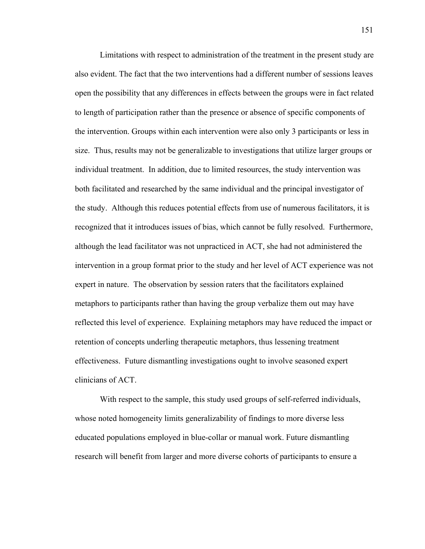Limitations with respect to administration of the treatment in the present study are also evident. The fact that the two interventions had a different number of sessions leaves open the possibility that any differences in effects between the groups were in fact related to length of participation rather than the presence or absence of specific components of the intervention. Groups within each intervention were also only 3 participants or less in size. Thus, results may not be generalizable to investigations that utilize larger groups or individual treatment. In addition, due to limited resources, the study intervention was both facilitated and researched by the same individual and the principal investigator of the study. Although this reduces potential effects from use of numerous facilitators, it is recognized that it introduces issues of bias, which cannot be fully resolved. Furthermore, although the lead facilitator was not unpracticed in ACT, she had not administered the intervention in a group format prior to the study and her level of ACT experience was not expert in nature. The observation by session raters that the facilitators explained metaphors to participants rather than having the group verbalize them out may have reflected this level of experience. Explaining metaphors may have reduced the impact or retention of concepts underling therapeutic metaphors, thus lessening treatment effectiveness. Future dismantling investigations ought to involve seasoned expert clinicians of ACT.

With respect to the sample, this study used groups of self-referred individuals, whose noted homogeneity limits generalizability of findings to more diverse less educated populations employed in blue-collar or manual work. Future dismantling research will benefit from larger and more diverse cohorts of participants to ensure a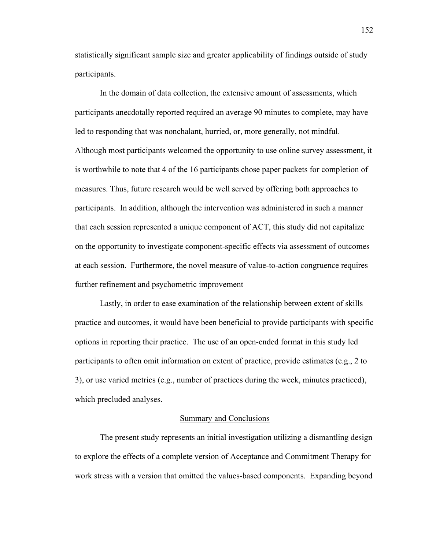statistically significant sample size and greater applicability of findings outside of study participants.

In the domain of data collection, the extensive amount of assessments, which participants anecdotally reported required an average 90 minutes to complete, may have led to responding that was nonchalant, hurried, or, more generally, not mindful. Although most participants welcomed the opportunity to use online survey assessment, it is worthwhile to note that 4 of the 16 participants chose paper packets for completion of measures. Thus, future research would be well served by offering both approaches to participants. In addition, although the intervention was administered in such a manner that each session represented a unique component of ACT, this study did not capitalize on the opportunity to investigate component-specific effects via assessment of outcomes at each session. Furthermore, the novel measure of value-to-action congruence requires further refinement and psychometric improvement

Lastly, in order to ease examination of the relationship between extent of skills practice and outcomes, it would have been beneficial to provide participants with specific options in reporting their practice. The use of an open-ended format in this study led participants to often omit information on extent of practice, provide estimates (e.g., 2 to 3), or use varied metrics (e.g., number of practices during the week, minutes practiced), which precluded analyses.

# Summary and Conclusions

 The present study represents an initial investigation utilizing a dismantling design to explore the effects of a complete version of Acceptance and Commitment Therapy for work stress with a version that omitted the values-based components. Expanding beyond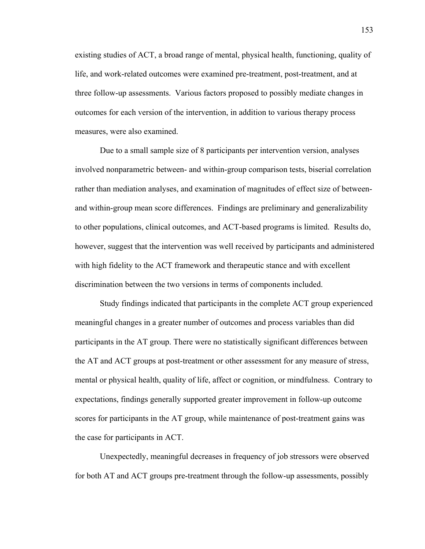existing studies of ACT, a broad range of mental, physical health, functioning, quality of life, and work-related outcomes were examined pre-treatment, post-treatment, and at three follow-up assessments. Various factors proposed to possibly mediate changes in outcomes for each version of the intervention, in addition to various therapy process measures, were also examined.

 Due to a small sample size of 8 participants per intervention version, analyses involved nonparametric between- and within-group comparison tests, biserial correlation rather than mediation analyses, and examination of magnitudes of effect size of betweenand within-group mean score differences. Findings are preliminary and generalizability to other populations, clinical outcomes, and ACT-based programs is limited. Results do, however, suggest that the intervention was well received by participants and administered with high fidelity to the ACT framework and therapeutic stance and with excellent discrimination between the two versions in terms of components included.

 Study findings indicated that participants in the complete ACT group experienced meaningful changes in a greater number of outcomes and process variables than did participants in the AT group. There were no statistically significant differences between the AT and ACT groups at post-treatment or other assessment for any measure of stress, mental or physical health, quality of life, affect or cognition, or mindfulness. Contrary to expectations, findings generally supported greater improvement in follow-up outcome scores for participants in the AT group, while maintenance of post-treatment gains was the case for participants in ACT.

 Unexpectedly, meaningful decreases in frequency of job stressors were observed for both AT and ACT groups pre-treatment through the follow-up assessments, possibly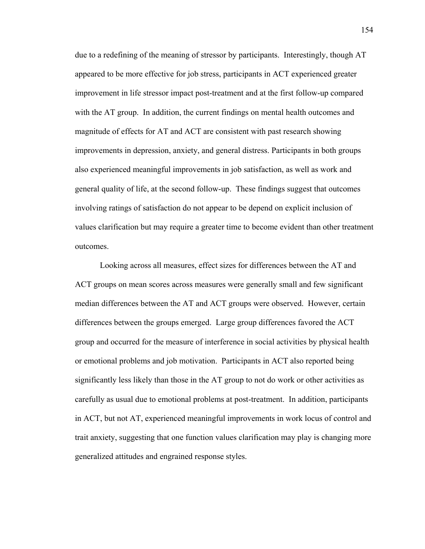due to a redefining of the meaning of stressor by participants. Interestingly, though AT appeared to be more effective for job stress, participants in ACT experienced greater improvement in life stressor impact post-treatment and at the first follow-up compared with the AT group. In addition, the current findings on mental health outcomes and magnitude of effects for AT and ACT are consistent with past research showing improvements in depression, anxiety, and general distress. Participants in both groups also experienced meaningful improvements in job satisfaction, as well as work and general quality of life, at the second follow-up. These findings suggest that outcomes involving ratings of satisfaction do not appear to be depend on explicit inclusion of values clarification but may require a greater time to become evident than other treatment outcomes.

Looking across all measures, effect sizes for differences between the AT and ACT groups on mean scores across measures were generally small and few significant median differences between the AT and ACT groups were observed. However, certain differences between the groups emerged. Large group differences favored the ACT group and occurred for the measure of interference in social activities by physical health or emotional problems and job motivation. Participants in ACT also reported being significantly less likely than those in the AT group to not do work or other activities as carefully as usual due to emotional problems at post-treatment. In addition, participants in ACT, but not AT, experienced meaningful improvements in work locus of control and trait anxiety, suggesting that one function values clarification may play is changing more generalized attitudes and engrained response styles.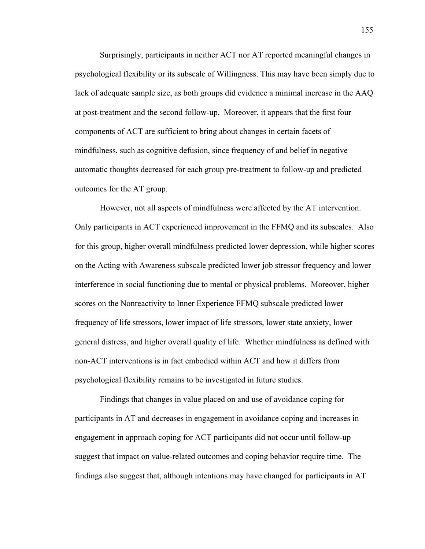Surprisingly, participants in neither ACT nor AT reported meaningful changes in psychological flexibility or its subscale of Willingness. This may have been simply due to lack of adequate sample size, as both groups did evidence a minimal increase in the AAQ at post-treatment and the second follow-up. Moreover, it appears that the first four components of ACT are sufficient to bring about changes in certain facets of mindfulness, such as cognitive defusion, since frequency of and belief in negative automatic thoughts decreased for each group pre-treatment to follow-up and predicted outcomes for the AT group.

 However, not all aspects of mindfulness were affected by the AT intervention. Only participants in ACT experienced improvement in the FFMQ and its subscales. Also for this group, higher overall mindfulness predicted lower depression, while higher scores on the Acting with Awareness subscale predicted lower job stressor frequency and lower interference in social functioning due to mental or physical problems. Moreover, higher scores on the Nonreactivity to Inner Experience FFMQ subscale predicted lower frequency of life stressors, lower impact of life stressors, lower state anxiety, lower general distress, and higher overall quality of life. Whether mindfulness as defined with non-ACT interventions is in fact embodied within ACT and how it differs from psychological flexibility remains to be investigated in future studies.

Findings that changes in value placed on and use of avoidance coping for participants in AT and decreases in engagement in avoidance coping and increases in engagement in approach coping for ACT participants did not occur until follow-up suggest that impact on value-related outcomes and coping behavior require time. The findings also suggest that, although intentions may have changed for participants in AT

155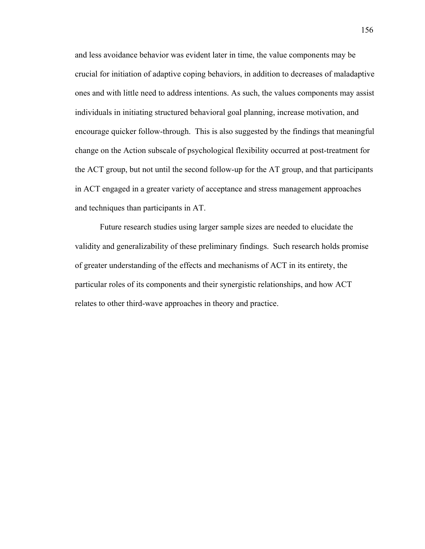and less avoidance behavior was evident later in time, the value components may be crucial for initiation of adaptive coping behaviors, in addition to decreases of maladaptive ones and with little need to address intentions. As such, the values components may assist individuals in initiating structured behavioral goal planning, increase motivation, and encourage quicker follow-through. This is also suggested by the findings that meaningful change on the Action subscale of psychological flexibility occurred at post-treatment for the ACT group, but not until the second follow-up for the AT group, and that participants in ACT engaged in a greater variety of acceptance and stress management approaches and techniques than participants in AT.

Future research studies using larger sample sizes are needed to elucidate the validity and generalizability of these preliminary findings. Such research holds promise of greater understanding of the effects and mechanisms of ACT in its entirety, the particular roles of its components and their synergistic relationships, and how ACT relates to other third-wave approaches in theory and practice.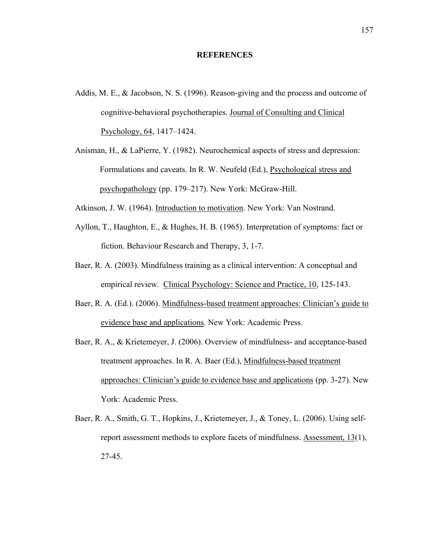#### **REFERENCES**

- Addis, M. E., & Jacobson, N. S. (1996). Reason-giving and the process and outcome of cognitive-behavioral psychotherapies. Journal of Consulting and Clinical Psychology, 64, 1417–1424.
- Anisman, H., & LaPierre, Y. (1982). Neurochemical aspects of stress and depression: Formulations and caveats. In R. W. Neufeld (Ed.), Psychological stress and psychopathology (pp. 179–217). New York: McGraw-Hill.
- Atkinson, J. W. (1964). Introduction to motivation. New York: Van Nostrand.
- Ayllon, T., Haughton, E., & Hughes, H. B. (1965). Interpretation of symptoms: fact or fiction. Behaviour Research and Therapy, 3, 1-7.
- Baer, R. A. (2003). Mindfulness training as a clinical intervention: A conceptual and empirical review. Clinical Psychology: Science and Practice, 10, 125-143.
- Baer, R. A. (Ed.). (2006). Mindfulness-based treatment approaches: Clinician's guide to evidence base and applications. New York: Academic Press.
- Baer, R. A., & Krietemeyer, J. (2006). Overview of mindfulness- and acceptance-based treatment approaches. In R. A. Baer (Ed.), Mindfulness-based treatment approaches: Clinician's guide to evidence base and applications (pp. 3-27). New York: Academic Press.
- Baer, R. A., Smith, G. T., Hopkins, J., Krietemeyer, J., & Toney, L. (2006). Using selfreport assessment methods to explore facets of mindfulness. Assessment, 13(1), 27-45.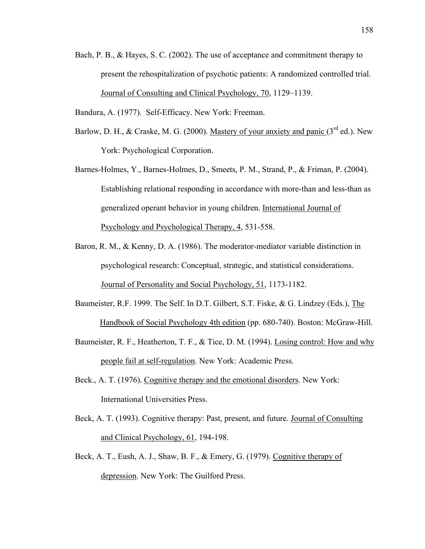- Bach, P. B., & Hayes, S. C. (2002). The use of acceptance and commitment therapy to present the rehospitalization of psychotic patients: A randomized controlled trial. Journal of Consulting and Clinical Psychology, 70, 1129–1139.
- Bandura, A. (1977). Self-Efficacy. New York: Freeman.
- Barlow, D. H., & Craske, M. G. (2000). Mastery of your anxiety and panic  $(3<sup>rd</sup>$  ed.). New York: Psychological Corporation.
- Barnes-Holmes, Y., Barnes-Holmes, D., Smeets, P. M., Strand, P., & Friman, P. (2004). Establishing relational responding in accordance with more-than and less-than as generalized operant behavior in young children. International Journal of Psychology and Psychological Therapy, 4, 531-558.
- Baron, R. M., & Kenny, D. A. (1986). The moderator-mediator variable distinction in psychological research: Conceptual, strategic, and statistical considerations. Journal of Personality and Social Psychology, 51, 1173-1182.
- Baumeister, R.F. 1999. The Self. In D.T. Gilbert, S.T. Fiske, & G. Lindzey (Eds.), The Handbook of Social Psychology 4th edition (pp. 680-740). Boston: McGraw-Hill.
- Baumeister, R. F., Heatherton, T. F., & Tice, D. M. (1994). Losing control: How and why people fail at self-regulation. New York: Academic Press.
- Beck., A. T. (1976). Cognitive therapy and the emotional disorders. New York: International Universities Press.
- Beck, A. T. (1993). Cognitive therapy: Past, present, and future. Journal of Consulting and Clinical Psychology, 61, 194-198.
- Beck, A. T., Eush, A. J., Shaw, B. F., & Emery, G. (1979). Cognitive therapy of depression. New York: The Guilford Press.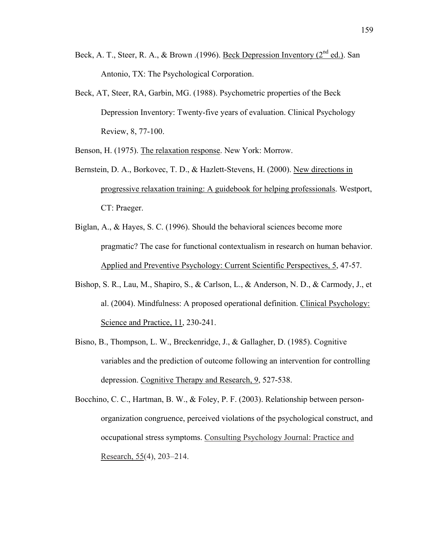- Beck, A. T., Steer, R. A., & Brown .(1996). Beck Depression Inventory (2<sup>nd</sup> ed.). San Antonio, TX: The Psychological Corporation.
- Beck, AT, Steer, RA, Garbin, MG. (1988). Psychometric properties of the Beck Depression Inventory: Twenty-five years of evaluation. Clinical Psychology Review, 8, 77-100.

Benson, H. (1975). The relaxation response. New York: Morrow.

- Bernstein, D. A., Borkovec, T. D., & Hazlett-Stevens, H. (2000). New directions in progressive relaxation training: A guidebook for helping professionals. Westport, CT: Praeger.
- Biglan, A., & Hayes, S. C. (1996). Should the behavioral sciences become more pragmatic? The case for functional contextualism in research on human behavior. Applied and Preventive Psychology: Current Scientific Perspectives, 5, 47-57.
- Bishop, S. R., Lau, M., Shapiro, S., & Carlson, L., & Anderson, N. D., & Carmody, J., et al. (2004). Mindfulness: A proposed operational definition. Clinical Psychology: Science and Practice, 11, 230-241.
- Bisno, B., Thompson, L. W., Breckenridge, J., & Gallagher, D. (1985). Cognitive variables and the prediction of outcome following an intervention for controlling depression. Cognitive Therapy and Research, 9, 527-538.
- Bocchino, C. C., Hartman, B. W., & Foley, P. F. (2003). Relationship between personorganization congruence, perceived violations of the psychological construct, and occupational stress symptoms. Consulting Psychology Journal: Practice and Research, 55(4), 203–214.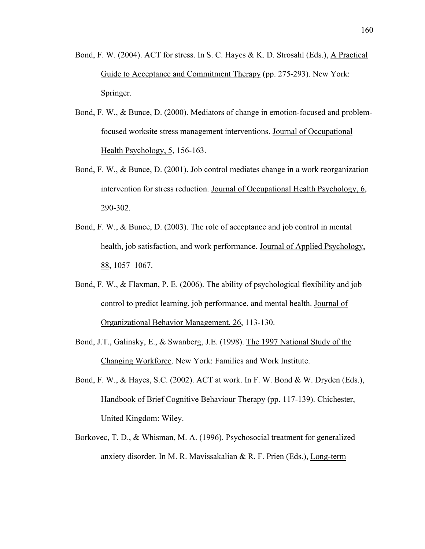- Bond, F. W. (2004). ACT for stress. In S. C. Hayes & K. D. Strosahl (Eds.), A Practical Guide to Acceptance and Commitment Therapy (pp. 275-293). New York: Springer.
- Bond, F. W., & Bunce, D. (2000). Mediators of change in emotion-focused and problemfocused worksite stress management interventions. Journal of Occupational Health Psychology, 5, 156-163.
- Bond, F. W., & Bunce, D. (2001). Job control mediates change in a work reorganization intervention for stress reduction. Journal of Occupational Health Psychology, 6, 290-302.
- Bond, F. W., & Bunce, D. (2003). The role of acceptance and job control in mental health, job satisfaction, and work performance. Journal of Applied Psychology, 88, 1057–1067.
- Bond, F. W., & Flaxman, P. E. (2006). The ability of psychological flexibility and job control to predict learning, job performance, and mental health. Journal of Organizational Behavior Management, 26, 113-130.
- Bond, J.T., Galinsky, E., & Swanberg, J.E. (1998). The 1997 National Study of the Changing Workforce. New York: Families and Work Institute.
- Bond, F. W., & Hayes, S.C. (2002). ACT at work. In F. W. Bond & W. Dryden (Eds.), Handbook of Brief Cognitive Behaviour Therapy (pp. 117-139). Chichester, United Kingdom: Wiley.
- Borkovec, T. D., & Whisman, M. A. (1996). Psychosocial treatment for generalized anxiety disorder. In M. R. Mavissakalian & R. F. Prien (Eds.), Long-term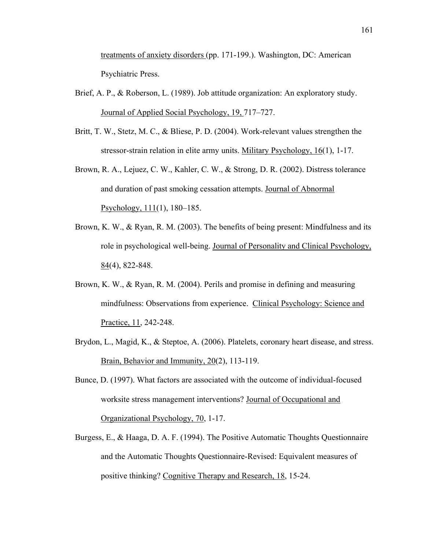treatments of anxiety disorders (pp. 171-199.). Washington, DC: American Psychiatric Press.

- Brief, A. P., & Roberson, L. (1989). Job attitude organization: An exploratory study. Journal of Applied Social Psychology, 19, 717–727.
- Britt, T. W., Stetz, M. C., & Bliese, P. D. (2004). Work-relevant values strengthen the stressor-strain relation in elite army units. Military Psychology, 16(1), 1-17.
- Brown, R. A., Lejuez, C. W., Kahler, C. W., & Strong, D. R. (2002). Distress tolerance and duration of past smoking cessation attempts. Journal of Abnormal Psychology, 111(1), 180–185.
- Brown, K. W., & Ryan, R. M. (2003). The benefits of being present: Mindfulness and its role in psychological well-being. Journal of Personality and Clinical Psychology, 84(4), 822-848.
- Brown, K. W., & Ryan, R. M. (2004). Perils and promise in defining and measuring mindfulness: Observations from experience. Clinical Psychology: Science and Practice, 11, 242-248.
- Brydon, L., Magid, K., & Steptoe, A. (2006). Platelets, coronary heart disease, and stress. Brain, Behavior and Immunity, 20(2), 113-119.
- Bunce, D. (1997). What factors are associated with the outcome of individual-focused worksite stress management interventions? Journal of Occupational and Organizational Psychology, 70, 1-17.
- Burgess, E., & Haaga, D. A. F. (1994). The Positive Automatic Thoughts Questionnaire and the Automatic Thoughts Questionnaire-Revised: Equivalent measures of positive thinking? Cognitive Therapy and Research, 18, 15-24.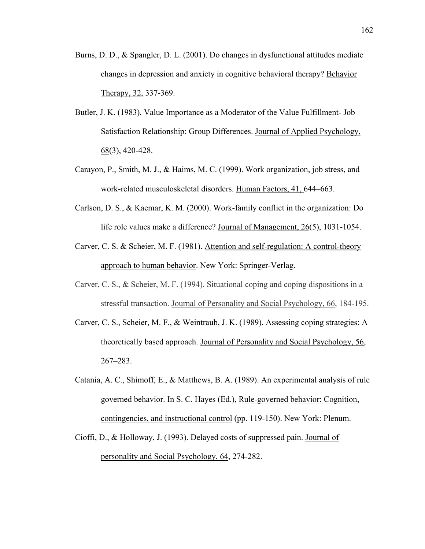- Burns, D. D., & Spangler, D. L. (2001). Do changes in dysfunctional attitudes mediate changes in depression and anxiety in cognitive behavioral therapy? Behavior Therapy, 32, 337-369.
- Butler, J. K. (1983). Value Importance as a Moderator of the Value Fulfillment- Job Satisfaction Relationship: Group Differences. Journal of Applied Psychology,  $68(3)$ , 420-428.
- Carayon, P., Smith, M. J., & Haims, M. C. (1999). Work organization, job stress, and work-related musculoskeletal disorders. Human Factors, 41, 644–663.
- Carlson, D. S., & Kaemar, K. M. (2000). Work-family conflict in the organization: Do life role values make a difference? Journal of Management, 26(5), 1031-1054.
- Carver, C. S. & Scheier, M. F. (1981). Attention and self-regulation: A control-theory approach to human behavior. New York: Springer-Verlag.
- Carver, C. S., & Scheier, M. F. (1994). Situational coping and coping dispositions in a stressful transaction. Journal of Personality and Social Psychology, 66, 184-195.
- Carver, C. S., Scheier, M. F., & Weintraub, J. K. (1989). Assessing coping strategies: A theoretically based approach. Journal of Personality and Social Psychology, 56, 267–283.
- Catania, A. C., Shimoff, E., & Matthews, B. A. (1989). An experimental analysis of rule governed behavior. In S. C. Hayes (Ed.), Rule-governed behavior: Cognition, contingencies, and instructional control (pp. 119-150). New York: Plenum.
- Cioffi, D., & Holloway, J. (1993). Delayed costs of suppressed pain. Journal of personality and Social Psychology, 64, 274-282.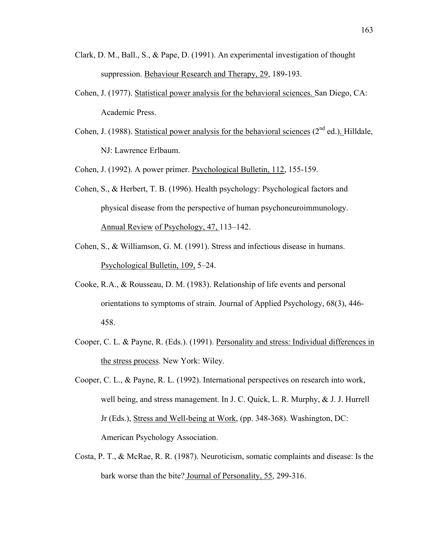- Clark, D. M., Ball., S., & Pape, D. (1991). An experimental investigation of thought suppression. Behaviour Research and Therapy, 29, 189-193.
- Cohen, J. (1977). Statistical power analysis for the behavioral sciences. San Diego, CA: Academic Press.
- Cohen, J. (1988). Statistical power analysis for the behavioral sciences ( $2<sup>nd</sup>$  ed.). Hilldale, NJ: Lawrence Erlbaum.

Cohen, J. (1992). A power primer. Psychological Bulletin, 112, 155-159.

- Cohen, S., & Herbert, T. B. (1996). Health psychology: Psychological factors and physical disease from the perspective of human psychoneuroimmunology. Annual Review of Psychology, 47, 113–142.
- Cohen, S., & Williamson, G. M. (1991). Stress and infectious disease in humans. Psychological Bulletin, 109, 5–24.
- Cooke, R.A., & Rousseau, D. M. (1983). Relationship of life events and personal orientations to symptoms of strain. Journal of Applied Psychology, 68(3), 446- 458.
- Cooper, C. L. & Payne, R. (Eds.). (1991). Personality and stress: Individual differences in the stress process. New York: Wiley.
- Cooper, C. L., & Payne, R. L. (1992). International perspectives on research into work, well being, and stress management. In J. C. Quick, L. R. Murphy, & J. J. Hurrell Jr (Eds.), Stress and Well-being at Work, (pp. 348-368). Washington, DC: American Psychology Association.
- Costa, P. T., & McRae, R. R. (1987). Neuroticism, somatic complaints and disease: Is the bark worse than the bite? Journal of Personality, 55, 299-316.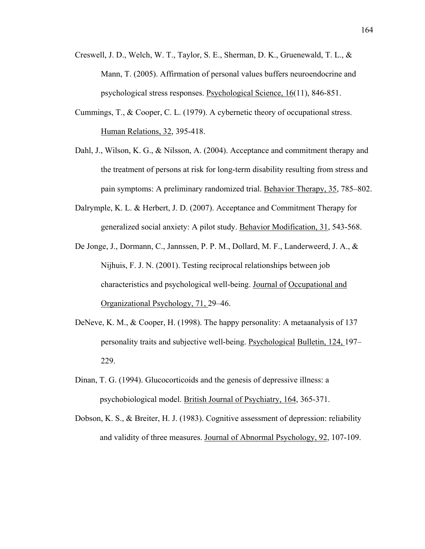- Creswell, J. D., Welch, W. T., Taylor, S. E., Sherman, D. K., Gruenewald, T. L., & Mann, T. (2005). Affirmation of personal values buffers neuroendocrine and psychological stress responses. Psychological Science, 16(11), 846-851.
- Cummings, T., & Cooper, C. L. (1979). A cybernetic theory of occupational stress. Human Relations, 32, 395-418.
- Dahl, J., Wilson, K. G., & Nilsson, A. (2004). Acceptance and commitment therapy and the treatment of persons at risk for long-term disability resulting from stress and pain symptoms: A preliminary randomized trial. Behavior Therapy, 35, 785–802.
- Dalrymple, K. L. & Herbert, J. D. (2007). Acceptance and Commitment Therapy for generalized social anxiety: A pilot study. Behavior Modification, 31, 543-568.
- De Jonge, J., Dormann, C., Jannssen, P. P. M., Dollard, M. F., Landerweerd, J. A., & Nijhuis, F. J. N. (2001). Testing reciprocal relationships between job characteristics and psychological well-being. Journal of Occupational and Organizational Psychology, 71, 29–46.
- DeNeve, K. M., & Cooper, H. (1998). The happy personality: A metaanalysis of 137 personality traits and subjective well-being. Psychological Bulletin, 124, 197– 229.
- Dinan, T. G. (1994). Glucocorticoids and the genesis of depressive illness: a psychobiological model. British Journal of Psychiatry, 164, 365-371.
- Dobson, K. S., & Breiter, H. J. (1983). Cognitive assessment of depression: reliability and validity of three measures. Journal of Abnormal Psychology, 92, 107-109.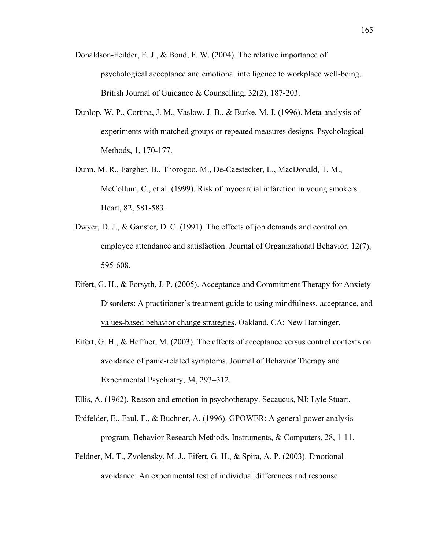- Donaldson-Feilder, E. J., & Bond, F. W. (2004). The relative importance of psychological acceptance and emotional intelligence to workplace well-being. British Journal of Guidance & Counselling, 32(2), 187-203.
- Dunlop, W. P., Cortina, J. M., Vaslow, J. B., & Burke, M. J. (1996). Meta-analysis of experiments with matched groups or repeated measures designs. Psychological Methods, 1, 170-177.
- Dunn, M. R., Fargher, B., Thorogoo, M., De-Caestecker, L., MacDonald, T. M., McCollum, C., et al. (1999). Risk of myocardial infarction in young smokers. Heart, 82, 581-583.
- Dwyer, D. J., & Ganster, D. C. (1991). The effects of job demands and control on employee attendance and satisfaction. Journal of Organizational Behavior, 12(7), 595-608.
- Eifert, G. H., & Forsyth, J. P. (2005). Acceptance and Commitment Therapy for Anxiety Disorders: A practitioner's treatment guide to using mindfulness, acceptance, and values-based behavior change strategies. Oakland, CA: New Harbinger.
- Eifert, G. H., & Heffner, M. (2003). The effects of acceptance versus control contexts on avoidance of panic-related symptoms. Journal of Behavior Therapy and Experimental Psychiatry, 34, 293–312.

Ellis, A. (1962). Reason and emotion in psychotherapy. Secaucus, NJ: Lyle Stuart.

- Erdfelder, E., Faul, F., & Buchner, A. (1996). GPOWER: A general power analysis program. Behavior Research Methods, Instruments, & Computers, 28, 1-11.
- Feldner, M. T., Zvolensky, M. J., Eifert, G. H., & Spira, A. P. (2003). Emotional avoidance: An experimental test of individual differences and response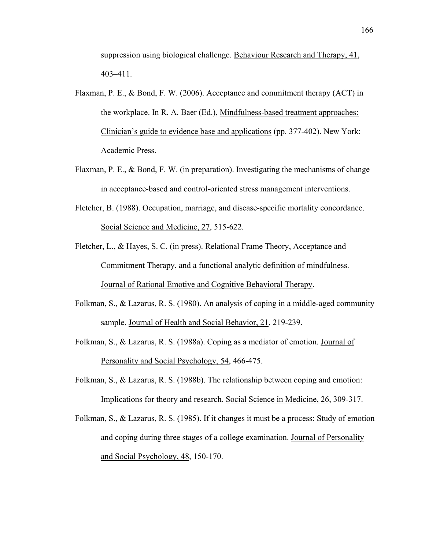suppression using biological challenge. Behaviour Research and Therapy, 41, 403–411.

- Flaxman, P. E., & Bond, F. W. (2006). Acceptance and commitment therapy (ACT) in the workplace. In R. A. Baer (Ed.), Mindfulness-based treatment approaches: Clinician's guide to evidence base and applications (pp. 377-402). New York: Academic Press.
- Flaxman, P. E., & Bond, F. W. (in preparation). Investigating the mechanisms of change in acceptance-based and control-oriented stress management interventions.
- Fletcher, B. (1988). Occupation, marriage, and disease-specific mortality concordance. Social Science and Medicine, 27, 515-622.
- Fletcher, L., & Hayes, S. C. (in press). Relational Frame Theory, Acceptance and Commitment Therapy, and a functional analytic definition of mindfulness. Journal of Rational Emotive and Cognitive Behavioral Therapy.
- Folkman, S., & Lazarus, R. S. (1980). An analysis of coping in a middle-aged community sample. Journal of Health and Social Behavior, 21, 219-239.
- Folkman, S., & Lazarus, R. S. (1988a). Coping as a mediator of emotion. Journal of Personality and Social Psychology, 54, 466-475.
- Folkman, S., & Lazarus, R. S. (1988b). The relationship between coping and emotion: Implications for theory and research. Social Science in Medicine, 26, 309-317.
- Folkman, S., & Lazarus, R. S. (1985). If it changes it must be a process: Study of emotion and coping during three stages of a college examination. Journal of Personality and Social Psychology, 48, 150-170.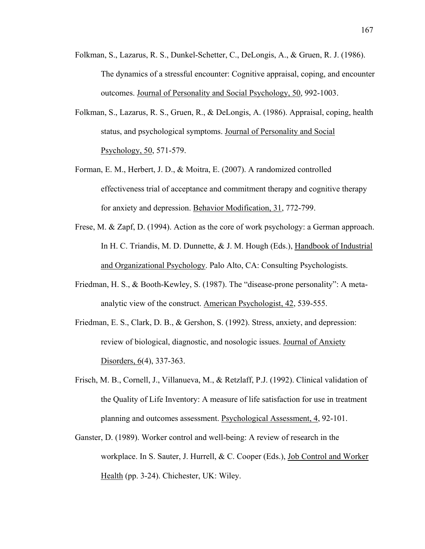- Folkman, S., Lazarus, R. S., Dunkel-Schetter, C., DeLongis, A., & Gruen, R. J. (1986). The dynamics of a stressful encounter: Cognitive appraisal, coping, and encounter outcomes. Journal of Personality and Social Psychology, 50, 992-1003.
- Folkman, S., Lazarus, R. S., Gruen, R., & DeLongis, A. (1986). Appraisal, coping, health status, and psychological symptoms. Journal of Personality and Social Psychology, 50, 571-579.
- Forman, E. M., Herbert, J. D., & Moitra, E. (2007). A randomized controlled effectiveness trial of acceptance and commitment therapy and cognitive therapy for anxiety and depression. Behavior Modification, 31, 772-799.
- Frese, M. & Zapf, D. (1994). Action as the core of work psychology: a German approach. In H. C. Triandis, M. D. Dunnette, & J. M. Hough (Eds.), Handbook of Industrial and Organizational Psychology. Palo Alto, CA: Consulting Psychologists.
- Friedman, H. S., & Booth-Kewley, S. (1987). The "disease-prone personality": A metaanalytic view of the construct. American Psychologist, 42, 539-555.
- Friedman, E. S., Clark, D. B., & Gershon, S. (1992). Stress, anxiety, and depression: review of biological, diagnostic, and nosologic issues. Journal of Anxiety Disorders, 6(4), 337-363.
- Frisch, M. B., Cornell, J., Villanueva, M., & Retzlaff, P.J. (1992). Clinical validation of the Quality of Life Inventory: A measure of life satisfaction for use in treatment planning and outcomes assessment. Psychological Assessment, 4, 92-101.
- Ganster, D. (1989). Worker control and well-being: A review of research in the workplace. In S. Sauter, J. Hurrell, & C. Cooper (Eds.), Job Control and Worker Health (pp. 3-24). Chichester, UK: Wiley.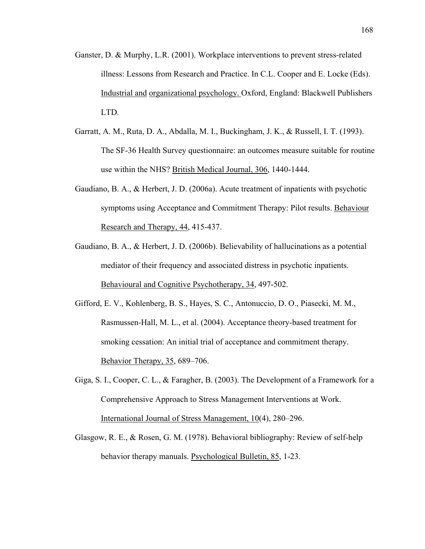- Ganster, D. & Murphy, L.R. (2001). Workplace interventions to prevent stress-related illness: Lessons from Research and Practice. In C.L. Cooper and E. Locke (Eds). Industrial and organizational psychology. Oxford, England: Blackwell Publishers LTD.
- Garratt, A. M., Ruta, D. A., Abdalla, M. I., Buckingham, J. K., & Russell, I. T. (1993). The SF-36 Health Survey questionnaire: an outcomes measure suitable for routine use within the NHS? British Medical Journal, 306, 1440-1444.
- Gaudiano, B. A., & Herbert, J. D. (2006a). Acute treatment of inpatients with psychotic symptoms using Acceptance and Commitment Therapy: Pilot results. Behaviour Research and Therapy, 44, 415-437.
- Gaudiano, B. A., & Herbert, J. D. (2006b). Believability of hallucinations as a potential mediator of their frequency and associated distress in psychotic inpatients. Behavioural and Cognitive Psychotherapy, 34, 497-502.
- Gifford, E. V., Kohlenberg, B. S., Hayes, S. C., Antonuccio, D. O., Piasecki, M. M., Rasmussen-Hall, M. L., et al. (2004). Acceptance theory-based treatment for smoking cessation: An initial trial of acceptance and commitment therapy. Behavior Therapy, 35, 689–706.
- Giga, S. I., Cooper, C. L., & Faragher, B. (2003). The Development of a Framework for a Comprehensive Approach to Stress Management Interventions at Work. International Journal of Stress Management, 10(4), 280–296.
- Glasgow, R. E., & Rosen, G. M. (1978). Behavioral bibliography: Review of self-help behavior therapy manuals. Psychological Bulletin, 85, 1-23.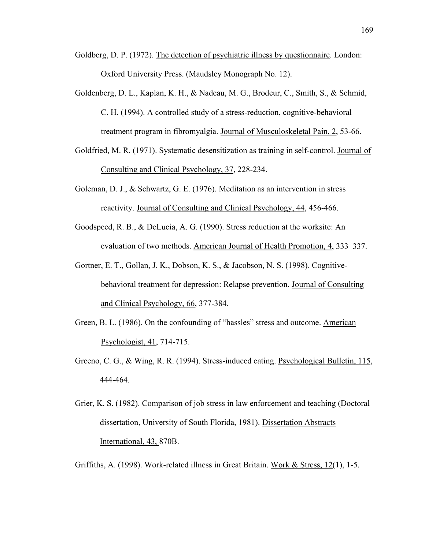- Goldberg, D. P. (1972). The detection of psychiatric illness by questionnaire. London: Oxford University Press. (Maudsley Monograph No. 12).
- Goldenberg, D. L., Kaplan, K. H., & Nadeau, M. G., Brodeur, C., Smith, S., & Schmid, C. H. (1994). A controlled study of a stress-reduction, cognitive-behavioral treatment program in fibromyalgia. Journal of Musculoskeletal Pain, 2, 53-66.
- Goldfried, M. R. (1971). Systematic desensitization as training in self-control. Journal of Consulting and Clinical Psychology, 37, 228-234.
- Goleman, D. J., & Schwartz, G. E. (1976). Meditation as an intervention in stress reactivity. Journal of Consulting and Clinical Psychology, 44, 456-466.
- Goodspeed, R. B., & DeLucia, A. G. (1990). Stress reduction at the worksite: An evaluation of two methods. American Journal of Health Promotion, 4, 333–337.
- Gortner, E. T., Gollan, J. K., Dobson, K. S., & Jacobson, N. S. (1998). Cognitivebehavioral treatment for depression: Relapse prevention. Journal of Consulting and Clinical Psychology, 66, 377-384.
- Green, B. L. (1986). On the confounding of "hassles" stress and outcome. American Psychologist, 41, 714-715.
- Greeno, C. G., & Wing, R. R. (1994). Stress-induced eating. Psychological Bulletin, 115, 444-464.
- Grier, K. S. (1982). Comparison of job stress in law enforcement and teaching (Doctoral dissertation, University of South Florida, 1981). Dissertation Abstracts International, 43, 870B.
- Griffiths, A. (1998). Work-related illness in Great Britain. Work & Stress, 12(1), 1-5.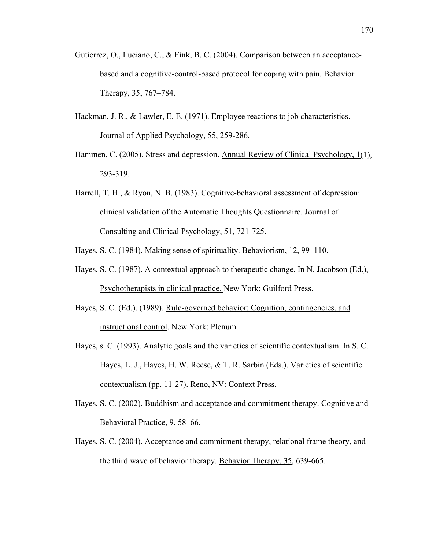- Gutierrez, O., Luciano, C., & Fink, B. C. (2004). Comparison between an acceptancebased and a cognitive-control-based protocol for coping with pain. Behavior Therapy, 35, 767–784.
- Hackman, J. R., & Lawler, E. E. (1971). Employee reactions to job characteristics. Journal of Applied Psychology, 55, 259-286.
- Hammen, C. (2005). Stress and depression. Annual Review of Clinical Psychology, 1(1), 293-319.
- Harrell, T. H., & Ryon, N. B. (1983). Cognitive-behavioral assessment of depression: clinical validation of the Automatic Thoughts Questionnaire. Journal of Consulting and Clinical Psychology, 51, 721-725.

Hayes, S. C. (1984). Making sense of spirituality. Behaviorism, 12, 99–110.

- Hayes, S. C. (1987). A contextual approach to therapeutic change. In N. Jacobson (Ed.), Psychotherapists in clinical practice. New York: Guilford Press.
- Hayes, S. C. (Ed.). (1989). Rule-governed behavior: Cognition, contingencies, and instructional control. New York: Plenum.
- Hayes, s. C. (1993). Analytic goals and the varieties of scientific contextualism. In S. C. Hayes, L. J., Hayes, H. W. Reese, & T. R. Sarbin (Eds.). Varieties of scientific contextualism (pp. 11-27). Reno, NV: Context Press.
- Hayes, S. C. (2002). Buddhism and acceptance and commitment therapy. Cognitive and Behavioral Practice, 9, 58–66.
- Hayes, S. C. (2004). Acceptance and commitment therapy, relational frame theory, and the third wave of behavior therapy. Behavior Therapy, 35, 639-665.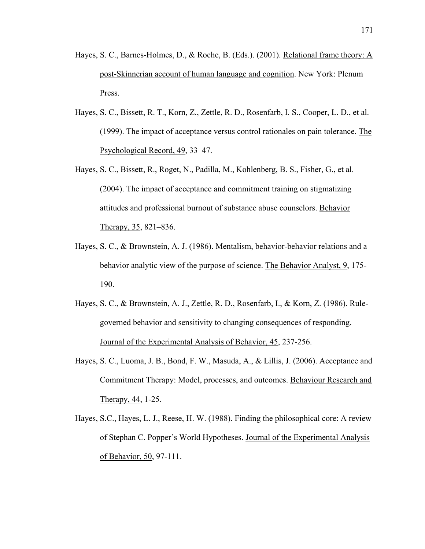- Hayes, S. C., Barnes-Holmes, D., & Roche, B. (Eds.). (2001). Relational frame theory: A post-Skinnerian account of human language and cognition. New York: Plenum Press.
- Hayes, S. C., Bissett, R. T., Korn, Z., Zettle, R. D., Rosenfarb, I. S., Cooper, L. D., et al. (1999). The impact of acceptance versus control rationales on pain tolerance. The Psychological Record, 49, 33–47.
- Hayes, S. C., Bissett, R., Roget, N., Padilla, M., Kohlenberg, B. S., Fisher, G., et al. (2004). The impact of acceptance and commitment training on stigmatizing attitudes and professional burnout of substance abuse counselors. Behavior Therapy, 35, 821–836.
- Hayes, S. C., & Brownstein, A. J. (1986). Mentalism, behavior-behavior relations and a behavior analytic view of the purpose of science. The Behavior Analyst, 9, 175- 190.
- Hayes, S. C., & Brownstein, A. J., Zettle, R. D., Rosenfarb, I., & Korn, Z. (1986). Rulegoverned behavior and sensitivity to changing consequences of responding. Journal of the Experimental Analysis of Behavior, 45, 237-256.
- Hayes, S. C., Luoma, J. B., Bond, F. W., Masuda, A., & Lillis, J. (2006). Acceptance and Commitment Therapy: Model, processes, and outcomes. Behaviour Research and Therapy, 44, 1-25.
- Hayes, S.C., Hayes, L. J., Reese, H. W. (1988). Finding the philosophical core: A review of Stephan C. Popper's World Hypotheses. Journal of the Experimental Analysis of Behavior, 50, 97-111.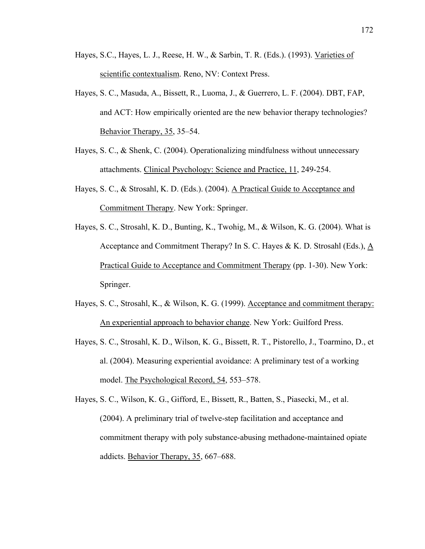- Hayes, S.C., Hayes, L. J., Reese, H. W., & Sarbin, T. R. (Eds.). (1993). Varieties of scientific contextualism. Reno, NV: Context Press.
- Hayes, S. C., Masuda, A., Bissett, R., Luoma, J., & Guerrero, L. F. (2004). DBT, FAP, and ACT: How empirically oriented are the new behavior therapy technologies? Behavior Therapy, 35, 35–54.
- Hayes, S. C., & Shenk, C. (2004). Operationalizing mindfulness without unnecessary attachments. Clinical Psychology: Science and Practice, 11, 249-254.
- Hayes, S. C., & Strosahl, K. D. (Eds.). (2004). A Practical Guide to Acceptance and Commitment Therapy. New York: Springer.
- Hayes, S. C., Strosahl, K. D., Bunting, K., Twohig, M., & Wilson, K. G. (2004). What is Acceptance and Commitment Therapy? In S. C. Hayes & K. D. Strosahl (Eds.), A Practical Guide to Acceptance and Commitment Therapy (pp. 1-30). New York: Springer.
- Hayes, S. C., Strosahl, K., & Wilson, K. G. (1999). Acceptance and commitment therapy: An experiential approach to behavior change. New York: Guilford Press.
- Hayes, S. C., Strosahl, K. D., Wilson, K. G., Bissett, R. T., Pistorello, J., Toarmino, D., et al. (2004). Measuring experiential avoidance: A preliminary test of a working model. The Psychological Record, 54, 553–578.
- Hayes, S. C., Wilson, K. G., Gifford, E., Bissett, R., Batten, S., Piasecki, M., et al. (2004). A preliminary trial of twelve-step facilitation and acceptance and commitment therapy with poly substance-abusing methadone-maintained opiate addicts. Behavior Therapy, 35, 667–688.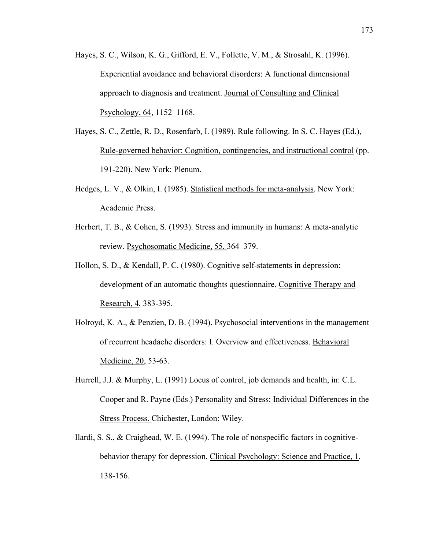- Hayes, S. C., Wilson, K. G., Gifford, E. V., Follette, V. M., & Strosahl, K. (1996). Experiential avoidance and behavioral disorders: A functional dimensional approach to diagnosis and treatment. Journal of Consulting and Clinical Psychology, 64, 1152–1168.
- Hayes, S. C., Zettle, R. D., Rosenfarb, I. (1989). Rule following. In S. C. Hayes (Ed.), Rule-governed behavior: Cognition, contingencies, and instructional control (pp. 191-220). New York: Plenum.
- Hedges, L. V., & Olkin, I. (1985). Statistical methods for meta-analysis. New York: Academic Press.
- Herbert, T. B., & Cohen, S. (1993). Stress and immunity in humans: A meta-analytic review. Psychosomatic Medicine, 55, 364–379.
- Hollon, S. D., & Kendall, P. C. (1980). Cognitive self-statements in depression: development of an automatic thoughts questionnaire. Cognitive Therapy and Research, 4, 383-395.
- Holroyd, K. A., & Penzien, D. B. (1994). Psychosocial interventions in the management of recurrent headache disorders: I. Overview and effectiveness. Behavioral Medicine, 20, 53-63.
- Hurrell, J.J. & Murphy, L. (1991) Locus of control, job demands and health, in: C.L. Cooper and R. Payne (Eds.) Personality and Stress: Individual Differences in the Stress Process. Chichester, London: Wiley.
- Ilardi, S. S., & Craighead, W. E. (1994). The role of nonspecific factors in cognitivebehavior therapy for depression. Clinical Psychology: Science and Practice, 1, 138-156.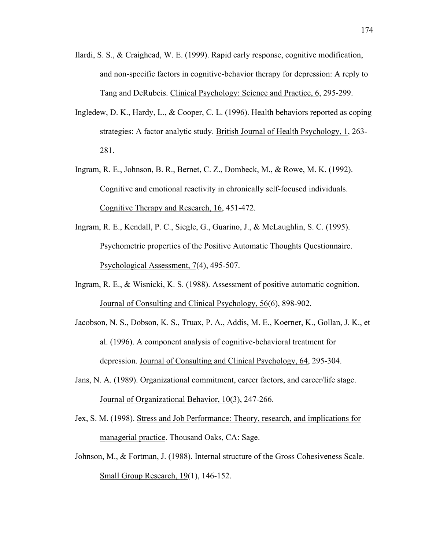- Ilardi, S. S., & Craighead, W. E. (1999). Rapid early response, cognitive modification, and non-specific factors in cognitive-behavior therapy for depression: A reply to Tang and DeRubeis. Clinical Psychology: Science and Practice, 6, 295-299.
- Ingledew, D. K., Hardy, L., & Cooper, C. L. (1996). Health behaviors reported as coping strategies: A factor analytic study. British Journal of Health Psychology, 1, 263- 281.
- Ingram, R. E., Johnson, B. R., Bernet, C. Z., Dombeck, M., & Rowe, M. K. (1992). Cognitive and emotional reactivity in chronically self-focused individuals. Cognitive Therapy and Research, 16, 451-472.
- Ingram, R. E., Kendall, P. C., Siegle, G., Guarino, J., & McLaughlin, S. C. (1995). Psychometric properties of the Positive Automatic Thoughts Questionnaire. Psychological Assessment, 7(4), 495-507.
- Ingram, R. E., & Wisnicki, K. S. (1988). Assessment of positive automatic cognition. Journal of Consulting and Clinical Psychology, 56(6), 898-902.
- Jacobson, N. S., Dobson, K. S., Truax, P. A., Addis, M. E., Koerner, K., Gollan, J. K., et al. (1996). A component analysis of cognitive-behavioral treatment for depression. Journal of Consulting and Clinical Psychology, 64, 295-304.
- Jans, N. A. (1989). Organizational commitment, career factors, and career/life stage. Journal of Organizational Behavior, 10(3), 247-266.
- Jex, S. M. (1998). Stress and Job Performance: Theory, research, and implications for managerial practice. Thousand Oaks, CA: Sage.
- Johnson, M., & Fortman, J. (1988). Internal structure of the Gross Cohesiveness Scale. Small Group Research, 19(1), 146-152.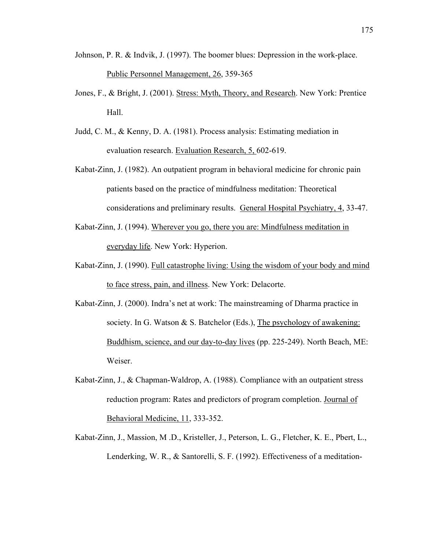- Johnson, P. R. & Indvik, J. (1997). The boomer blues: Depression in the work-place. Public Personnel Management, 26, 359-365
- Jones, F., & Bright, J. (2001). Stress: Myth, Theory, and Research. New York: Prentice Hall.
- Judd, C. M., & Kenny, D. A. (1981). Process analysis: Estimating mediation in evaluation research. Evaluation Research, 5, 602-619.
- Kabat-Zinn, J. (1982). An outpatient program in behavioral medicine for chronic pain patients based on the practice of mindfulness meditation: Theoretical considerations and preliminary results. General Hospital Psychiatry, 4, 33-47.
- Kabat-Zinn, J. (1994). Wherever you go, there you are: Mindfulness meditation in everyday life. New York: Hyperion.
- Kabat-Zinn, J. (1990). Full catastrophe living: Using the wisdom of your body and mind to face stress, pain, and illness. New York: Delacorte.
- Kabat-Zinn, J. (2000). Indra's net at work: The mainstreaming of Dharma practice in society. In G. Watson  $\&$  S. Batchelor (Eds.), The psychology of awakening: Buddhism, science, and our day-to-day lives (pp. 225-249). North Beach, ME: Weiser.
- Kabat-Zinn, J., & Chapman-Waldrop, A. (1988). Compliance with an outpatient stress reduction program: Rates and predictors of program completion. Journal of Behavioral Medicine, 11, 333-352.
- Kabat-Zinn, J., Massion, M .D., Kristeller, J., Peterson, L. G., Fletcher, K. E., Pbert, L., Lenderking, W. R., & Santorelli, S. F. (1992). Effectiveness of a meditation-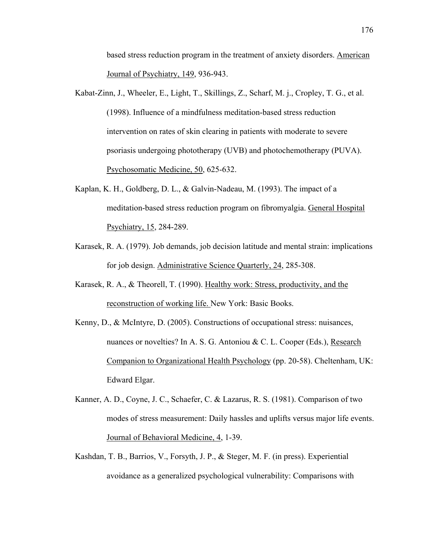based stress reduction program in the treatment of anxiety disorders. American Journal of Psychiatry, 149, 936-943.

- Kabat-Zinn, J., Wheeler, E., Light, T., Skillings, Z., Scharf, M. j., Cropley, T. G., et al. (1998). Influence of a mindfulness meditation-based stress reduction intervention on rates of skin clearing in patients with moderate to severe psoriasis undergoing phototherapy (UVB) and photochemotherapy (PUVA). Psychosomatic Medicine, 50, 625-632.
- Kaplan, K. H., Goldberg, D. L., & Galvin-Nadeau, M. (1993). The impact of a meditation-based stress reduction program on fibromyalgia. General Hospital Psychiatry, 15, 284-289.
- Karasek, R. A. (1979). Job demands, job decision latitude and mental strain: implications for job design. Administrative Science Quarterly, 24, 285-308.
- Karasek, R. A., & Theorell, T. (1990). Healthy work: Stress, productivity, and the reconstruction of working life. New York: Basic Books.
- Kenny, D., & McIntyre, D. (2005). Constructions of occupational stress: nuisances, nuances or novelties? In A. S. G. Antoniou & C. L. Cooper (Eds.), Research Companion to Organizational Health Psychology (pp. 20-58). Cheltenham, UK: Edward Elgar.
- Kanner, A. D., Coyne, J. C., Schaefer, C. & Lazarus, R. S. (1981). Comparison of two modes of stress measurement: Daily hassles and uplifts versus major life events. Journal of Behavioral Medicine, 4, 1-39.
- Kashdan, T. B., Barrios, V., Forsyth, J. P., & Steger, M. F. (in press). Experiential avoidance as a generalized psychological vulnerability: Comparisons with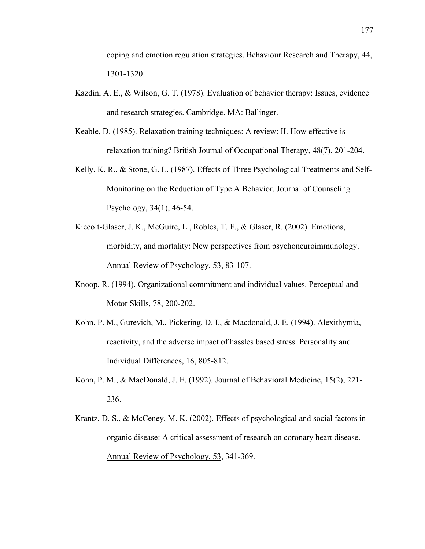coping and emotion regulation strategies. Behaviour Research and Therapy, 44, 1301-1320.

- Kazdin, A. E., & Wilson, G. T. (1978). Evaluation of behavior therapy: Issues, evidence and research strategies. Cambridge. MA: Ballinger.
- Keable, D. (1985). Relaxation training techniques: A review: II. How effective is relaxation training? British Journal of Occupational Therapy, 48(7), 201-204.
- Kelly, K. R., & Stone, G. L. (1987). Effects of Three Psychological Treatments and Self-Monitoring on the Reduction of Type A Behavior. Journal of Counseling Psychology, 34(1), 46-54.
- Kiecolt-Glaser, J. K., McGuire, L., Robles, T. F., & Glaser, R. (2002). Emotions, morbidity, and mortality: New perspectives from psychoneuroimmunology. Annual Review of Psychology, 53, 83-107.
- Knoop, R. (1994). Organizational commitment and individual values. Perceptual and Motor Skills, 78, 200-202.
- Kohn, P. M., Gurevich, M., Pickering, D. I., & Macdonald, J. E. (1994). Alexithymia, reactivity, and the adverse impact of hassles based stress. Personality and Individual Differences, 16, 805-812.
- Kohn, P. M., & MacDonald, J. E. (1992). Journal of Behavioral Medicine, 15(2), 221- 236.
- Krantz, D. S., & McCeney, M. K. (2002). Effects of psychological and social factors in organic disease: A critical assessment of research on coronary heart disease. Annual Review of Psychology, 53, 341-369.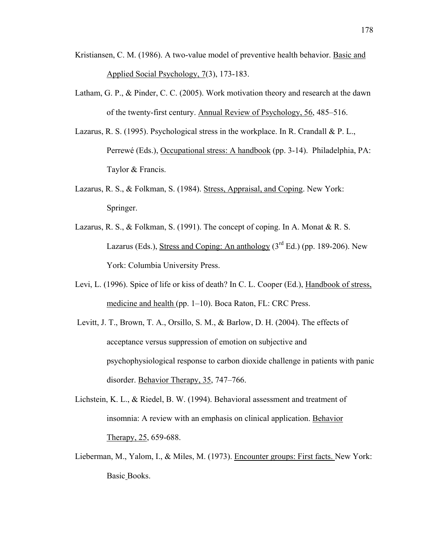- Kristiansen, C. M. (1986). A two-value model of preventive health behavior. Basic and Applied Social Psychology, 7(3), 173-183.
- Latham, G. P., & Pinder, C. C. (2005). Work motivation theory and research at the dawn of the twenty-first century. Annual Review of Psychology, 56, 485–516.
- Lazarus, R. S. (1995). Psychological stress in the workplace. In R. Crandall & P. L., Perrewé (Eds.), Occupational stress: A handbook (pp. 3-14). Philadelphia, PA: Taylor & Francis.
- Lazarus, R. S., & Folkman, S. (1984). Stress, Appraisal, and Coping. New York: Springer.
- Lazarus, R. S., & Folkman, S. (1991). The concept of coping. In A. Monat & R. S. Lazarus (Eds.), Stress and Coping: An anthology  $(3<sup>rd</sup> Ed.)$  (pp. 189-206). New York: Columbia University Press.
- Levi, L. (1996). Spice of life or kiss of death? In C. L. Cooper (Ed.), Handbook of stress, medicine and health (pp. 1–10). Boca Raton, FL: CRC Press.
- Levitt, J. T., Brown, T. A., Orsillo, S. M., & Barlow, D. H. (2004). The effects of acceptance versus suppression of emotion on subjective and psychophysiological response to carbon dioxide challenge in patients with panic disorder. Behavior Therapy, 35, 747–766.
- Lichstein, K. L., & Riedel, B. W. (1994). Behavioral assessment and treatment of insomnia: A review with an emphasis on clinical application. Behavior Therapy, 25, 659-688.
- Lieberman, M., Yalom, I., & Miles, M. (1973). Encounter groups: First facts. New York: Basic Books.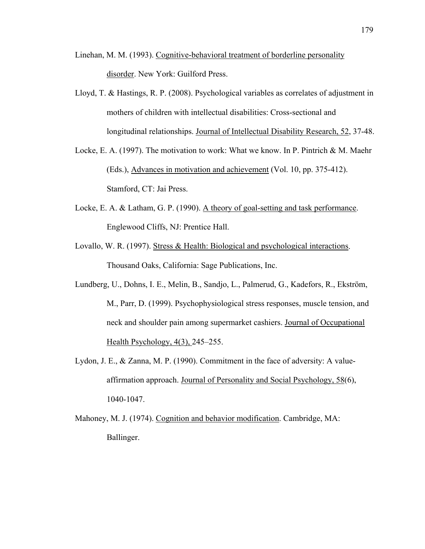- Linehan, M. M. (1993). Cognitive-behavioral treatment of borderline personality disorder. New York: Guilford Press.
- Lloyd, T. & Hastings, R. P. (2008). Psychological variables as correlates of adjustment in mothers of children with intellectual disabilities: Cross-sectional and longitudinal relationships. Journal of Intellectual Disability Research, 52, 37-48.
- Locke, E. A. (1997). The motivation to work: What we know. In P. Pintrich  $\& M$ . Maehr (Eds.), Advances in motivation and achievement (Vol. 10, pp. 375-412). Stamford, CT: Jai Press.
- Locke, E. A. & Latham, G. P. (1990). A theory of goal-setting and task performance. Englewood Cliffs, NJ: Prentice Hall.
- Lovallo, W. R. (1997). Stress & Health: Biological and psychological interactions. Thousand Oaks, California: Sage Publications, Inc.
- Lundberg, U., Dohns, I. E., Melin, B., Sandjo, L., Palmerud, G., Kadefors, R., Ekström, M., Parr, D. (1999). Psychophysiological stress responses, muscle tension, and neck and shoulder pain among supermarket cashiers. Journal of Occupational Health Psychology, 4(3), 245–255.
- Lydon, J. E., & Zanna, M. P. (1990). Commitment in the face of adversity: A valueaffirmation approach. Journal of Personality and Social Psychology, 58(6), 1040-1047.
- Mahoney, M. J. (1974). Cognition and behavior modification. Cambridge, MA: Ballinger.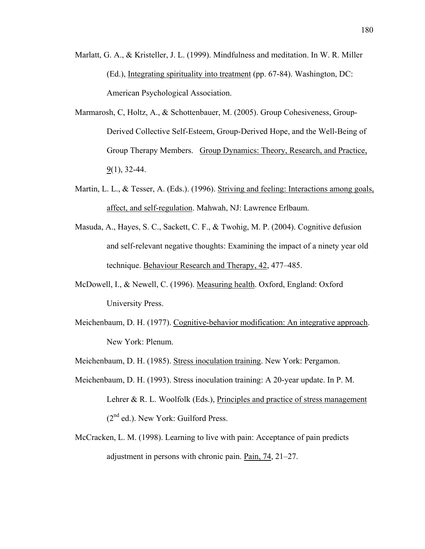- Marlatt, G. A., & Kristeller, J. L. (1999). Mindfulness and meditation. In W. R. Miller (Ed.), Integrating spirituality into treatment (pp. 67-84). Washington, DC: American Psychological Association.
- Marmarosh, C, Holtz, A., & Schottenbauer, M. (2005). [Group Cohesiveness, Group-](javascript:__doLinkPostBack()[Derived Collective Self-Esteem, Group-Derived Hope, and the Well-Being of](javascript:__doLinkPostBack()  [Group Therapy Members.](javascript:__doLinkPostBack() Group Dynamics: Theory, Research, and Practice, 9(1), 32-44.
- Martin, L. L., & Tesser, A. (Eds.). (1996). Striving and feeling: Interactions among goals, affect, and self-regulation. Mahwah, NJ: Lawrence Erlbaum.
- Masuda, A., Hayes, S. C., Sackett, C. F., & Twohig, M. P. (2004). Cognitive defusion and self-relevant negative thoughts: Examining the impact of a ninety year old technique. Behaviour Research and Therapy, 42, 477–485.
- McDowell, I., & Newell, C. (1996). Measuring health. Oxford, England: Oxford University Press.
- Meichenbaum, D. H. (1977). Cognitive-behavior modification: An integrative approach. New York: Plenum.
- Meichenbaum, D. H. (1985). Stress inoculation training. New York: Pergamon.
- Meichenbaum, D. H. (1993). Stress inoculation training: A 20-year update. In P. M. Lehrer & R. L. Woolfolk (Eds.), Principles and practice of stress management  $(2<sup>nd</sup>$  ed.). New York: Guilford Press.
- McCracken, L. M. (1998). Learning to live with pain: Acceptance of pain predicts adjustment in persons with chronic pain. Pain, 74, 21–27.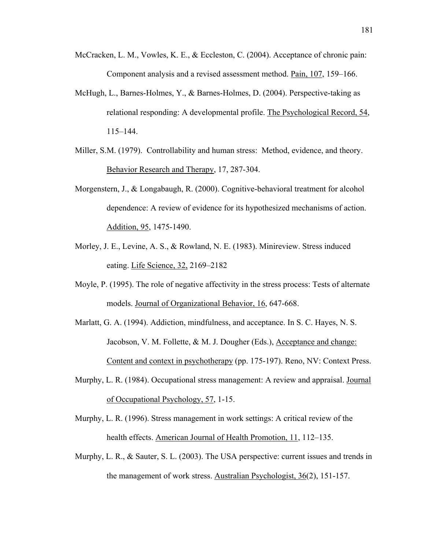- McCracken, L. M., Vowles, K. E., & Eccleston, C. (2004). Acceptance of chronic pain: Component analysis and a revised assessment method. Pain, 107, 159–166.
- McHugh, L., Barnes-Holmes, Y., & Barnes-Holmes, D. (2004). Perspective-taking as relational responding: A developmental profile. The Psychological Record, 54, 115–144.
- Miller, S.M. (1979). Controllability and human stress: Method, evidence, and theory. Behavior Research and Therapy, 17, 287-304.
- Morgenstern, J., & Longabaugh, R. (2000). Cognitive-behavioral treatment for alcohol dependence: A review of evidence for its hypothesized mechanisms of action. Addition, 95, 1475-1490.
- Morley, J. E., Levine, A. S., & Rowland, N. E. (1983). Minireview. Stress induced eating. Life Science, 32, 2169–2182
- Moyle, P. (1995). The role of negative affectivity in the stress process: Tests of alternate models. Journal of Organizational Behavior, 16, 647-668.
- Marlatt, G. A. (1994). Addiction, mindfulness, and acceptance. In S. C. Hayes, N. S. Jacobson, V. M. Follette, & M. J. Dougher (Eds.), Acceptance and change: Content and context in psychotherapy (pp. 175-197). Reno, NV: Context Press.
- Murphy, L. R. (1984). Occupational stress management: A review and appraisal. Journal of Occupational Psychology, 57, 1-15.
- Murphy, L. R. (1996). Stress management in work settings: A critical review of the health effects. American Journal of Health Promotion, 11, 112–135.
- Murphy, L. R., & Sauter, S. L. (2003). The USA perspective: current issues and trends in the management of work stress. Australian Psychologist, 36(2), 151-157.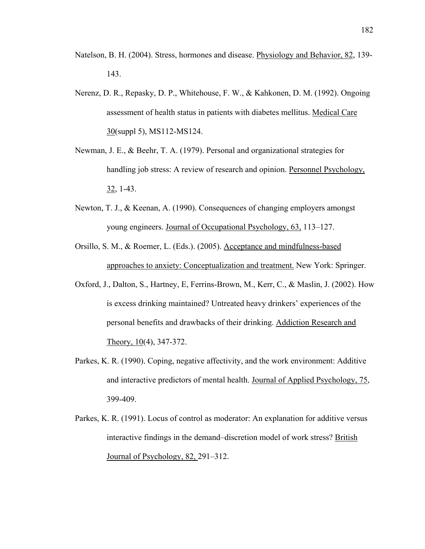- Natelson, B. H. (2004). Stress, hormones and disease. Physiology and Behavior, 82, 139- 143.
- Nerenz, D. R., Repasky, D. P., Whitehouse, F. W., & Kahkonen, D. M. (1992). Ongoing assessment of health status in patients with diabetes mellitus. Medical Care 30(suppl 5), MS112-MS124.
- Newman, J. E., & Beehr, T. A. (1979). Personal and organizational strategies for handling job stress: A review of research and opinion. Personnel Psychology, 32, 1-43.
- Newton, T. J., & Keenan, A. (1990). Consequences of changing employers amongst young engineers. Journal of Occupational Psychology, 63, 113–127.
- Orsillo, S. M., & Roemer, L. (Eds.). (2005). Acceptance and mindfulness-based approaches to anxiety: Conceptualization and treatment. New York: Springer.
- Oxford, J., Dalton, S., Hartney, E, Ferrins-Brown, M., Kerr, C., & Maslin, J. (2002). How is excess drinking maintained? Untreated heavy drinkers' experiences of the personal benefits and drawbacks of their drinking. Addiction Research and Theory, 10(4), 347-372.
- Parkes, K. R. (1990). Coping, negative affectivity, and the work environment: Additive and interactive predictors of mental health. Journal of Applied Psychology, 75, 399-409.
- Parkes, K. R. (1991). Locus of control as moderator: An explanation for additive versus interactive findings in the demand–discretion model of work stress? British Journal of Psychology, 82, 291–312.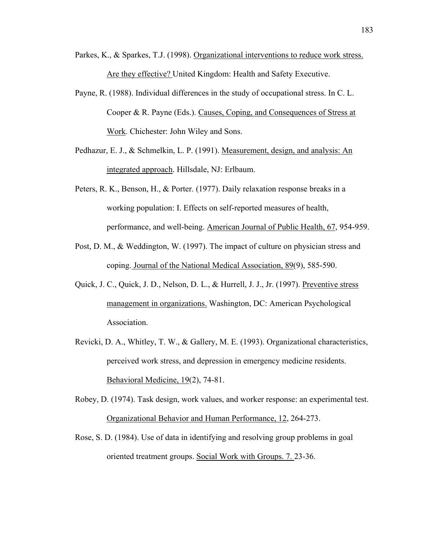- Parkes, K., & Sparkes, T.J. (1998). Organizational interventions to reduce work stress. Are they effective? United Kingdom: Health and Safety Executive.
- Payne, R. (1988). Individual differences in the study of occupational stress. In C. L. Cooper & R. Payne (Eds.). Causes, Coping, and Consequences of Stress at Work. Chichester: John Wiley and Sons.
- Pedhazur, E. J., & Schmelkin, L. P. (1991). Measurement, design, and analysis: An integrated approach. Hillsdale, NJ: Erlbaum.
- Peters, R. K., Benson, H., & Porter. (1977). Daily relaxation response breaks in a working population: I. Effects on self-reported measures of health, performance, and well-being. American Journal of Public Health, 67, 954-959.
- Post, D. M., & Weddington, W. (1997). The impact of culture on physician stress and coping. Journal of the National Medical Association, 89(9), 585-590.
- Quick, J. C., Quick, J. D., Nelson, D. L., & Hurrell, J. J., Jr. (1997). Preventive stress management in organizations. Washington, DC: American Psychological Association.
- Revicki, D. A., Whitley, T. W., & Gallery, M. E. (1993). Organizational characteristics, perceived work stress, and depression in emergency medicine residents. Behavioral Medicine, 19(2), 74-81.

Robey, D. (1974). Task design, work values, and worker response: an experimental test. Organizational Behavior and Human Performance, 12, 264-273.

Rose, S. D. (1984). Use of data in identifying and resolving group problems in goal oriented treatment groups. Social Work with Groups. 7. 23-36.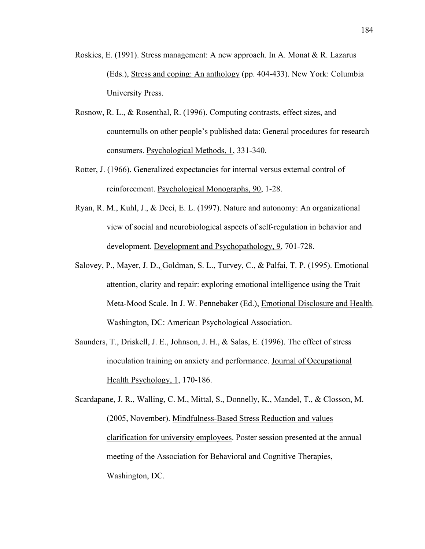- Roskies, E. (1991). Stress management: A new approach. In A. Monat & R. Lazarus (Eds.), Stress and coping: An anthology (pp. 404-433). New York: Columbia University Press.
- Rosnow, R. L., & Rosenthal, R. (1996). Computing contrasts, effect sizes, and counternulls on other people's published data: General procedures for research consumers. Psychological Methods, 1, 331-340.
- Rotter, J. (1966). Generalized expectancies for internal versus external control of reinforcement. Psychological Monographs, 90, 1-28.
- Ryan, R. M., Kuhl, J., & Deci, E. L. (1997). Nature and autonomy: An organizational view of social and neurobiological aspects of self-regulation in behavior and development. Development and Psychopathology, 9, 701-728.
- Salovey, P., Mayer, J. D., Goldman, S. L., Turvey, C., & Palfai, T. P. (1995). Emotional attention, clarity and repair: exploring emotional intelligence using the Trait Meta-Mood Scale. In J. W. Pennebaker (Ed.), Emotional Disclosure and Health. Washington, DC: American Psychological Association.
- Saunders, T., Driskell, J. E., Johnson, J. H., & Salas, E. (1996). The effect of stress inoculation training on anxiety and performance. Journal of Occupational Health Psychology, 1, 170-186.

Scardapane, J. R., Walling, C. M., Mittal, S., Donnelly, K., Mandel, T., & Closson, M. (2005, November). Mindfulness-Based Stress Reduction and values clarification for university employees. Poster session presented at the annual meeting of the Association for Behavioral and Cognitive Therapies, Washington, DC.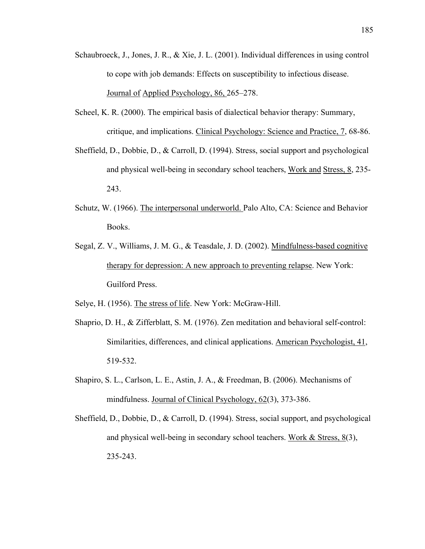- Schaubroeck, J., Jones, J. R., & Xie, J. L. (2001). Individual differences in using control to cope with job demands: Effects on susceptibility to infectious disease. Journal of Applied Psychology, 86, 265–278.
- Scheel, K. R. (2000). The empirical basis of dialectical behavior therapy: Summary, critique, and implications. Clinical Psychology: Science and Practice, 7, 68-86.
- Sheffield, D., Dobbie, D., & Carroll, D. (1994). Stress, social support and psychological and physical well-being in secondary school teachers, Work and Stress, 8, 235- 243.
- Schutz, W. (1966). The interpersonal underworld. Palo Alto, CA: Science and Behavior Books.
- Segal, Z. V., Williams, J. M. G., & Teasdale, J. D. (2002). Mindfulness-based cognitive therapy for depression: A new approach to preventing relapse. New York: Guilford Press.
- Selye, H. (1956). The stress of life. New York: McGraw-Hill.
- Shaprio, D. H., & Zifferblatt, S. M. (1976). Zen meditation and behavioral self-control: Similarities, differences, and clinical applications. American Psychologist, 41, 519-532.
- Shapiro, S. L., Carlson, L. E., Astin, J. A., & Freedman, B. (2006). Mechanisms of mindfulness. Journal of Clinical Psychology, 62(3), 373-386.
- Sheffield, D., Dobbie, D., & Carroll, D. (1994). Stress, social support, and psychological and physical well-being in secondary school teachers. Work & Stress, 8(3), 235-243.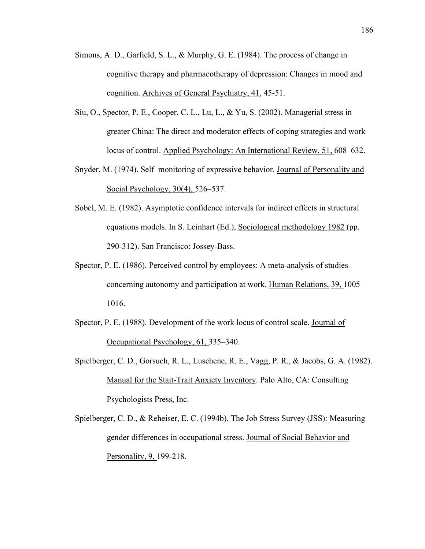- Simons, A. D., Garfield, S. L., & Murphy, G. E. (1984). The process of change in cognitive therapy and pharmacotherapy of depression: Changes in mood and cognition. Archives of General Psychiatry, 41, 45-51.
- Siu, O., Spector, P. E., Cooper, C. L., Lu, L., & Yu, S. (2002). Managerial stress in greater China: The direct and moderator effects of coping strategies and work locus of control. Applied Psychology: An International Review, 51, 608–632.
- Snyder, M. (1974). Self–monitoring of expressive behavior. Journal of Personality and Social Psychology, 30(4), 526–537.
- Sobel, M. E. (1982). Asymptotic confidence intervals for indirect effects in structural equations models. In S. Leinhart (Ed.), Sociological methodology 1982 (pp. 290-312). San Francisco: Jossey-Bass.
- Spector, P. E. (1986). Perceived control by employees: A meta-analysis of studies concerning autonomy and participation at work. Human Relations, 39, 1005– 1016.
- Spector, P. E. (1988). Development of the work locus of control scale. Journal of Occupational Psychology, 61, 335–340.
- Spielberger, C. D., Gorsuch, R. L., Luschene, R. E., Vagg, P. R., & Jacobs, G. A. (1982). Manual for the Stait-Trait Anxiety Inventory. Palo Alto, CA: Consulting Psychologists Press, Inc.
- Spielberger, C. D., & Reheiser, E. C. (1994b). The Job Stress Survey (JSS): Measuring gender differences in occupational stress. Journal of Social Behavior and Personality, 9, 199-218.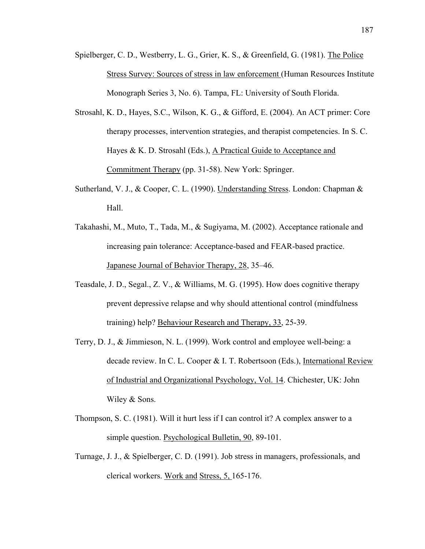- Spielberger, C. D., Westberry, L. G., Grier, K. S., & Greenfield, G. (1981). The Police Stress Survey: Sources of stress in law enforcement (Human Resources Institute Monograph Series 3, No. 6). Tampa, FL: University of South Florida.
- Strosahl, K. D., Hayes, S.C., Wilson, K. G., & Gifford, E. (2004). An ACT primer: Core therapy processes, intervention strategies, and therapist competencies. In S. C. Hayes & K. D. Strosahl (Eds.), A Practical Guide to Acceptance and Commitment Therapy (pp. 31-58). New York: Springer.
- Sutherland, V. J., & Cooper, C. L. (1990). Understanding Stress. London: Chapman & Hall.
- Takahashi, M., Muto, T., Tada, M., & Sugiyama, M. (2002). Acceptance rationale and increasing pain tolerance: Acceptance-based and FEAR-based practice. Japanese Journal of Behavior Therapy, 28, 35–46.
- Teasdale, J. D., Segal., Z. V., & Williams, M. G. (1995). How does cognitive therapy prevent depressive relapse and why should attentional control (mindfulness training) help? Behaviour Research and Therapy, 33, 25-39.
- Terry, D. J., & Jimmieson, N. L. (1999). Work control and employee well-being: a decade review. In C. L. Cooper & I. T. Robertsoon (Eds.), International Review of Industrial and Organizational Psychology, Vol. 14. Chichester, UK: John Wiley & Sons.
- Thompson, S. C. (1981). Will it hurt less if I can control it? A complex answer to a simple question. Psychological Bulletin, 90, 89-101.
- Turnage, J. J., & Spielberger, C. D. (1991). Job stress in managers, professionals, and clerical workers. Work and Stress, 5, 165-176.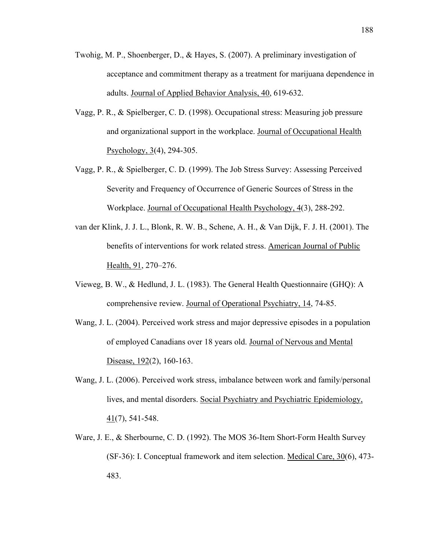- Twohig, M. P., Shoenberger, D., & Hayes, S. (2007). A preliminary investigation of acceptance and commitment therapy as a treatment for marijuana dependence in adults. Journal of Applied Behavior Analysis, 40, 619-632.
- Vagg, P. R., & Spielberger, C. D. (1998). Occupational stress: Measuring job pressure and organizational support in the workplace. Journal of Occupational Health Psychology, 3(4), 294-305.
- Vagg, P. R., & Spielberger, C. D. (1999). The Job Stress Survey: Assessing Perceived Severity and Frequency of Occurrence of Generic Sources of Stress in the Workplace. Journal of Occupational Health Psychology, 4(3), 288-292.
- van der Klink, J. J. L., Blonk, R. W. B., Schene, A. H., & Van Dijk, F. J. H. (2001). The benefits of interventions for work related stress. American Journal of Public Health, 91, 270–276.
- Vieweg, B. W., & Hedlund, J. L. (1983). The General Health Questionnaire (GHQ): A comprehensive review. Journal of Operational Psychiatry, 14, 74-85.
- Wang, J. L. (2004). Perceived work stress and major depressive episodes in a population of employed Canadians over 18 years old. Journal of Nervous and Mental Disease, 192(2), 160-163.
- Wang, J. L. (2006). Perceived work stress, imbalance between work and family/personal lives, and mental disorders. Social Psychiatry and Psychiatric Epidemiology,  $41(7)$ , 541-548.
- Ware, J. E., & Sherbourne, C. D. (1992). The MOS 36-Item Short-Form Health Survey (SF-36): I. Conceptual framework and item selection. Medical Care, 30(6), 473- 483.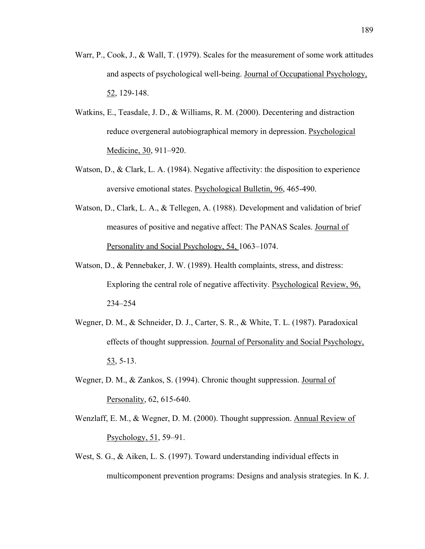- Warr, P., Cook, J., & Wall, T. (1979). Scales for the measurement of some work attitudes and aspects of psychological well-being. Journal of Occupational Psychology, 52, 129-148.
- Watkins, E., Teasdale, J. D., & Williams, R. M. (2000). Decentering and distraction reduce overgeneral autobiographical memory in depression. Psychological Medicine, 30, 911–920.
- Watson, D., & Clark, L. A. (1984). Negative affectivity: the disposition to experience aversive emotional states. Psychological Bulletin, 96, 465-490.
- Watson, D., Clark, L. A., & Tellegen, A. (1988). Development and validation of brief measures of positive and negative affect: The PANAS Scales. Journal of Personality and Social Psychology, 54, 1063–1074.
- Watson, D., & Pennebaker, J. W. (1989). Health complaints, stress, and distress: Exploring the central role of negative affectivity. Psychological Review, 96, 234–254
- Wegner, D. M., & Schneider, D. J., Carter, S. R., & White, T. L. (1987). Paradoxical effects of thought suppression. Journal of Personality and Social Psychology, 53, 5-13.
- Wegner, D. M., & Zankos, S. (1994). Chronic thought suppression. Journal of Personality, 62, 615-640.
- Wenzlaff, E. M., & Wegner, D. M. (2000). Thought suppression. Annual Review of Psychology, 51, 59–91.
- West, S. G., & Aiken, L. S. (1997). Toward understanding individual effects in multicomponent prevention programs: Designs and analysis strategies. In K. J.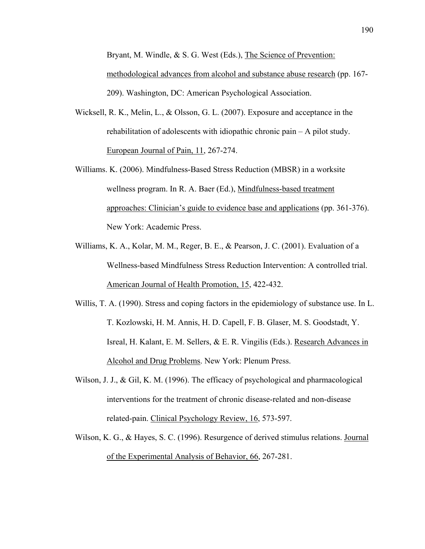Bryant, M. Windle, & S. G. West (Eds.), The Science of Prevention: methodological advances from alcohol and substance abuse research (pp. 167- 209). Washington, DC: American Psychological Association.

- Wicksell, R. K., Melin, L., & Olsson, G. L. (2007). Exposure and acceptance in the rehabilitation of adolescents with idiopathic chronic pain – A pilot study. European Journal of Pain, 11, 267-274.
- Williams. K. (2006). Mindfulness-Based Stress Reduction (MBSR) in a worksite wellness program. In R. A. Baer (Ed.), Mindfulness-based treatment approaches: Clinician's guide to evidence base and applications (pp. 361-376). New York: Academic Press.
- Williams, K. A., Kolar, M. M., Reger, B. E., & Pearson, J. C. (2001). Evaluation of a Wellness-based Mindfulness Stress Reduction Intervention: A controlled trial. American Journal of Health Promotion, 15, 422-432.
- Willis, T. A. (1990). Stress and coping factors in the epidemiology of substance use. In L. T. Kozlowski, H. M. Annis, H. D. Capell, F. B. Glaser, M. S. Goodstadt, Y. Isreal, H. Kalant, E. M. Sellers, & E. R. Vingilis (Eds.). Research Advances in Alcohol and Drug Problems. New York: Plenum Press.
- Wilson, J. J., & Gil, K. M. (1996). The efficacy of psychological and pharmacological interventions for the treatment of chronic disease-related and non-disease related-pain. Clinical Psychology Review, 16, 573-597.
- Wilson, K. G., & Hayes, S. C. (1996). Resurgence of derived stimulus relations. Journal of the Experimental Analysis of Behavior, 66, 267-281.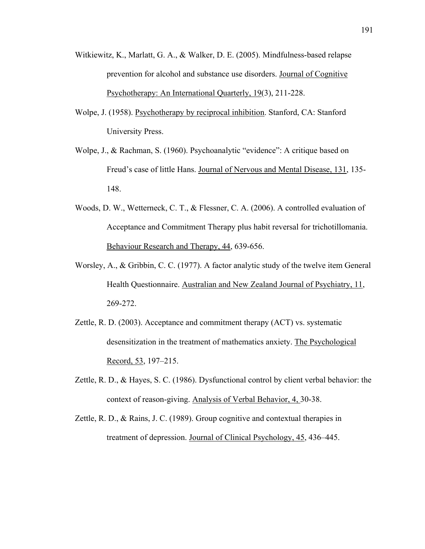- Witkiewitz, K., Marlatt, G. A., & Walker, D. E. (2005). Mindfulness-based relapse prevention for alcohol and substance use disorders. Journal of Cognitive Psychotherapy: An International Quarterly, 19(3), 211-228.
- Wolpe, J. (1958). Psychotherapy by reciprocal inhibition. Stanford, CA: Stanford University Press.
- Wolpe, J., & Rachman, S. (1960). Psychoanalytic "evidence": A critique based on Freud's case of little Hans. Journal of Nervous and Mental Disease, 131, 135- 148.
- Woods, D. W., Wetterneck, C. T., & Flessner, C. A. (2006). A controlled evaluation of Acceptance and Commitment Therapy plus habit reversal for trichotillomania. Behaviour Research and Therapy, 44, 639-656.
- Worsley, A., & Gribbin, C. C. (1977). A factor analytic study of the twelve item General Health Questionnaire. Australian and New Zealand Journal of Psychiatry, 11, 269-272.
- Zettle, R. D. (2003). Acceptance and commitment therapy (ACT) vs. systematic desensitization in the treatment of mathematics anxiety. The Psychological Record, 53, 197–215.
- Zettle, R. D., & Hayes, S. C. (1986). Dysfunctional control by client verbal behavior: the context of reason-giving. Analysis of Verbal Behavior, 4, 30-38.
- Zettle, R. D., & Rains, J. C. (1989). Group cognitive and contextual therapies in treatment of depression. Journal of Clinical Psychology, 45, 436–445.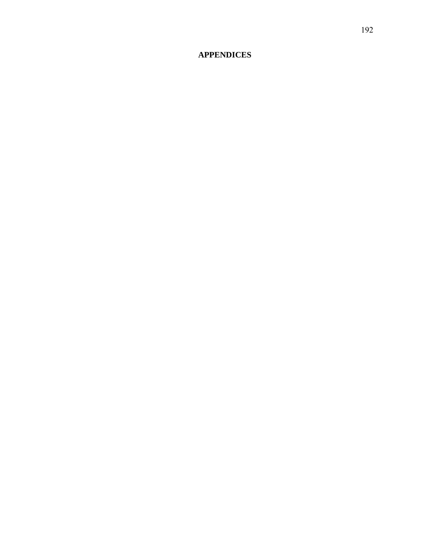## **APPENDICES**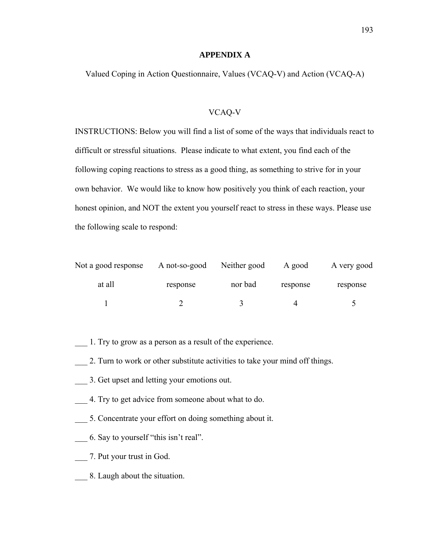## **APPENDIX A**

Valued Coping in Action Questionnaire, Values (VCAQ-V) and Action (VCAQ-A)

## VCAQ-V

INSTRUCTIONS: Below you will find a list of some of the ways that individuals react to difficult or stressful situations. Please indicate to what extent, you find each of the following coping reactions to stress as a good thing, as something to strive for in your own behavior. We would like to know how positively you think of each reaction, your honest opinion, and NOT the extent you yourself react to stress in these ways. Please use the following scale to respond:

| Not a good response | A not-so-good | Neither good | A good   | A very good |  |
|---------------------|---------------|--------------|----------|-------------|--|
| at all              | response      | nor bad      | response | response    |  |
|                     |               |              |          | ↖           |  |

- \_\_\_ 1. Try to grow as a person as a result of the experience.
- 2. Turn to work or other substitute activities to take your mind off things.
- \_\_\_ 3. Get upset and letting your emotions out.
- \_\_\_ 4. Try to get advice from someone about what to do.
- \_\_\_ 5. Concentrate your effort on doing something about it.
- \_\_\_ 6. Say to yourself "this isn't real".
- \_\_\_ 7. Put your trust in God.
- \_\_\_ 8. Laugh about the situation.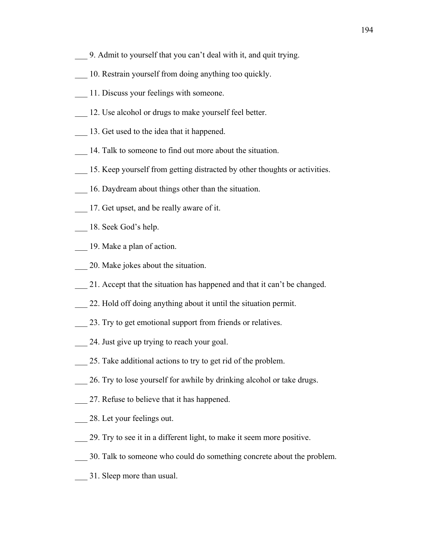- \_\_\_ 9. Admit to yourself that you can't deal with it, and quit trying.
- \_\_\_ 10. Restrain yourself from doing anything too quickly.
- \_\_\_ 11. Discuss your feelings with someone.
- \_\_\_ 12. Use alcohol or drugs to make yourself feel better.
- 13. Get used to the idea that it happened.
- 14. Talk to someone to find out more about the situation.
- \_\_\_ 15. Keep yourself from getting distracted by other thoughts or activities.
- \_\_\_ 16. Daydream about things other than the situation.
- \_\_\_ 17. Get upset, and be really aware of it.
- 18. Seek God's help.
- \_\_\_ 19. Make a plan of action.
- \_\_\_ 20. Make jokes about the situation.
- \_\_\_ 21. Accept that the situation has happened and that it can't be changed.
- 22. Hold off doing anything about it until the situation permit.
- 23. Try to get emotional support from friends or relatives.
- \_\_\_ 24. Just give up trying to reach your goal.
- \_\_\_ 25. Take additional actions to try to get rid of the problem.
- 26. Try to lose yourself for awhile by drinking alcohol or take drugs.
- \_\_\_ 27. Refuse to believe that it has happened.
- \_\_\_ 28. Let your feelings out.
- \_\_\_ 29. Try to see it in a different light, to make it seem more positive.
- \_\_\_ 30. Talk to someone who could do something concrete about the problem.
- \_\_\_ 31. Sleep more than usual.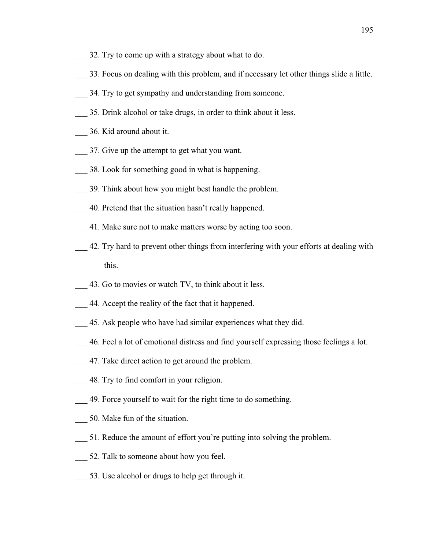- 32. Try to come up with a strategy about what to do.
- \_\_\_ 33. Focus on dealing with this problem, and if necessary let other things slide a little.
- 34. Try to get sympathy and understanding from someone.
- \_\_\_ 35. Drink alcohol or take drugs, in order to think about it less.
- \_\_\_ 36. Kid around about it.
- \_\_\_ 37. Give up the attempt to get what you want.
- \_\_\_ 38. Look for something good in what is happening.
- \_\_\_ 39. Think about how you might best handle the problem.
- \_\_\_ 40. Pretend that the situation hasn't really happened.
- \_\_\_ 41. Make sure not to make matters worse by acting too soon.
- \_\_\_ 42. Try hard to prevent other things from interfering with your efforts at dealing with this.
- 43. Go to movies or watch TV, to think about it less.
- \_\_\_ 44. Accept the reality of the fact that it happened.
- \_\_\_ 45. Ask people who have had similar experiences what they did.
- \_\_\_ 46. Feel a lot of emotional distress and find yourself expressing those feelings a lot.
- \_\_\_ 47. Take direct action to get around the problem.
- \_\_\_ 48. Try to find comfort in your religion.
- \_\_\_ 49. Force yourself to wait for the right time to do something.
- \_\_\_ 50. Make fun of the situation.
- \_\_\_ 51. Reduce the amount of effort you're putting into solving the problem.
- \_\_\_ 52. Talk to someone about how you feel.
- \_\_\_ 53. Use alcohol or drugs to help get through it.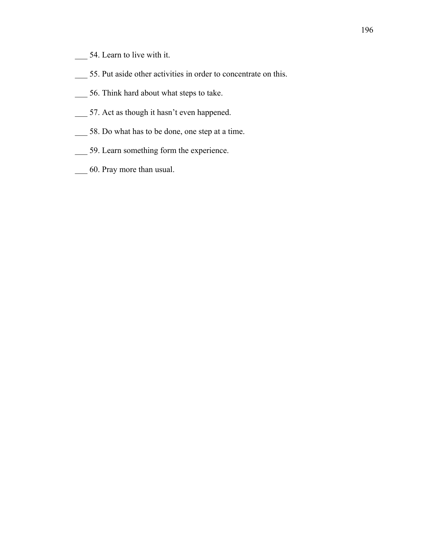- \_\_\_ 54. Learn to live with it.
- \_\_\_ 55. Put aside other activities in order to concentrate on this.
- \_\_\_ 56. Think hard about what steps to take.
- \_\_\_ 57. Act as though it hasn't even happened.
- \_\_\_ 58. Do what has to be done, one step at a time.
- \_\_\_ 59. Learn something form the experience.
- \_\_\_ 60. Pray more than usual.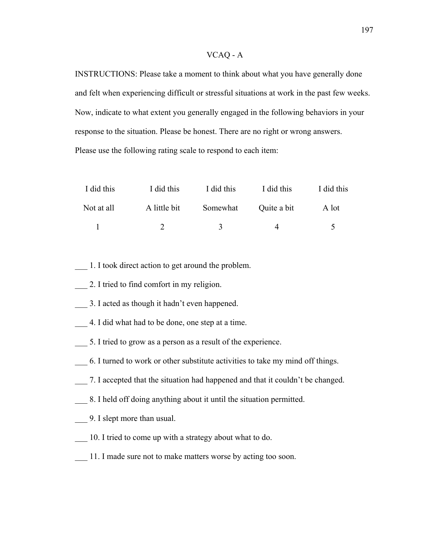## VCAQ - A

INSTRUCTIONS: Please take a moment to think about what you have generally done and felt when experiencing difficult or stressful situations at work in the past few weeks. Now, indicate to what extent you generally engaged in the following behaviors in your response to the situation. Please be honest. There are no right or wrong answers. Please use the following rating scale to respond to each item:

| I did this | I did this   | I did this    | I did this  | I did this           |
|------------|--------------|---------------|-------------|----------------------|
| Not at all | A little bit | Somewhat      | Quite a bit | A lot                |
|            |              | $\mathcal{R}$ |             | $\ddot{\phantom{1}}$ |

- \_\_\_ 1. I took direct action to get around the problem.
- \_\_\_ 2. I tried to find comfort in my religion.
- \_\_\_ 3. I acted as though it hadn't even happened.
- \_\_\_ 4. I did what had to be done, one step at a time.
- \_\_\_ 5. I tried to grow as a person as a result of the experience.
- \_\_\_ 6. I turned to work or other substitute activities to take my mind off things.
- \_\_\_ 7. I accepted that the situation had happened and that it couldn't be changed.
- \_\_\_ 8. I held off doing anything about it until the situation permitted.
- \_\_\_ 9. I slept more than usual.
- 10. I tried to come up with a strategy about what to do.
- \_\_\_ 11. I made sure not to make matters worse by acting too soon.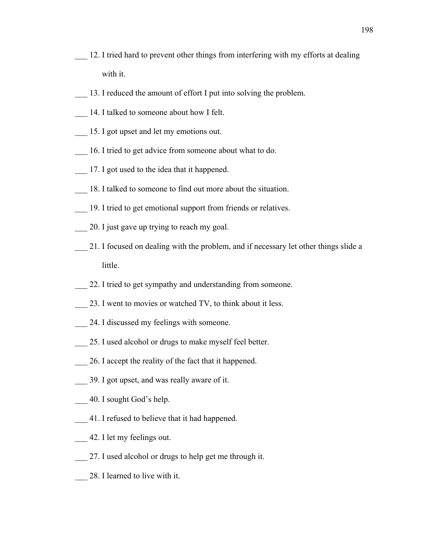- 12. I tried hard to prevent other things from interfering with my efforts at dealing with it.
- 13. I reduced the amount of effort I put into solving the problem.
- \_\_\_ 14. I talked to someone about how I felt.
- \_\_\_ 15. I got upset and let my emotions out.
- 16. I tried to get advice from someone about what to do.
- \_\_\_ 17. I got used to the idea that it happened.
- 18. I talked to someone to find out more about the situation.
- \_\_\_ 19. I tried to get emotional support from friends or relatives.
- \_\_\_ 20. I just gave up trying to reach my goal.
- \_\_\_ 21. I focused on dealing with the problem, and if necessary let other things slide a little.
- 22. I tried to get sympathy and understanding from someone.
- 23. I went to movies or watched TV, to think about it less.
- 24. I discussed my feelings with someone.
- 25. I used alcohol or drugs to make myself feel better.
- \_\_\_ 26. I accept the reality of the fact that it happened.
- \_\_\_ 39. I got upset, and was really aware of it.
- \_\_\_ 40. I sought God's help.
- \_\_\_ 41. I refused to believe that it had happened.
- \_\_\_ 42. I let my feelings out.
- \_\_\_ 27. I used alcohol or drugs to help get me through it.
- \_\_\_ 28. I learned to live with it.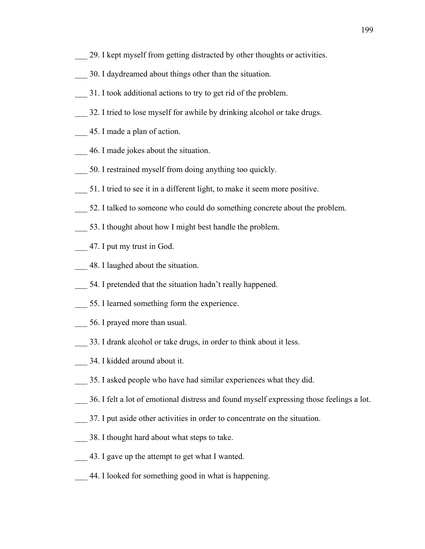- 29. I kept myself from getting distracted by other thoughts or activities.
- \_\_\_ 30. I daydreamed about things other than the situation.
- \_\_\_ 31. I took additional actions to try to get rid of the problem.
- \_\_\_ 32. I tried to lose myself for awhile by drinking alcohol or take drugs.
- \_\_\_ 45. I made a plan of action.
- \_\_\_ 46. I made jokes about the situation.
- \_\_\_ 50. I restrained myself from doing anything too quickly.
- \_\_\_ 51. I tried to see it in a different light, to make it seem more positive.
- \_\_\_ 52. I talked to someone who could do something concrete about the problem.
- 53. I thought about how I might best handle the problem.
- \_\_\_ 47. I put my trust in God.
- \_\_\_ 48. I laughed about the situation.
- 54. I pretended that the situation hadn't really happened.
- \_\_\_ 55. I learned something form the experience.
- \_\_\_ 56. I prayed more than usual.
- 33. I drank alcohol or take drugs, in order to think about it less.
- \_\_\_ 34. I kidded around about it.
- \_\_\_ 35. I asked people who have had similar experiences what they did.
- \_\_\_ 36. I felt a lot of emotional distress and found myself expressing those feelings a lot.
- \_\_\_ 37. I put aside other activities in order to concentrate on the situation.
- 38. I thought hard about what steps to take.
- \_\_\_ 43. I gave up the attempt to get what I wanted.
- \_\_\_ 44. I looked for something good in what is happening.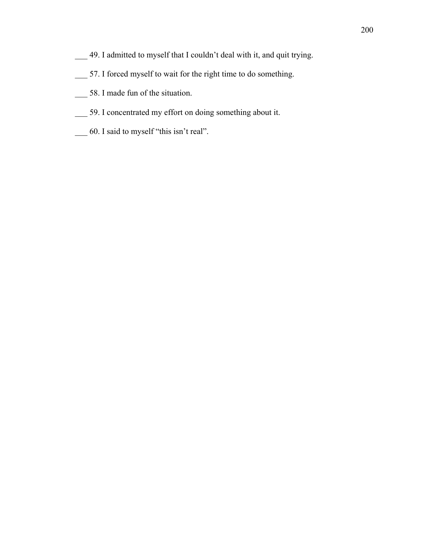- \_\_\_ 49. I admitted to myself that I couldn't deal with it, and quit trying.
- \_\_\_ 57. I forced myself to wait for the right time to do something.
- \_\_\_ 58. I made fun of the situation.
- \_\_\_ 59. I concentrated my effort on doing something about it.
- \_\_\_ 60. I said to myself "this isn't real".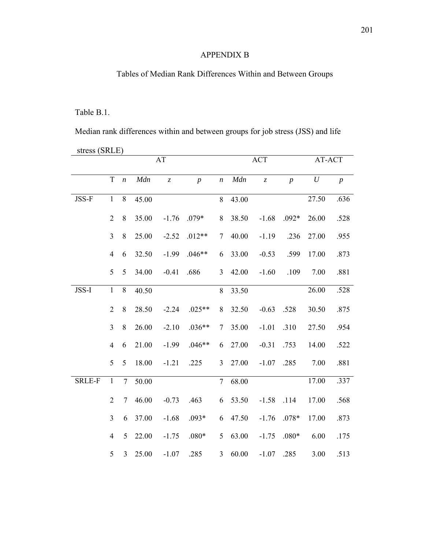## APPENDIX B

# Tables of Median Rank Differences Within and Between Groups

## Table B.1.

Median rank differences within and between groups for job stress (JSS) and life

| stress (SRLE)<br>AT-ACT |                |                  |       |                               |                |                  |       |            |                |                  |                  |
|-------------------------|----------------|------------------|-------|-------------------------------|----------------|------------------|-------|------------|----------------|------------------|------------------|
|                         |                |                  |       | AT                            |                |                  |       | <b>ACT</b> |                |                  |                  |
|                         | T              | $\boldsymbol{n}$ | Mdn   | $\ensuremath{\mathnormal{Z}}$ | $\overline{p}$ | $\boldsymbol{n}$ | Mdn   | $\bar{z}$  | $\overline{p}$ | $\boldsymbol{U}$ | $\boldsymbol{p}$ |
| JSS-F                   | $\mathbf{1}$   | 8                | 45.00 |                               |                | 8                | 43.00 |            |                | 27.50            | .636             |
|                         | $\overline{2}$ | $\,8\,$          | 35.00 | $-1.76$                       | $.079*$        | 8                | 38.50 | $-1.68$    | $.092*$        | 26.00            | .528             |
|                         | $\overline{3}$ | $\,8\,$          | 25.00 | $-2.52$                       | $.012**$       | $\tau$           | 40.00 | $-1.19$    | .236           | 27.00            | .955             |
|                         | $\overline{4}$ | 6                | 32.50 | $-1.99$                       | $.046**$       | 6                | 33.00 | $-0.53$    | .599           | 17.00            | .873             |
|                         | 5              | 5                | 34.00 | $-0.41$                       | .686           | $\overline{3}$   | 42.00 | $-1.60$    | .109           | 7.00             | .881             |
| JSS-I                   | $\mathbf{1}$   | $8\,$            | 40.50 |                               |                | 8                | 33.50 |            |                | 26.00            | .528             |
|                         | $\overline{2}$ | 8                | 28.50 | $-2.24$                       | $.025**$       | 8                | 32.50 | $-0.63$    | .528           | 30.50            | .875             |
|                         | $\overline{3}$ | $\,8\,$          | 26.00 | $-2.10$                       | $.036**$       | 7                | 35.00 | $-1.01$    | .310           | 27.50            | .954             |
|                         | $\overline{4}$ | 6                | 21.00 | $-1.99$                       | $.046**$       | 6                | 27.00 | $-0.31$    | .753           | 14.00            | .522             |
|                         | 5              | 5                | 18.00 | $-1.21$                       | .225           | $\overline{3}$   | 27.00 | $-1.07$    | .285           | 7.00             | .881             |
| <b>SRLE-F</b>           | $\mathbf{1}$   | $\overline{7}$   | 50.00 |                               |                | $\overline{7}$   | 68.00 |            |                | 17.00            | .337             |
|                         | $\overline{2}$ | 7                | 46.00 | $-0.73$                       | .463           | 6                | 53.50 | $-1.58$    | .114           | 17.00            | .568             |
|                         | $\overline{3}$ | 6                | 37.00 | $-1.68$                       | $.093*$        | 6                | 47.50 | $-1.76$    | $.078*$        | 17.00            | .873             |
|                         | $\overline{4}$ | 5                | 22.00 | $-1.75$                       | $.080*$        | 5                | 63.00 | $-1.75$    | $.080*$        | 6.00             | .175             |
|                         | 5              | $\overline{3}$   | 25.00 | $-1.07$                       | .285           | 3                | 60.00 | $-1.07$    | .285           | 3.00             | .513             |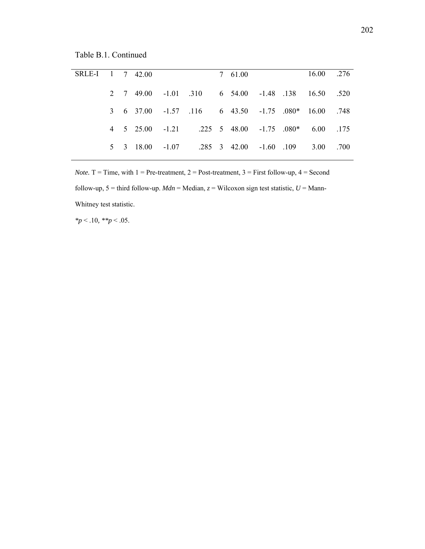Table B.1. Continued

| SRLE-I 1 7 42.00 |  |  |                                                     | 7 61.00 |  | 16.00 .276 |      |
|------------------|--|--|-----------------------------------------------------|---------|--|------------|------|
|                  |  |  | 2 7 49.00 -1.01 .310 6 54.00 -1.48 .138 16.50 .520  |         |  |            |      |
|                  |  |  | 3 6 37.00 -1.57 .116 6 43.50 -1.75 .080* 16.00 .748 |         |  |            |      |
|                  |  |  | 4 5 25.00 -1.21 .225 5 48.00 -1.75 .080* 6.00 .175  |         |  |            |      |
|                  |  |  | 5 3 18.00 -1.07 .285 3 42.00 -1.60 .109             |         |  | 3.00       | .700 |
|                  |  |  |                                                     |         |  |            |      |

*Note.*  $T = Time$ , with  $1 = Pre-treatment$ ,  $2 = Post-treatment$ ,  $3 = First follow-up$ ,  $4 = Second$ follow-up,  $5 =$  third follow-up. *Mdn* = Median,  $z =$  Wilcoxon sign test statistic,  $U =$  Mann-Whitney test statistic.

*\*p* < .10*, \*\*p* < .05.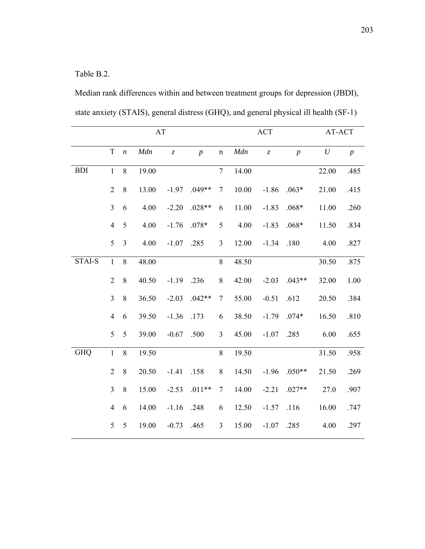Table B.2.

Median rank differences within and between treatment groups for depression (JBDI), state anxiety (STAIS), general distress (GHQ), and general physical ill health (SF-1)

|               | AT<br>$\mathbf T$<br>Mdn<br>$\boldsymbol{n}$<br>$\ensuremath{\mathnormal{Z}}$<br>$\boldsymbol{p}$<br>$\mathbf{1}$<br>8<br>19.00<br>$\overline{2}$<br>8<br>13.00<br>$-1.97$<br>$\overline{3}$<br>4.00<br>$-2.20$<br>6<br>5<br>4.00<br>$\overline{4}$<br>$-1.76$<br>$.078*$<br>5<br>$\overline{3}$<br>4.00<br>$-1.07$<br>.285<br>$\mathbf{1}$<br>8<br>48.00<br>$\overline{2}$<br>8<br>40.50<br>$-1.19$<br>.236<br>$\overline{3}$<br>8<br>36.50<br>$-2.03$<br>$\overline{4}$<br>39.50<br>$-1.36$<br>.173<br>6<br>5<br>5<br>39.00<br>$-0.67$<br>.500<br>$\mathbf{1}$<br>$\,8\,$<br>19.50 |         |       |         |          |                  |       | ACT                           |                | AT-ACT   |                  |  |
|---------------|--------------------------------------------------------------------------------------------------------------------------------------------------------------------------------------------------------------------------------------------------------------------------------------------------------------------------------------------------------------------------------------------------------------------------------------------------------------------------------------------------------------------------------------------------------------------------------------|---------|-------|---------|----------|------------------|-------|-------------------------------|----------------|----------|------------------|--|
|               |                                                                                                                                                                                                                                                                                                                                                                                                                                                                                                                                                                                      |         |       |         |          | $\mathbf n$      | Mdn   | $\ensuremath{\mathnormal{Z}}$ | $\overline{p}$ | $\cal U$ | $\boldsymbol{p}$ |  |
| <b>BDI</b>    |                                                                                                                                                                                                                                                                                                                                                                                                                                                                                                                                                                                      |         |       |         |          | $\overline{7}$   | 14.00 |                               |                | 22.00    | .485             |  |
|               |                                                                                                                                                                                                                                                                                                                                                                                                                                                                                                                                                                                      |         |       |         | $.049**$ | $\boldsymbol{7}$ | 10.00 | $-1.86$                       | $.063*$        | 21.00    | .415             |  |
|               |                                                                                                                                                                                                                                                                                                                                                                                                                                                                                                                                                                                      |         |       |         | $.028**$ | 6                | 11.00 | $-1.83$                       | $.068*$        | 11.00    | .260             |  |
|               |                                                                                                                                                                                                                                                                                                                                                                                                                                                                                                                                                                                      |         |       |         |          | 5                | 4.00  | $-1.83$                       | $.068*$        | 11.50    | .834             |  |
|               |                                                                                                                                                                                                                                                                                                                                                                                                                                                                                                                                                                                      |         |       |         |          | 3                | 12.00 | $-1.34$                       | .180           | 4.00     | .827             |  |
| <b>STAI-S</b> |                                                                                                                                                                                                                                                                                                                                                                                                                                                                                                                                                                                      |         |       |         |          | 8                | 48.50 |                               |                | 30.50    | .875             |  |
|               |                                                                                                                                                                                                                                                                                                                                                                                                                                                                                                                                                                                      |         |       |         |          | $8\,$            | 42.00 | $-2.03$                       | $.043**$       | 32.00    | 1.00             |  |
|               |                                                                                                                                                                                                                                                                                                                                                                                                                                                                                                                                                                                      |         |       |         | $.042**$ | $\tau$           | 55.00 | $-0.51$                       | .612           | 20.50    | .384             |  |
|               |                                                                                                                                                                                                                                                                                                                                                                                                                                                                                                                                                                                      |         |       |         |          | 6                | 38.50 | $-1.79$                       | $.074*$        | 16.50    | .810             |  |
|               |                                                                                                                                                                                                                                                                                                                                                                                                                                                                                                                                                                                      |         |       |         |          | 3                | 45.00 | $-1.07$                       | .285           | 6.00     | .655             |  |
| <b>GHQ</b>    |                                                                                                                                                                                                                                                                                                                                                                                                                                                                                                                                                                                      |         |       |         |          | 8                | 19.50 |                               |                | 31.50    | .958             |  |
|               | $\overline{2}$                                                                                                                                                                                                                                                                                                                                                                                                                                                                                                                                                                       | 8       | 20.50 | $-1.41$ | .158     | $8\,$            | 14.50 | $-1.96$                       | $.050**$       | 21.50    | .269             |  |
|               | $\overline{3}$                                                                                                                                                                                                                                                                                                                                                                                                                                                                                                                                                                       | $\,8\,$ | 15.00 | $-2.53$ | $.011**$ | $\tau$           | 14.00 | $-2.21$                       | $.027**$       | 27.0     | .907             |  |
|               | $\overline{4}$                                                                                                                                                                                                                                                                                                                                                                                                                                                                                                                                                                       | 6       | 14.00 | $-1.16$ | .248     | 6                | 12.50 | $-1.57$                       | .116           | 16.00    | .747             |  |
|               | $\mathfrak{S}$                                                                                                                                                                                                                                                                                                                                                                                                                                                                                                                                                                       | 5       | 19.00 | $-0.73$ | .465     | $\mathfrak{Z}$   | 15.00 | $-1.07$                       | .285           | 4.00     | .297             |  |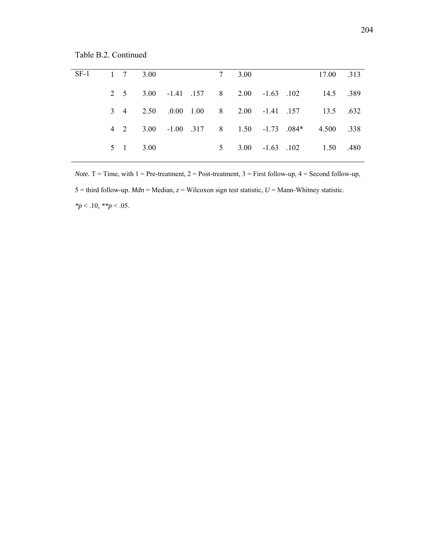Table B.2. Continued

| $SF-1$ |  | 1 7 3.00       |  | 7 3.00 |                                       | 17.00 .313                                       |  |
|--------|--|----------------|--|--------|---------------------------------------|--------------------------------------------------|--|
|        |  |                |  |        |                                       | 2 5 3.00 -1.41 1.57 8 2.00 -1.63 1.02 14.5 389   |  |
|        |  |                |  |        | 3 4 2.50 .0.00 1.00 8 2.00 -1.41 .157 | 13.5 632                                         |  |
|        |  |                |  |        |                                       | 4 2 3.00 -1.00 317 8 1.50 -1.73 .084* 4.500 .338 |  |
|        |  | $5 \t1 \t3.00$ |  |        |                                       | 5 3.00 -1.63 .102 1.50 .480                      |  |

*Note.*  $T = Time$ , with  $1 = Pre-treatment$ ,  $2 = Post-treatment$ ,  $3 = First follow-up$ ,  $4 = Second follow-up$ , 5 = third follow-up. *Mdn* = Median, *z* = Wilcoxon sign test statistic, *U* = Mann-Whitney statistic. *\*p* < .10*, \*\*p* < .05.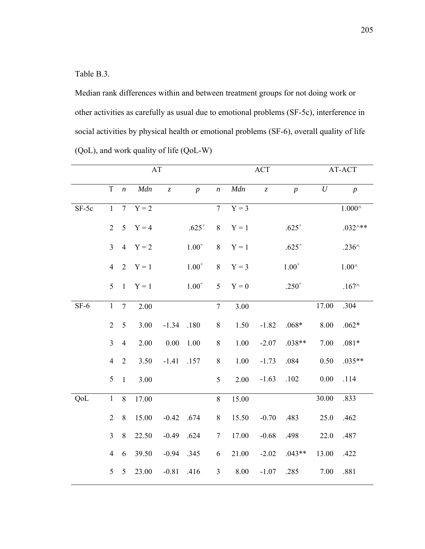Table B.3.

Median rank differences within and between treatment groups for not doing work or other activities as carefully as usual due to emotional problems (SF-5c), interference in social activities by physical health or emotional problems (SF-6), overall quality of life (QoL), and work quality of life (QoL-W)

|         | AT<br>T<br>Mdn<br>$\boldsymbol{n}$<br>$\overline{z}$<br>$Y = 2$<br>$\mathbf{1}$<br>$7\overline{ }$ |                |           |              |                  |                  |         | <b>ACT</b>                    |                  |          | AT-ACT             |
|---------|----------------------------------------------------------------------------------------------------|----------------|-----------|--------------|------------------|------------------|---------|-------------------------------|------------------|----------|--------------------|
|         |                                                                                                    |                |           |              | $\boldsymbol{p}$ | $\boldsymbol{n}$ | Mdn     | $\ensuremath{\mathnormal{Z}}$ | $\boldsymbol{p}$ | $\cal U$ | $\boldsymbol{p}$   |
| $SF-5c$ |                                                                                                    |                |           |              |                  | $\overline{7}$   | $Y = 3$ |                               |                  |          | $1.000^{\wedge}$   |
|         | $\overline{2}$                                                                                     |                | $5 Y = 4$ |              | $.625^{+}$       | $8\,$            | $Y = 1$ |                               | $.625^{+}$       |          | $.032^{\wedge **}$ |
|         | $\overline{3}$                                                                                     | $\overline{4}$ | $Y = 2$   |              | $1.00^{+}$       | 8                | $Y = 1$ |                               | $.625^{+}$       |          | .236 $\wedge$      |
|         | $\overline{4}$                                                                                     | 2              | $Y = 1$   |              | $1.00^{+}$       | 8                | $Y = 3$ |                               | $1.00^{+}$       |          | $1.00^\wedge$      |
|         | 5                                                                                                  | $\mathbf{1}$   | $Y = 1$   |              | $1.00^{+}$       | 5                | $Y = 0$ |                               | $.250^{+}$       |          | .167 $\wedge$      |
| $SF-6$  | $\mathbf{1}$                                                                                       | $\overline{7}$ | 2.00      |              |                  | $\tau$           | 3.00    |                               |                  | 17.00    | .304               |
|         | $\overline{2}$                                                                                     | 5              | 3.00      | $-1.34$      | .180             | $8\,$            | 1.50    | $-1.82$                       | $.068*$          | 8.00     | $.062*$            |
|         | $\overline{3}$                                                                                     | $\overline{4}$ | 2.00      | 0.00         | 1.00             | 8                | 1.00    | $-2.07$                       | $.038**$         | 7.00     | $.081*$            |
|         | $\overline{4}$                                                                                     | 2              | 3.50      | $-1.41$      | .157             | $8\,$            | 1.00    | $-1.73$                       | .084             | 0.50     | $.035**$           |
|         | 5                                                                                                  | $\mathbf{1}$   | 3.00      |              |                  | 5                | 2.00    | $-1.63$                       | .102             | 0.00     | .114               |
| QoL     | $\mathbf{1}$                                                                                       | 8              | 17.00     |              |                  | 8                | 15.00   |                               |                  | 30.00    | .833               |
|         | $\overline{2}$                                                                                     | 8              | 15.00     | $-0.42$ .674 |                  | $8\,$            | 15.50   | $-0.70$                       | .483             | 25.0     | .462               |
|         | $\overline{3}$                                                                                     | 8              | 22.50     | $-0.49$      | .624             | $\overline{7}$   | 17.00   | $-0.68$                       | .498             | 22.0     | .487               |
|         | $\overline{4}$                                                                                     | 6              | 39.50     | $-0.94$      | .345             | 6                | 21.00   | $-2.02$                       | $.043**$         | 13.00    | .422               |
|         | 5                                                                                                  | 5              | 23.00     | $-0.81$      | .416             | $\mathfrak{Z}$   | 8.00    | $-1.07$                       | .285             | 7.00     | .881               |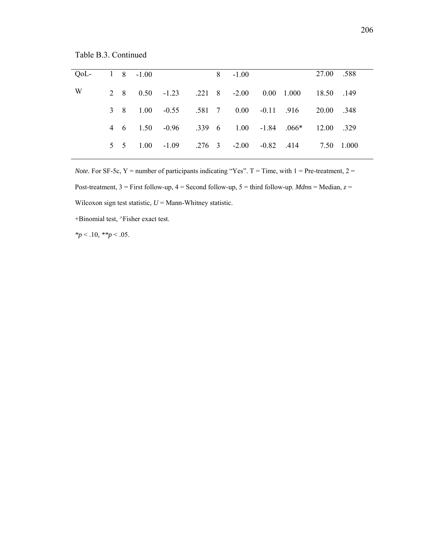Table B.3. Continued

| OoL- |  | $1 \t 8 \t -1.00$ |  | $8 - 1.00$ |  | 27.00 .588                                        |  |
|------|--|-------------------|--|------------|--|---------------------------------------------------|--|
| W    |  |                   |  |            |  | 2 8 0.50 -1.23 .221 8 -2.00 0.00 1.000 18.50 .149 |  |
|      |  |                   |  |            |  | 3 8 1.00 -0.55 .581 7 0.00 -0.11 .916 20.00 .348  |  |
|      |  |                   |  |            |  | 4 6 1.50 -0.96 .339 6 1.00 -1.84 .066* 12.00 .329 |  |
|      |  |                   |  |            |  | 5 5 1.00 -1.09 .276 3 -2.00 -0.82 .414 7.50 1.000 |  |
|      |  |                   |  |            |  |                                                   |  |

*Note.* For SF-5c, Y = number of participants indicating "Yes".  $T = Time$ , with  $1 = Pre-treatment$ ,  $2 =$ Post-treatment, 3 = First follow-up, 4 = Second follow-up, 5 = third follow-up. *Mdn*n = Median, *z* = Wilcoxon sign test statistic,  $U =$  Mann-Whitney statistic.

+Binomial test, ^Fisher exact test.

*\*p* < .10*, \*\*p* < .05.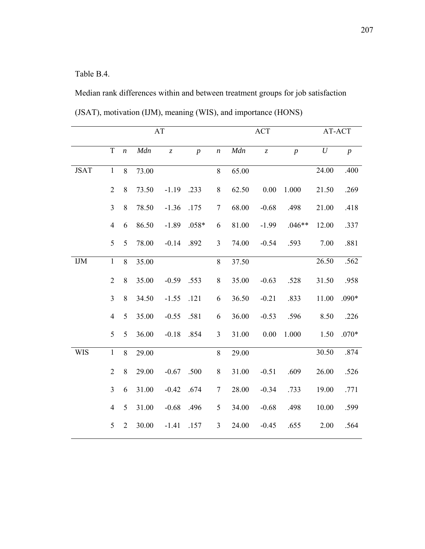## Table B.4.

Median rank differences within and between treatment groups for job satisfaction (JSAT), motivation (IJM), meaning (WIS), and importance (HONS)

|              |                |                  |       | $\mathbf{A}\mathbf{T}$ |                  |                  | $\mathbf{ACT}$ |                               |                  | AT-ACT   |                  |  |
|--------------|----------------|------------------|-------|------------------------|------------------|------------------|----------------|-------------------------------|------------------|----------|------------------|--|
|              | $\mathbf T$    | $\boldsymbol{n}$ | Mdn   | $\overline{z}$         | $\boldsymbol{p}$ | $\boldsymbol{n}$ | Mdn            | $\ensuremath{\mathnormal{Z}}$ | $\boldsymbol{p}$ | $\cal U$ | $\boldsymbol{p}$ |  |
| <b>JSAT</b>  | $\mathbf{1}$   | 8                | 73.00 |                        |                  | 8                | 65.00          |                               |                  | 24.00    | .400             |  |
|              | $\overline{2}$ | $8\,$            | 73.50 | $-1.19$                | .233             | $8\,$            | 62.50          | 0.00                          | 1.000            | 21.50    | .269             |  |
|              | $\overline{3}$ | 8                | 78.50 | $-1.36$                | .175             | $\tau$           | 68.00          | $-0.68$                       | .498             | 21.00    | .418             |  |
|              | $\overline{4}$ | 6                | 86.50 | $-1.89$                | $.058*$          | 6                | 81.00          | $-1.99$                       | $.046**$         | 12.00    | .337             |  |
|              | 5              | 5                | 78.00 | $-0.14$                | .892             | $\overline{3}$   | 74.00          | $-0.54$                       | .593             | 7.00     | .881             |  |
| $\text{IJM}$ | $\mathbf{1}$   | 8                | 35.00 |                        |                  | 8                | 37.50          |                               |                  | 26.50    | .562             |  |
|              | $\overline{2}$ | $8\,$            | 35.00 | $-0.59$                | .553             | $8\,$            | 35.00          | $-0.63$                       | .528             | 31.50    | .958             |  |
|              | $\overline{3}$ | $8\,$            | 34.50 | $-1.55$                | .121             | 6                | 36.50          | $-0.21$                       | .833             | 11.00    | $.090*$          |  |
|              | $\overline{4}$ | 5                | 35.00 | $-0.55$                | .581             | 6                | 36.00          | $-0.53$                       | .596             | 8.50     | .226             |  |
|              | 5              | 5                | 36.00 | $-0.18$                | .854             | $\overline{3}$   | 31.00          | 0.00                          | 1.000            | 1.50     | $.070*$          |  |
| <b>WIS</b>   | $\mathbf{1}$   | 8                | 29.00 |                        |                  | 8                | 29.00          |                               |                  | 30.50    | .874             |  |
|              | $\overline{2}$ | 8                | 29.00 | $-0.67$                | .500             | $\,8\,$          | 31.00          | $-0.51$                       | .609             | 26.00    | .526             |  |
|              | $\overline{3}$ | 6                | 31.00 | $-0.42$                | .674             | $\tau$           | 28.00          | $-0.34$                       | .733             | 19.00    | .771             |  |
|              | $\overline{4}$ | 5                | 31.00 | $-0.68$                | .496             | 5                | 34.00          | $-0.68$                       | .498             | 10.00    | .599             |  |
|              | 5              | $\overline{2}$   | 30.00 | $-1.41$                | .157             | $\mathfrak{Z}$   | 24.00          | $-0.45$                       | .655             | $2.00\,$ | .564             |  |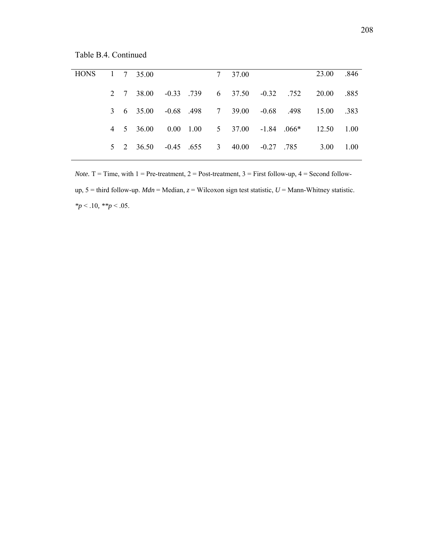Table B.4. Continued

| HONS 1 7 35.00 |  |                                         |  | 7 37.00 |  | 23.00 .846                                         |      |
|----------------|--|-----------------------------------------|--|---------|--|----------------------------------------------------|------|
|                |  |                                         |  |         |  | 2 7 38.00 -0.33 .739 6 37.50 -0.32 .752 20.00      | .885 |
|                |  | 3 6 35.00 -0.68 .498 7 39.00 -0.68 .498 |  |         |  | 15.00 .383                                         |      |
|                |  |                                         |  |         |  | 4 5 36.00 0.00 1.00 5 37.00 -1.84 .066* 12.50 1.00 |      |
|                |  | 5 2 36.50 -0.45 .655 3 40.00 -0.27 .785 |  |         |  | 3.00 1.00                                          |      |
|                |  |                                         |  |         |  |                                                    |      |

*Note.*  $T = Time$ , with  $1 = Pre-treatment$ ,  $2 = Post-treatment$ ,  $3 = First follow-up$ ,  $4 = Second follow-tanh$ up, 5 = third follow-up. *Mdn* = Median, *z* = Wilcoxon sign test statistic, *U* = Mann-Whitney statistic. *\*p* < .10*, \*\*p* < .05.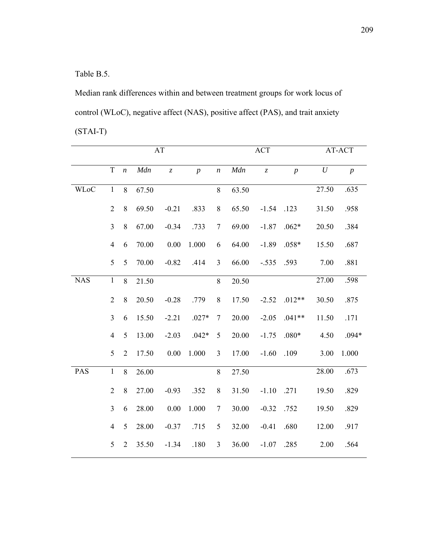Table B.5.

Median rank differences within and between treatment groups for work locus of control (WLoC), negative affect (NAS), positive affect (PAS), and trait anxiety (STAI-T)

|             | AT<br>$\mathbf T$<br>Mdn<br>$\bar{z}$<br>$\boldsymbol{n}$<br>8<br>$\mathbf{1}$<br>67.50<br>$\overline{2}$<br>8<br>69.50<br>$-0.21$<br>$\mathfrak{Z}$<br>$8\,$<br>67.00<br>$-0.34$<br>70.00<br>0.00<br>$\overline{4}$<br>6 |                |       |         |                |                  |       | ACT                           |                | AT-ACT |                  |  |
|-------------|---------------------------------------------------------------------------------------------------------------------------------------------------------------------------------------------------------------------------|----------------|-------|---------|----------------|------------------|-------|-------------------------------|----------------|--------|------------------|--|
|             |                                                                                                                                                                                                                           |                |       |         | $\overline{p}$ | $\boldsymbol{n}$ | Mdn   | $\ensuremath{\mathnormal{Z}}$ | $\overline{p}$ | $\,$   | $\boldsymbol{p}$ |  |
| <b>WLoC</b> |                                                                                                                                                                                                                           |                |       |         |                | 8                | 63.50 |                               |                | 27.50  | .635             |  |
|             |                                                                                                                                                                                                                           |                |       |         | .833           | $\,8\,$          | 65.50 | $-1.54$                       | .123           | 31.50  | .958             |  |
|             |                                                                                                                                                                                                                           |                |       |         | .733           | $\overline{7}$   | 69.00 | $-1.87$                       | $.062*$        | 20.50  | .384             |  |
|             |                                                                                                                                                                                                                           |                |       |         | 1.000          | 6                | 64.00 | $-1.89$                       | $.058*$        | 15.50  | .687             |  |
|             | 5                                                                                                                                                                                                                         | 5              | 70.00 | $-0.82$ | .414           | $\overline{3}$   | 66.00 | $-.535$                       | .593           | 7.00   | .881             |  |
| <b>NAS</b>  | $\mathbf{1}$                                                                                                                                                                                                              | 8              | 21.50 |         |                | 8                | 20.50 |                               |                | 27.00  | .598             |  |
|             | $\overline{2}$                                                                                                                                                                                                            | $8\,$          | 20.50 | $-0.28$ | .779           | $\,8\,$          | 17.50 | $-2.52$                       | $.012**$       | 30.50  | .875             |  |
|             | $\mathfrak{Z}$                                                                                                                                                                                                            | 6              | 15.50 | $-2.21$ | $.027*$        | $\overline{7}$   | 20.00 | $-2.05$                       | $.041**$       | 11.50  | .171             |  |
|             | $\overline{4}$                                                                                                                                                                                                            | 5              | 13.00 | $-2.03$ | $.042*$        | 5                | 20.00 | $-1.75$                       | $.080*$        | 4.50   | $.094*$          |  |
|             | 5                                                                                                                                                                                                                         | $\overline{2}$ | 17.50 | 0.00    | 1.000          | $\overline{3}$   | 17.00 | $-1.60$                       | .109           | 3.00   | 1.000            |  |
| PAS         | $\mathbf{1}$                                                                                                                                                                                                              | 8              | 26.00 |         |                | 8                | 27.50 |                               |                | 28.00  | .673             |  |
|             | $\overline{2}$                                                                                                                                                                                                            | $8\,$          | 27.00 | $-0.93$ | .352           | $\,8\,$          | 31.50 | $-1.10$                       | .271           | 19.50  | .829             |  |
|             | $\overline{3}$                                                                                                                                                                                                            | 6              | 28.00 | 0.00    | 1.000          | $\overline{7}$   | 30.00 | $-0.32$                       | .752           | 19.50  | .829             |  |
|             | $\overline{4}$                                                                                                                                                                                                            | 5              | 28.00 | $-0.37$ | .715           | 5                | 32.00 | $-0.41$                       | .680           | 12.00  | .917             |  |
|             | 5                                                                                                                                                                                                                         | $\overline{2}$ | 35.50 | $-1.34$ | .180           | $\mathfrak{Z}$   | 36.00 | $-1.07$                       | .285           | 2.00   | .564             |  |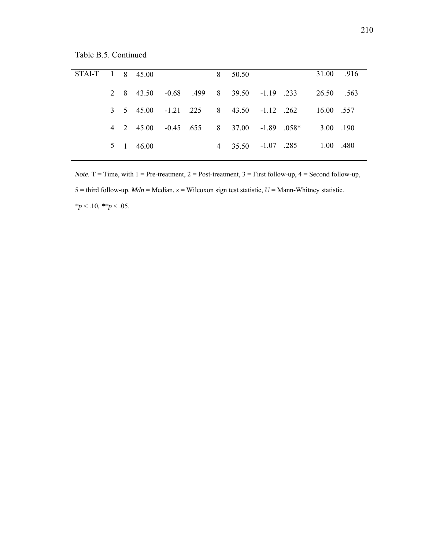Table B.5. Continued

| STAI-T 1 8 45.00 |  |                 |  | 8 50.50                                 |  | 31.00 .916                                         |  |
|------------------|--|-----------------|--|-----------------------------------------|--|----------------------------------------------------|--|
|                  |  |                 |  | 2 8 43.50 -0.68 .499 8 39.50 -1.19 .233 |  | - 26.50 - 563                                      |  |
|                  |  |                 |  |                                         |  | 3 5 45.00 -1.21 .225 8 43.50 -1.12 .262 16.00 .557 |  |
|                  |  |                 |  | 4 2 45.00 -0.45 655 8 37.00 -1.89 0.58* |  | 3.00 190                                           |  |
|                  |  | $5 \t1 \t46.00$ |  |                                         |  | 4 35.50 -1.07 .285 1.00 .480                       |  |
|                  |  |                 |  |                                         |  |                                                    |  |

*Note.*  $T = Time$ , with  $1 = Pre-treatment$ ,  $2 = Post-treatment$ ,  $3 = First follow-up$ ,  $4 = Second follow-up$ , 5 = third follow-up. *Mdn* = Median, *z* = Wilcoxon sign test statistic, *U* = Mann-Whitney statistic. *\*p* < .10*, \*\*p* < .05.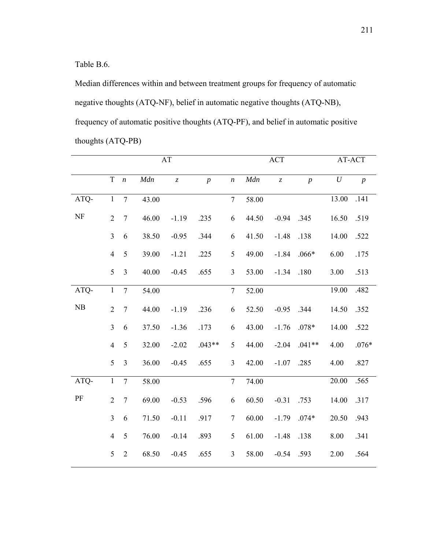Table B.6.

Median differences within and between treatment groups for frequency of automatic negative thoughts (ATQ-NF), belief in automatic negative thoughts (ATQ-NB), frequency of automatic positive thoughts (ATQ-PF), and belief in automatic positive thoughts (ATQ-PB)

|           |                |                  |       | AT                            |                |                  | <b>ACT</b> |                               |                | AT-ACT   |                  |  |
|-----------|----------------|------------------|-------|-------------------------------|----------------|------------------|------------|-------------------------------|----------------|----------|------------------|--|
|           | $\mathbf T$    | $\boldsymbol{n}$ | Mdn   | $\ensuremath{\mathnormal{Z}}$ | $\overline{p}$ | $\boldsymbol{n}$ | Mdn        | $\ensuremath{\mathnormal{Z}}$ | $\overline{p}$ | $\cal U$ | $\boldsymbol{p}$ |  |
| ATQ-      | $\mathbf{1}$   | $\overline{7}$   | 43.00 |                               |                | $\tau$           | 58.00      |                               |                | 13.00    | .141             |  |
| <b>NF</b> | $\overline{2}$ | $\boldsymbol{7}$ | 46.00 | $-1.19$                       | .235           | 6                | 44.50      | $-0.94$                       | .345           | 16.50    | .519             |  |
|           | $\overline{3}$ | 6                | 38.50 | $-0.95$                       | .344           | 6                | 41.50      | $-1.48$                       | .138           | 14.00    | .522             |  |
|           | $\overline{4}$ | 5                | 39.00 | $-1.21$                       | .225           | 5                | 49.00      | $-1.84$                       | $.066*$        | 6.00     | .175             |  |
|           | 5              | 3                | 40.00 | $-0.45$                       | .655           | $\mathfrak{Z}$   | 53.00      | $-1.34$                       | .180           | 3.00     | .513             |  |
| ATQ-      | $\,1\,$        | $\overline{7}$   | 54.00 |                               |                | $\tau$           | 52.00      |                               |                | 19.00    | .482             |  |
| NB        | $\overline{2}$ | $\boldsymbol{7}$ | 44.00 | $-1.19$                       | .236           | 6                | 52.50      | $-0.95$                       | .344           | 14.50    | .352             |  |
|           | $\overline{3}$ | 6                | 37.50 | $-1.36$                       | .173           | 6                | 43.00      | $-1.76$                       | $.078*$        | 14.00    | .522             |  |
|           | $\overline{4}$ | 5                | 32.00 | $-2.02$                       | $.043**$       | 5                | 44.00      | $-2.04$                       | $.041**$       | 4.00     | $.076*$          |  |
|           | 5              | 3                | 36.00 | $-0.45$                       | .655           | 3                | 42.00      | $-1.07$                       | .285           | 4.00     | .827             |  |
| ATQ-      | $\mathbf{1}$   | $\overline{7}$   | 58.00 |                               |                | $\overline{7}$   | 74.00      |                               |                | 20.00    | .565             |  |
| $\rm PF$  | $\overline{2}$ | $\boldsymbol{7}$ | 69.00 | $-0.53$                       | .596           | 6                | 60.50      | $-0.31$                       | .753           | 14.00    | .317             |  |
|           | $\overline{3}$ | 6                | 71.50 | $-0.11$                       | .917           | $\tau$           | 60.00      | $-1.79$                       | $.074*$        | 20.50    | .943             |  |
|           | $\overline{4}$ | 5                | 76.00 | $-0.14$                       | .893           | 5                | 61.00      | $-1.48$                       | .138           | 8.00     | .341             |  |
|           | 5              | $\sqrt{2}$       | 68.50 | $-0.45$                       | .655           | $\mathfrak{Z}$   | 58.00      | $-0.54$                       | .593           | 2.00     | .564             |  |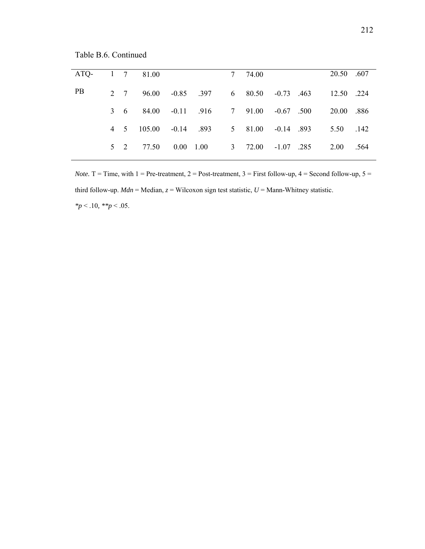Table B.6. Continued

| ATQ-      |  | 1 7 81.00                                |  | 7 74.00 |  | 20.50 .607                                         |  |
|-----------|--|------------------------------------------|--|---------|--|----------------------------------------------------|--|
| <b>PB</b> |  |                                          |  |         |  | 2 7 96.00 -0.85 .397 6 80.50 -0.73 .463 12.50 .224 |  |
|           |  | 3 6 84.00 -0.11 .916 7 91.00 -0.67 .500  |  |         |  | 20.00 .886                                         |  |
|           |  | 4 5 105.00 -0.14 .893 5 81.00 -0.14 .893 |  |         |  | 5.50 .142                                          |  |
|           |  | 5 2 77.50 0.00 1.00 3 72.00 -1.07 .285   |  |         |  | 2.00 .564                                          |  |

*Note.*  $T = Time$ , with  $1 = Pre-treatment$ ,  $2 = Post-treatment$ ,  $3 = First follow-up$ ,  $4 = Second follow-up$ ,  $5 = 1$ third follow-up.  $Mdn = \text{Median}, z = \text{Wilson sign test statistic}, U = \text{Mann-Whitney statistic}.$ *\*p* < .10*, \*\*p* < .05.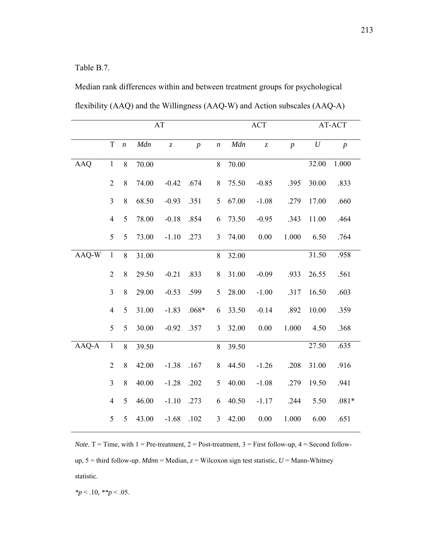Table B.7.

Median rank differences within and between treatment groups for psychological flexibility (AAQ) and the Willingness (AAQ-W) and Action subscales (AAQ-A)

|            | AT             |                  |       |                               |                  |                  | <b>ACT</b> |                               |                  |          | AT-ACT           |
|------------|----------------|------------------|-------|-------------------------------|------------------|------------------|------------|-------------------------------|------------------|----------|------------------|
|            | $\mathbf T$    | $\boldsymbol{n}$ | Mdn   | $\ensuremath{\mathnormal{Z}}$ | $\boldsymbol{p}$ | $\boldsymbol{n}$ | Mdn        | $\ensuremath{\mathnormal{Z}}$ | $\boldsymbol{p}$ | $\cal U$ | $\boldsymbol{p}$ |
| <b>AAQ</b> | $\mathbf{1}$   | 8                | 70.00 |                               |                  | 8                | 70.00      |                               |                  | 32.00    | 1.000            |
|            | $\overline{2}$ | $8\,$            | 74.00 | $-0.42$                       | .674             | $8\,$            | 75.50      | $-0.85$                       | .395             | 30.00    | .833             |
|            | $\overline{3}$ | $8\,$            | 68.50 | $-0.93$                       | .351             | 5                | 67.00      | $-1.08$                       | .279             | 17.00    | .660             |
|            | $\overline{4}$ | 5                | 78.00 | $-0.18$                       | .854             | 6                | 73.50      | $-0.95$                       | .343             | 11.00    | .464             |
|            | 5              | 5                | 73.00 | $-1.10$                       | .273             | 3                | 74.00      | 0.00                          | 1.000            | 6.50     | .764             |
| AAQ-W      | $\mathbf{1}$   | 8                | 31.00 |                               |                  | $8\,$            | 32.00      |                               |                  | 31.50    | .958             |
|            | $\overline{2}$ | 8                | 29.50 | $-0.21$                       | .833             | 8                | 31.00      | $-0.09$                       | .933             | 26.55    | .561             |
|            | $\overline{3}$ | $8\,$            | 29.00 | $-0.53$                       | .599             | 5                | 28.00      | $-1.00$                       | .317             | 16.50    | .603             |
|            | $\overline{4}$ | 5                | 31.00 | $-1.83$                       | $.068*$          | 6                | 33.50      | $-0.14$                       | .892             | 10.00    | .359             |
|            | 5              | 5                | 30.00 | $-0.92$                       | .357             | 3                | 32.00      | 0.00                          | 1.000            | 4.50     | .368             |
| AAQ-A      | $\mathbf{1}$   | 8                | 39.50 |                               |                  | $8\,$            | 39.50      |                               |                  | 27.50    | .635             |
|            | $\overline{2}$ | $8\,$            | 42.00 | $-1.38$                       | .167             | $8\,$            | 44.50      | $-1.26$                       | .208             | 31.00    | .916             |
|            | $\overline{3}$ | $8\,$            | 40.00 | $-1.28$                       | .202             | 5                | 40.00      | $-1.08$                       | .279             | 19.50    | .941             |
|            | $\overline{4}$ | 5                | 46.00 | $-1.10$                       | .273             | 6                | 40.50      | $-1.17$                       | .244             | 5.50     | $.081*$          |
|            | 5              | 5                | 43.00 | $-1.68$                       | .102             | $\mathfrak{Z}$   | 42.00      | 0.00                          | 1.000            | 6.00     | .651             |

*Note.*  $T = Time$ , with  $1 = Pre-treatment$ ,  $2 = Post-treatment$ ,  $3 = First follow-up$ ,  $4 = Second follow-tanh$ up, 5 = third follow-up. *Mdn*n = Median, *z* = Wilcoxon sign test statistic, *U* = Mann-Whitney statistic.

*\*p* < .10*, \*\*p* < .05.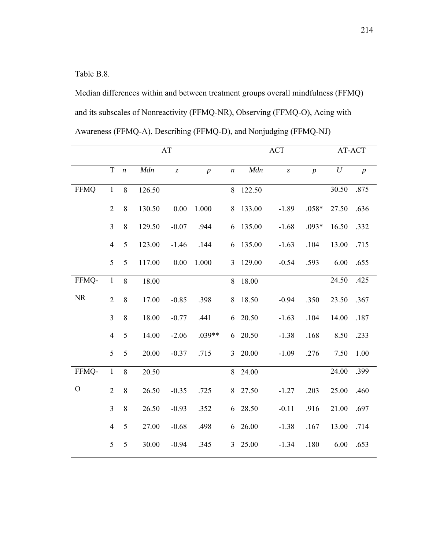Table B.8.

Median differences within and between treatment groups overall mindfulness (FFMQ) and its subscales of Nonreactivity (FFMQ-NR), Observing (FFMQ-O), Acing with Awareness (FFMQ-A), Describing (FFMQ-D), and Nonjudging (FFMQ-NJ)

|               |                | AT               |        |                               |                |                  |         | <b>ACT</b>                    | AT-ACT         |          |                  |
|---------------|----------------|------------------|--------|-------------------------------|----------------|------------------|---------|-------------------------------|----------------|----------|------------------|
|               | $\mathbf T$    | $\boldsymbol{n}$ | Mdn    | $\ensuremath{\mathnormal{Z}}$ | $\overline{p}$ | $\boldsymbol{n}$ | Mdn     | $\ensuremath{\mathnormal{Z}}$ | $\overline{p}$ | $\cal U$ | $\boldsymbol{p}$ |
| <b>FFMQ</b>   | $\mathbf{1}$   | 8                | 126.50 |                               |                | 8                | 122.50  |                               |                | 30.50    | .875             |
|               | $\overline{2}$ | $8\,$            | 130.50 | 0.00                          | 1.000          | 8                | 133.00  | $-1.89$                       | $.058*$        | 27.50    | .636             |
|               | $\overline{3}$ | $\,8\,$          | 129.50 | $-0.07$                       | .944           | 6                | 135.00  | $-1.68$                       | $.093*$        | 16.50    | .332             |
|               | $\overline{4}$ | 5                | 123.00 | $-1.46$                       | .144           | 6                | 135.00  | $-1.63$                       | .104           | 13.00    | .715             |
|               | 5              | 5                | 117.00 | 0.00                          | 1.000          | $\overline{3}$   | 129.00  | $-0.54$                       | .593           | 6.00     | .655             |
| FFMQ-         | $\,1\,$        | 8                | 18.00  |                               |                | 8                | 18.00   |                               |                | 24.50    | .425             |
| <b>NR</b>     | $\overline{2}$ | $8\,$            | 17.00  | $-0.85$                       | .398           | 8                | 18.50   | $-0.94$                       | .350           | 23.50    | .367             |
|               | $\overline{3}$ | $\,8\,$          | 18.00  | $-0.77$                       | .441           | 6                | 20.50   | $-1.63$                       | .104           | 14.00    | .187             |
|               | $\overline{4}$ | 5                | 14.00  | $-2.06$                       | $.039**$       | 6                | 20.50   | $-1.38$                       | .168           | 8.50     | .233             |
|               | 5              | 5                | 20.00  | $-0.37$                       | .715           |                  | 3 20.00 | $-1.09$                       | .276           | 7.50     | 1.00             |
| FFMQ-         | $\overline{1}$ | 8                | 20.50  |                               |                | 8                | 24.00   |                               |                | 24.00    | .399             |
| $\mathcal{O}$ | $\overline{2}$ | $\,8\,$          | 26.50  | $-0.35$                       | .725           | 8                | 27.50   | $-1.27$                       | .203           | 25.00    | .460             |
|               | $\overline{3}$ | 8                | 26.50  | $-0.93$                       | .352           | 6                | 28.50   | $-0.11$                       | .916           | 21.00    | .697             |
|               | $\overline{4}$ | 5                | 27.00  | $-0.68$                       | .498           | 6                | 26.00   | $-1.38$                       | .167           | 13.00    | .714             |
|               | $\mathfrak{S}$ | 5                | 30.00  | $-0.94$                       | .345           | 3 <sup>1</sup>   | 25.00   | $-1.34$                       | .180           | 6.00     | .653             |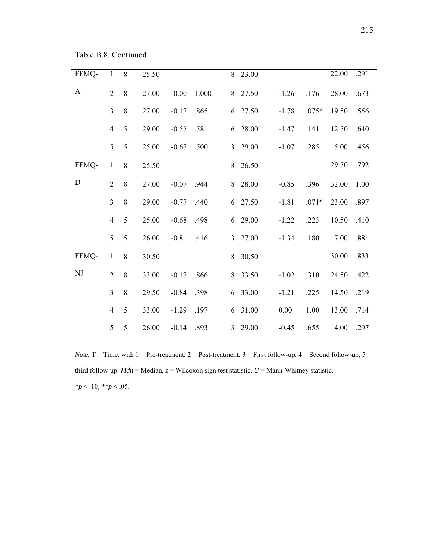Table B.8. Continued

| FFMQ-        | $\,1$          | 8       | 25.50 |         |       | 8 | 23.00   |         |         | 22.00 | .291 |
|--------------|----------------|---------|-------|---------|-------|---|---------|---------|---------|-------|------|
| $\mathbf{A}$ | $\overline{2}$ | 8       | 27.00 | 0.00    | 1.000 |   | 8 27.50 | $-1.26$ | .176    | 28.00 | .673 |
|              | $\overline{3}$ | $\,8\,$ | 27.00 | $-0.17$ | .865  |   | 6 27.50 | $-1.78$ | $.075*$ | 19.50 | .556 |
|              | $\overline{4}$ | 5       | 29.00 | $-0.55$ | .581  | 6 | 28.00   | $-1.47$ | .141    | 12.50 | .640 |
|              | 5              | 5       | 25.00 | $-0.67$ | .500  |   | 3 29.00 | $-1.07$ | .285    | 5.00  | .456 |
| FFMQ-        | $\mathbf{1}$   | 8       | 25.50 |         |       |   | 8 26.50 |         |         | 29.50 | .792 |
| $\mathbf D$  | $\overline{2}$ | $8\,$   | 27.00 | $-0.07$ | .944  | 8 | 28.00   | $-0.85$ | .396    | 32.00 | 1.00 |
|              | $\overline{3}$ | $8\,$   | 29.00 | $-0.77$ | .440  |   | 6 27.50 | $-1.81$ | $.071*$ | 23.00 | .897 |
|              | $\overline{4}$ | 5       | 25.00 | $-0.68$ | .498  | 6 | 29.00   | $-1.22$ | .223    | 10.50 | .410 |
|              | 5              | 5       | 26.00 | $-0.81$ | .416  |   | 3 27.00 | $-1.34$ | .180    | 7.00  | .881 |
| FFMQ-        | $\mathbf{1}$   | 8       | 30.50 |         |       |   | 8 30.50 |         |         | 30.00 | .833 |
| $\rm{NJ}$    | $\overline{2}$ | $8\,$   | 33.00 | $-0.17$ | .866  | 8 | 33.50   | $-1.02$ | .310    | 24.50 | .422 |
|              | $\overline{3}$ | $8\,$   | 29.50 | $-0.84$ | .398  | 6 | 33.00   | $-1.21$ | .225    | 14.50 | .219 |
|              | $\overline{4}$ | 5       | 33.00 | $-1.29$ | .197  | 6 | 31.00   | 0.00    | 1.00    | 13.00 | .714 |
|              | 5              | 5       | 26.00 | $-0.14$ | .893  | 3 | 29.00   | $-0.45$ | .655    | 4.00  | .297 |
|              |                |         |       |         |       |   |         |         |         |       |      |

*Note.*  $T = Time$ , with  $1 = Pre-treatment$ ,  $2 = Post-treatment$ ,  $3 = First follow-up$ ,  $4 = Second follow-up$ ,  $5 = 1$ third follow-up.  $Mdn = \text{Median}, z = \text{Wilson}$  sign test statistic,  $U = \text{Mann-Whitney}$  statistic. *\*p* < .10*, \*\*p* < .05.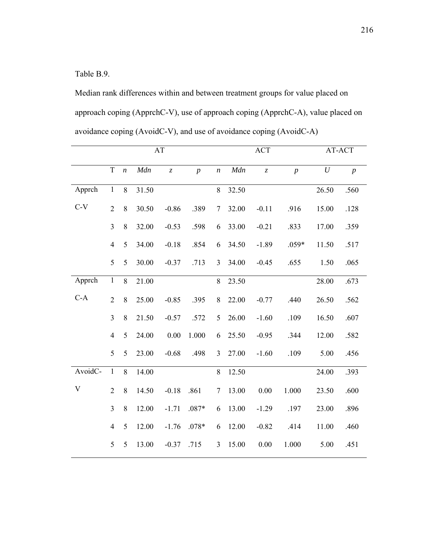Table B.9.

Median rank differences within and between treatment groups for value placed on approach coping (ApprchC-V), use of approach coping (ApprchC-A), value placed on avoidance coping (AvoidC-V), and use of avoidance coping (AvoidC-A)

|                           | AT             |                  |       |                               |                |                  |       | ACT                           | AT-ACT         |          |                  |
|---------------------------|----------------|------------------|-------|-------------------------------|----------------|------------------|-------|-------------------------------|----------------|----------|------------------|
|                           | $\mathbf T$    | $\boldsymbol{n}$ | Mdn   | $\ensuremath{\mathnormal{Z}}$ | $\overline{p}$ | $\boldsymbol{n}$ | Mdn   | $\ensuremath{\mathnormal{Z}}$ | $\overline{p}$ | $\cal U$ | $\boldsymbol{p}$ |
| Apprch                    | $\mathbf{1}$   | 8                | 31.50 |                               |                | 8                | 32.50 |                               |                | 26.50    | .560             |
| $C-V$                     | $\overline{2}$ | 8                | 30.50 | $-0.86$                       | .389           | $\overline{7}$   | 32.00 | $-0.11$                       | .916           | 15.00    | .128             |
|                           | $\overline{3}$ | 8                | 32.00 | $-0.53$                       | .598           | 6                | 33.00 | $-0.21$                       | .833           | 17.00    | .359             |
|                           | $\overline{4}$ | 5                | 34.00 | $-0.18$                       | .854           | 6                | 34.50 | $-1.89$                       | $.059*$        | 11.50    | .517             |
|                           | 5              | 5                | 30.00 | $-0.37$                       | .713           | $\overline{3}$   | 34.00 | $-0.45$                       | .655           | 1.50     | .065             |
| Apprch                    | $\mathbf{1}$   | 8                | 21.00 |                               |                | 8                | 23.50 |                               |                | 28.00    | .673             |
| $C-A$                     | $\overline{2}$ | 8                | 25.00 | $-0.85$                       | .395           | 8                | 22.00 | $-0.77$                       | .440           | 26.50    | .562             |
|                           | $\overline{3}$ | $8\,$            | 21.50 | $-0.57$                       | .572           | 5                | 26.00 | $-1.60$                       | .109           | 16.50    | .607             |
|                           | $\overline{4}$ | 5                | 24.00 | 0.00                          | 1.000          | 6                | 25.50 | $-0.95$                       | .344           | 12.00    | .582             |
|                           | 5              | 5                | 23.00 | $-0.68$                       | .498           | 3                | 27.00 | $-1.60$                       | .109           | 5.00     | .456             |
| AvoidC-                   | $\mathbf{1}$   | 8                | 14.00 |                               |                | 8                | 12.50 |                               |                | 24.00    | .393             |
| $\ensuremath{\mathbf{V}}$ | $\overline{2}$ | 8                | 14.50 | $-0.18$                       | .861           | $\overline{7}$   | 13.00 | 0.00                          | 1.000          | 23.50    | .600             |
|                           | $\overline{3}$ | $8\,$            | 12.00 | $-1.71$                       | $.087*$        | 6                | 13.00 | $-1.29$                       | .197           | 23.00    | .896             |
|                           | $\overline{4}$ | 5                | 12.00 | $-1.76$                       | $.078*$        | 6                | 12.00 | $-0.82$                       | .414           | 11.00    | .460             |
|                           | 5              | 5                | 13.00 | $-0.37$                       | .715           | 3                | 15.00 | 0.00                          | 1.000          | 5.00     | .451             |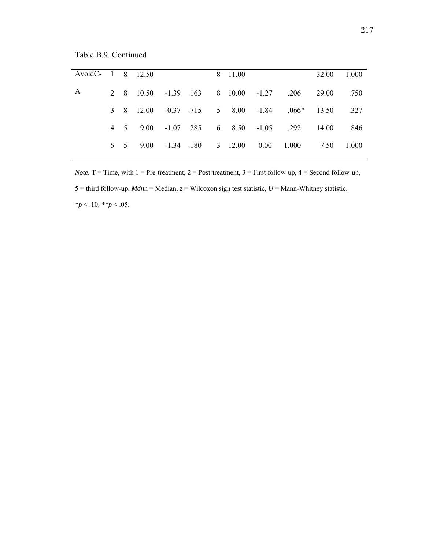Table B.9. Continued

| AvoidC- 1 8 12.50 |  |  |  | 8 11.00 |                                                    | 32.00 1.000 |  |
|-------------------|--|--|--|---------|----------------------------------------------------|-------------|--|
| A                 |  |  |  |         | 2 8 10.50 -1.39 .163 8 10.00 -1.27 .206 29.00 .750 |             |  |
|                   |  |  |  |         | 3 8 12.00 -0.37 .715 5 8.00 -1.84 .066* 13.50 .327 |             |  |
|                   |  |  |  |         | 4 5 9.00 -1.07 .285 6 8.50 -1.05 .292 14.00 .846   |             |  |
|                   |  |  |  |         | 5 5 9.00 -1.34 180 3 12.00 0.00 1.000 7.50 1.000   |             |  |

*Note.*  $T = Time$ , with  $1 = Pre-treatment$ ,  $2 = Post-treatment$ ,  $3 = First follow-up$ ,  $4 = Second follow-up$ , 5 = third follow-up. *Mdn*n = Median, *z* = Wilcoxon sign test statistic, *U* = Mann-Whitney statistic. *\*p* < .10*, \*\*p* < .05.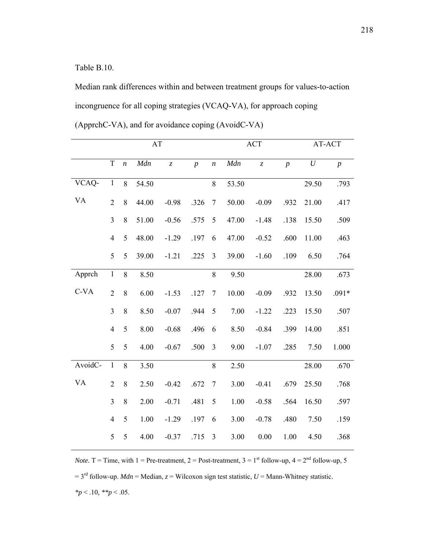Table B.10.

Median rank differences within and between treatment groups for values-to-action incongruence for all coping strategies (VCAQ-VA), for approach coping (ApprchC-VA), and for avoidance coping (AvoidC-VA)

|           |                |                  | AT    |                               |                |                  | ACT   |           |                | AT-ACT   |                  |
|-----------|----------------|------------------|-------|-------------------------------|----------------|------------------|-------|-----------|----------------|----------|------------------|
|           | $\mathbf T$    | $\boldsymbol{n}$ | Mdn   | $\ensuremath{\mathnormal{Z}}$ | $\overline{p}$ | $\boldsymbol{n}$ | Mdn   | $\bar{z}$ | $\overline{p}$ | $\cal U$ | $\boldsymbol{p}$ |
| VCAQ-     | $\mathbf{1}$   | 8                | 54.50 |                               |                | 8                | 53.50 |           |                | 29.50    | .793             |
| <b>VA</b> | $\overline{2}$ | 8                | 44.00 | $-0.98$                       | .326           | $\tau$           | 50.00 | $-0.09$   | .932           | 21.00    | .417             |
|           | $\overline{3}$ | 8                | 51.00 | $-0.56$                       | .575           | 5                | 47.00 | $-1.48$   | .138           | 15.50    | .509             |
|           | $\overline{4}$ | 5                | 48.00 | $-1.29$                       | .197           | 6                | 47.00 | $-0.52$   | .600           | 11.00    | .463             |
|           | 5              | 5                | 39.00 | $-1.21$                       | .225           | $\overline{3}$   | 39.00 | $-1.60$   | .109           | 6.50     | .764             |
| Apprch    | $\,1\,$        | 8                | 8.50  |                               |                | $8\,$            | 9.50  |           |                | 28.00    | .673             |
| $C-VA$    | $\overline{2}$ | 8                | 6.00  | $-1.53$                       | .127           | $\overline{7}$   | 10.00 | $-0.09$   | .932           | 13.50    | $.091*$          |
|           | 3              | 8                | 8.50  | $-0.07$                       | .944           | 5                | 7.00  | $-1.22$   | .223           | 15.50    | .507             |
|           | $\overline{4}$ | 5                | 8.00  | $-0.68$                       | .496           | 6                | 8.50  | $-0.84$   | .399           | 14.00    | .851             |
|           | 5              | 5                | 4.00  | $-0.67$                       | .500           | $\mathfrak{Z}$   | 9.00  | $-1.07$   | .285           | 7.50     | 1.000            |
| AvoidC-   | $\mathbf 1$    | 8                | 3.50  |                               |                | $8\,$            | 2.50  |           |                | 28.00    | .670             |
| <b>VA</b> | $\overline{2}$ | 8                | 2.50  | $-0.42$                       | .672           | $\tau$           | 3.00  | $-0.41$   | .679           | 25.50    | .768             |
|           | 3              | 8                | 2.00  | $-0.71$                       | .481           | 5                | 1.00  | $-0.58$   | .564           | 16.50    | .597             |
|           | $\overline{4}$ | 5                | 1.00  | $-1.29$                       | .197           | 6                | 3.00  | $-0.78$   | .480           | 7.50     | .159             |
|           | 5              | 5                | 4.00  | $-0.37$                       | .715           | $\overline{3}$   | 3.00  | 0.00      | 1.00           | 4.50     | .368             |

*Note.*  $T =$  Time, with 1 = Pre-treatment, 2 = Post-treatment, 3 = 1<sup>st</sup> follow-up, 4 =  $2<sup>nd</sup>$  follow-up, 5  $= 3<sup>rd</sup>$  follow-up. *Mdn* = Median, *z* = Wilcoxon sign test statistic, *U* = Mann-Whitney statistic. *\*p* < .10*, \*\*p* < .05.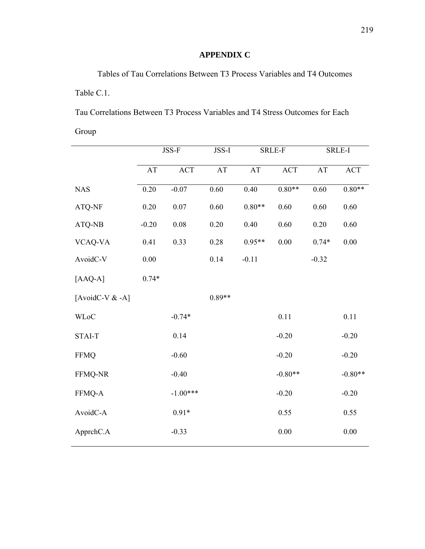## **APPENDIX C**

Tables of Tau Correlations Between T3 Process Variables and T4 Outcomes Table C.1.

Tau Correlations Between T3 Process Variables and T4 Stress Outcomes for Each Group

|                   | JSS-F    |            | JSS-I    |          | <b>SRLE-F</b> | SRLE-I    |            |
|-------------------|----------|------------|----------|----------|---------------|-----------|------------|
|                   | AT       | ACT        | AT       | AT       | <b>ACT</b>    | <b>AT</b> | <b>ACT</b> |
| <b>NAS</b>        | $0.20\,$ | $-0.07$    | 0.60     | 0.40     | $0.80**$      | 0.60      | $0.80**$   |
| ATQ-NF            | $0.20\,$ | $0.07\,$   | 0.60     | $0.80**$ | 0.60          | 0.60      | 0.60       |
| ATQ-NB            | $-0.20$  | 0.08       | 0.20     | 0.40     | 0.60          | 0.20      | 0.60       |
| VCAQ-VA           | 0.41     | 0.33       | 0.28     | $0.95**$ | 0.00          | $0.74*$   | $0.00\,$   |
| AvoidC-V          | $0.00\,$ |            | 0.14     | $-0.11$  |               | $-0.32$   |            |
| $[AAQ-A]$         | $0.74*$  |            |          |          |               |           |            |
| [AvoidC-V $&$ -A] |          |            | $0.89**$ |          |               |           |            |
| <b>WLoC</b>       |          | $-0.74*$   |          |          | 0.11          |           | 0.11       |
| STAI-T            |          | 0.14       |          |          | $-0.20$       |           | $-0.20$    |
| <b>FFMQ</b>       |          | $-0.60$    |          |          | $-0.20$       |           | $-0.20$    |
| FFMQ-NR           |          | $-0.40$    |          |          | $-0.80**$     |           | $-0.80**$  |
| FFMQ-A            |          | $-1.00***$ |          |          | $-0.20$       |           | $-0.20$    |
| AvoidC-A          |          | $0.91*$    |          |          | 0.55          |           | 0.55       |
| ApprchC.A         |          | $-0.33$    |          |          | $0.00\,$      |           | $0.00\,$   |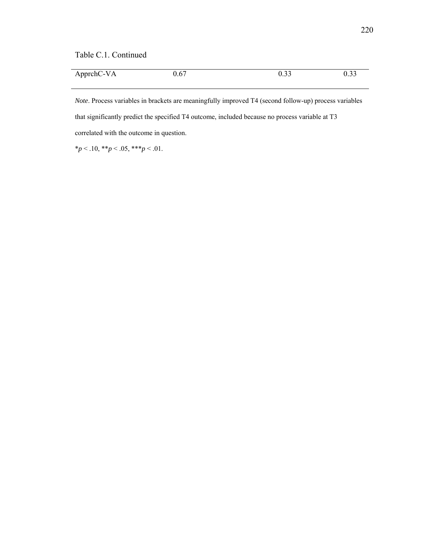Table C.1. Continued

| ApprchC-VA | 0.67 | $\circ$ $\circ$ | ∩ า∼<br>. ب |
|------------|------|-----------------|-------------|

*Note*. Process variables in brackets are meaningfully improved T4 (second follow-up) process variables that significantly predict the specified T4 outcome, included because no process variable at T3 correlated with the outcome in question.

 $*_{p}$  < .10,  $*_{p}$  < .05,  $*_{p}$  < .01.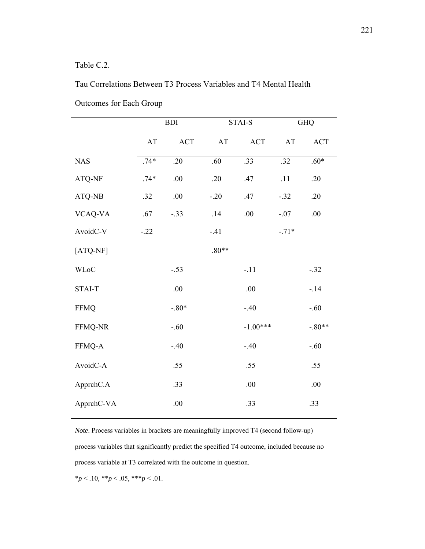#### Table C.2.

 $\overline{a}$ 

#### Tau Correlations Between T3 Process Variables and T4 Mental Health

|             |                        | <b>BDI</b>       |         | STAI-S           |                  | GHQ                         |  |
|-------------|------------------------|------------------|---------|------------------|------------------|-----------------------------|--|
|             | $\mathbf{A}\mathbf{T}$ | ACT              | AT      | <b>ACT</b>       | AT               | $\mathop{\rm ACT}\nolimits$ |  |
| <b>NAS</b>  | $.74*$                 | $\overline{.20}$ | .60     | $\overline{.33}$ | $\overline{.32}$ | $.60*$                      |  |
| ATQ-NF      | $.74*$                 | .00              | .20     | .47              | .11              | .20                         |  |
| ATQ-NB      | .32                    | .00              | $-.20$  | .47              | $-.32$           | .20                         |  |
| VCAQ-VA     | .67                    | $-.33$           | .14     | .00              | $-.07$           | .00.                        |  |
| AvoidC-V    | $-.22$                 |                  | $-.41$  |                  | $-.71*$          |                             |  |
| $[ATQ-NF]$  |                        |                  | $.80**$ |                  |                  |                             |  |
| <b>WLoC</b> |                        | $-.53$           |         | $-.11$           |                  | $-.32$                      |  |
| STAI-T      |                        | .00              |         | .00              |                  | $-.14$                      |  |
| <b>FFMQ</b> |                        | $-.80*$          |         | $-.40$           |                  | $-.60$                      |  |
| FFMQ-NR     |                        | $-.60$           |         | $-1.00***$       |                  | $-.80**$                    |  |
| FFMQ-A      |                        | $-.40$           |         | $-.40$           |                  | $-.60$                      |  |
| AvoidC-A    |                        | .55              |         | .55              |                  | .55                         |  |
| ApprchC.A   |                        | .33              |         | .00              |                  | .00                         |  |
| ApprchC-VA  |                        | .00              |         | .33              |                  | .33                         |  |

Outcomes for Each Group

*Note*. Process variables in brackets are meaningfully improved T4 (second follow-up) process variables that significantly predict the specified T4 outcome, included because no process variable at T3 correlated with the outcome in question.

\**p* < .10, \*\**p* < .05, \*\*\**p* < .01.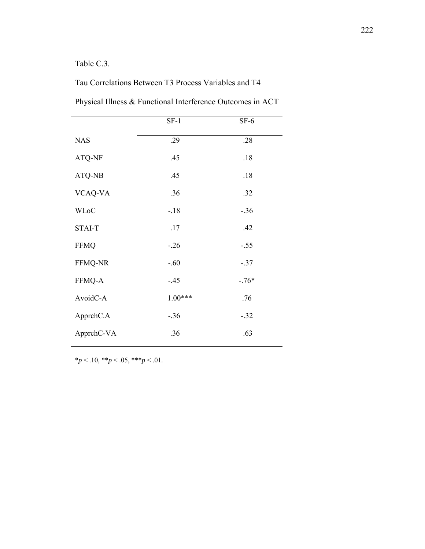### Table C.3.

## Tau Correlations Between T3 Process Variables and T4

|                | $SF-1$    | $SF-6$  |
|----------------|-----------|---------|
| <b>NAS</b>     | .29       | .28     |
| ATQ-NF         | .45       | .18     |
| ATQ-NB         | .45       | .18     |
| VCAQ-VA        | .36       | .32     |
| <b>WLoC</b>    | $-.18$    | $-.36$  |
| <b>STAI-T</b>  | .17       | .42     |
| <b>FFMQ</b>    | $-.26$    | $-.55$  |
| <b>FFMQ-NR</b> | $-.60$    | $-.37$  |
| FFMQ-A         | $-.45$    | $-.76*$ |
| AvoidC-A       | $1.00***$ | .76     |
| ApprchC.A      | $-.36$    | $-.32$  |
| ApprchC-VA     | .36       | .63     |

Physical Illness & Functional Interference Outcomes in ACT

 $**p* < .10, ***p* < .05, ****p* < .01.$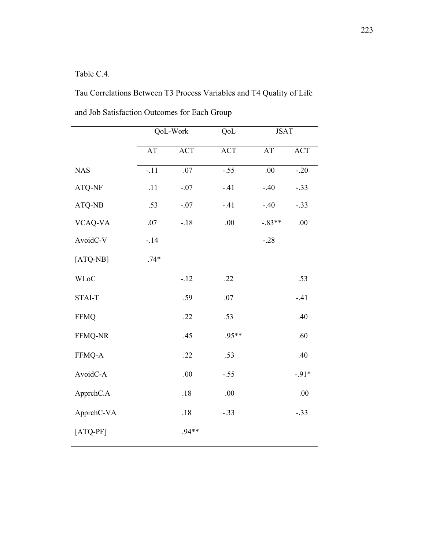# Table C.4.

Tau Correlations Between T3 Process Variables and T4 Quality of Life and Job Satisfaction Outcomes for Each Group

|             |        | QoL-Work | QoL        | <b>JSAT</b> |            |
|-------------|--------|----------|------------|-------------|------------|
|             | AT     | ACT      | <b>ACT</b> | AT          | <b>ACT</b> |
| <b>NAS</b>  | $-.11$ | .07      | $-.55$     | .00         | $-20$      |
| ATQ-NF      | .11    | $-.07$   | $-.41$     | $-.40$      | $-.33$     |
| ATQ-NB      | .53    | $-.07$   | $-.41$     | $-.40$      | $-.33$     |
| VCAQ-VA     | .07    | $-.18$   | .00        | $-.83**$    | .00        |
| AvoidC-V    | $-14$  |          |            | $-.28$      |            |
| $[ATQ-NB]$  | $.74*$ |          |            |             |            |
| <b>WLoC</b> |        | $-.12$   | .22        |             | .53        |
| STAI-T      |        | .59      | .07        |             | $-.41$     |
| <b>FFMQ</b> |        | .22      | .53        |             | .40        |
| FFMQ-NR     |        | .45      | .95**      |             | .60        |
| FFMQ-A      |        | .22      | .53        |             | .40        |
| AvoidC-A    |        | $.00\,$  | $-.55$     |             | $-.91*$    |
| ApprchC.A   |        | $.18$    | .00        |             | .00.       |
| ApprchC-VA  |        | $.18\,$  | $-.33$     |             | $-.33$     |
| $[ATQ-PF]$  |        | $.94**$  |            |             |            |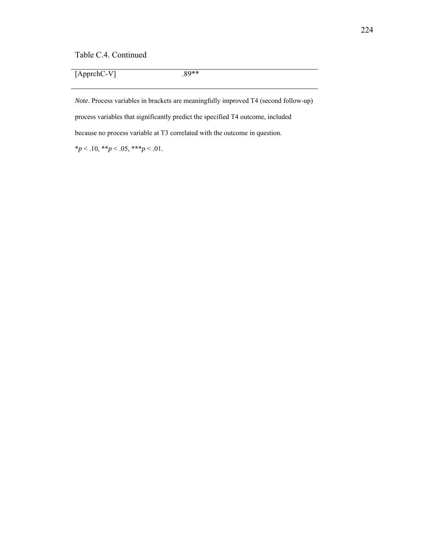Table C.4. Continued

[ApprchC-V] .89\*\*

*Note*. Process variables in brackets are meaningfully improved T4 (second follow-up) process variables that significantly predict the specified T4 outcome, included because no process variable at T3 correlated with the outcome in question.  $*_{p}$  < .10,  $*_{p}$  < .05,  $*_{p}$  < .01.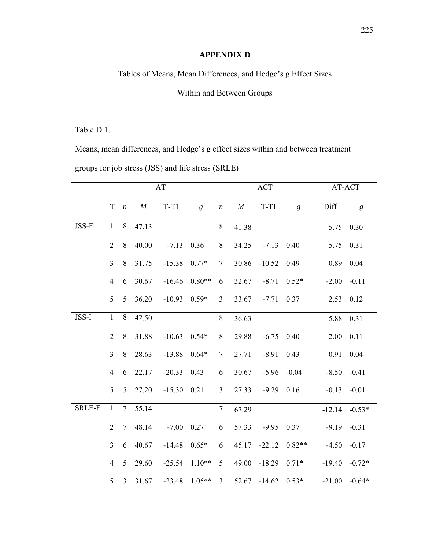#### **APPENDIX D**

Tables of Means, Mean Differences, and Hedge's g Effect Sizes

#### Within and Between Groups

#### Table D.1.

Means, mean differences, and Hedge's g effect sizes within and between treatment groups for job stress (JSS) and life stress (SRLE)

|               |                |                  |          | AT       |          |                  |          | <b>ACT</b>   | AT-ACT         |           |                  |
|---------------|----------------|------------------|----------|----------|----------|------------------|----------|--------------|----------------|-----------|------------------|
|               | $\mathbf T$    | $\boldsymbol{n}$ | $\cal M$ | $T-T1$   | g        | $\boldsymbol{n}$ | $\cal M$ | $T-T1$       | $\mathfrak{g}$ | Diff      | $\boldsymbol{g}$ |
| JSS-F         | $\mathbf{1}$   | 8                | 47.13    |          |          | $8\,$            | 41.38    |              |                | 5.75      | 0.30             |
|               | $\overline{2}$ | $\,8\,$          | 40.00    | $-7.13$  | 0.36     | 8                | 34.25    | $-7.13$      | 0.40           | 5.75 0.31 |                  |
|               | $\overline{3}$ | 8                | 31.75    | $-15.38$ | $0.77*$  | $\overline{7}$   | 30.86    | $-10.52$     | 0.49           | 0.89      | 0.04             |
|               | $\overline{4}$ | 6                | 30.67    | $-16.46$ | $0.80**$ | 6                | 32.67    | $-8.71$      | $0.52*$        | $-2.00$   | $-0.11$          |
|               | 5              | 5                | 36.20    | $-10.93$ | $0.59*$  | 3                | 33.67    | $-7.71$      | 0.37           | 2.53      | 0.12             |
| JSS-I         | $\mathbf{1}$   | $\,8\,$          | 42.50    |          |          | $8\,$            | 36.63    |              |                | 5.88      | 0.31             |
|               | $\overline{2}$ | 8                | 31.88    | $-10.63$ | $0.54*$  | 8                | 29.88    | $-6.75$      | 0.40           | 2.00      | 0.11             |
|               | $\overline{3}$ | 8                | 28.63    | $-13.88$ | $0.64*$  | $\tau$           | 27.71    | $-8.91$      | 0.43           | 0.91      | 0.04             |
|               | $\overline{4}$ | 6                | 22.17    | $-20.33$ | 0.43     | 6                | 30.67    | $-5.96$      | $-0.04$        | $-8.50$   | $-0.41$          |
|               | 5              | 5                | 27.20    | $-15.30$ | 0.21     | $\overline{3}$   | 27.33    | $-9.29$ 0.16 |                | $-0.13$   | $-0.01$          |
| <b>SRLE-F</b> | $\mathbf{1}$   | $\overline{7}$   | 55.14    |          |          | $\overline{7}$   | 67.29    |              |                | $-12.14$  | $-0.53*$         |
|               | $\overline{2}$ | $\tau$           | 48.14    | $-7.00$  | 0.27     | 6                | 57.33    | $-9.95$      | 0.37           | $-9.19$   | $-0.31$          |
|               | $\overline{3}$ | 6                | 40.67    | $-14.48$ | $0.65*$  | 6                | 45.17    | $-22.12$     | $0.82**$       | $-4.50$   | $-0.17$          |
|               | $\overline{4}$ | 5                | 29.60    | $-25.54$ | $1.10**$ | 5                | 49.00    | $-18.29$     | $0.71*$        | $-19.40$  | $-0.72*$         |
|               | 5              | $\overline{3}$   | 31.67    | $-23.48$ | $1.05**$ | $\overline{3}$   | 52.67    | $-14.62$     | $0.53*$        | $-21.00$  | $-0.64*$         |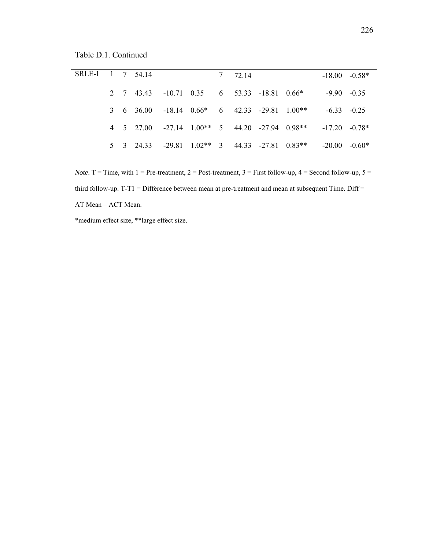Table D.1. Continued

| SRLE-I 1 7 54.14 |  |                                                                                         |  | 7 72.14 |  | $-18.00 - 0.58*$ |  |
|------------------|--|-----------------------------------------------------------------------------------------|--|---------|--|------------------|--|
|                  |  | 2 7 43.43 -10.71 0.35 6 53.33 -18.81 0.66*                                              |  |         |  | $-9.90 - 0.35$   |  |
|                  |  | $3\quad 6\quad 36.00\quad -18.14\quad 0.66* \quad 6\quad 42.33\quad -29.81\quad 1.00**$ |  |         |  | $-6.33 - 0.25$   |  |
|                  |  | 4 5 27.00 -27.14 1.00** 5 44.20 -27.94 0.98**                                           |  |         |  | $-17.20 -0.78*$  |  |
|                  |  | $5\quad 3\quad 24.33\quad -29.81\quad 1.02**\quad 3\quad 44.33\quad -27.81\quad 0.83**$ |  |         |  | $-20.00 - 0.60*$ |  |
|                  |  |                                                                                         |  |         |  |                  |  |

*Note*. T = Time, with  $1 =$  Pre-treatment,  $2 =$  Post-treatment,  $3 =$  First follow-up,  $4 =$  Second follow-up,  $5 =$ third follow-up. T-T1 = Difference between mean at pre-treatment and mean at subsequent Time. Diff = AT Mean – ACT Mean.

\*medium effect size, \*\*large effect size.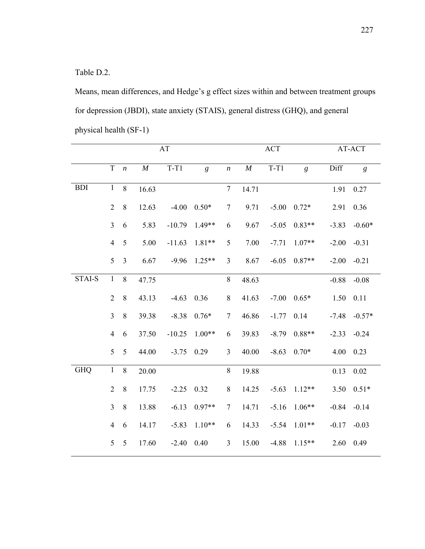Table D.2.

Means, mean differences, and Hedge's g effect sizes within and between treatment groups for depression (JBDI), state anxiety (STAIS), general distress (GHQ), and general physical health (SF-1)

|            | AT             |                  |          |          |                |                  |          | ACT     | AT-ACT   |         |          |
|------------|----------------|------------------|----------|----------|----------------|------------------|----------|---------|----------|---------|----------|
|            | $\mathbf T$    | $\boldsymbol{n}$ | $\cal M$ | $T-T1$   | $\mathfrak{g}$ | $\boldsymbol{n}$ | $\cal M$ | $T-T1$  | g        | Diff    | g        |
| <b>BDI</b> | $\mathbf{1}$   | 8                | 16.63    |          |                | $\tau$           | 14.71    |         |          | 1.91    | 0.27     |
|            | $\overline{2}$ | $\,8\,$          | 12.63    | $-4.00$  | $0.50*$        | $\tau$           | 9.71     | $-5.00$ | $0.72*$  | 2.91    | 0.36     |
|            | $\overline{3}$ | 6                | 5.83     | $-10.79$ | $1.49**$       | 6                | 9.67     | $-5.05$ | $0.83**$ | $-3.83$ | $-0.60*$ |
|            | $\overline{4}$ | 5                | 5.00     | $-11.63$ | $1.81**$       | 5                | 7.00     | $-7.71$ | $1.07**$ | $-2.00$ | $-0.31$  |
|            | 5              | $\overline{3}$   | 6.67     | $-9.96$  | $1.25**$       | 3                | 8.67     | $-6.05$ | $0.87**$ | $-2.00$ | $-0.21$  |
| STAI-S     | $\mathbf{1}$   | 8                | 47.75    |          |                | $8\,$            | 48.63    |         |          | $-0.88$ | $-0.08$  |
|            | $\overline{2}$ | 8                | 43.13    | $-4.63$  | 0.36           | $8\,$            | 41.63    | $-7.00$ | $0.65*$  | 1.50    | 0.11     |
|            | $\overline{3}$ | $\,8\,$          | 39.38    | $-8.38$  | $0.76*$        | $\tau$           | 46.86    | $-1.77$ | 0.14     | $-7.48$ | $-0.57*$ |
|            | $\overline{4}$ | 6                | 37.50    | $-10.25$ | $1.00**$       | 6                | 39.83    | $-8.79$ | $0.88**$ | $-2.33$ | $-0.24$  |
|            | 5              | 5                | 44.00    | $-3.75$  | 0.29           | $\overline{3}$   | 40.00    | $-8.63$ | $0.70*$  | 4.00    | 0.23     |
| <b>GHQ</b> | $\mathbf{1}$   | 8                | 20.00    |          |                | 8                | 19.88    |         |          | 0.13    | 0.02     |
|            | $\overline{2}$ | 8                | 17.75    | $-2.25$  | 0.32           | $\, 8$           | 14.25    | $-5.63$ | $1.12**$ | 3.50    | $0.51*$  |
|            | $\overline{3}$ | $\,8\,$          | 13.88    | $-6.13$  | $0.97**$       | $\tau$           | 14.71    | $-5.16$ | $1.06**$ | $-0.84$ | $-0.14$  |
|            | $\overline{4}$ | 6                | 14.17    | $-5.83$  | $1.10**$       | 6                | 14.33    | $-5.54$ | $1.01**$ | $-0.17$ | $-0.03$  |
|            | 5              | 5                | 17.60    | $-2.40$  | 0.40           | $\mathfrak{Z}$   | 15.00    | $-4.88$ | $1.15**$ | 2.60    | 0.49     |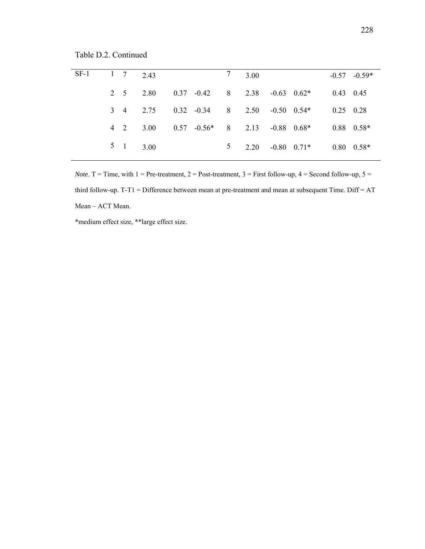Table D.2. Continued

| $SF-1$ | $1 \quad 7 \quad 2.43$ |                        |                                        |            | $7 \quad 3.00$ |                 |                   | $-0.57 -0.59*$     |
|--------|------------------------|------------------------|----------------------------------------|------------|----------------|-----------------|-------------------|--------------------|
|        |                        |                        |                                        |            |                |                 |                   |                    |
|        | 2 5 2.80               |                        | $0.37 -0.42$ 8 2.38                    |            |                | $-0.63$ $0.62*$ | $0.43$ 0.45       |                    |
|        |                        | 3 4 2.75               | $0.32 \t -0.34 \t 8 \t 2.50$           |            |                | $-0.50$ $0.54*$ | $0.25 \quad 0.28$ |                    |
|        |                        | $4 \quad 2 \quad 3.00$ | $0.57$ $-0.56*$ 8 2.13 $-0.88$ $0.68*$ |            |                |                 |                   | $0.88$ $0.58*$     |
|        | $5 \t1 \t3.00$         |                        |                                        | $5\degree$ | 2.20           | $-0.80$ $0.71*$ |                   | $0.80 \quad 0.58*$ |

*Note*. T = Time, with  $1 =$  Pre-treatment,  $2 =$  Post-treatment,  $3 =$  First follow-up,  $4 =$  Second follow-up,  $5 =$ third follow-up. T-T1 = Difference between mean at pre-treatment and mean at subsequent Time. Diff = AT Mean – ACT Mean.

\*medium effect size, \*\*large effect size.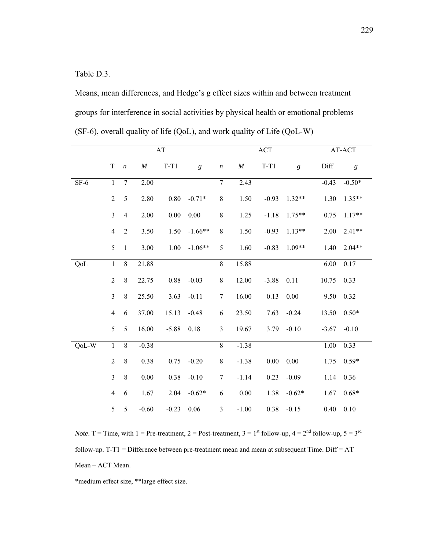Table D.3.

Means, mean differences, and Hedge's g effect sizes within and between treatment groups for interference in social activities by physical health or emotional problems (SF-6), overall quality of life (QoL), and work quality of Life (QoL-W)

|        |                |                  |          | AT       |                |                  |          | <b>ACT</b> |                  |         | AT-ACT           |
|--------|----------------|------------------|----------|----------|----------------|------------------|----------|------------|------------------|---------|------------------|
|        | $\rm T$        | $\boldsymbol{n}$ | $\cal M$ | $T-T1$   | $\mathfrak{g}$ | $\boldsymbol{n}$ | $\cal M$ | $T-T1$     | $\boldsymbol{g}$ | Diff    | $\boldsymbol{g}$ |
| $SF-6$ | $\mathbf{1}$   | $\tau$           | 2.00     |          |                | $\overline{7}$   | 2.43     |            |                  | $-0.43$ | $-0.50*$         |
|        | $\overline{2}$ | 5                | 2.80     | $0.80\,$ | $-0.71*$       | $\,8\,$          | 1.50     | $-0.93$    | $1.32**$         | 1.30    | $1.35**$         |
|        | $\overline{3}$ | $\overline{4}$   | 2.00     | $0.00\,$ | $0.00\,$       | $8\,$            | 1.25     | $-1.18$    | $1.75**$         | 0.75    | $1.17**$         |
|        | $\overline{4}$ | $\overline{2}$   | 3.50     | 1.50     | $-1.66**$      | $8\,$            | 1.50     | $-0.93$    | $1.13**$         | 2.00    | $2.41**$         |
|        | 5              | $\mathbf{1}$     | 3.00     | 1.00     | $-1.06**$      | 5                | 1.60     | $-0.83$    | $1.09**$         | 1.40    | $2.04**$         |
| QoL    | $\overline{1}$ | $\overline{8}$   | 21.88    |          |                | $\overline{8}$   | 15.88    |            |                  | 6.00    | 0.17             |
|        | $\overline{2}$ | $8\,$            | 22.75    | 0.88     | $-0.03$        | $8\,$            | 12.00    | $-3.88$    | 0.11             | 10.75   | 0.33             |
|        | $\mathfrak{Z}$ | $8\,$            | 25.50    | 3.63     | $-0.11$        | $\boldsymbol{7}$ | 16.00    | 0.13       | 0.00             | 9.50    | 0.32             |
|        | $\overline{4}$ | 6                | 37.00    | 15.13    | $-0.48$        | $\sqrt{6}$       | 23.50    | 7.63       | $-0.24$          | 13.50   | $0.50*$          |
|        | 5              | 5                | 16.00    | $-5.88$  | 0.18           | 3                | 19.67    | 3.79       | $-0.10$          | $-3.67$ | $-0.10$          |
| QoL-W  | $\mathbf{1}$   | $8\,$            | $-0.38$  |          |                | $\overline{8}$   | $-1.38$  |            |                  | 1.00    | 0.33             |
|        | $\overline{2}$ | $8\,$            | 0.38     | 0.75     | $-0.20$        | $8\,$            | $-1.38$  | $0.00\,$   | 0.00             | 1.75    | $0.59*$          |
|        | $\mathfrak{Z}$ | $\,8\,$          | $0.00\,$ | 0.38     | $-0.10$        | $\tau$           | $-1.14$  | 0.23       | $-0.09$          | 1.14    | 0.36             |
|        | $\overline{4}$ | 6                | 1.67     | 2.04     | $-0.62*$       | 6                | $0.00\,$ | 1.38       | $-0.62*$         | 1.67    | $0.68*$          |
|        | 5              | 5                | $-0.60$  | $-0.23$  | 0.06           | $\mathfrak{Z}$   | $-1.00$  | 0.38       | $-0.15$          | 0.40    | 0.10             |

*Note*. T = Time, with 1 = Pre-treatment, 2 = Post-treatment,  $3 = 1^{st}$  follow-up,  $4 = 2^{nd}$  follow-up,  $5 = 3^{rd}$ follow-up. T-T1 = Difference between pre-treatment mean and mean at subsequent Time. Diff = AT Mean – ACT Mean.

\*medium effect size, \*\*large effect size.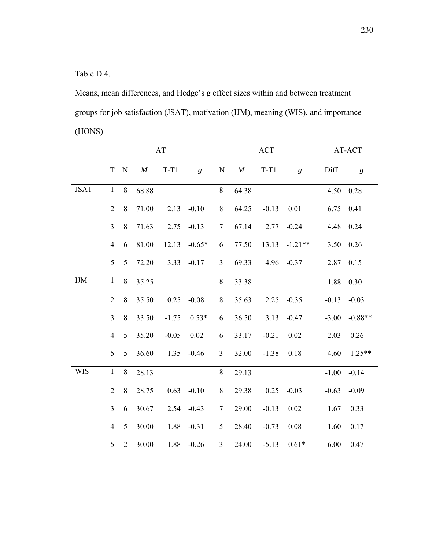Table D.4.

Means, mean differences, and Hedge's g effect sizes within and between treatment groups for job satisfaction (JSAT), motivation (IJM), meaning (WIS), and importance (HONS)

|             | AT             |                 |          |         |                |                |          | <b>ACT</b> | AT-ACT         |         |                |
|-------------|----------------|-----------------|----------|---------|----------------|----------------|----------|------------|----------------|---------|----------------|
|             | $\overline{T}$ | ${\bf N}$       | $\cal M$ | $T-T1$  | $\mathfrak{g}$ | ${\bf N}$      | $\cal M$ | $T-T1$     | $\mathfrak{g}$ | Diff    | $\mathfrak{g}$ |
| <b>JSAT</b> | $\mathbf{1}$   | 8               | 68.88    |         |                | $8\,$          | 64.38    |            |                | 4.50    | 0.28           |
|             | $\overline{2}$ | $\,8\,$         | 71.00    | 2.13    | $-0.10$        | $8\,$          | 64.25    | $-0.13$    | 0.01           | 6.75    | 0.41           |
|             | $\overline{3}$ | 8               | 71.63    | 2.75    | $-0.13$        | $\overline{7}$ | 67.14    | 2.77       | $-0.24$        | 4.48    | 0.24           |
|             | $\overline{4}$ | 6               | 81.00    | 12.13   | $-0.65*$       | 6              | 77.50    | 13.13      | $-1.21**$      | 3.50    | 0.26           |
|             | 5              | $5\overline{)}$ | 72.20    | 3.33    | $-0.17$        | $\mathfrak{Z}$ | 69.33    |            | $4.96 - 0.37$  | 2.87    | 0.15           |
| <b>IJM</b>  | $\mathbf{1}$   | 8               | 35.25    |         |                | $8\,$          | 33.38    |            |                | 1.88    | 0.30           |
|             | $\overline{2}$ | 8               | 35.50    | 0.25    | $-0.08$        | $8\,$          | 35.63    | 2.25       | $-0.35$        | $-0.13$ | $-0.03$        |
|             | $\overline{3}$ | 8               | 33.50    | $-1.75$ | $0.53*$        | 6              | 36.50    | 3.13       | $-0.47$        | $-3.00$ | $-0.88**$      |
|             | $\overline{4}$ | $5\overline{)}$ | 35.20    | $-0.05$ | 0.02           | 6              | 33.17    | $-0.21$    | 0.02           | 2.03    | 0.26           |
|             | 5              | $5\overline{)}$ | 36.60    | 1.35    | $-0.46$        | $\overline{3}$ | 32.00    | $-1.38$    | 0.18           | 4.60    | $1.25**$       |
| <b>WIS</b>  | $\mathbf{1}$   | 8               | 28.13    |         |                | $8\,$          | 29.13    |            |                | $-1.00$ | $-0.14$        |
|             | $\overline{2}$ | 8               | 28.75    | 0.63    | $-0.10$        | $8\,$          | 29.38    | 0.25       | $-0.03$        | $-0.63$ | $-0.09$        |
|             | $\overline{3}$ | 6               | 30.67    | 2.54    | $-0.43$        | $\tau$         | 29.00    | $-0.13$    | 0.02           | 1.67    | 0.33           |
|             | $\overline{4}$ | 5               | 30.00    | 1.88    | $-0.31$        | 5              | 28.40    | $-0.73$    | 0.08           | 1.60    | 0.17           |
|             | 5              | $\overline{2}$  | 30.00    | 1.88    | $-0.26$        | $\mathfrak{Z}$ | 24.00    | $-5.13$    | $0.61*$        | 6.00    | 0.47           |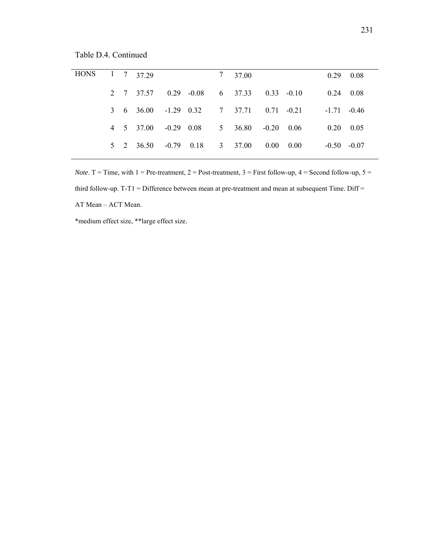Table D.4. Continued

| HONS 1 7 37.29 |  |                                         |  | 7 37 00 |  |                   | $0.29 \quad 0.08$ |
|----------------|--|-----------------------------------------|--|---------|--|-------------------|-------------------|
|                |  | 2 7 37.57 0.29 -0.08 6 37.33 0.33 -0.10 |  |         |  | $0.24$ 0.08       |                   |
|                |  | 3 6 36.00 -1.29 0.32 7 37.71 0.71 -0.21 |  |         |  | $-1.71 - 0.46$    |                   |
|                |  | 4 5 37.00 -0.29 0.08 5 36.80 -0.20 0.06 |  |         |  | $0.20 \quad 0.05$ |                   |
|                |  | 5 2 36.50 -0.79 0.18 3 37.00 0.00 0.00  |  |         |  | $-0.50 - 0.07$    |                   |
|                |  |                                         |  |         |  |                   |                   |

*Note*. T = Time, with  $1 =$  Pre-treatment,  $2 =$  Post-treatment,  $3 =$  First follow-up,  $4 =$  Second follow-up,  $5 =$ third follow-up. T-T1 = Difference between mean at pre-treatment and mean at subsequent Time. Diff = AT Mean – ACT Mean.

\*medium effect size, \*\*large effect size.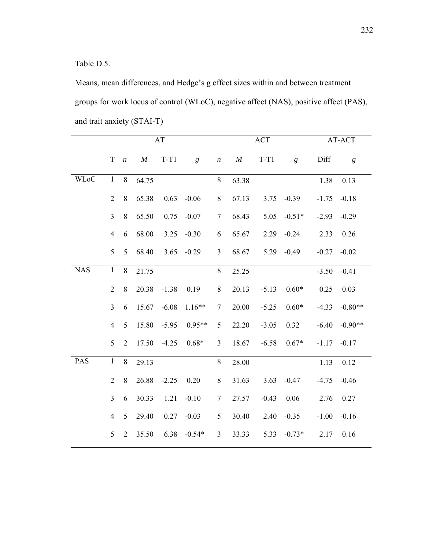#### Table D.5.

Means, mean differences, and Hedge's g effect sizes within and between treatment groups for work locus of control (WLoC), negative affect (NAS), positive affect (PAS), and trait anxiety (STAI-T)

|             |                |                  |       | $\mathbf{A}\mathbf{T}$ |                |                  |          | ACT     | AT-ACT         |         |                |
|-------------|----------------|------------------|-------|------------------------|----------------|------------------|----------|---------|----------------|---------|----------------|
|             | $\mathbf T$    | $\boldsymbol{n}$ | M     | $T-T1$                 | $\mathfrak{g}$ | $\boldsymbol{n}$ | $\cal M$ | $T-T1$  | $\overline{g}$ | Diff    | $\mathfrak{g}$ |
| <b>WLoC</b> | $\mathbf{1}$   | 8                | 64.75 |                        |                | 8                | 63.38    |         |                | 1.38    | 0.13           |
|             | $\overline{2}$ | 8                | 65.38 | 0.63                   | $-0.06$        | 8                | 67.13    | 3.75    | $-0.39$        | $-1.75$ | $-0.18$        |
|             | $\overline{3}$ | 8                | 65.50 | 0.75                   | $-0.07$        | $\overline{7}$   | 68.43    | 5.05    | $-0.51*$       | $-2.93$ | $-0.29$        |
|             | $\overline{4}$ | 6                | 68.00 | 3.25                   | $-0.30$        | 6                | 65.67    | 2.29    | $-0.24$        | 2.33    | 0.26           |
|             | 5              | 5                | 68.40 | 3.65                   | $-0.29$        | $\mathfrak{Z}$   | 68.67    | 5.29    | $-0.49$        | $-0.27$ | $-0.02$        |
| <b>NAS</b>  | $\mathbf{1}$   | 8                | 21.75 |                        |                | $8\,$            | 25.25    |         |                | $-3.50$ | $-0.41$        |
|             | $\overline{2}$ | 8                | 20.38 | $-1.38$                | 0.19           | $8\,$            | 20.13    | $-5.13$ | $0.60*$        | 0.25    | 0.03           |
|             | $\overline{3}$ | 6                | 15.67 | $-6.08$                | $1.16**$       | 7                | 20.00    | $-5.25$ | $0.60*$        | $-4.33$ | $-0.80**$      |
|             | $\overline{4}$ | 5                | 15.80 | $-5.95$                | $0.95**$       | 5                | 22.20    | $-3.05$ | 0.32           | $-6.40$ | $-0.90**$      |
|             | 5              | $\overline{2}$   | 17.50 | $-4.25$                | $0.68*$        | 3                | 18.67    | $-6.58$ | $0.67*$        | $-1.17$ | $-0.17$        |
| PAS         | $\mathbf{1}$   | 8                | 29.13 |                        |                | 8                | 28.00    |         |                | 1.13    | 0.12           |
|             | $\overline{2}$ | 8                | 26.88 | $-2.25$                | 0.20           | 8                | 31.63    | 3.63    | $-0.47$        | $-4.75$ | $-0.46$        |
|             | $\overline{3}$ | 6                | 30.33 | 1.21                   | $-0.10$        | 7                | 27.57    | $-0.43$ | 0.06           | 2.76    | 0.27           |
|             | $\overline{4}$ | 5                | 29.40 | 0.27                   | $-0.03$        | 5                | 30.40    | 2.40    | $-0.35$        | $-1.00$ | $-0.16$        |
|             | 5              | $\overline{2}$   | 35.50 | 6.38                   | $-0.54*$       | $\mathfrak{Z}$   | 33.33    | 5.33    | $-0.73*$       | 2.17    | 0.16           |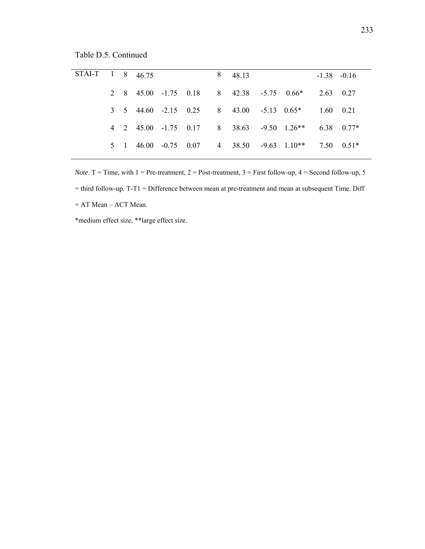Table D.5. Continued

| STAI-T 1 8 46.75 |  |  |  | 8 48.13 |                                                                                             | $-1.38 - 0.16$    |  |
|------------------|--|--|--|---------|---------------------------------------------------------------------------------------------|-------------------|--|
|                  |  |  |  |         | 2 8 45.00 -1.75 0.18 8 42.38 -5.75 0.66* 2.63 0.27                                          |                   |  |
|                  |  |  |  |         | $3 \quad 5 \quad 44.60 \quad -2.15 \quad 0.25 \quad 8 \quad 43.00 \quad -5.13 \quad 0.65^*$ | $1.60 \quad 0.21$ |  |
|                  |  |  |  |         | 4 2 45.00 -1.75 0.17 8 38.63 -9.50 1.26** 6.38 0.77*                                        |                   |  |
|                  |  |  |  |         | 5 1 46.00 -0.75 0.07 4 38.50 -9.63 1.10** 7.50 0.51*                                        |                   |  |
|                  |  |  |  |         |                                                                                             |                   |  |

*Note*. T = Time, with  $1 =$  Pre-treatment,  $2 =$  Post-treatment,  $3 =$  First follow-up,  $4 =$  Second follow-up,  $5 =$ = third follow-up. T-T1 = Difference between mean at pre-treatment and mean at subsequent Time. Diff = AT Mean – ACT Mean.

\*medium effect size, \*\*large effect size.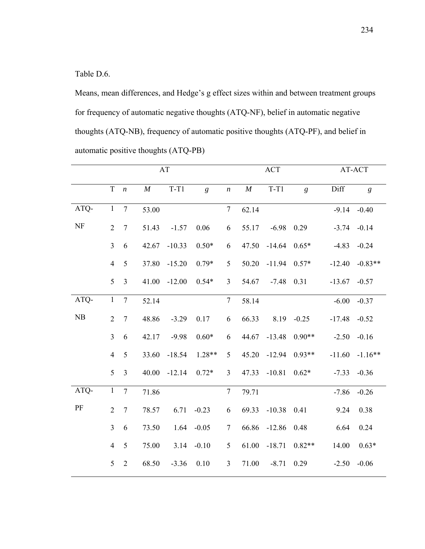Table D.6.

Means, mean differences, and Hedge's g effect sizes within and between treatment groups for frequency of automatic negative thoughts (ATQ-NF), belief in automatic negative thoughts (ATQ-NB), frequency of automatic positive thoughts (ATQ-PF), and belief in automatic positive thoughts (ATQ-PB)

|      |                |                  |          | AT       |                |                  |          | <b>ACT</b> | AT-ACT         |          |                  |
|------|----------------|------------------|----------|----------|----------------|------------------|----------|------------|----------------|----------|------------------|
|      | $\mathbf T$    | $\boldsymbol{n}$ | $\cal M$ | $T-T1$   | $\mathfrak{g}$ | $\boldsymbol{n}$ | $\cal M$ | $T-T1$     | $\mathfrak{g}$ | Diff     | $\boldsymbol{g}$ |
| ATQ- | $\mathbf{1}$   | $\overline{7}$   | 53.00    |          |                | $\boldsymbol{7}$ | 62.14    |            |                | $-9.14$  | $-0.40$          |
| NF   | $\overline{2}$ | $\tau$           | 51.43    | $-1.57$  | 0.06           | 6                | 55.17    | $-6.98$    | 0.29           | $-3.74$  | $-0.14$          |
|      | $\overline{3}$ | 6                | 42.67    | $-10.33$ | $0.50*$        | 6                | 47.50    | $-14.64$   | $0.65*$        | $-4.83$  | $-0.24$          |
|      | $\overline{4}$ | 5                | 37.80    | $-15.20$ | $0.79*$        | 5                | 50.20    | $-11.94$   | $0.57*$        | $-12.40$ | $-0.83**$        |
|      | 5              | 3                | 41.00    | $-12.00$ | $0.54*$        | $\mathfrak{Z}$   | 54.67    | $-7.48$    | 0.31           | $-13.67$ | $-0.57$          |
| ATQ- | $\mathbf{1}$   | $\overline{7}$   | 52.14    |          |                | $\boldsymbol{7}$ | 58.14    |            |                | $-6.00$  | $-0.37$          |
| NB   | $\overline{2}$ | $\overline{7}$   | 48.86    | $-3.29$  | 0.17           | 6                | 66.33    | 8.19       | $-0.25$        | $-17.48$ | $-0.52$          |
|      | $\overline{3}$ | 6                | 42.17    | $-9.98$  | $0.60*$        | 6                | 44.67    | $-13.48$   | $0.90**$       | $-2.50$  | $-0.16$          |
|      | $\overline{4}$ | 5                | 33.60    | $-18.54$ | $1.28**$       | 5                | 45.20    | $-12.94$   | $0.93**$       | $-11.60$ | $-1.16**$        |
|      | 5              | $\overline{3}$   | 40.00    | $-12.14$ | $0.72*$        | $\mathfrak{Z}$   | 47.33    | $-10.81$   | $0.62*$        | $-7.33$  | $-0.36$          |
| ATQ- | $\mathbf{1}$   | $\tau$           | 71.86    |          |                | $\tau$           | 79.71    |            |                | $-7.86$  | $-0.26$          |
| PF   | $\overline{2}$ | $7\phantom{.0}$  | 78.57    | 6.71     | $-0.23$        | 6                | 69.33    | $-10.38$   | 0.41           | 9.24     | 0.38             |
|      | $\overline{3}$ | 6                | 73.50    | 1.64     | $-0.05$        | $\tau$           | 66.86    | $-12.86$   | 0.48           | 6.64     | 0.24             |
|      | $\overline{4}$ | 5                | 75.00    | 3.14     | $-0.10$        | 5                | 61.00    | $-18.71$   | $0.82**$       | 14.00    | $0.63*$          |
|      | 5              | $\overline{2}$   | 68.50    | $-3.36$  | 0.10           | $\mathfrak{Z}$   | 71.00    | $-8.71$    | 0.29           | $-2.50$  | $-0.06$          |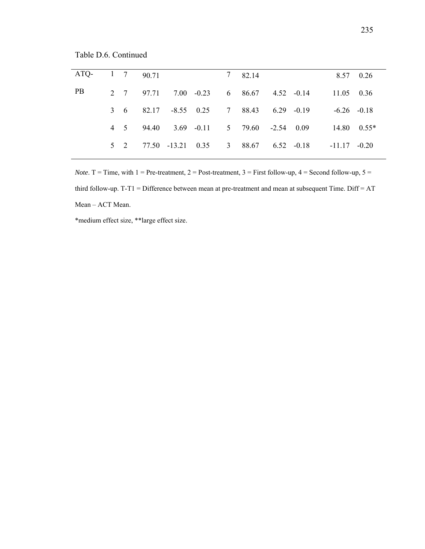Table D.6. Continued

|  |                                                   |  |        |                                                                                                                                                                                    | 8.57 0.26                                       |
|--|---------------------------------------------------|--|--------|------------------------------------------------------------------------------------------------------------------------------------------------------------------------------------|-------------------------------------------------|
|  |                                                   |  |        |                                                                                                                                                                                    |                                                 |
|  |                                                   |  |        |                                                                                                                                                                                    |                                                 |
|  |                                                   |  |        |                                                                                                                                                                                    | $14.80 \quad 0.55*$                             |
|  |                                                   |  |        |                                                                                                                                                                                    |                                                 |
|  | $1 \quad 7 \quad 90.71$<br>2 7 97.71<br>4 5 94.40 |  | 782.14 | $7.00 \t -0.23 \t 6 \t 86.67 \t 4.52 \t -0.14$<br>3 6 82.17 -8.55 0.25 7 88.43 6.29 -0.19<br>$3.69$ $-0.11$ $5$ $79.60$ $-2.54$ $0.09$<br>5 2 77.50 -13.21 0.35 3 88.67 6.52 -0.18 | 11.05 0.36<br>$-6.26 - 0.18$<br>$-11.17 - 0.20$ |

*Note*. T = Time, with  $1 =$  Pre-treatment,  $2 =$  Post-treatment,  $3 =$  First follow-up,  $4 =$  Second follow-up,  $5 =$ third follow-up. T-T1 = Difference between mean at pre-treatment and mean at subsequent Time. Diff = AT Mean – ACT Mean.

\*medium effect size, \*\*large effect size.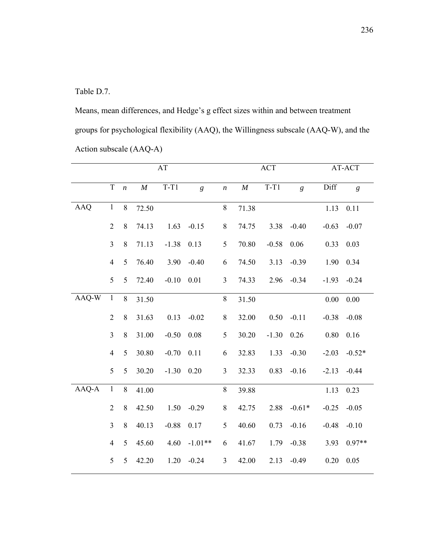Table D.7.

Means, mean differences, and Hedge's g effect sizes within and between treatment groups for psychological flexibility (AAQ), the Willingness subscale (AAQ-W), and the Action subscale (AAQ-A)

|            | AT             |                  |          |              |                |                  | <b>ACT</b> |         | AT-ACT   |         |                |
|------------|----------------|------------------|----------|--------------|----------------|------------------|------------|---------|----------|---------|----------------|
|            |                |                  |          |              |                |                  |            |         |          |         |                |
|            | $\mathbf T$    | $\boldsymbol{n}$ | $\cal M$ | $T-T1$       | $\mathfrak{g}$ | $\boldsymbol{n}$ | $\cal M$   | $T-T1$  | g        | Diff    | $\mathfrak{g}$ |
|            |                |                  |          |              |                |                  |            |         |          |         |                |
| <b>AAQ</b> | $\,1$          | $8\,$            | 72.50    |              |                | $8\,$            | 71.38      |         |          | 1.13    | 0.11           |
|            | $\overline{2}$ | $8\,$            | 74.13    | 1.63         | $-0.15$        | $8\,$            | 74.75      | 3.38    | $-0.40$  | $-0.63$ | $-0.07$        |
|            | $\overline{3}$ | 8                | 71.13    | $-1.38$      | 0.13           | 5                | 70.80      | $-0.58$ | 0.06     | 0.33    | 0.03           |
|            | $\overline{4}$ | 5                | 76.40    | 3.90         | $-0.40$        | 6                | 74.50      | 3.13    | $-0.39$  | 1.90    | 0.34           |
|            | 5              | 5                | 72.40    | $-0.10$      | 0.01           | $\mathfrak{Z}$   | 74.33      | 2.96    | $-0.34$  | $-1.93$ | $-0.24$        |
| AAQ-W      | $\mathbf{1}$   | $\,8\,$          | 31.50    |              |                | $8\,$            | 31.50      |         |          | 0.00    | 0.00           |
|            | $\overline{2}$ | $8\,$            | 31.63    | 0.13         | $-0.02$        | $\,$ $\,$        | 32.00      | 0.50    | $-0.11$  | $-0.38$ | $-0.08$        |
|            | $\overline{3}$ | $8\,$            | 31.00    | $-0.50$      | 0.08           | 5                | 30.20      | $-1.30$ | 0.26     | 0.80    | 0.16           |
|            | $\overline{4}$ | 5                | 30.80    | $-0.70$      | 0.11           | 6                | 32.83      | 1.33    | $-0.30$  | $-2.03$ | $-0.52*$       |
|            | 5              | 5                | 30.20    | $-1.30$ 0.20 |                | $\overline{3}$   | 32.33      | 0.83    | $-0.16$  | $-2.13$ | $-0.44$        |
| AAQ-A      | $\mathbf{1}$   | $8\,$            | 41.00    |              |                | 8                | 39.88      |         |          | 1.13    | 0.23           |
|            | $\overline{2}$ | 8                | 42.50    | 1.50         | $-0.29$        | $8\,$            | 42.75      | 2.88    | $-0.61*$ | $-0.25$ | $-0.05$        |
|            | $\overline{3}$ | $8\,$            | 40.13    | $-0.88$      | 0.17           | 5                | 40.60      | 0.73    | $-0.16$  | $-0.48$ | $-0.10$        |
|            | $\overline{4}$ | 5                | 45.60    | 4.60         | $-1.01**$      | 6                | 41.67      | 1.79    | $-0.38$  | 3.93    | $0.97**$       |
|            | 5              | 5                | 42.20    | 1.20         | $-0.24$        | 3                | 42.00      | 2.13    | $-0.49$  | 0.20    | 0.05           |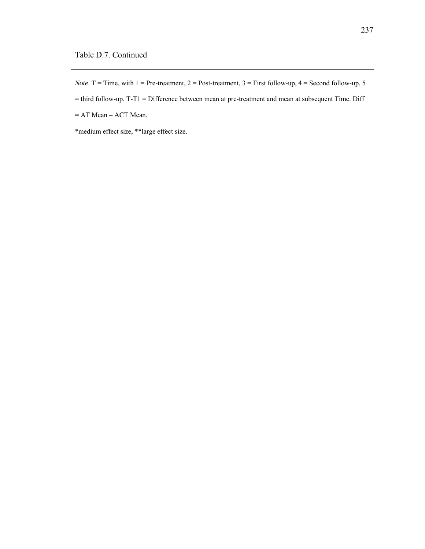*Note*. T = Time, with  $1 =$  Pre-treatment,  $2 =$  Post-treatment,  $3 =$  First follow-up,  $4 =$  Second follow-up,  $5 =$ 

= third follow-up. T-T1 = Difference between mean at pre-treatment and mean at subsequent Time. Diff

= AT Mean – ACT Mean.

\*medium effect size, \*\*large effect size.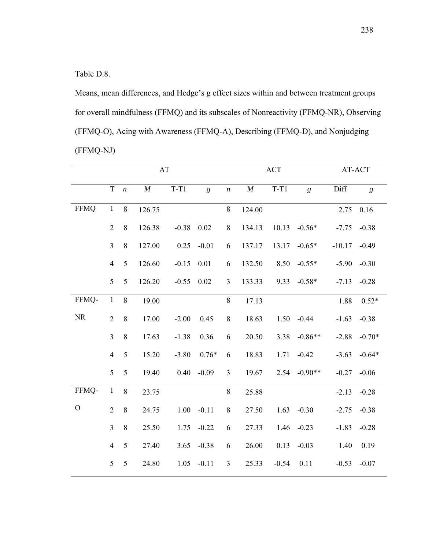Table D.8.

Means, mean differences, and Hedge's g effect sizes within and between treatment groups for overall mindfulness (FFMQ) and its subscales of Nonreactivity (FFMQ-NR), Observing (FFMQ-O), Acing with Awareness (FFMQ-A), Describing (FFMQ-D), and Nonjudging (FFMQ-NJ)

|             | AT             |                  |          |         |                | <b>ACT</b>       |          |         | AT-ACT    |          |                |
|-------------|----------------|------------------|----------|---------|----------------|------------------|----------|---------|-----------|----------|----------------|
|             | $\mathbf T$    | $\boldsymbol{n}$ | $\cal M$ | $T-T1$  | $\mathfrak{g}$ | $\boldsymbol{n}$ | $\cal M$ | $T-T1$  | g         | Diff     | $\mathfrak{g}$ |
| <b>FFMQ</b> | $\mathbf{1}$   | 8                | 126.75   |         |                | $8\,$            | 124.00   |         |           | 2.75     | 0.16           |
|             | $\overline{2}$ | $8\,$            | 126.38   | $-0.38$ | 0.02           | 8                | 134.13   | 10.13   | $-0.56*$  | $-7.75$  | $-0.38$        |
|             | $\overline{3}$ | 8                | 127.00   | 0.25    | $-0.01$        | 6                | 137.17   | 13.17   | $-0.65*$  | $-10.17$ | $-0.49$        |
|             | $\overline{4}$ | 5                | 126.60   | $-0.15$ | 0.01           | 6                | 132.50   | 8.50    | $-0.55*$  | $-5.90$  | $-0.30$        |
|             | 5              | 5                | 126.20   | $-0.55$ | 0.02           | $\overline{3}$   | 133.33   | 9.33    | $-0.58*$  | $-7.13$  | $-0.28$        |
| FFMQ-       | $\mathbf{1}$   | $8\,$            | 19.00    |         |                | $\,$ 8 $\,$      | 17.13    |         |           | 1.88     | $0.52*$        |
| $\rm NR$    | $\overline{2}$ | 8                | 17.00    | $-2.00$ | 0.45           | 8                | 18.63    | 1.50    | $-0.44$   | $-1.63$  | $-0.38$        |
|             | $\overline{3}$ | 8                | 17.63    | $-1.38$ | 0.36           | 6                | 20.50    | 3.38    | $-0.86**$ | $-2.88$  | $-0.70*$       |
|             | $\overline{4}$ | 5                | 15.20    | $-3.80$ | $0.76*$        | 6                | 18.83    | 1.71    | $-0.42$   | $-3.63$  | $-0.64*$       |
|             | 5              | 5                | 19.40    | 0.40    | $-0.09$        | 3                | 19.67    | 2.54    | $-0.90**$ | $-0.27$  | $-0.06$        |
| FFMQ-       | $\mathbf{1}$   | 8                | 23.75    |         |                | $8\,$            | 25.88    |         |           | $-2.13$  | $-0.28$        |
| $\mathbf O$ | $\overline{2}$ | 8                | 24.75    | 1.00    | $-0.11$        | $\,$ 8 $\,$      | 27.50    | 1.63    | $-0.30$   | $-2.75$  | $-0.38$        |
|             | $\overline{3}$ | 8                | 25.50    | 1.75    | $-0.22$        | 6                | 27.33    | 1.46    | $-0.23$   | $-1.83$  | $-0.28$        |
|             | $\overline{4}$ | 5                | 27.40    | 3.65    | $-0.38$        | 6                | 26.00    | 0.13    | $-0.03$   | 1.40     | 0.19           |
|             | $\mathfrak{S}$ | 5                | 24.80    | 1.05    | $-0.11$        | $\mathfrak{Z}$   | 25.33    | $-0.54$ | 0.11      | $-0.53$  | $-0.07$        |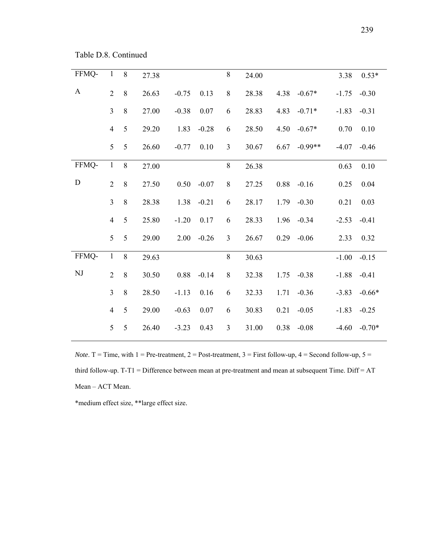Table D.8. Continued

| FFMQ- | $\mathbf{1}$   | 8     | 27.38 |         |          | $\,8\,$        | 24.00 |      |           | 3.38    | $0.53*$  |
|-------|----------------|-------|-------|---------|----------|----------------|-------|------|-----------|---------|----------|
| A     | $\overline{2}$ | $8\,$ | 26.63 | $-0.75$ | 0.13     | $\,8\,$        | 28.38 | 4.38 | $-0.67*$  | $-1.75$ | $-0.30$  |
|       | $\overline{3}$ | $8\,$ | 27.00 | $-0.38$ | 0.07     | 6              | 28.83 | 4.83 | $-0.71*$  | $-1.83$ | $-0.31$  |
|       | $\overline{4}$ | 5     | 29.20 | 1.83    | $-0.28$  | 6              | 28.50 | 4.50 | $-0.67*$  | 0.70    | 0.10     |
|       | 5              | 5     | 26.60 | $-0.77$ | $0.10\,$ | $\mathfrak{Z}$ | 30.67 | 6.67 | $-0.99**$ | $-4.07$ | $-0.46$  |
| FFMQ- | $\mathbf{1}$   | 8     | 27.00 |         |          | $8\,$          | 26.38 |      |           | 0.63    | 0.10     |
| D     | $\overline{2}$ | 8     | 27.50 | 0.50    | $-0.07$  | $\,8\,$        | 27.25 | 0.88 | $-0.16$   | 0.25    | 0.04     |
|       | $\overline{3}$ | $8\,$ | 28.38 | 1.38    | $-0.21$  | 6              | 28.17 | 1.79 | $-0.30$   | 0.21    | 0.03     |
|       | $\overline{4}$ | 5     | 25.80 | $-1.20$ | 0.17     | 6              | 28.33 | 1.96 | $-0.34$   | $-2.53$ | $-0.41$  |
|       | 5              | 5     | 29.00 | 2.00    | $-0.26$  | $\overline{3}$ | 26.67 | 0.29 | $-0.06$   | 2.33    | 0.32     |
| FFMQ- | $\mathbf{1}$   | 8     | 29.63 |         |          | $\,8\,$        | 30.63 |      |           | $-1.00$ | $-0.15$  |
| NJ    | $\overline{2}$ | $8\,$ | 30.50 | 0.88    | $-0.14$  | $8\,$          | 32.38 | 1.75 | $-0.38$   | $-1.88$ | $-0.41$  |
|       | $\overline{3}$ | $8\,$ | 28.50 | $-1.13$ | 0.16     | 6              | 32.33 | 1.71 | $-0.36$   | $-3.83$ | $-0.66*$ |
|       | $\overline{4}$ | 5     | 29.00 | $-0.63$ | 0.07     | 6              | 30.83 | 0.21 | $-0.05$   | $-1.83$ | $-0.25$  |
|       | 5              | 5     | 26.40 | $-3.23$ | 0.43     | $\mathfrak{Z}$ | 31.00 | 0.38 | $-0.08$   | $-4.60$ | $-0.70*$ |

*Note*. T = Time, with  $1 =$  Pre-treatment,  $2 =$  Post-treatment,  $3 =$  First follow-up,  $4 =$  Second follow-up,  $5 =$ third follow-up. T-T1 = Difference between mean at pre-treatment and mean at subsequent Time. Diff = AT Mean – ACT Mean.

\*medium effect size, \*\*large effect size.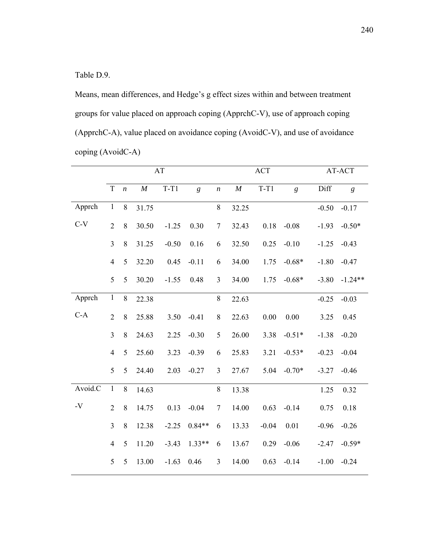Table D.9.

Means, mean differences, and Hedge's g effect sizes within and between treatment groups for value placed on approach coping (ApprchC-V), use of approach coping (ApprchC-A), value placed on avoidance coping (AvoidC-V), and use of avoidance coping (AvoidC-A)

|               |                | AT               |          |         |          | <b>ACT</b>       |          |         | AT-ACT   |         |                |
|---------------|----------------|------------------|----------|---------|----------|------------------|----------|---------|----------|---------|----------------|
|               | $\mathbf T$    | $\boldsymbol{n}$ | $\cal M$ | $T-T1$  | g        | $\boldsymbol{n}$ | $\cal M$ | $T-T1$  | g        | Diff    | $\mathfrak{g}$ |
| Apprch        | $\mathbf{1}$   | 8                | 31.75    |         |          | 8                | 32.25    |         |          | $-0.50$ | $-0.17$        |
| $C-V$         | $\overline{2}$ | $8\,$            | 30.50    | $-1.25$ | 0.30     | $\tau$           | 32.43    | 0.18    | $-0.08$  | $-1.93$ | $-0.50*$       |
|               | 3              | $8\,$            | 31.25    | $-0.50$ | 0.16     | 6                | 32.50    | 0.25    | $-0.10$  | $-1.25$ | $-0.43$        |
|               | $\overline{4}$ | 5                | 32.20    | 0.45    | $-0.11$  | 6                | 34.00    | 1.75    | $-0.68*$ | $-1.80$ | $-0.47$        |
|               | 5              | 5                | 30.20    | $-1.55$ | 0.48     | $\overline{3}$   | 34.00    | 1.75    | $-0.68*$ | $-3.80$ | $-1.24**$      |
| Apprch        | $\mathbf{1}$   | 8                | 22.38    |         |          | $\,$ 8 $\,$      | 22.63    |         |          | $-0.25$ | $-0.03$        |
| $C-A$         | $\overline{2}$ | $\,$ 8 $\,$      | 25.88    | 3.50    | $-0.41$  | 8                | 22.63    | 0.00    | 0.00     | 3.25    | 0.45           |
|               | $\overline{3}$ | $8\,$            | 24.63    | 2.25    | $-0.30$  | 5                | 26.00    | 3.38    | $-0.51*$ | $-1.38$ | $-0.20$        |
|               | $\overline{4}$ | 5                | 25.60    | 3.23    | $-0.39$  | 6                | 25.83    | 3.21    | $-0.53*$ | $-0.23$ | $-0.04$        |
|               | 5              | 5                | 24.40    | 2.03    | $-0.27$  | $\overline{3}$   | 27.67    | 5.04    | $-0.70*$ | $-3.27$ | $-0.46$        |
| Avoid.C       | $\,1$          | $\,8\,$          | 14.63    |         |          | $8\,$            | 13.38    |         |          | 1.25    | 0.32           |
| $\mathbf{-V}$ | $\overline{2}$ | 8                | 14.75    | 0.13    | $-0.04$  | $\overline{7}$   | 14.00    | 0.63    | $-0.14$  | 0.75    | 0.18           |
|               | $\overline{3}$ | 8                | 12.38    | $-2.25$ | $0.84**$ | 6                | 13.33    | $-0.04$ | 0.01     | $-0.96$ | $-0.26$        |
|               | $\overline{4}$ | 5                | 11.20    | $-3.43$ | $1.33**$ | 6                | 13.67    | 0.29    | $-0.06$  | $-2.47$ | $-0.59*$       |
|               | 5              | 5                | 13.00    | $-1.63$ | 0.46     | $\mathfrak{Z}$   | 14.00    | 0.63    | $-0.14$  | $-1.00$ | $-0.24$        |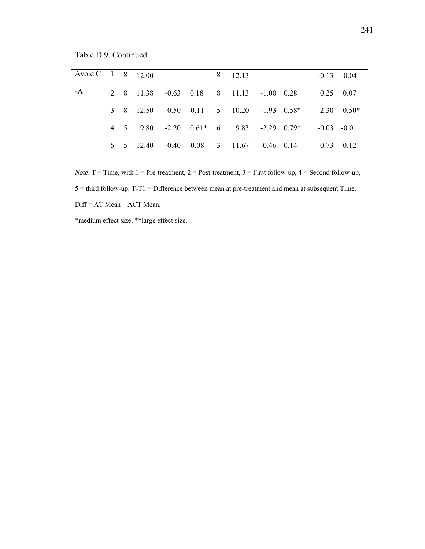241

Table D.9. Continued

| Avoid.C 1 8 12.00 |  |           |  | 8 12 13                                     |  |                   | $-0.13 - 0.04$ |  |
|-------------------|--|-----------|--|---------------------------------------------|--|-------------------|----------------|--|
| $-A$              |  |           |  | 2 8 11.38 -0.63 0.18 8 11.13 -1.00 0.28     |  | $0.25$ 0.07       |                |  |
|                   |  |           |  | 3 8 12.50 0.50 -0.11 5 10.20 -1.93 0.58*    |  | $2.30\quad 0.50*$ |                |  |
|                   |  |           |  | 4 5 9.80 -2.20 $0.61*$ 6 9.83 -2.29 $0.79*$ |  | $-0.03 - 0.01$    |                |  |
|                   |  | 5 5 12.40 |  | $0.40$ $-0.08$ 3 $11.67$ $-0.46$ 0.14       |  | $0.73$ $0.12$     |                |  |
|                   |  |           |  |                                             |  |                   |                |  |

*Note*. T = Time, with  $1 =$  Pre-treatment,  $2 =$  Post-treatment,  $3 =$  First follow-up,  $4 =$  Second follow-up, 5 = third follow-up. T-T1 = Difference between mean at pre-treatment and mean at subsequent Time.

Diff = AT Mean – ACT Mean.

\*medium effect size, \*\*large effect size.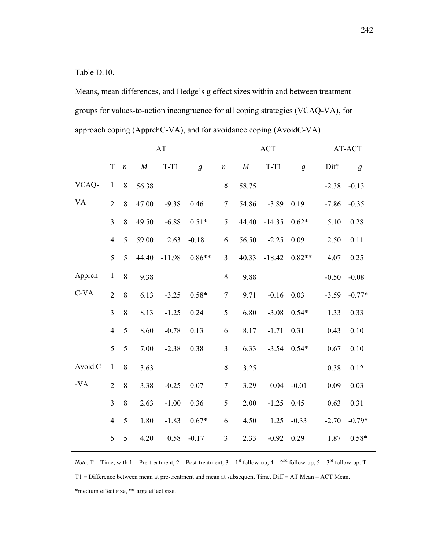Table D.10.

Means, mean differences, and Hedge's g effect sizes within and between treatment groups for values-to-action incongruence for all coping strategies (VCAQ-VA), for approach coping (ApprchC-VA), and for avoidance coping (AvoidC-VA)

|           |                | AT               |          |          |                | <b>ACT</b>       |          | AT-ACT       |               |         |                |
|-----------|----------------|------------------|----------|----------|----------------|------------------|----------|--------------|---------------|---------|----------------|
|           | $\mathbf T$    | $\boldsymbol{n}$ | $\cal M$ | $T-T1$   | $\mathfrak{g}$ | $\boldsymbol{n}$ | $\cal M$ | $T-T1$       | g             | Diff    | $\mathfrak{g}$ |
| VCAQ-     | $\mathbf{1}$   | $8\,$            | 56.38    |          |                | $8\,$            | 58.75    |              |               | $-2.38$ | $-0.13$        |
| <b>VA</b> | $\overline{2}$ | 8                | 47.00    | $-9.38$  | 0.46           | $\tau$           | 54.86    | $-3.89$      | 0.19          | $-7.86$ | $-0.35$        |
|           | $\overline{3}$ | 8                | 49.50    | $-6.88$  | $0.51*$        | 5                | 44.40    | $-14.35$     | $0.62*$       | 5.10    | 0.28           |
|           | $\overline{4}$ | 5                | 59.00    | 2.63     | $-0.18$        | 6                | 56.50    | $-2.25$      | 0.09          | 2.50    | 0.11           |
|           | 5              | 5                | 44.40    | $-11.98$ | $0.86**$       | $\mathfrak{Z}$   | 40.33    | $-18.42$     | $0.82**$      | 4.07    | 0.25           |
| Apprch    | $\mathbf{1}$   | 8                | 9.38     |          |                | $\,8\,$          | 9.88     |              |               | $-0.50$ | $-0.08$        |
| $C-VA$    | $\overline{2}$ | 8                | 6.13     | $-3.25$  | $0.58*$        | $\tau$           | 9.71     | $-0.16$ 0.03 |               | $-3.59$ | $-0.77*$       |
|           | $\overline{3}$ | 8                | 8.13     | $-1.25$  | 0.24           | 5                | 6.80     | $-3.08$      | $0.54*$       | 1.33    | 0.33           |
|           | $\overline{4}$ | 5                | 8.60     | $-0.78$  | 0.13           | 6                | 8.17     | $-1.71$      | 0.31          | 0.43    | 0.10           |
|           | 5              | 5                | 7.00     | $-2.38$  | 0.38           | 3                | 6.33     |              | $-3.54$ 0.54* | 0.67    | 0.10           |
| Avoid.C   | $\mathbf{1}$   | 8                | 3.63     |          |                | 8                | 3.25     |              |               | 0.38    | 0.12           |
| $-VA$     | $\overline{2}$ | 8                | 3.38     | $-0.25$  | 0.07           | $\tau$           | 3.29     |              | $0.04 - 0.01$ | 0.09    | 0.03           |
|           | $\overline{3}$ | $8\,$            | 2.63     | $-1.00$  | 0.36           | 5                | 2.00     | $-1.25$      | 0.45          | 0.63    | 0.31           |
|           | $\overline{4}$ | 5                | 1.80     | $-1.83$  | $0.67*$        | 6                | 4.50     | 1.25         | $-0.33$       | $-2.70$ | $-0.79*$       |
|           | 5              | 5                | 4.20     | 0.58     | $-0.17$        | $\mathfrak{Z}$   | 2.33     | $-0.92$      | 0.29          | 1.87    | $0.58*$        |

*Note*. T = Time, with 1 = Pre-treatment, 2 = Post-treatment, 3 = 1<sup>st</sup> follow-up, 4 =  $2<sup>nd</sup>$  follow-up, 5 =  $3<sup>rd</sup>$  follow-up. T-T1 = Difference between mean at pre-treatment and mean at subsequent Time. Diff = AT Mean – ACT Mean. \*medium effect size, \*\*large effect size.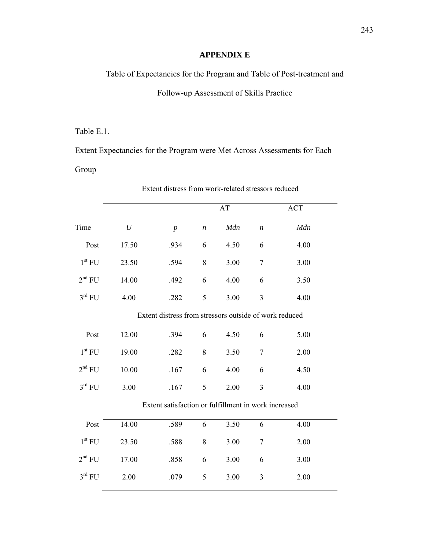# **APPENDIX E**

Table of Expectancies for the Program and Table of Post-treatment and

Follow-up Assessment of Skills Practice

# Table E.1.

Extent Expectancies for the Program were Met Across Assessments for Each

# Group

|                    | Extent distress from work-related stressors reduced |                                                        |                  |           |                  |            |  |  |
|--------------------|-----------------------------------------------------|--------------------------------------------------------|------------------|-----------|------------------|------------|--|--|
|                    |                                                     |                                                        |                  | <b>AT</b> |                  | <b>ACT</b> |  |  |
| Time               | $\mathfrak{U}$                                      | $\boldsymbol{p}$                                       | $\boldsymbol{n}$ | Mdn       | $\boldsymbol{n}$ | Mdn        |  |  |
| Post               | 17.50                                               | .934                                                   | 6                | 4.50      | 6                | 4.00       |  |  |
| 1 <sup>st</sup> FU | 23.50                                               | .594                                                   | 8                | 3.00      | $\tau$           | 3.00       |  |  |
| 2 <sup>nd</sup> FU | 14.00                                               | .492                                                   | 6                | 4.00      | 6                | 3.50       |  |  |
| $3^{\text{rd}}$ FU | 4.00                                                | .282                                                   | 5                | 3.00      | $\overline{3}$   | 4.00       |  |  |
|                    |                                                     | Extent distress from stressors outside of work reduced |                  |           |                  |            |  |  |
| Post               | 12.00                                               | .394                                                   | 6                | 4.50      | 6                | 5.00       |  |  |
| 1 <sup>st</sup> FU | 19.00                                               | .282                                                   | 8                | 3.50      | $\tau$           | 2.00       |  |  |
| 2 <sup>nd</sup> FU | 10.00                                               | .167                                                   | 6                | 4.00      | 6                | 4.50       |  |  |
| $3^{\text{rd}}$ FU | 3.00                                                | .167                                                   | 5                | 2.00      | $\overline{3}$   | 4.00       |  |  |
|                    |                                                     | Extent satisfaction or fulfillment in work increased   |                  |           |                  |            |  |  |
| Post               | 14.00                                               | .589                                                   | 6                | 3.50      | 6                | 4.00       |  |  |
| 1 <sup>st</sup> FU | 23.50                                               | .588                                                   | 8                | 3.00      | $\overline{7}$   | 2.00       |  |  |
| 2 <sup>nd</sup> FU | 17.00                                               | .858                                                   | 6                | 3.00      | 6                | 3.00       |  |  |
| $3^{\text{rd}}$ FU | 2.00                                                | .079                                                   | 5                | 3.00      | $\mathfrak{Z}$   | 2.00       |  |  |
|                    |                                                     |                                                        |                  |           |                  |            |  |  |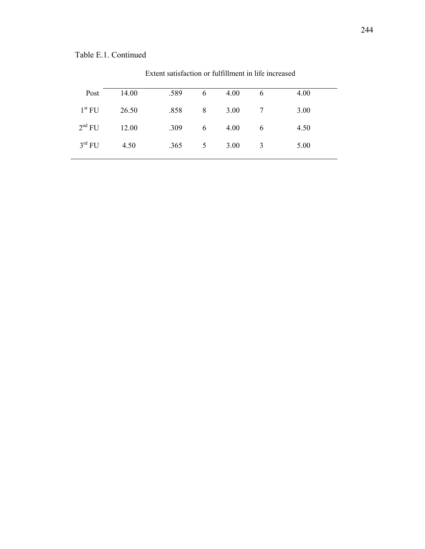| Post               | 14.00 | .589 | 6 | 4.00 | 6              | 4.00 |  |
|--------------------|-------|------|---|------|----------------|------|--|
| $1^{\rm st}$ FU    | 26.50 | .858 | 8 | 3.00 | $\overline{7}$ | 3.00 |  |
| 2 <sup>nd</sup> FU | 12.00 | .309 | 6 | 4.00 | - 6            | 4.50 |  |
| $3^{\text{rd}}$ FU | 4.50  | .365 | 5 | 3.00 | 3              | 5.00 |  |

Extent satisfaction or fulfillment in life increased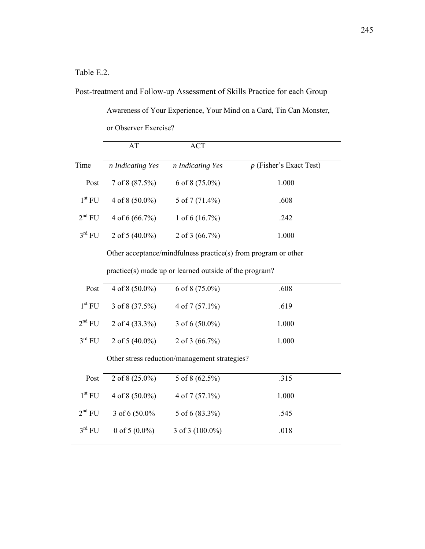### Table E.2.

Post-treatment and Follow-up Assessment of Skills Practice for each Group

Awareness of Your Experience, Your Mind on a Card, Tin Can Monster,

|                    |                   | or Observer Exercise? |                           |  |  |  |  |  |  |  |  |
|--------------------|-------------------|-----------------------|---------------------------|--|--|--|--|--|--|--|--|
|                    | AT                | ACT                   |                           |  |  |  |  |  |  |  |  |
| Time               | n Indicating Yes  | n Indicating Yes      | $p$ (Fisher's Exact Test) |  |  |  |  |  |  |  |  |
| Post               | 7 of 8 (87.5%)    | 6 of 8 $(75.0\%)$     | 1.000                     |  |  |  |  |  |  |  |  |
| 1 <sup>st</sup> FU | 4 of 8 $(50.0\%)$ | 5 of 7 $(71.4\%)$     | .608                      |  |  |  |  |  |  |  |  |
| 2 <sup>nd</sup> FU | 4 of 6 $(66.7\%)$ | 1 of 6 $(16.7\%)$     | .242                      |  |  |  |  |  |  |  |  |
| $3^{\text{rd}}$ FU | 2 of 5 $(40.0\%)$ | 2 of 3 $(66.7\%)$     | 1.000                     |  |  |  |  |  |  |  |  |

Other acceptance/mindfulness practice(s) from program or other

practice(s) made up or learned outside of the program?

| Post               | 4 of 8 $(50.0\%)$ | 6 of 8 $(75.0\%)$  | .608  |
|--------------------|-------------------|--------------------|-------|
| $1^{\rm st}$ FU    | 3 of 8 $(37.5\%)$ | $4$ of $7(57.1\%)$ | .619  |
| 2 <sup>nd</sup> FU | 2 of 4 $(33.3\%)$ | 3 of 6 $(50.0\%)$  | 1.000 |
| $3^{\text{rd}}$ FU | 2 of 5 $(40.0\%)$ | 2 of 3 $(66.7\%)$  | 1.000 |

Other stress reduction/management strategies?

| Post               | 2 of $8(25.0\%)$  | 5 of 8 $(62.5\%)$  | .315  |
|--------------------|-------------------|--------------------|-------|
| $1^{\rm st}$ FU    | 4 of 8 $(50.0\%)$ | $4$ of $7(57.1\%)$ | 1.000 |
| 2 <sup>nd</sup> FU | 3 of 6 $(50.0\%$  | 5 of 6 $(83.3\%)$  | .545  |
| $3^{\text{rd}}$ FU | 0 of 5 $(0.0\%)$  | 3 of 3 $(100.0\%)$ | .018  |
|                    |                   |                    |       |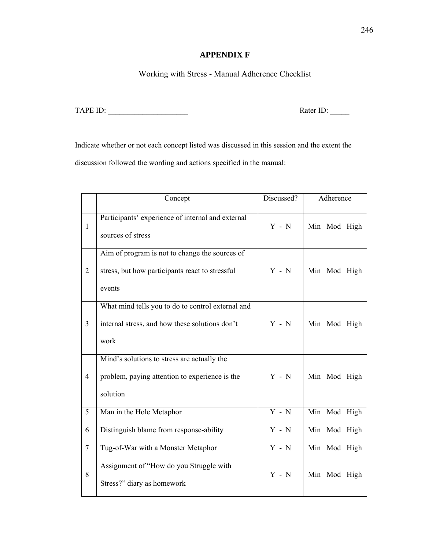### **APPENDIX F**

Working with Stress - Manual Adherence Checklist

TAPE ID: \_\_\_\_\_\_\_\_\_\_\_\_\_\_\_\_\_\_\_\_\_ Rater ID: \_\_\_\_\_

Indicate whether or not each concept listed was discussed in this session and the extent the discussion followed the wording and actions specified in the manual:

|                 | Concept                                                                                                     | Discussed? | Adherence    |
|-----------------|-------------------------------------------------------------------------------------------------------------|------------|--------------|
| $\mathbf{1}$    | Participants' experience of internal and external<br>sources of stress                                      | $Y - N$    | Min Mod High |
| $\overline{2}$  | Aim of program is not to change the sources of<br>stress, but how participants react to stressful<br>events | $Y - N$    | Min Mod High |
| $\overline{3}$  | What mind tells you to do to control external and<br>internal stress, and how these solutions don't<br>work | $Y - N$    | Min Mod High |
| $\overline{4}$  | Mind's solutions to stress are actually the<br>problem, paying attention to experience is the<br>solution   | $Y - N$    | Min Mod High |
| 5               | Man in the Hole Metaphor                                                                                    | $Y - N$    | Min Mod High |
| 6               | Distinguish blame from response-ability                                                                     | $Y - N$    | Min Mod High |
| $7\phantom{.0}$ | Tug-of-War with a Monster Metaphor                                                                          | $Y - N$    | Min Mod High |
| 8               | Assignment of "How do you Struggle with<br>Stress?" diary as homework                                       | $Y - N$    | Min Mod High |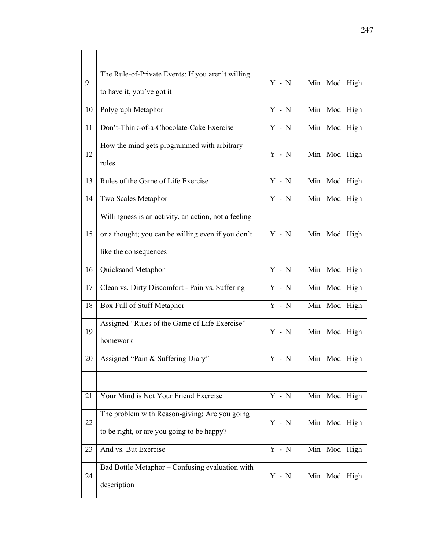| 9  | The Rule-of-Private Events: If you aren't willing<br>to have it, you've got it                                                      | $Y - N$            | Min Mod High |
|----|-------------------------------------------------------------------------------------------------------------------------------------|--------------------|--------------|
| 10 | Polygraph Metaphor                                                                                                                  | $Y - N$            | Min Mod High |
| 11 | Don't-Think-of-a-Chocolate-Cake Exercise                                                                                            | $Y - N$            | Min Mod High |
| 12 | How the mind gets programmed with arbitrary<br>rules                                                                                | $Y - N$            | Min Mod High |
| 13 | Rules of the Game of Life Exercise                                                                                                  | $\overline{Y}$ - N | Min Mod High |
| 14 | Two Scales Metaphor                                                                                                                 | $Y - N$            | Min Mod High |
| 15 | Willingness is an activity, an action, not a feeling<br>or a thought; you can be willing even if you don't<br>like the consequences | $Y - N$            | Min Mod High |
| 16 | Quicksand Metaphor                                                                                                                  | $Y - N$            | Min Mod High |
| 17 | Clean vs. Dirty Discomfort - Pain vs. Suffering                                                                                     | $Y - N$            | Min Mod High |
| 18 | Box Full of Stuff Metaphor                                                                                                          | $Y - N$            | Min Mod High |
| 19 | Assigned "Rules of the Game of Life Exercise"<br>homework                                                                           | $Y - N$            | Min Mod High |
| 20 | Assigned "Pain & Suffering Diary"                                                                                                   | $Y - N$            | Min Mod High |
|    |                                                                                                                                     |                    |              |
| 21 | Your Mind is Not Your Friend Exercise                                                                                               | $Y - N$            | Min Mod High |
| 22 | The problem with Reason-giving: Are you going<br>to be right, or are you going to be happy?                                         | $Y - N$            | Min Mod High |
| 23 | And vs. But Exercise                                                                                                                | $Y - N$            | Min Mod High |
| 24 | Bad Bottle Metaphor - Confusing evaluation with<br>description                                                                      | $Y - N$            | Min Mod High |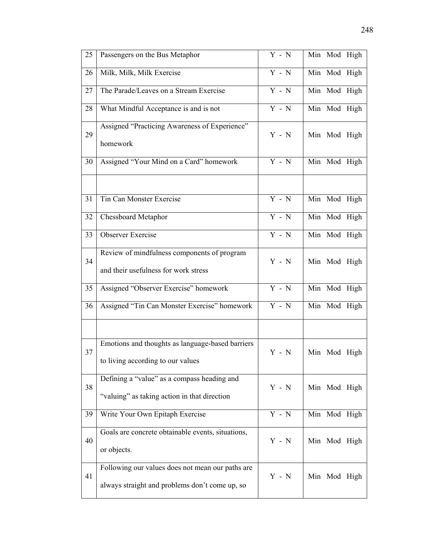| 25 | Passengers on the Bus Metaphor                                                                     | $Y - N$ | Min Mod High |
|----|----------------------------------------------------------------------------------------------------|---------|--------------|
| 26 | Milk, Milk, Milk Exercise                                                                          | $Y - N$ | Min Mod High |
| 27 | The Parade/Leaves on a Stream Exercise                                                             | $Y - N$ | Min Mod High |
| 28 | What Mindful Acceptance is and is not                                                              | $Y - N$ | Min Mod High |
| 29 | Assigned "Practicing Awareness of Experience"<br>homework                                          | $Y - N$ | Min Mod High |
| 30 | Assigned "Your Mind on a Card" homework                                                            | $Y - N$ | Min Mod High |
|    |                                                                                                    |         |              |
| 31 | Tin Can Monster Exercise                                                                           | $Y - N$ | Min Mod High |
| 32 | <b>Chessboard Metaphor</b>                                                                         | $Y - N$ | Min Mod High |
| 33 | <b>Observer Exercise</b>                                                                           | $Y - N$ | Min Mod High |
| 34 | Review of mindfulness components of program<br>and their usefulness for work stress                | $Y - N$ | Min Mod High |
| 35 | Assigned "Observer Exercise" homework                                                              | $Y - N$ | Min Mod High |
| 36 | Assigned "Tin Can Monster Exercise" homework                                                       | $Y - N$ | Min Mod High |
|    |                                                                                                    |         |              |
| 37 | Emotions and thoughts as language-based barriers<br>to living according to our values              | $Y - N$ | Min Mod High |
| 38 | Defining a "value" as a compass heading and<br>"valuing" as taking action in that direction        | $Y - N$ | Min Mod High |
| 39 | Write Your Own Epitaph Exercise                                                                    | $Y - N$ | Min Mod High |
| 40 | Goals are concrete obtainable events, situations,<br>or objects.                                   | $Y - N$ | Min Mod High |
| 41 | Following our values does not mean our paths are<br>always straight and problems don't come up, so | $Y - N$ | Min Mod High |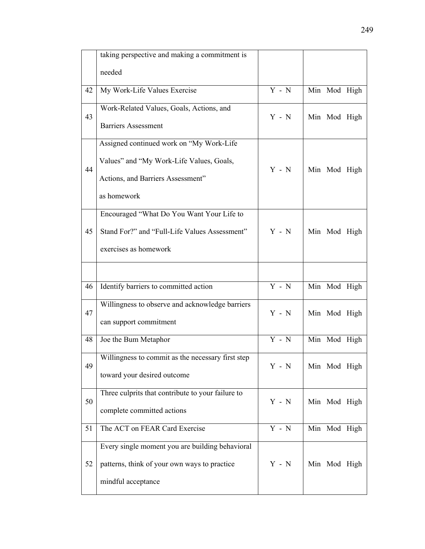|    | taking perspective and making a commitment is                                                                                            |                           |              |  |
|----|------------------------------------------------------------------------------------------------------------------------------------------|---------------------------|--------------|--|
|    | needed                                                                                                                                   |                           |              |  |
| 42 | My Work-Life Values Exercise                                                                                                             | $Y - N$                   | Min Mod High |  |
| 43 | Work-Related Values, Goals, Actions, and<br><b>Barriers Assessment</b>                                                                   | $Y - N$                   | Min Mod High |  |
| 44 | Assigned continued work on "My Work-Life<br>Values" and "My Work-Life Values, Goals,<br>Actions, and Barriers Assessment"<br>as homework | $Y - N$                   | Min Mod High |  |
| 45 | Encouraged "What Do You Want Your Life to<br>Stand For?" and "Full-Life Values Assessment"<br>exercises as homework                      | $Y - N$                   | Min Mod High |  |
|    |                                                                                                                                          |                           |              |  |
| 46 | Identify barriers to committed action                                                                                                    | $Y - N$                   | Min Mod High |  |
| 47 | Willingness to observe and acknowledge barriers<br>can support commitment                                                                | $Y - N$                   | Min Mod High |  |
| 48 | Joe the Bum Metaphor                                                                                                                     | $Y - N$                   | Min Mod High |  |
| 49 | Willingness to commit as the necessary first step<br>toward your desired outcome                                                         | $Y - N$                   | Min Mod High |  |
| 50 | Three culprits that contribute to your failure to<br>complete committed actions                                                          | $\mathbf Y$ - $\mathbf N$ | Min Mod High |  |
| 51 | The ACT on FEAR Card Exercise                                                                                                            | $Y - N$                   | Min Mod High |  |
| 52 | Every single moment you are building behavioral<br>patterns, think of your own ways to practice<br>mindful acceptance                    | $\mathbf Y$ - $\mathbf N$ | Min Mod High |  |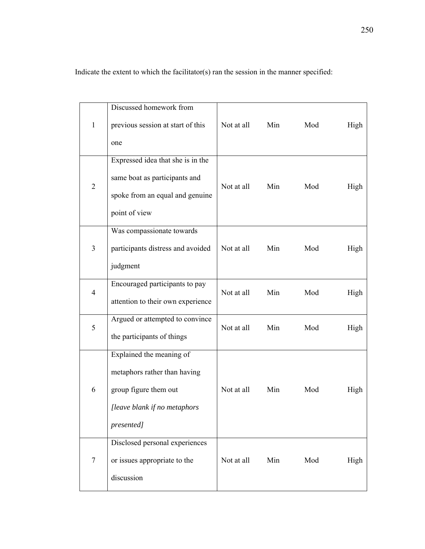Indicate the extent to which the facilitator(s) ran the session in the manner specified:

|                | Discussed homework from                                        |            |     |     |      |
|----------------|----------------------------------------------------------------|------------|-----|-----|------|
| $\mathbf{1}$   | previous session at start of this                              | Not at all | Min | Mod | High |
|                | one                                                            |            |     |     |      |
|                | Expressed idea that she is in the                              | Not at all |     | Mod | High |
| $\overline{2}$ | same boat as participants and                                  |            | Min |     |      |
|                | spoke from an equal and genuine                                |            |     |     |      |
|                | point of view                                                  |            |     |     |      |
|                | Was compassionate towards<br>participants distress and avoided | Not at all | Min | Mod | High |
| 3              |                                                                |            |     |     |      |
|                | judgment                                                       |            |     |     |      |
| $\overline{4}$ | Encouraged participants to pay                                 | Not at all | Min | Mod | High |
|                | attention to their own experience                              |            |     |     |      |
| 5              | Argued or attempted to convince                                | Not at all | Min | Mod | High |
|                | the participants of things                                     |            |     |     |      |
|                | Explained the meaning of                                       |            |     |     |      |
|                | metaphors rather than having                                   | Not at all | Min | Mod | High |
| 6              | group figure them out                                          |            |     |     |      |
|                | [leave blank if no metaphors                                   |            |     |     |      |
|                | presented]                                                     |            |     |     |      |
|                | Disclosed personal experiences                                 |            |     |     |      |
| $\overline{7}$ | or issues appropriate to the                                   | Not at all | Min | Mod | High |
|                | discussion                                                     |            |     |     |      |